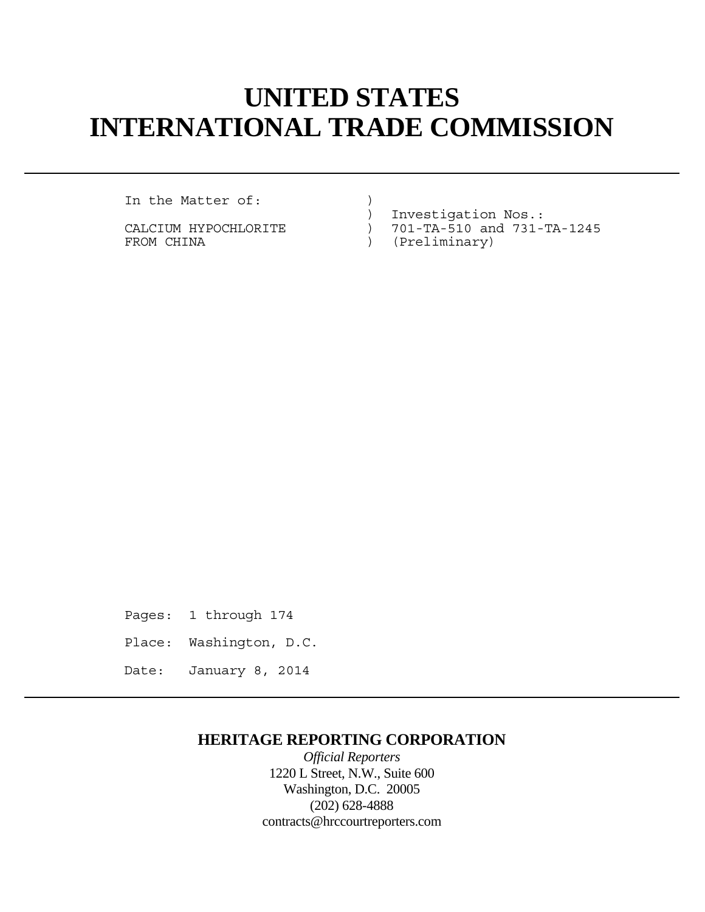# **UNITED STATES INTERNATIONAL TRADE COMMISSION**

In the Matter of:

CALCIUM HYPOCHLORITE  $\overline{C}$  ) 701-TA-510 and 731-TA-1245<br>FROM CHINA (Preliminary)

- : CALCIUM HYPOCHLORITE (2015) 111 (2015)<br>-CALCIUM HYPOCHLORITE (2015) 701-TA-510 and 731
	- ) (Preliminary)

Pages: 1 through 174 Place: Washington, D.C. Date: January 8, 2014

## **HERITAGE REPORTING CORPORATION**

*Official Reporters* 1220 L Street, N.W., Suite 600 Washington, D.C. 20005 (202) 628-4888 contracts@hrccourtreporters.com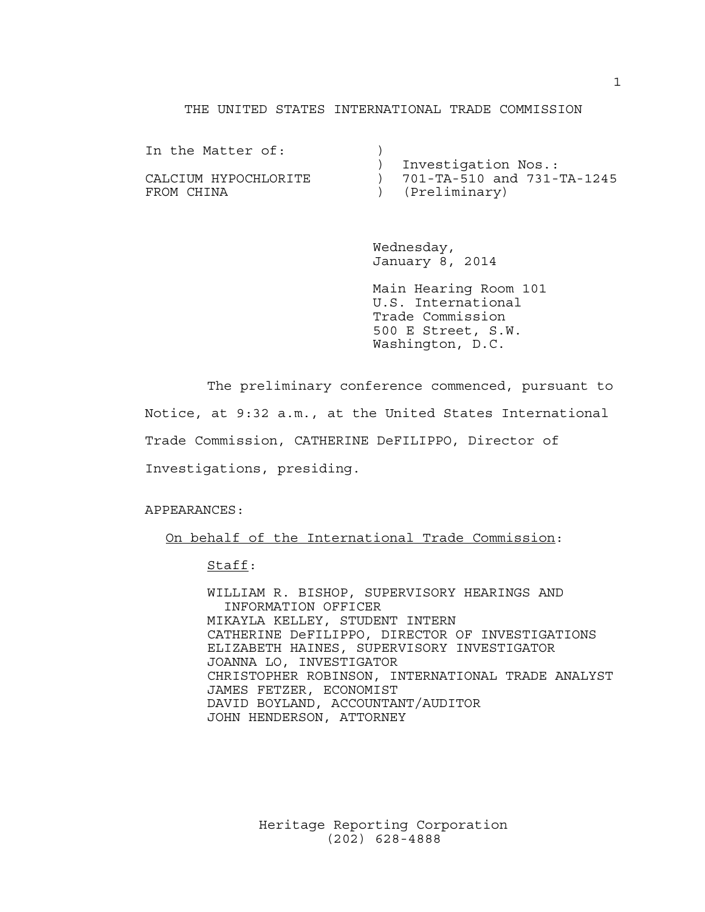#### THE UNITED STATES INTERNATIONAL TRADE COMMISSION

| In the Matter of:    |                            |
|----------------------|----------------------------|
|                      | Investigation Nos.:        |
| CALCIUM HYPOCHLORITE | 701-TA-510 and 731-TA-1245 |
| FROM CHINA           | (Preliminary)              |

 Wednesday, January 8, 2014

 Main Hearing Room 101 U.S. International Trade Commission 500 E Street, S.W. Washington, D.C.

The preliminary conference commenced, pursuant to

Notice, at 9:32 a.m., at the United States International

Trade Commission, CATHERINE DeFILIPPO, Director of

Investigations, presiding.

APPEARANCES:

On behalf of the International Trade Commission:

Staff:

 WILLIAM R. BISHOP, SUPERVISORY HEARINGS AND INFORMATION OFFICER MIKAYLA KELLEY, STUDENT INTERN CATHERINE DeFILIPPO, DIRECTOR OF INVESTIGATIONS ELIZABETH HAINES, SUPERVISORY INVESTIGATOR JOANNA LO, INVESTIGATOR CHRISTOPHER ROBINSON, INTERNATIONAL TRADE ANALYST JAMES FETZER, ECONOMIST DAVID BOYLAND, ACCOUNTANT/AUDITOR JOHN HENDERSON, ATTORNEY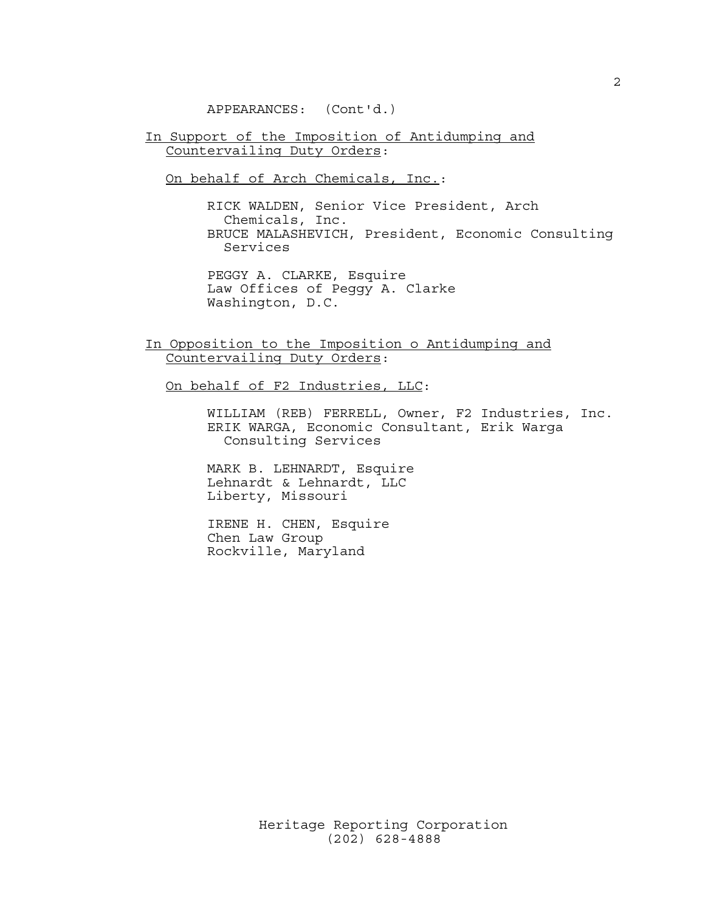APPEARANCES: (Cont'd.)

In Support of the Imposition of Antidumping and Countervailing Duty Orders:

On behalf of Arch Chemicals, Inc.:

 RICK WALDEN, Senior Vice President, Arch Chemicals, Inc. BRUCE MALASHEVICH, President, Economic Consulting Services

 PEGGY A. CLARKE, Esquire Law Offices of Peggy A. Clarke Washington, D.C.

In Opposition to the Imposition o Antidumping and Countervailing Duty Orders:

On behalf of F2 Industries, LLC:

 WILLIAM (REB) FERRELL, Owner, F2 Industries, Inc. ERIK WARGA, Economic Consultant, Erik Warga Consulting Services

 MARK B. LEHNARDT, Esquire Lehnardt & Lehnardt, LLC Liberty, Missouri

 IRENE H. CHEN, Esquire Chen Law Group Rockville, Maryland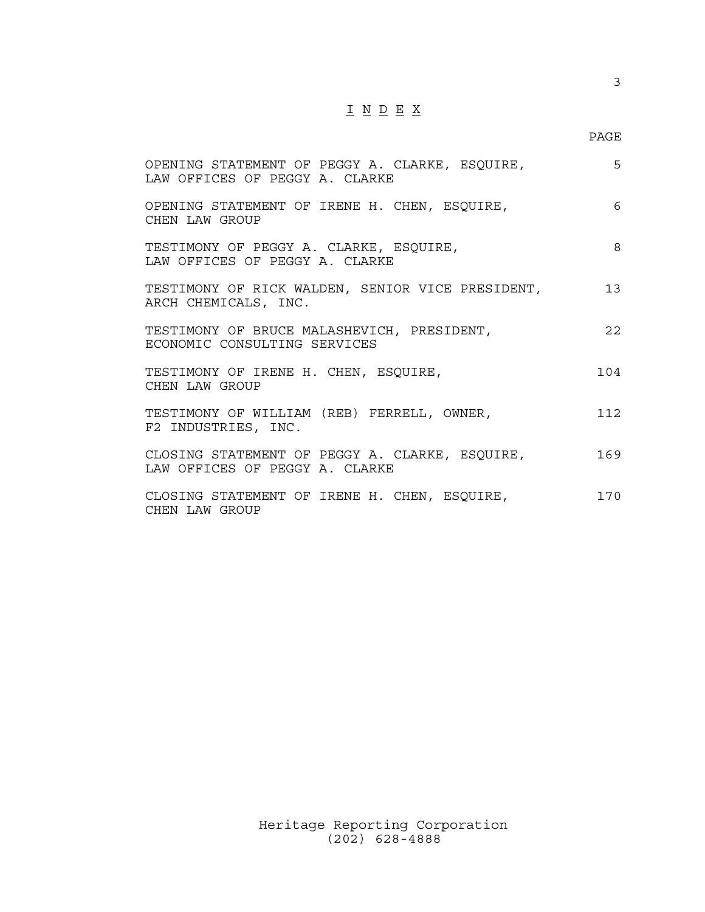## I N D E X

### en de la provincia de la provincia de la provincia de la provincia de la provincia de la provincia de la provi

| OPENING STATEMENT OF PEGGY A. CLARKE, ESQUIRE,<br>LAW OFFICES OF PEGGY A. CLARKE | 5   |
|----------------------------------------------------------------------------------|-----|
| OPENING STATEMENT OF IRENE H. CHEN, ESQUIRE,<br>CHEN LAW GROUP                   | 6   |
| TESTIMONY OF PEGGY A. CLARKE, ESQUIRE,<br>LAW OFFICES OF PEGGY A. CLARKE         | 8   |
| TESTIMONY OF RICK WALDEN, SENIOR VICE PRESIDENT, 13<br>ARCH CHEMICALS, INC.      |     |
| TESTIMONY OF BRUCE MALASHEVICH, PRESIDENT,<br>ECONOMIC CONSULTING SERVICES       | 22  |
| TESTIMONY OF IRENE H. CHEN, ESQUIRE,<br>CHEN LAW GROUP                           | 104 |
| TESTIMONY OF WILLIAM (REB) FERRELL, OWNER,<br>F2 INDUSTRIES, INC.                | 112 |
| CLOSING STATEMENT OF PEGGY A. CLARKE, ESQUIRE,<br>LAW OFFICES OF PEGGY A. CLARKE | 169 |
| CLOSING STATEMENT OF IRENE H. CHEN, ESQUIRE,<br>CHEN LAW GROUP                   | 170 |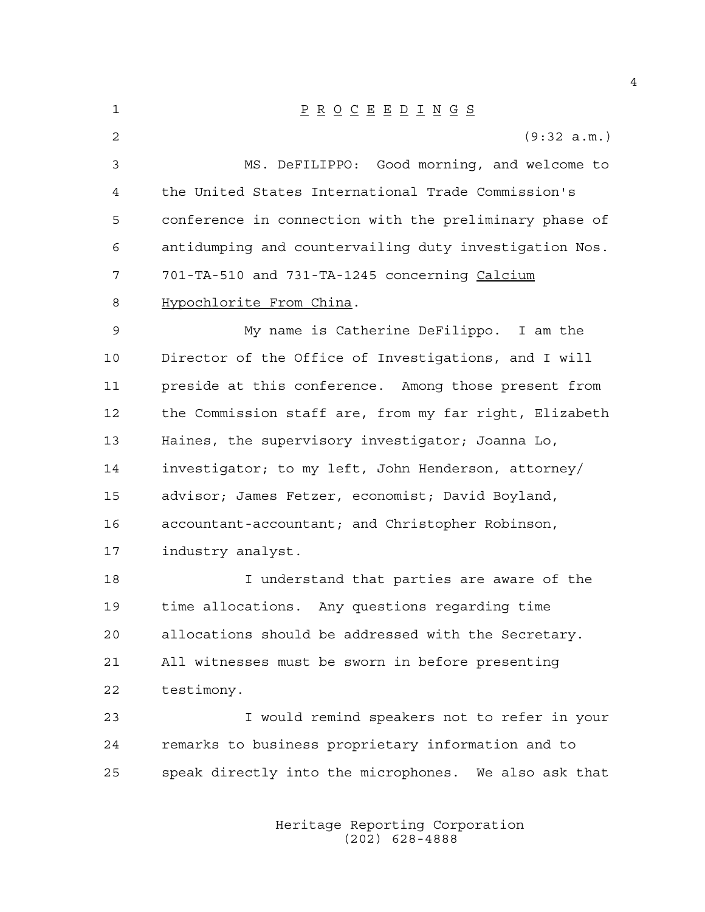1 P R O C E E D I N G S 2 (9:32 a.m.) 3 MS. DeFILIPPO: Good morning, and welcome to 4 the United States International Trade Commission's 5 conference in connection with the preliminary phase of 6 antidumping and countervailing duty investigation Nos. 7 701-TA-510 and 731-TA-1245 concerning Calcium 8 Hypochlorite From China. 9 My name is Catherine DeFilippo. I am the 10 Director of the Office of Investigations, and I will 11 preside at this conference. Among those present from 12 the Commission staff are, from my far right, Elizabeth 13 Haines, the supervisory investigator; Joanna Lo, 14 investigator; to my left, John Henderson, attorney/ 15 advisor; James Fetzer, economist; David Boyland, 16 accountant-accountant; and Christopher Robinson, 17 industry analyst. 18 I understand that parties are aware of the 19 time allocations. Any questions regarding time 20 allocations should be addressed with the Secretary. 21 All witnesses must be sworn in before presenting 22 testimony. 23 I would remind speakers not to refer in your 24 remarks to business proprietary information and to 25 speak directly into the microphones. We also ask that

> Heritage Reporting Corporation (202) 628-4888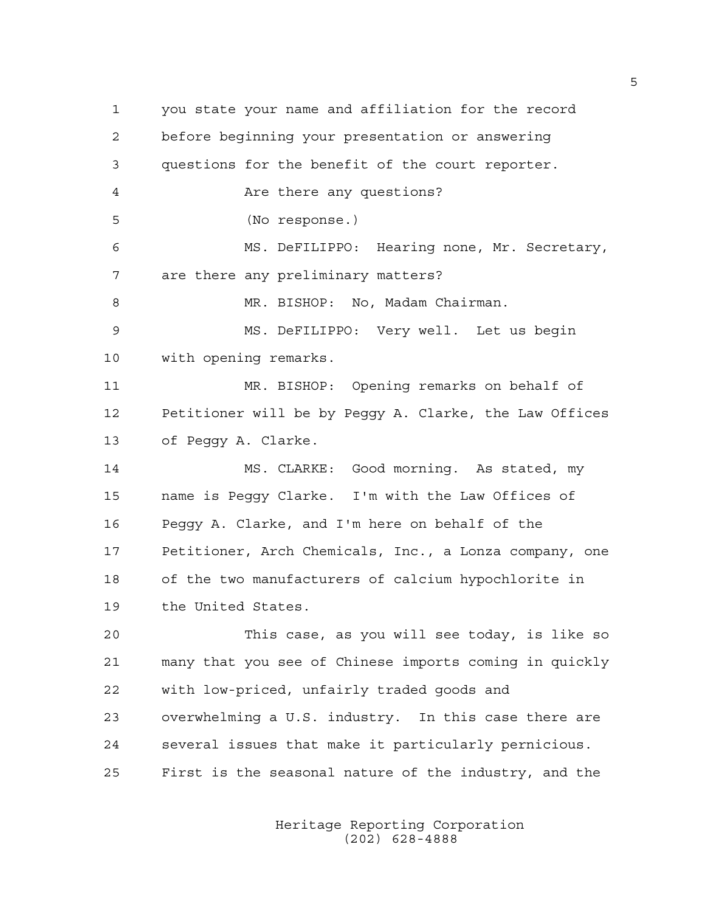1 you state your name and affiliation for the record 2 before beginning your presentation or answering 3 questions for the benefit of the court reporter. 4 Are there any questions? 5 (No response.) 6 MS. DeFILIPPO: Hearing none, Mr. Secretary, 7 are there any preliminary matters? 8 MR. BISHOP: No, Madam Chairman. 9 MS. DeFILIPPO: Very well. Let us begin 10 with opening remarks. 11 MR. BISHOP: Opening remarks on behalf of 12 Petitioner will be by Peggy A. Clarke, the Law Offices 13 of Peggy A. Clarke. 14 MS. CLARKE: Good morning. As stated, my 15 name is Peggy Clarke. I'm with the Law Offices of 16 Peggy A. Clarke, and I'm here on behalf of the 17 Petitioner, Arch Chemicals, Inc., a Lonza company, one 18 of the two manufacturers of calcium hypochlorite in 19 the United States. 20 This case, as you will see today, is like so 21 many that you see of Chinese imports coming in quickly 22 with low-priced, unfairly traded goods and 23 overwhelming a U.S. industry. In this case there are 24 several issues that make it particularly pernicious. 25 First is the seasonal nature of the industry, and the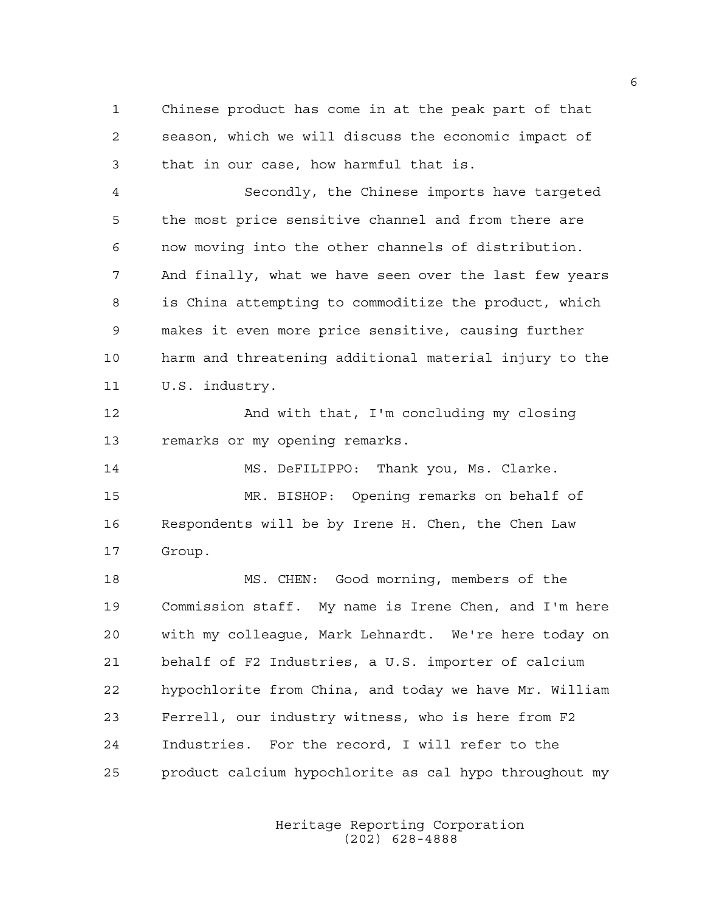1 Chinese product has come in at the peak part of that 2 season, which we will discuss the economic impact of 3 that in our case, how harmful that is.

4 Secondly, the Chinese imports have targeted 5 the most price sensitive channel and from there are 6 now moving into the other channels of distribution. 7 And finally, what we have seen over the last few years 8 is China attempting to commoditize the product, which 9 makes it even more price sensitive, causing further 10 harm and threatening additional material injury to the 11 U.S. industry.

12 And with that, I'm concluding my closing 13 remarks or my opening remarks.

14 MS. DeFILIPPO: Thank you, Ms. Clarke. 15 MR. BISHOP: Opening remarks on behalf of 16 Respondents will be by Irene H. Chen, the Chen Law 17 Group.

18 MS. CHEN: Good morning, members of the 19 Commission staff. My name is Irene Chen, and I'm here 20 with my colleague, Mark Lehnardt. We're here today on 21 behalf of F2 Industries, a U.S. importer of calcium 22 hypochlorite from China, and today we have Mr. William 23 Ferrell, our industry witness, who is here from F2 24 Industries. For the record, I will refer to the 25 product calcium hypochlorite as cal hypo throughout my

> Heritage Reporting Corporation (202) 628-4888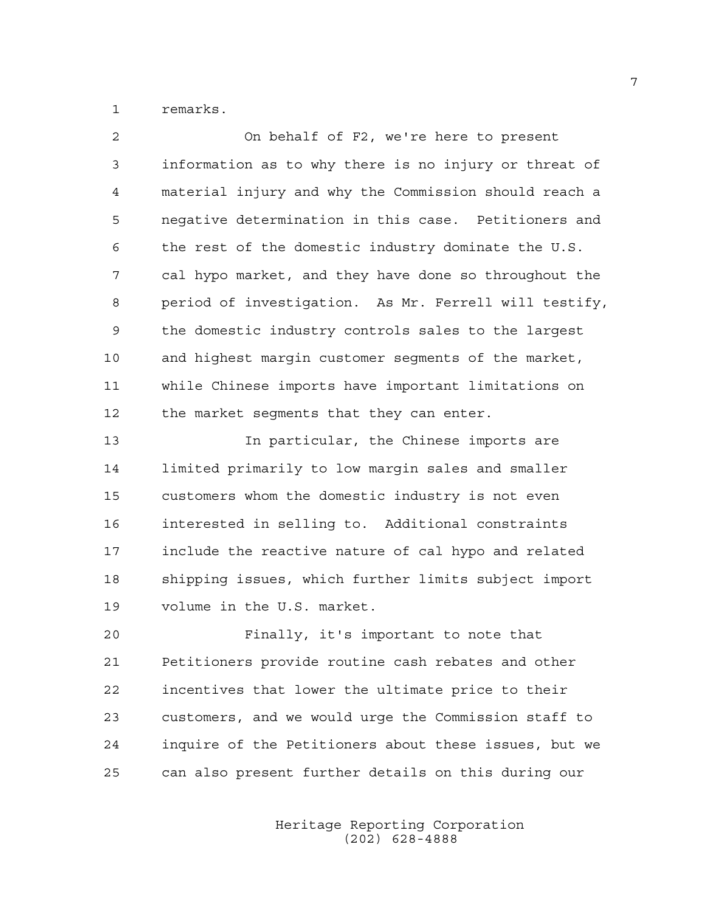1 remarks.

| $\overline{c}$ | On behalf of F2, we're here to present                |
|----------------|-------------------------------------------------------|
| 3              | information as to why there is no injury or threat of |
| 4              | material injury and why the Commission should reach a |
| 5              | negative determination in this case. Petitioners and  |
| 6              | the rest of the domestic industry dominate the U.S.   |
| 7              | cal hypo market, and they have done so throughout the |
| 8              | period of investigation. As Mr. Ferrell will testify, |
| 9              | the domestic industry controls sales to the largest   |
| 10             | and highest margin customer segments of the market,   |
| 11             | while Chinese imports have important limitations on   |
| 12             | the market segments that they can enter.              |
| 13             | In particular, the Chinese imports are                |
| 14             | limited primarily to low margin sales and smaller     |
| 15             | customers whom the domestic industry is not even      |
| 16             | interested in selling to. Additional constraints      |
| 17             | include the reactive nature of cal hypo and related   |
| 18             | shipping issues, which further limits subject import  |
| 19             | volume in the U.S. market.                            |
| 20             | Finally, it's important to note that                  |
| 21             | Petitioners provide routine cash rebates and other    |
| 22             | incentives that lower the ultimate price to their     |
| 23             | customers, and we would urge the Commission staff to  |
| 24             | inquire of the Petitioners about these issues, but we |

25 can also present further details on this during our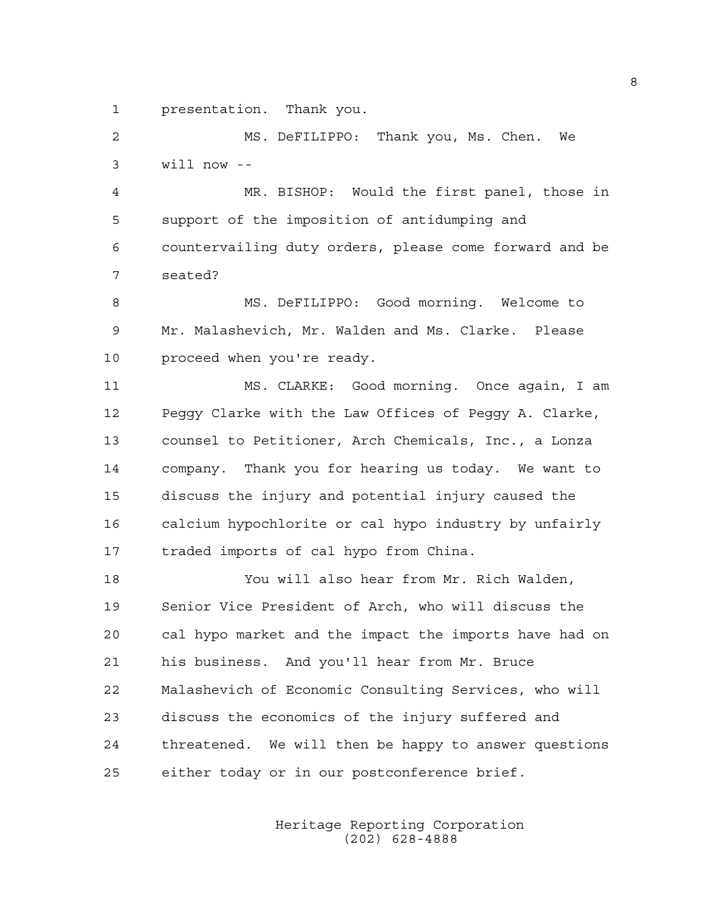1 presentation. Thank you.

2 MS. DeFILIPPO: Thank you, Ms. Chen. We 3 will now --

4 MR. BISHOP: Would the first panel, those in 5 support of the imposition of antidumping and 6 countervailing duty orders, please come forward and be 7 seated?

8 MS. DeFILIPPO: Good morning. Welcome to 9 Mr. Malashevich, Mr. Walden and Ms. Clarke. Please 10 proceed when you're ready.

11 MS. CLARKE: Good morning. Once again, I am 12 Peggy Clarke with the Law Offices of Peggy A. Clarke, 13 counsel to Petitioner, Arch Chemicals, Inc., a Lonza 14 company. Thank you for hearing us today. We want to 15 discuss the injury and potential injury caused the 16 calcium hypochlorite or cal hypo industry by unfairly 17 traded imports of cal hypo from China.

18 You will also hear from Mr. Rich Walden, 19 Senior Vice President of Arch, who will discuss the 20 cal hypo market and the impact the imports have had on 21 his business. And you'll hear from Mr. Bruce 22 Malashevich of Economic Consulting Services, who will 23 discuss the economics of the injury suffered and 24 threatened. We will then be happy to answer questions 25 either today or in our postconference brief.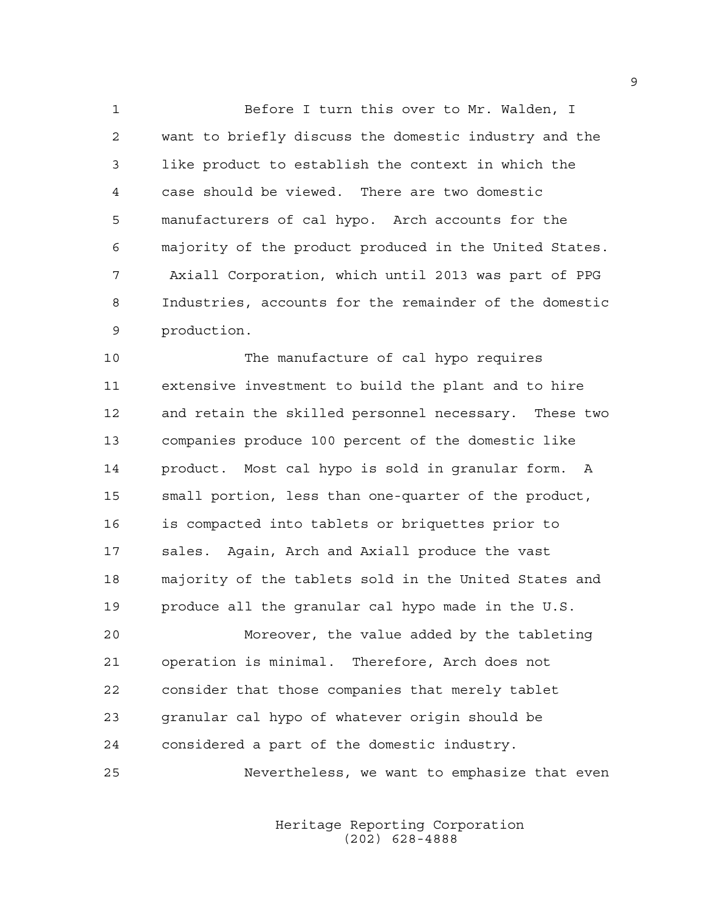1 Before I turn this over to Mr. Walden, I 2 want to briefly discuss the domestic industry and the 3 like product to establish the context in which the 4 case should be viewed. There are two domestic 5 manufacturers of cal hypo. Arch accounts for the 6 majority of the product produced in the United States. 7 Axiall Corporation, which until 2013 was part of PPG 8 Industries, accounts for the remainder of the domestic 9 production.

10 The manufacture of cal hypo requires 11 extensive investment to build the plant and to hire 12 and retain the skilled personnel necessary. These two 13 companies produce 100 percent of the domestic like 14 product. Most cal hypo is sold in granular form. A 15 small portion, less than one-quarter of the product, 16 is compacted into tablets or briquettes prior to 17 sales. Again, Arch and Axiall produce the vast 18 majority of the tablets sold in the United States and 19 produce all the granular cal hypo made in the U.S.

20 Moreover, the value added by the tableting 21 operation is minimal. Therefore, Arch does not 22 consider that those companies that merely tablet 23 granular cal hypo of whatever origin should be 24 considered a part of the domestic industry.

25 Nevertheless, we want to emphasize that even

 Heritage Reporting Corporation (202) 628-4888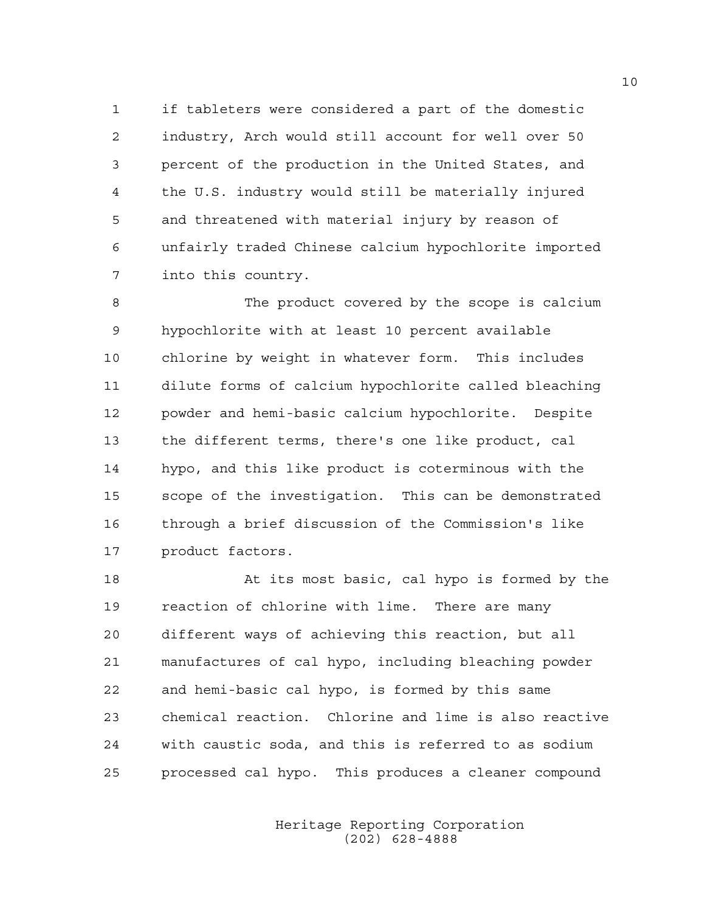1 if tableters were considered a part of the domestic 2 industry, Arch would still account for well over 50 3 percent of the production in the United States, and 4 the U.S. industry would still be materially injured 5 and threatened with material injury by reason of 6 unfairly traded Chinese calcium hypochlorite imported 7 into this country.

8 The product covered by the scope is calcium 9 hypochlorite with at least 10 percent available 10 chlorine by weight in whatever form. This includes 11 dilute forms of calcium hypochlorite called bleaching 12 powder and hemi-basic calcium hypochlorite. Despite 13 the different terms, there's one like product, cal 14 hypo, and this like product is coterminous with the 15 scope of the investigation. This can be demonstrated 16 through a brief discussion of the Commission's like 17 product factors.

18 At its most basic, cal hypo is formed by the 19 reaction of chlorine with lime. There are many 20 different ways of achieving this reaction, but all 21 manufactures of cal hypo, including bleaching powder 22 and hemi-basic cal hypo, is formed by this same 23 chemical reaction. Chlorine and lime is also reactive 24 with caustic soda, and this is referred to as sodium 25 processed cal hypo. This produces a cleaner compound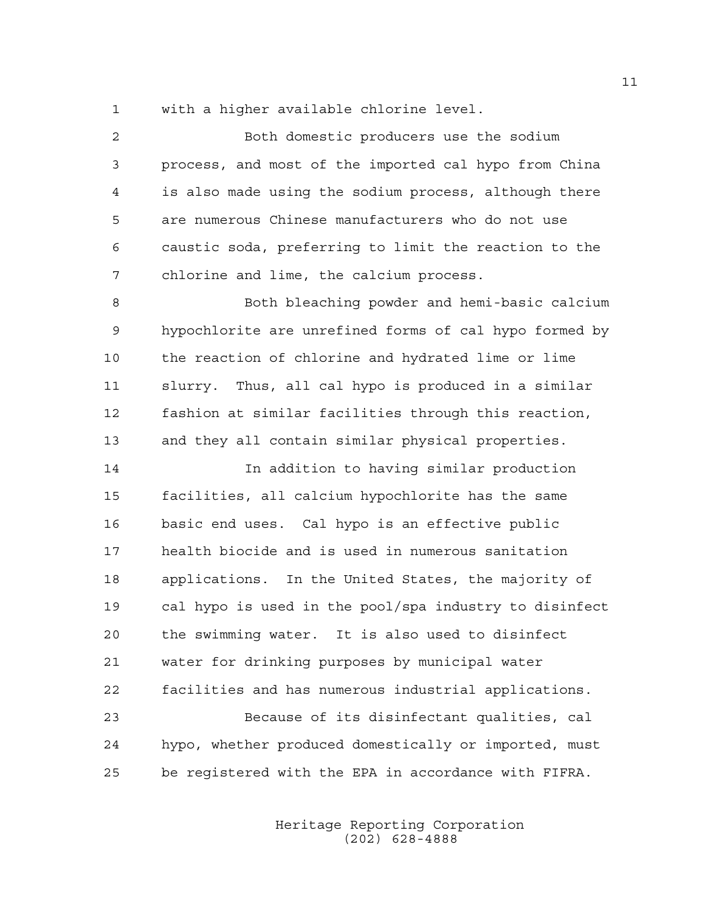1 with a higher available chlorine level.

2 Both domestic producers use the sodium 3 process, and most of the imported cal hypo from China 4 is also made using the sodium process, although there 5 are numerous Chinese manufacturers who do not use 6 caustic soda, preferring to limit the reaction to the 7 chlorine and lime, the calcium process.

8 Both bleaching powder and hemi-basic calcium 9 hypochlorite are unrefined forms of cal hypo formed by 10 the reaction of chlorine and hydrated lime or lime 11 slurry. Thus, all cal hypo is produced in a similar 12 fashion at similar facilities through this reaction, 13 and they all contain similar physical properties.

14 In addition to having similar production 15 facilities, all calcium hypochlorite has the same 16 basic end uses. Cal hypo is an effective public 17 health biocide and is used in numerous sanitation 18 applications. In the United States, the majority of 19 cal hypo is used in the pool/spa industry to disinfect 20 the swimming water. It is also used to disinfect 21 water for drinking purposes by municipal water 22 facilities and has numerous industrial applications. 23 Because of its disinfectant qualities, cal 24 hypo, whether produced domestically or imported, must

25 be registered with the EPA in accordance with FIFRA.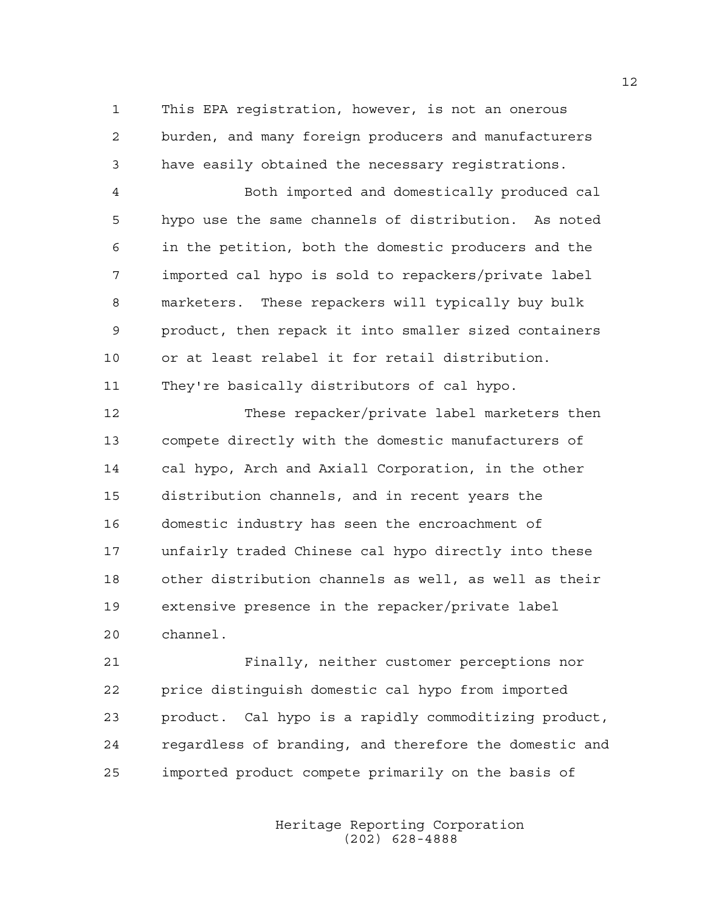1 This EPA registration, however, is not an onerous 2 burden, and many foreign producers and manufacturers 3 have easily obtained the necessary registrations.

4 Both imported and domestically produced cal 5 hypo use the same channels of distribution. As noted 6 in the petition, both the domestic producers and the 7 imported cal hypo is sold to repackers/private label 8 marketers. These repackers will typically buy bulk 9 product, then repack it into smaller sized containers 10 or at least relabel it for retail distribution. 11 They're basically distributors of cal hypo.

12 These repacker/private label marketers then 13 compete directly with the domestic manufacturers of 14 cal hypo, Arch and Axiall Corporation, in the other 15 distribution channels, and in recent years the 16 domestic industry has seen the encroachment of 17 unfairly traded Chinese cal hypo directly into these 18 other distribution channels as well, as well as their 19 extensive presence in the repacker/private label 20 channel.

21 Finally, neither customer perceptions nor 22 price distinguish domestic cal hypo from imported 23 product. Cal hypo is a rapidly commoditizing product, 24 regardless of branding, and therefore the domestic and 25 imported product compete primarily on the basis of

> Heritage Reporting Corporation (202) 628-4888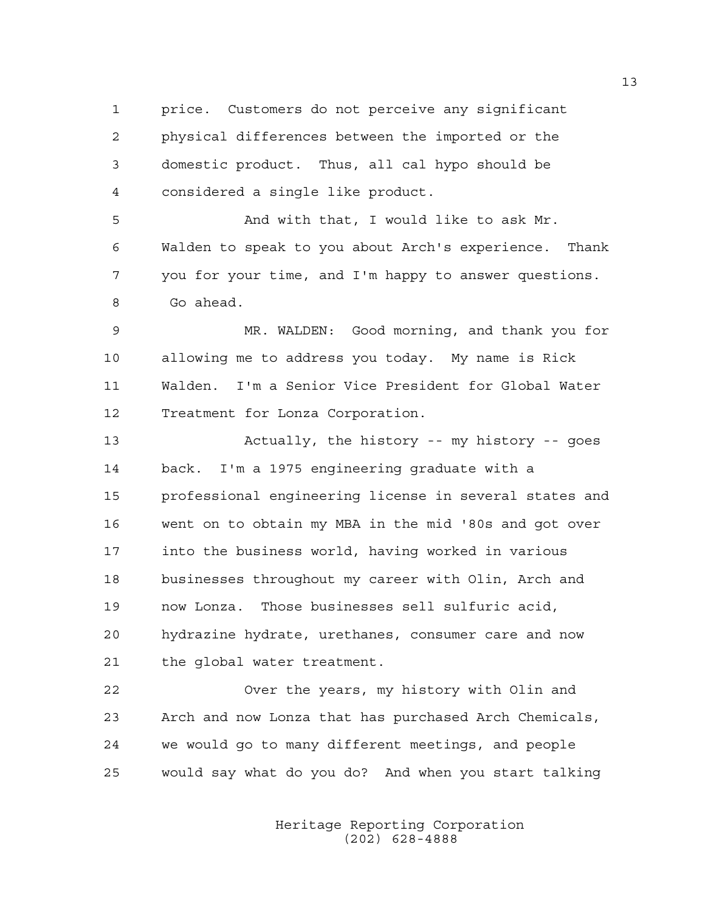1 price. Customers do not perceive any significant 2 physical differences between the imported or the 3 domestic product. Thus, all cal hypo should be 4 considered a single like product.

5 And with that, I would like to ask Mr. 6 Walden to speak to you about Arch's experience. Thank 7 you for your time, and I'm happy to answer questions. 8 Go ahead.

9 MR. WALDEN: Good morning, and thank you for 10 allowing me to address you today. My name is Rick 11 Walden. I'm a Senior Vice President for Global Water 12 Treatment for Lonza Corporation.

13 Actually, the history -- my history -- goes 14 back. I'm a 1975 engineering graduate with a 15 professional engineering license in several states and 16 went on to obtain my MBA in the mid '80s and got over 17 into the business world, having worked in various 18 businesses throughout my career with Olin, Arch and 19 now Lonza. Those businesses sell sulfuric acid, 20 hydrazine hydrate, urethanes, consumer care and now 21 the global water treatment.

22 Over the years, my history with Olin and 23 Arch and now Lonza that has purchased Arch Chemicals, 24 we would go to many different meetings, and people 25 would say what do you do? And when you start talking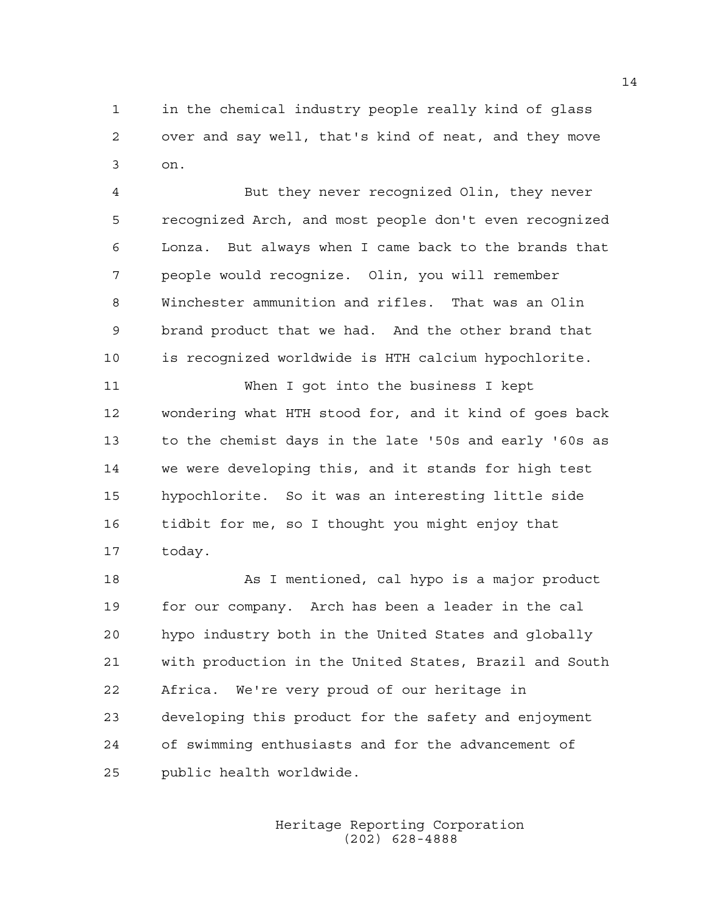1 in the chemical industry people really kind of glass 2 over and say well, that's kind of neat, and they move 3 on.

4 But they never recognized Olin, they never 5 recognized Arch, and most people don't even recognized 6 Lonza. But always when I came back to the brands that 7 people would recognize. Olin, you will remember 8 Winchester ammunition and rifles. That was an Olin 9 brand product that we had. And the other brand that 10 is recognized worldwide is HTH calcium hypochlorite.

11 When I got into the business I kept 12 wondering what HTH stood for, and it kind of goes back 13 to the chemist days in the late '50s and early '60s as 14 we were developing this, and it stands for high test 15 hypochlorite. So it was an interesting little side 16 tidbit for me, so I thought you might enjoy that 17 today.

18 As I mentioned, cal hypo is a major product 19 for our company. Arch has been a leader in the cal 20 hypo industry both in the United States and globally 21 with production in the United States, Brazil and South 22 Africa. We're very proud of our heritage in 23 developing this product for the safety and enjoyment 24 of swimming enthusiasts and for the advancement of 25 public health worldwide.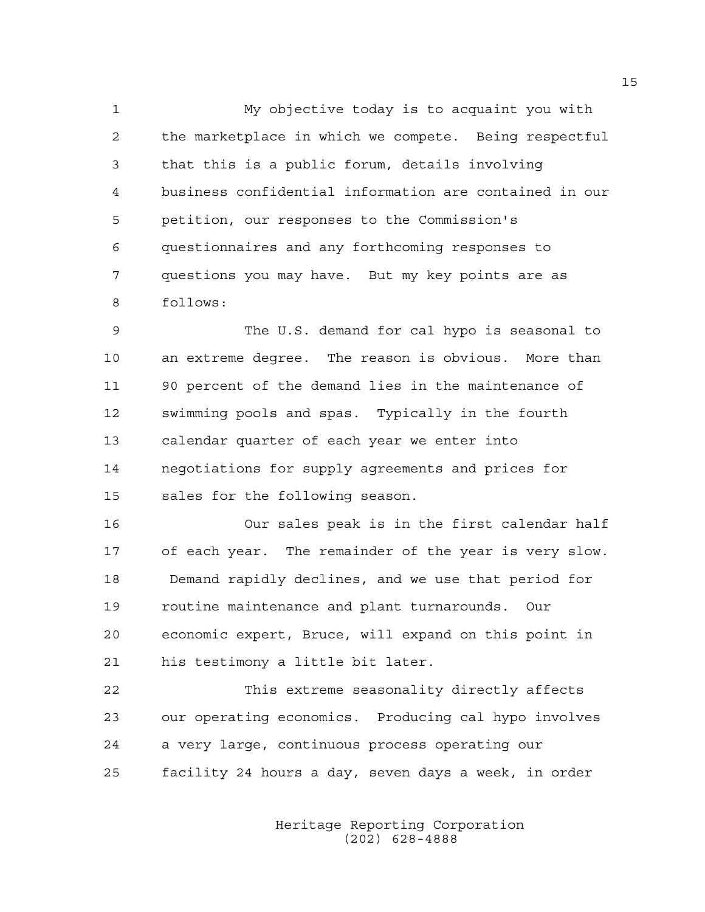1 My objective today is to acquaint you with 2 the marketplace in which we compete. Being respectful 3 that this is a public forum, details involving 4 business confidential information are contained in our 5 petition, our responses to the Commission's 6 questionnaires and any forthcoming responses to 7 questions you may have. But my key points are as 8 follows:

9 The U.S. demand for cal hypo is seasonal to 10 an extreme degree. The reason is obvious. More than 11 90 percent of the demand lies in the maintenance of 12 swimming pools and spas. Typically in the fourth 13 calendar quarter of each year we enter into 14 negotiations for supply agreements and prices for 15 sales for the following season.

16 Our sales peak is in the first calendar half 17 of each year. The remainder of the year is very slow. 18 Demand rapidly declines, and we use that period for 19 routine maintenance and plant turnarounds. Our 20 economic expert, Bruce, will expand on this point in 21 his testimony a little bit later.

22 This extreme seasonality directly affects 23 our operating economics. Producing cal hypo involves 24 a very large, continuous process operating our 25 facility 24 hours a day, seven days a week, in order

> Heritage Reporting Corporation (202) 628-4888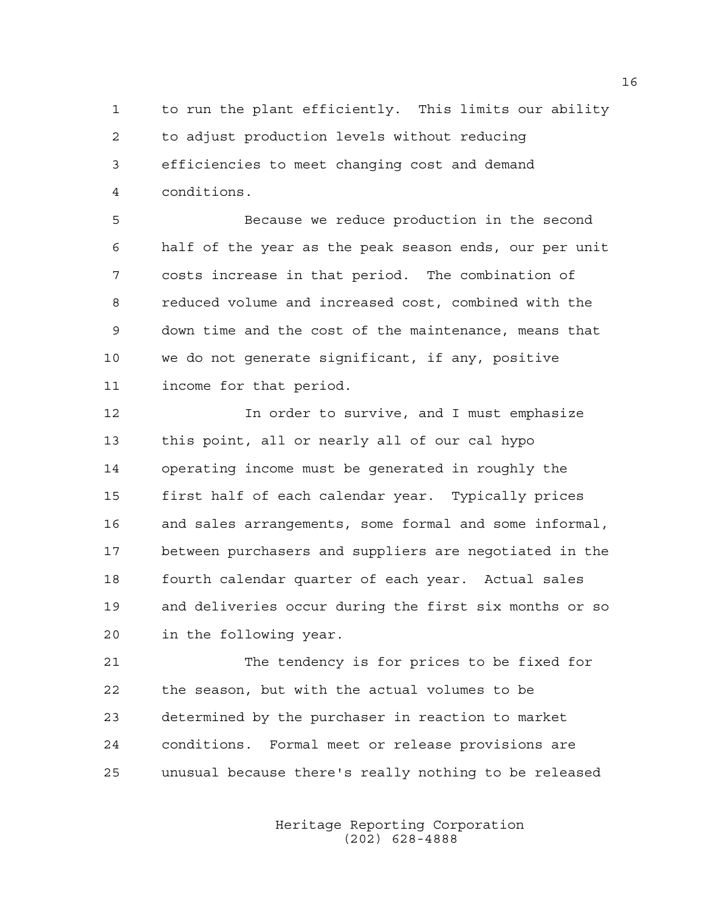1 to run the plant efficiently. This limits our ability 2 to adjust production levels without reducing 3 efficiencies to meet changing cost and demand 4 conditions.

5 Because we reduce production in the second 6 half of the year as the peak season ends, our per unit 7 costs increase in that period. The combination of 8 reduced volume and increased cost, combined with the 9 down time and the cost of the maintenance, means that 10 we do not generate significant, if any, positive 11 income for that period.

12 12 In order to survive, and I must emphasize 13 this point, all or nearly all of our cal hypo 14 operating income must be generated in roughly the 15 first half of each calendar year. Typically prices 16 and sales arrangements, some formal and some informal, 17 between purchasers and suppliers are negotiated in the 18 fourth calendar quarter of each year. Actual sales 19 and deliveries occur during the first six months or so 20 in the following year.

21 The tendency is for prices to be fixed for 22 the season, but with the actual volumes to be 23 determined by the purchaser in reaction to market 24 conditions. Formal meet or release provisions are 25 unusual because there's really nothing to be released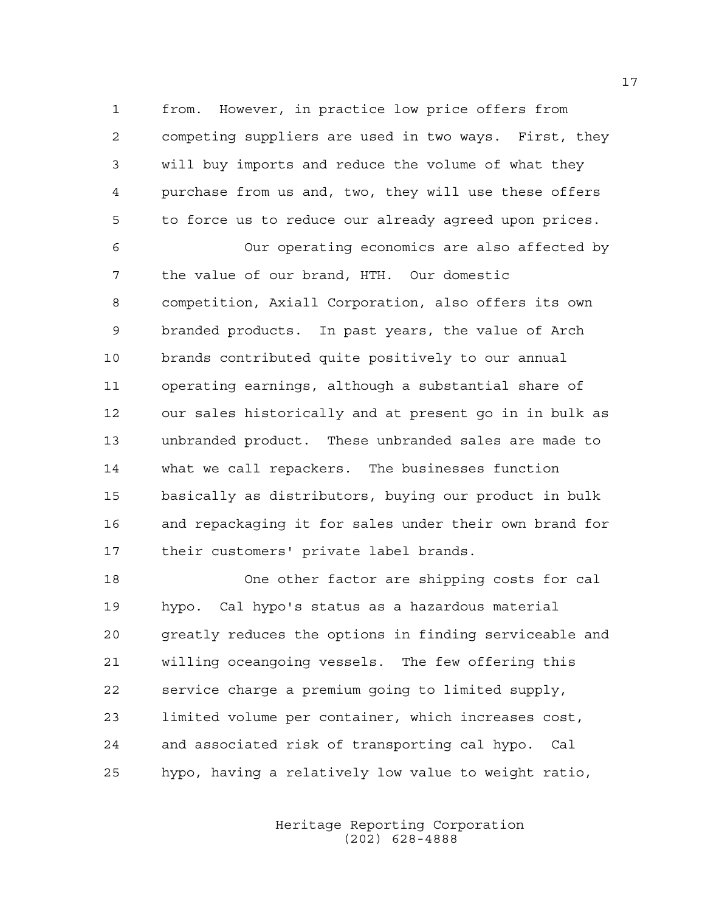1 from. However, in practice low price offers from 2 competing suppliers are used in two ways. First, they 3 will buy imports and reduce the volume of what they 4 purchase from us and, two, they will use these offers 5 to force us to reduce our already agreed upon prices.

6 Our operating economics are also affected by 7 the value of our brand, HTH. Our domestic 8 competition, Axiall Corporation, also offers its own 9 branded products. In past years, the value of Arch 10 brands contributed quite positively to our annual 11 operating earnings, although a substantial share of 12 our sales historically and at present go in in bulk as 13 unbranded product. These unbranded sales are made to 14 what we call repackers. The businesses function 15 basically as distributors, buying our product in bulk 16 and repackaging it for sales under their own brand for 17 their customers' private label brands.

18 One other factor are shipping costs for cal 19 hypo. Cal hypo's status as a hazardous material 20 greatly reduces the options in finding serviceable and 21 willing oceangoing vessels. The few offering this 22 service charge a premium going to limited supply, 23 limited volume per container, which increases cost, 24 and associated risk of transporting cal hypo. Cal 25 hypo, having a relatively low value to weight ratio,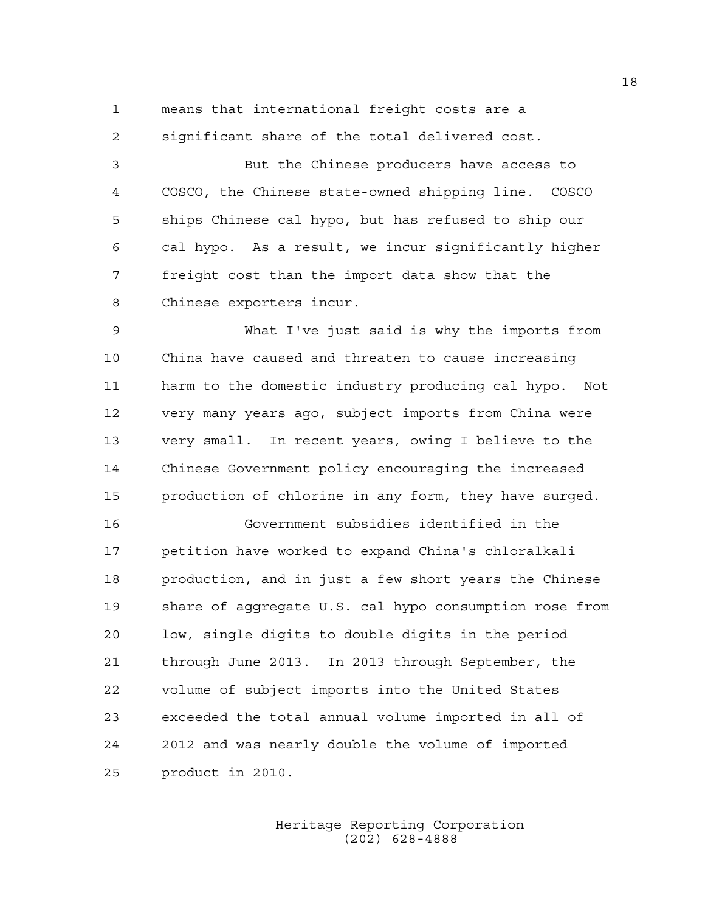1 means that international freight costs are a 2 significant share of the total delivered cost.

3 But the Chinese producers have access to 4 COSCO, the Chinese state-owned shipping line. COSCO 5 ships Chinese cal hypo, but has refused to ship our 6 cal hypo. As a result, we incur significantly higher 7 freight cost than the import data show that the 8 Chinese exporters incur.

9 What I've just said is why the imports from 10 China have caused and threaten to cause increasing 11 harm to the domestic industry producing cal hypo. Not 12 very many years ago, subject imports from China were 13 very small. In recent years, owing I believe to the 14 Chinese Government policy encouraging the increased 15 production of chlorine in any form, they have surged.

16 Government subsidies identified in the 17 petition have worked to expand China's chloralkali 18 production, and in just a few short years the Chinese 19 share of aggregate U.S. cal hypo consumption rose from 20 low, single digits to double digits in the period 21 through June 2013. In 2013 through September, the 22 volume of subject imports into the United States 23 exceeded the total annual volume imported in all of 24 2012 and was nearly double the volume of imported 25 product in 2010.

> Heritage Reporting Corporation (202) 628-4888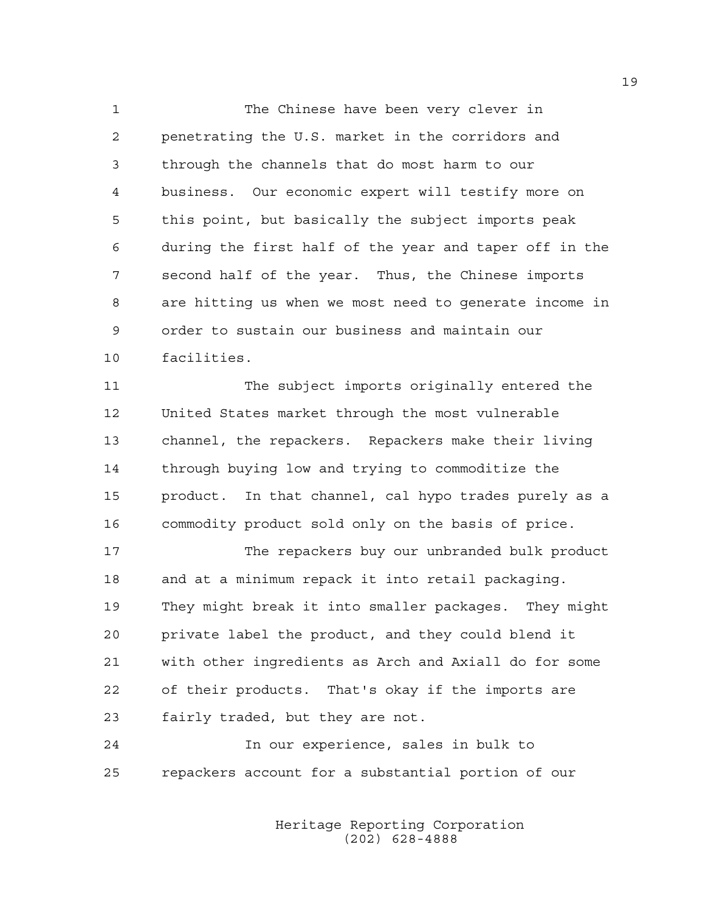1 The Chinese have been very clever in 2 penetrating the U.S. market in the corridors and 3 through the channels that do most harm to our 4 business. Our economic expert will testify more on 5 this point, but basically the subject imports peak 6 during the first half of the year and taper off in the 7 second half of the year. Thus, the Chinese imports 8 are hitting us when we most need to generate income in 9 order to sustain our business and maintain our 10 facilities.

11 The subject imports originally entered the 12 United States market through the most vulnerable 13 channel, the repackers. Repackers make their living 14 through buying low and trying to commoditize the 15 product. In that channel, cal hypo trades purely as a 16 commodity product sold only on the basis of price.

17 The repackers buy our unbranded bulk product 18 and at a minimum repack it into retail packaging. 19 They might break it into smaller packages. They might 20 private label the product, and they could blend it 21 with other ingredients as Arch and Axiall do for some 22 of their products. That's okay if the imports are 23 fairly traded, but they are not.

24 In our experience, sales in bulk to 25 repackers account for a substantial portion of our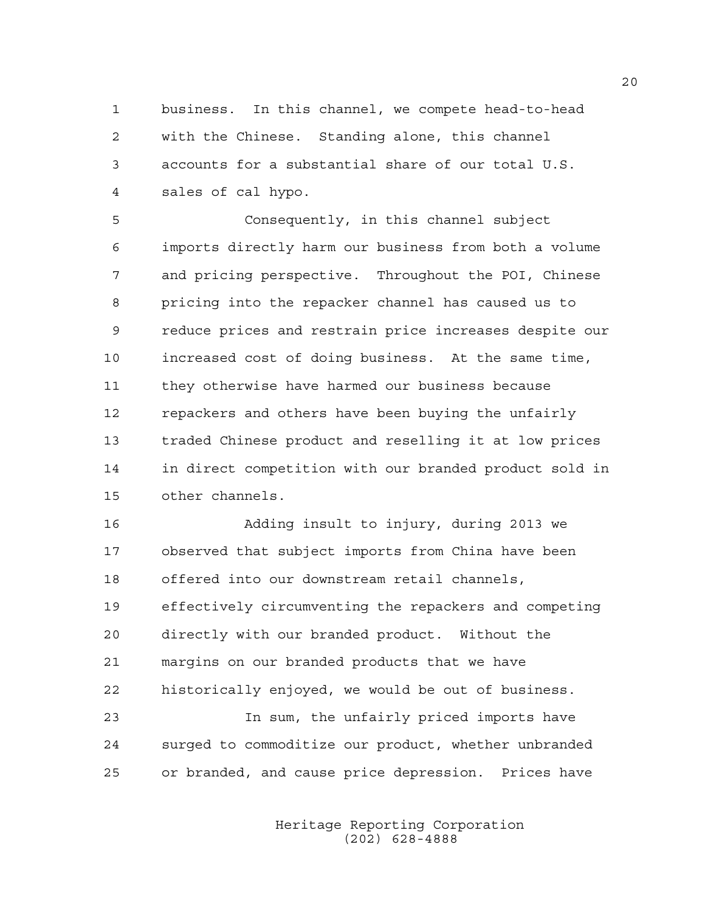1 business. In this channel, we compete head-to-head 2 with the Chinese. Standing alone, this channel 3 accounts for a substantial share of our total U.S. 4 sales of cal hypo.

5 Consequently, in this channel subject 6 imports directly harm our business from both a volume 7 and pricing perspective. Throughout the POI, Chinese 8 pricing into the repacker channel has caused us to 9 reduce prices and restrain price increases despite our 10 increased cost of doing business. At the same time, 11 they otherwise have harmed our business because 12 repackers and others have been buying the unfairly 13 traded Chinese product and reselling it at low prices 14 in direct competition with our branded product sold in 15 other channels.

16 Adding insult to injury, during 2013 we 17 observed that subject imports from China have been 18 offered into our downstream retail channels, 19 effectively circumventing the repackers and competing 20 directly with our branded product. Without the 21 margins on our branded products that we have 22 historically enjoyed, we would be out of business. 23 In sum, the unfairly priced imports have

24 surged to commoditize our product, whether unbranded 25 or branded, and cause price depression. Prices have

> Heritage Reporting Corporation (202) 628-4888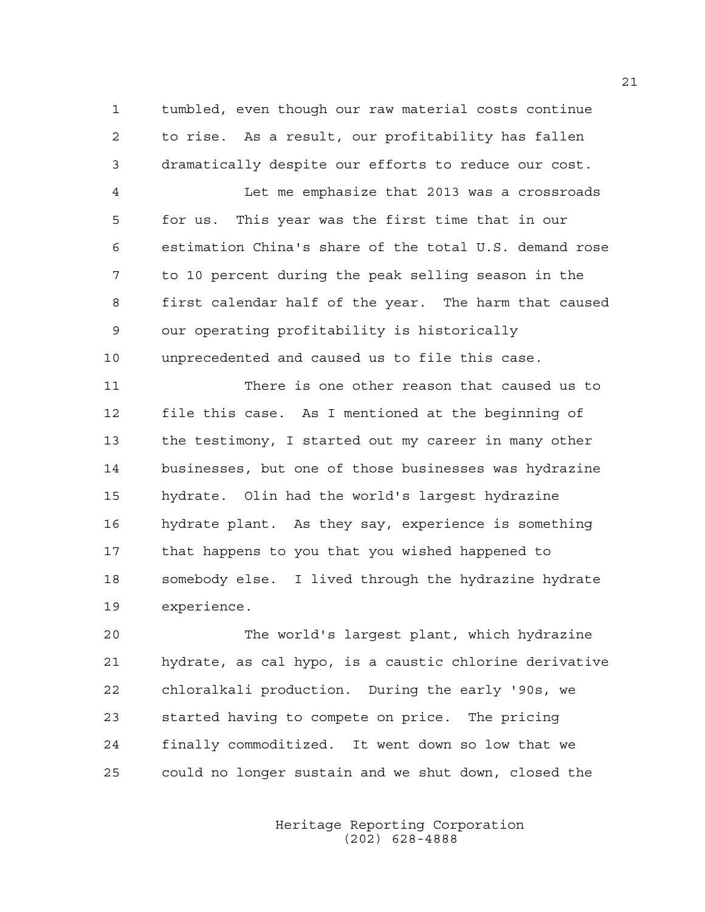1 tumbled, even though our raw material costs continue 2 to rise. As a result, our profitability has fallen 3 dramatically despite our efforts to reduce our cost.

4 Let me emphasize that 2013 was a crossroads 5 for us. This year was the first time that in our 6 estimation China's share of the total U.S. demand rose 7 to 10 percent during the peak selling season in the 8 first calendar half of the year. The harm that caused 9 our operating profitability is historically 10 unprecedented and caused us to file this case.

11 There is one other reason that caused us to 12 file this case. As I mentioned at the beginning of 13 the testimony, I started out my career in many other 14 businesses, but one of those businesses was hydrazine 15 hydrate. Olin had the world's largest hydrazine 16 hydrate plant. As they say, experience is something 17 that happens to you that you wished happened to 18 somebody else. I lived through the hydrazine hydrate 19 experience.

20 The world's largest plant, which hydrazine 21 hydrate, as cal hypo, is a caustic chlorine derivative 22 chloralkali production. During the early '90s, we 23 started having to compete on price. The pricing 24 finally commoditized. It went down so low that we 25 could no longer sustain and we shut down, closed the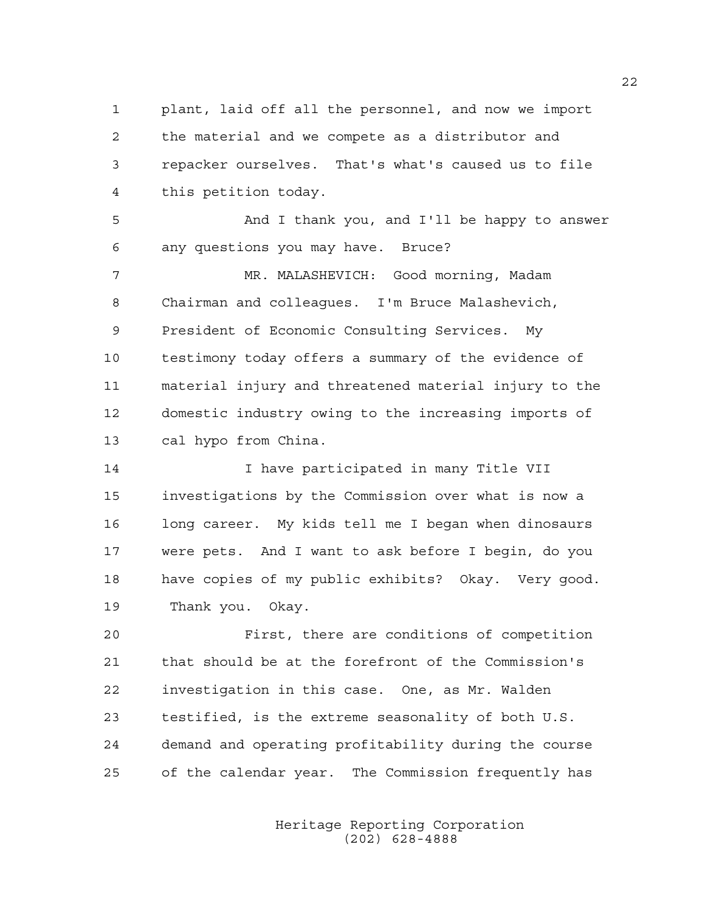1 plant, laid off all the personnel, and now we import 2 the material and we compete as a distributor and 3 repacker ourselves. That's what's caused us to file 4 this petition today.

5 And I thank you, and I'll be happy to answer 6 any questions you may have. Bruce?

7 MR. MALASHEVICH: Good morning, Madam 8 Chairman and colleagues. I'm Bruce Malashevich, 9 President of Economic Consulting Services. My 10 testimony today offers a summary of the evidence of 11 material injury and threatened material injury to the 12 domestic industry owing to the increasing imports of 13 cal hypo from China.

14 I have participated in many Title VII 15 investigations by the Commission over what is now a 16 long career. My kids tell me I began when dinosaurs 17 were pets. And I want to ask before I begin, do you 18 have copies of my public exhibits? Okay. Very good. 19 Thank you. Okay.

20 First, there are conditions of competition 21 that should be at the forefront of the Commission's 22 investigation in this case. One, as Mr. Walden 23 testified, is the extreme seasonality of both U.S. 24 demand and operating profitability during the course 25 of the calendar year. The Commission frequently has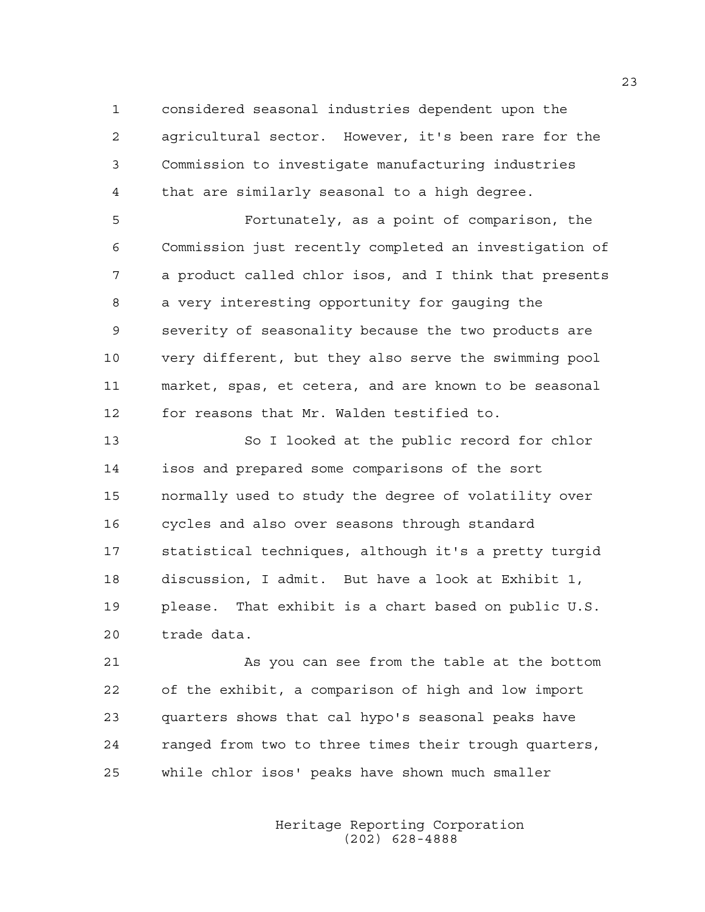1 considered seasonal industries dependent upon the 2 agricultural sector. However, it's been rare for the 3 Commission to investigate manufacturing industries 4 that are similarly seasonal to a high degree.

5 Fortunately, as a point of comparison, the 6 Commission just recently completed an investigation of 7 a product called chlor isos, and I think that presents 8 a very interesting opportunity for gauging the 9 severity of seasonality because the two products are 10 very different, but they also serve the swimming pool 11 market, spas, et cetera, and are known to be seasonal 12 for reasons that Mr. Walden testified to.

13 So I looked at the public record for chlor 14 isos and prepared some comparisons of the sort 15 normally used to study the degree of volatility over 16 cycles and also over seasons through standard 17 statistical techniques, although it's a pretty turgid 18 discussion, I admit. But have a look at Exhibit 1, 19 please. That exhibit is a chart based on public U.S. 20 trade data.

21 As you can see from the table at the bottom 22 of the exhibit, a comparison of high and low import 23 quarters shows that cal hypo's seasonal peaks have 24 ranged from two to three times their trough quarters, 25 while chlor isos' peaks have shown much smaller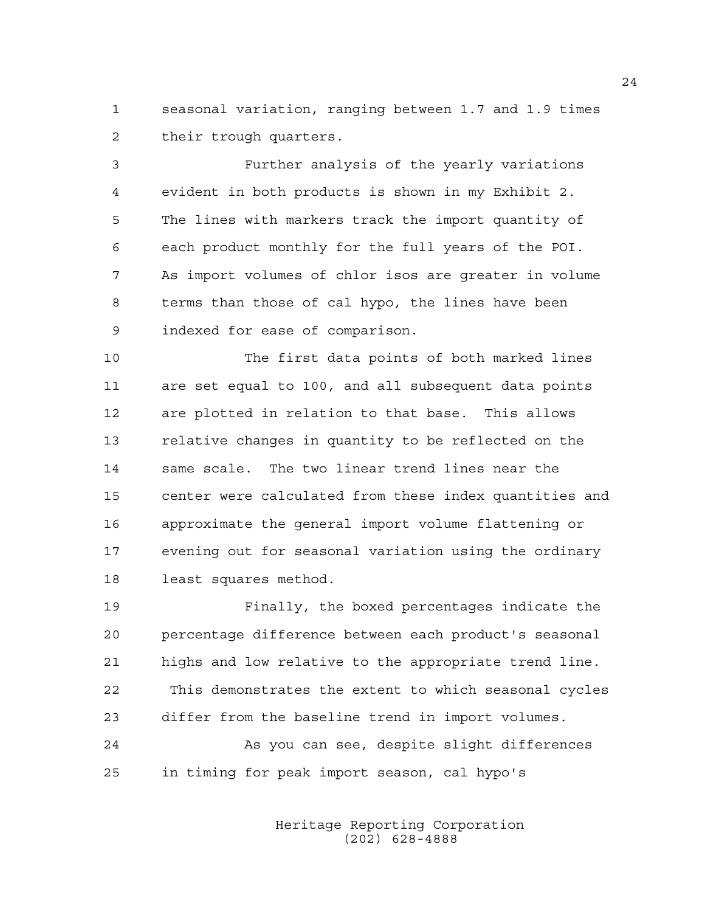1 seasonal variation, ranging between 1.7 and 1.9 times 2 their trough quarters.

3 Further analysis of the yearly variations 4 evident in both products is shown in my Exhibit 2. 5 The lines with markers track the import quantity of 6 each product monthly for the full years of the POI. 7 As import volumes of chlor isos are greater in volume 8 terms than those of cal hypo, the lines have been 9 indexed for ease of comparison.

10 The first data points of both marked lines 11 are set equal to 100, and all subsequent data points 12 are plotted in relation to that base. This allows 13 relative changes in quantity to be reflected on the 14 same scale. The two linear trend lines near the 15 center were calculated from these index quantities and 16 approximate the general import volume flattening or 17 evening out for seasonal variation using the ordinary 18 least squares method.

19 Finally, the boxed percentages indicate the 20 percentage difference between each product's seasonal 21 highs and low relative to the appropriate trend line. 22 This demonstrates the extent to which seasonal cycles 23 differ from the baseline trend in import volumes.

24 As you can see, despite slight differences 25 in timing for peak import season, cal hypo's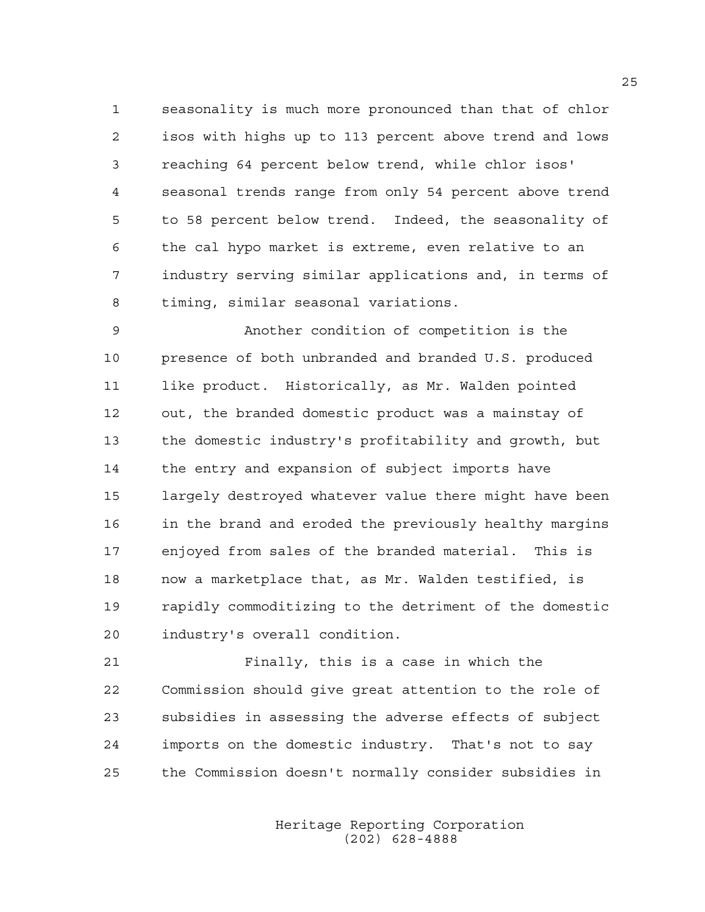1 seasonality is much more pronounced than that of chlor 2 isos with highs up to 113 percent above trend and lows 3 reaching 64 percent below trend, while chlor isos' 4 seasonal trends range from only 54 percent above trend 5 to 58 percent below trend. Indeed, the seasonality of 6 the cal hypo market is extreme, even relative to an 7 industry serving similar applications and, in terms of 8 timing, similar seasonal variations.

9 Another condition of competition is the 10 presence of both unbranded and branded U.S. produced 11 like product. Historically, as Mr. Walden pointed 12 out, the branded domestic product was a mainstay of 13 the domestic industry's profitability and growth, but 14 the entry and expansion of subject imports have 15 largely destroyed whatever value there might have been 16 in the brand and eroded the previously healthy margins 17 enjoyed from sales of the branded material. This is 18 now a marketplace that, as Mr. Walden testified, is 19 rapidly commoditizing to the detriment of the domestic 20 industry's overall condition.

21 Finally, this is a case in which the 22 Commission should give great attention to the role of 23 subsidies in assessing the adverse effects of subject 24 imports on the domestic industry. That's not to say 25 the Commission doesn't normally consider subsidies in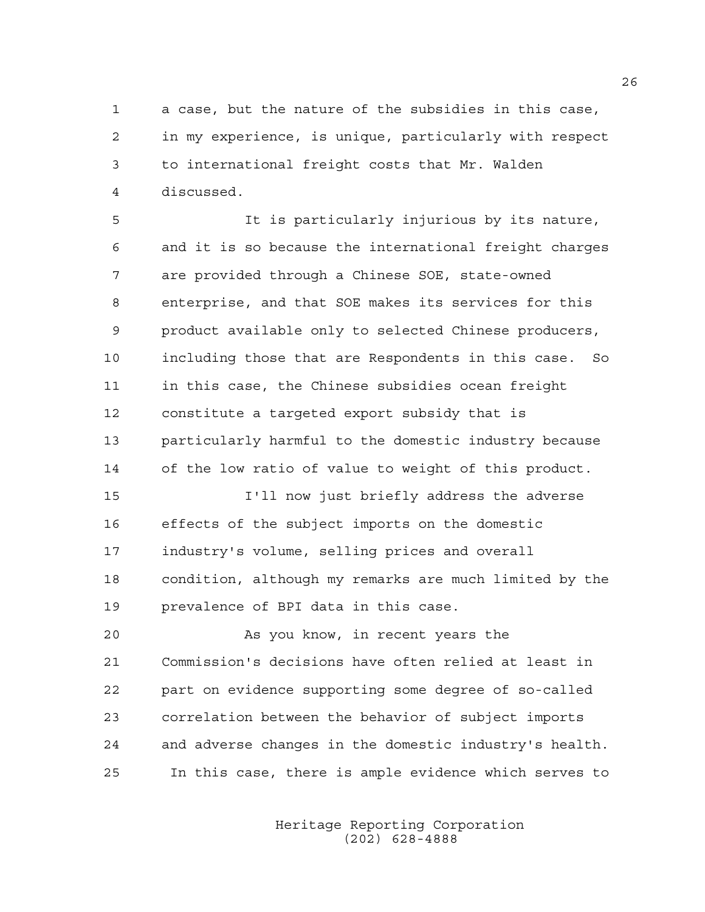1 a case, but the nature of the subsidies in this case, 2 in my experience, is unique, particularly with respect 3 to international freight costs that Mr. Walden 4 discussed.

5 It is particularly injurious by its nature, 6 and it is so because the international freight charges 7 are provided through a Chinese SOE, state-owned 8 enterprise, and that SOE makes its services for this 9 product available only to selected Chinese producers, 10 including those that are Respondents in this case. So 11 in this case, the Chinese subsidies ocean freight 12 constitute a targeted export subsidy that is 13 particularly harmful to the domestic industry because 14 of the low ratio of value to weight of this product. 15 I'll now just briefly address the adverse 16 effects of the subject imports on the domestic

17 industry's volume, selling prices and overall 18 condition, although my remarks are much limited by the 19 prevalence of BPI data in this case.

20 As you know, in recent years the 21 Commission's decisions have often relied at least in 22 part on evidence supporting some degree of so-called 23 correlation between the behavior of subject imports 24 and adverse changes in the domestic industry's health. 25 In this case, there is ample evidence which serves to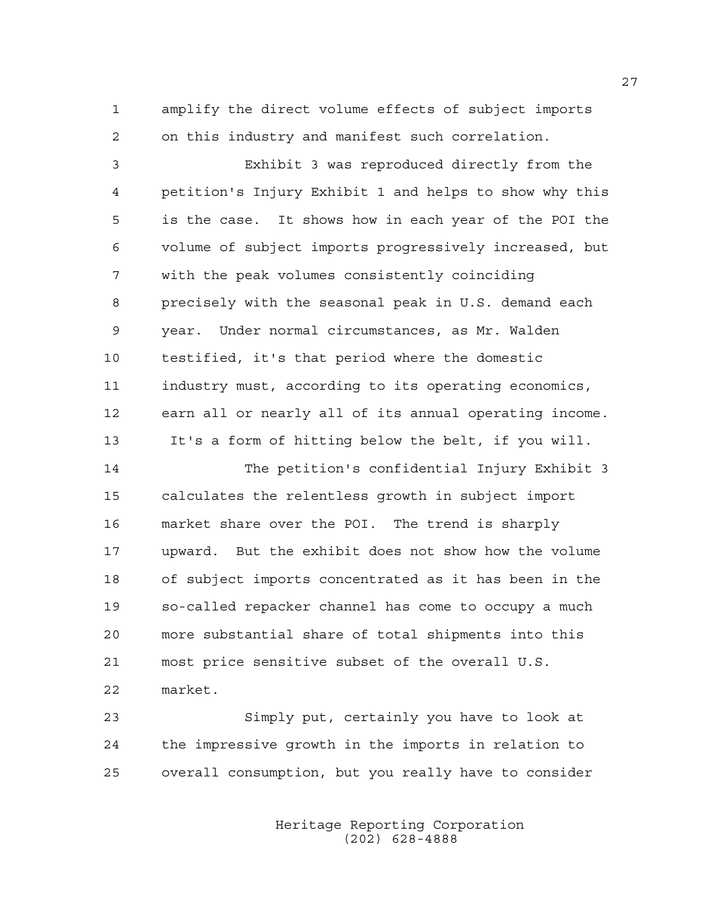1 amplify the direct volume effects of subject imports 2 on this industry and manifest such correlation.

3 Exhibit 3 was reproduced directly from the 4 petition's Injury Exhibit 1 and helps to show why this 5 is the case. It shows how in each year of the POI the 6 volume of subject imports progressively increased, but 7 with the peak volumes consistently coinciding 8 precisely with the seasonal peak in U.S. demand each 9 year. Under normal circumstances, as Mr. Walden 10 testified, it's that period where the domestic 11 industry must, according to its operating economics, 12 earn all or nearly all of its annual operating income. 13 It's a form of hitting below the belt, if you will.

14 The petition's confidential Injury Exhibit 3 15 calculates the relentless growth in subject import 16 market share over the POI. The trend is sharply 17 upward. But the exhibit does not show how the volume 18 of subject imports concentrated as it has been in the 19 so-called repacker channel has come to occupy a much 20 more substantial share of total shipments into this 21 most price sensitive subset of the overall U.S. 22 market.

23 Simply put, certainly you have to look at 24 the impressive growth in the imports in relation to 25 overall consumption, but you really have to consider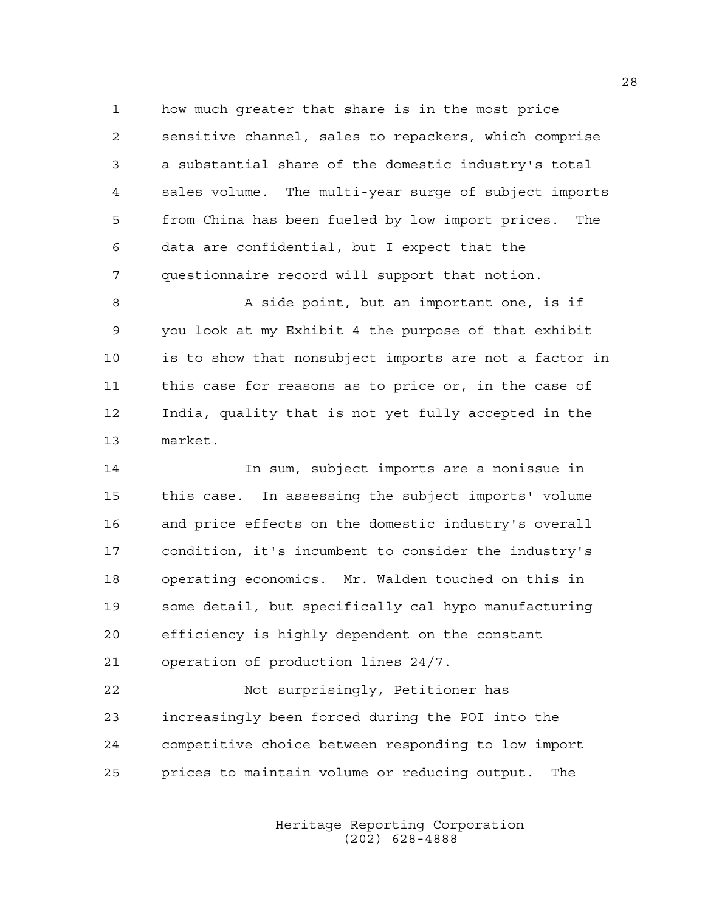1 how much greater that share is in the most price 2 sensitive channel, sales to repackers, which comprise 3 a substantial share of the domestic industry's total 4 sales volume. The multi-year surge of subject imports 5 from China has been fueled by low import prices. The 6 data are confidential, but I expect that the 7 questionnaire record will support that notion.

8 A side point, but an important one, is if 9 you look at my Exhibit 4 the purpose of that exhibit 10 is to show that nonsubject imports are not a factor in 11 this case for reasons as to price or, in the case of 12 India, quality that is not yet fully accepted in the 13 market.

14 In sum, subject imports are a nonissue in 15 this case. In assessing the subject imports' volume 16 and price effects on the domestic industry's overall 17 condition, it's incumbent to consider the industry's 18 operating economics. Mr. Walden touched on this in 19 some detail, but specifically cal hypo manufacturing 20 efficiency is highly dependent on the constant 21 operation of production lines 24/7.

22 Not surprisingly, Petitioner has 23 increasingly been forced during the POI into the 24 competitive choice between responding to low import 25 prices to maintain volume or reducing output. The

> Heritage Reporting Corporation (202) 628-4888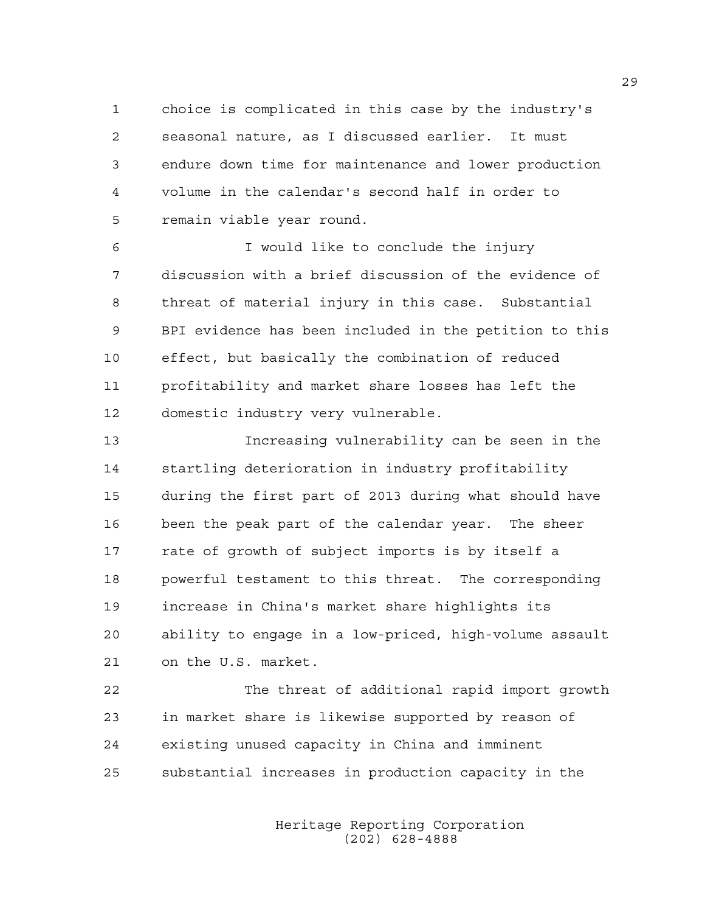1 choice is complicated in this case by the industry's 2 seasonal nature, as I discussed earlier. It must 3 endure down time for maintenance and lower production 4 volume in the calendar's second half in order to 5 remain viable year round.

6 I would like to conclude the injury 7 discussion with a brief discussion of the evidence of 8 threat of material injury in this case. Substantial 9 BPI evidence has been included in the petition to this 10 effect, but basically the combination of reduced 11 profitability and market share losses has left the 12 domestic industry very vulnerable.

13 Increasing vulnerability can be seen in the 14 startling deterioration in industry profitability 15 during the first part of 2013 during what should have 16 been the peak part of the calendar year. The sheer 17 rate of growth of subject imports is by itself a 18 powerful testament to this threat. The corresponding 19 increase in China's market share highlights its 20 ability to engage in a low-priced, high-volume assault 21 on the U.S. market.

22 The threat of additional rapid import growth 23 in market share is likewise supported by reason of 24 existing unused capacity in China and imminent 25 substantial increases in production capacity in the

> Heritage Reporting Corporation (202) 628-4888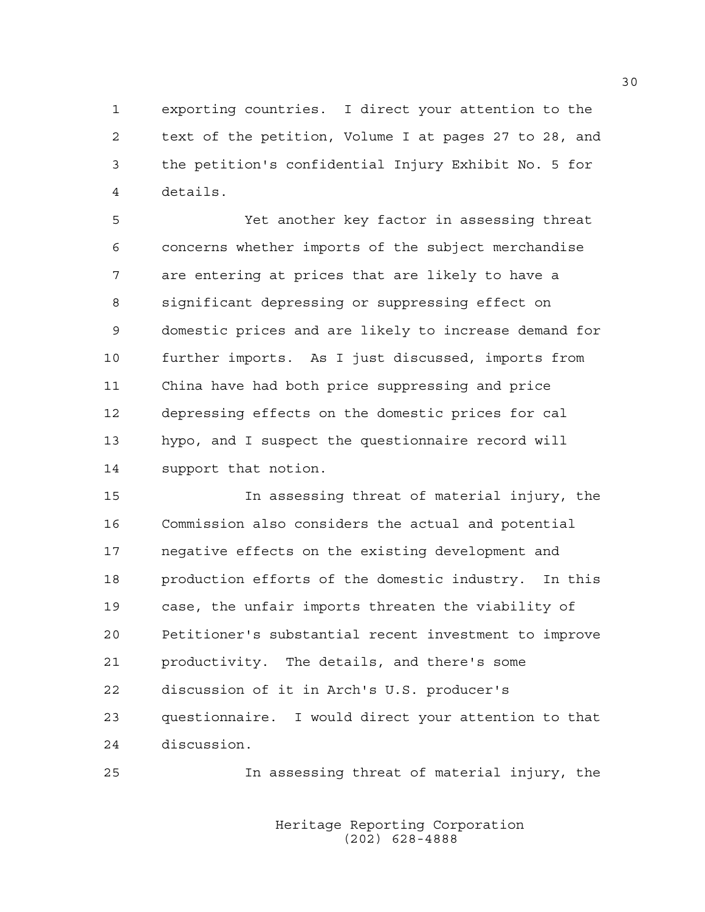1 exporting countries. I direct your attention to the 2 text of the petition, Volume I at pages 27 to 28, and 3 the petition's confidential Injury Exhibit No. 5 for 4 details.

5 Yet another key factor in assessing threat 6 concerns whether imports of the subject merchandise 7 are entering at prices that are likely to have a 8 significant depressing or suppressing effect on 9 domestic prices and are likely to increase demand for 10 further imports. As I just discussed, imports from 11 China have had both price suppressing and price 12 depressing effects on the domestic prices for cal 13 hypo, and I suspect the questionnaire record will 14 support that notion.

15 In assessing threat of material injury, the 16 Commission also considers the actual and potential 17 negative effects on the existing development and 18 production efforts of the domestic industry. In this 19 case, the unfair imports threaten the viability of 20 Petitioner's substantial recent investment to improve 21 productivity. The details, and there's some 22 discussion of it in Arch's U.S. producer's 23 questionnaire. I would direct your attention to that 24 discussion.

25 In assessing threat of material injury, the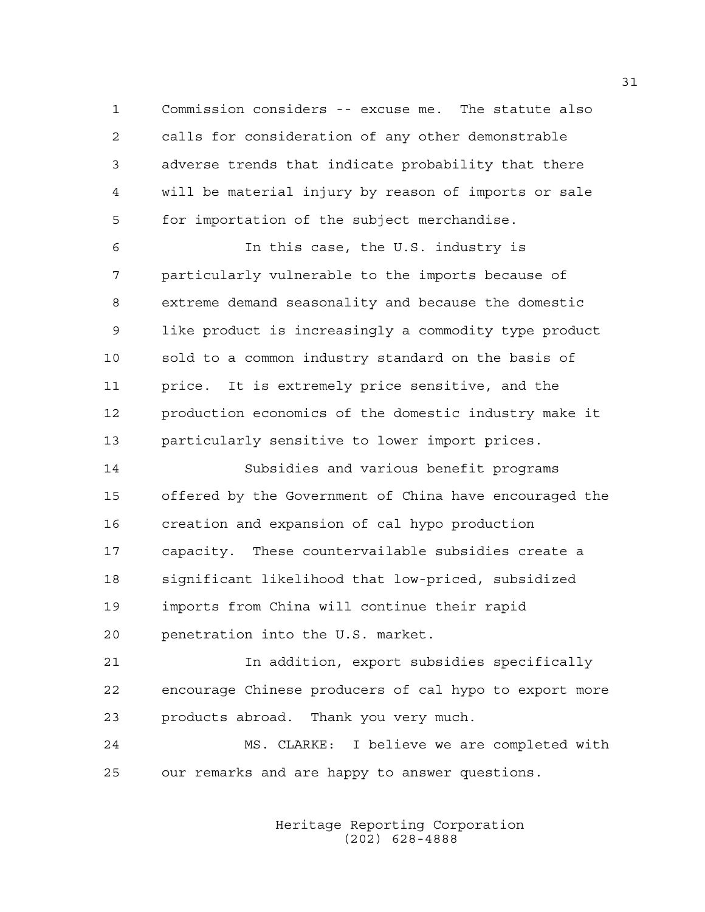1 Commission considers -- excuse me. The statute also 2 calls for consideration of any other demonstrable 3 adverse trends that indicate probability that there 4 will be material injury by reason of imports or sale 5 for importation of the subject merchandise.

6 In this case, the U.S. industry is 7 particularly vulnerable to the imports because of 8 extreme demand seasonality and because the domestic 9 like product is increasingly a commodity type product 10 sold to a common industry standard on the basis of 11 price. It is extremely price sensitive, and the 12 production economics of the domestic industry make it 13 particularly sensitive to lower import prices.

14 Subsidies and various benefit programs 15 offered by the Government of China have encouraged the 16 creation and expansion of cal hypo production 17 capacity. These countervailable subsidies create a 18 significant likelihood that low-priced, subsidized 19 imports from China will continue their rapid 20 penetration into the U.S. market.

21 In addition, export subsidies specifically 22 encourage Chinese producers of cal hypo to export more 23 products abroad. Thank you very much.

24 MS. CLARKE: I believe we are completed with 25 our remarks and are happy to answer questions.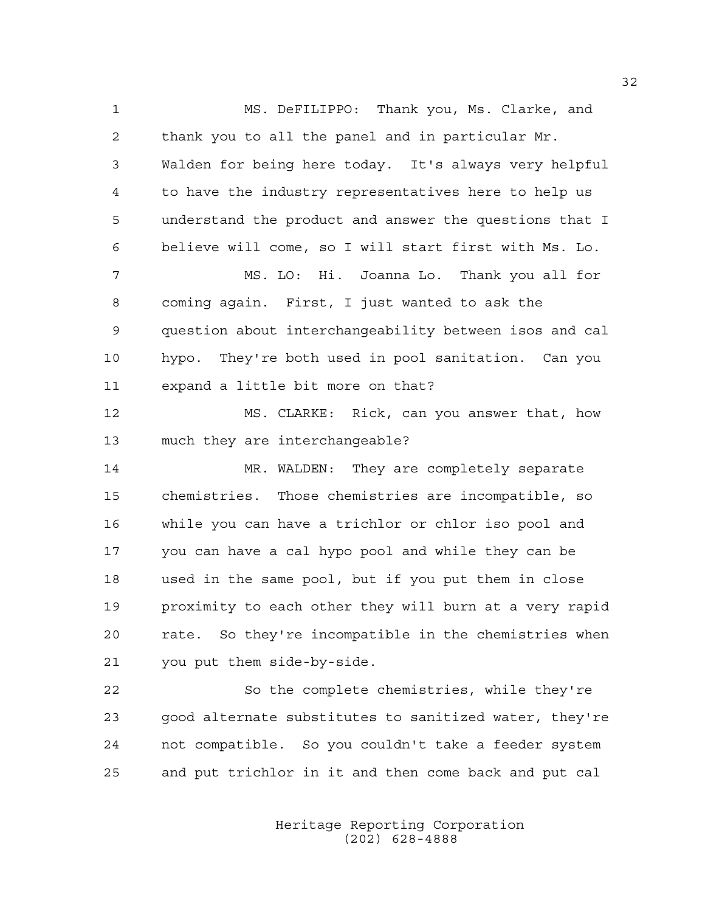1 MS. DeFILIPPO: Thank you, Ms. Clarke, and 2 thank you to all the panel and in particular Mr. 3 Walden for being here today. It's always very helpful 4 to have the industry representatives here to help us 5 understand the product and answer the questions that I 6 believe will come, so I will start first with Ms. Lo. 7 MS. LO: Hi. Joanna Lo. Thank you all for 8 coming again. First, I just wanted to ask the 9 question about interchangeability between isos and cal 10 hypo. They're both used in pool sanitation. Can you 11 expand a little bit more on that? 12 MS. CLARKE: Rick, can you answer that, how 13 much they are interchangeable? 14 MR. WALDEN: They are completely separate 15 chemistries. Those chemistries are incompatible, so 16 while you can have a trichlor or chlor iso pool and 17 you can have a cal hypo pool and while they can be 18 used in the same pool, but if you put them in close 19 proximity to each other they will burn at a very rapid 20 rate. So they're incompatible in the chemistries when 21 you put them side-by-side. 22 So the complete chemistries, while they're 23 good alternate substitutes to sanitized water, they're

> Heritage Reporting Corporation (202) 628-4888

24 not compatible. So you couldn't take a feeder system

25 and put trichlor in it and then come back and put cal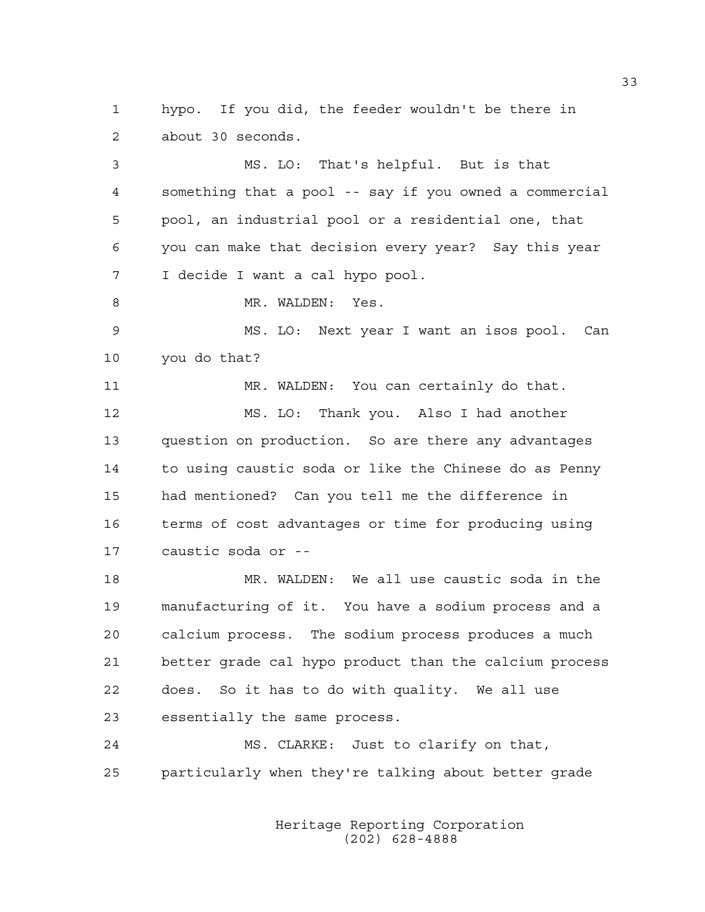1 hypo. If you did, the feeder wouldn't be there in 2 about 30 seconds.

3 MS. LO: That's helpful. But is that 4 something that a pool -- say if you owned a commercial 5 pool, an industrial pool or a residential one, that 6 you can make that decision every year? Say this year 7 I decide I want a cal hypo pool. 8 MR. WALDEN: Yes. 9 MS. LO: Next year I want an isos pool. Can 10 you do that?

11 MR. WALDEN: You can certainly do that. 12 MS. LO: Thank you. Also I had another 13 question on production. So are there any advantages 14 to using caustic soda or like the Chinese do as Penny 15 had mentioned? Can you tell me the difference in 16 terms of cost advantages or time for producing using 17 caustic soda or --

18 MR. WALDEN: We all use caustic soda in the 19 manufacturing of it. You have a sodium process and a 20 calcium process. The sodium process produces a much 21 better grade cal hypo product than the calcium process 22 does. So it has to do with quality. We all use 23 essentially the same process.

24 MS. CLARKE: Just to clarify on that, 25 particularly when they're talking about better grade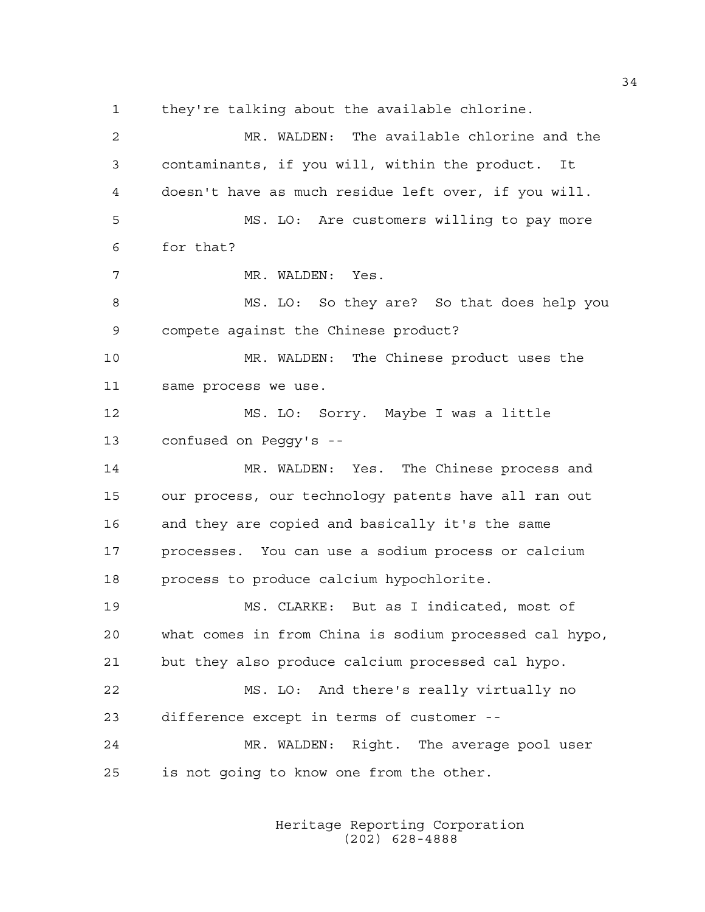1 they're talking about the available chlorine. 2 MR. WALDEN: The available chlorine and the 3 contaminants, if you will, within the product. It 4 doesn't have as much residue left over, if you will. 5 MS. LO: Are customers willing to pay more 6 for that? 7 MR. WALDEN: Yes. 8 MS. LO: So they are? So that does help you 9 compete against the Chinese product? 10 MR. WALDEN: The Chinese product uses the 11 same process we use. 12 MS. LO: Sorry. Maybe I was a little 13 confused on Peggy's -- 14 MR. WALDEN: Yes. The Chinese process and 15 our process, our technology patents have all ran out 16 and they are copied and basically it's the same 17 processes. You can use a sodium process or calcium 18 process to produce calcium hypochlorite. 19 MS. CLARKE: But as I indicated, most of 20 what comes in from China is sodium processed cal hypo, 21 but they also produce calcium processed cal hypo. 22 MS. LO: And there's really virtually no 23 difference except in terms of customer -- 24 MR. WALDEN: Right. The average pool user 25 is not going to know one from the other.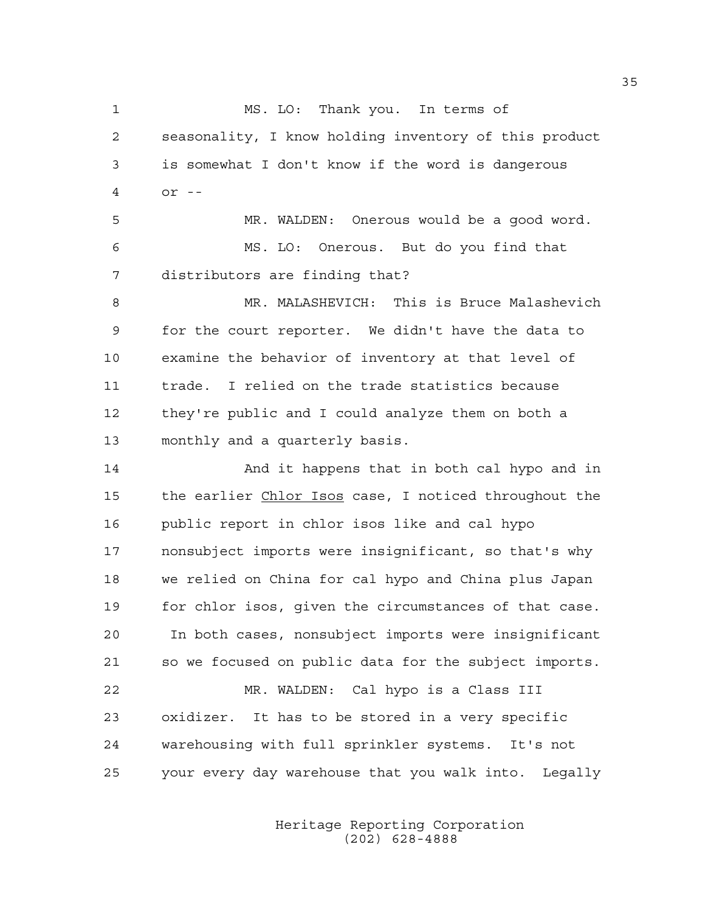1 MS. LO: Thank you. In terms of 2 seasonality, I know holding inventory of this product 3 is somewhat I don't know if the word is dangerous 4 or --

5 MR. WALDEN: Onerous would be a good word. 6 MS. LO: Onerous. But do you find that 7 distributors are finding that?

8 MR. MALASHEVICH: This is Bruce Malashevich 9 for the court reporter. We didn't have the data to 10 examine the behavior of inventory at that level of 11 trade. I relied on the trade statistics because 12 they're public and I could analyze them on both a 13 monthly and a quarterly basis.

14 And it happens that in both cal hypo and in 15 the earlier Chlor Isos case, I noticed throughout the 16 public report in chlor isos like and cal hypo 17 nonsubject imports were insignificant, so that's why 18 we relied on China for cal hypo and China plus Japan 19 for chlor isos, given the circumstances of that case. 20 In both cases, nonsubject imports were insignificant 21 so we focused on public data for the subject imports. 22 MR. WALDEN: Cal hypo is a Class III 23 oxidizer. It has to be stored in a very specific 24 warehousing with full sprinkler systems. It's not

25 your every day warehouse that you walk into. Legally

 Heritage Reporting Corporation (202) 628-4888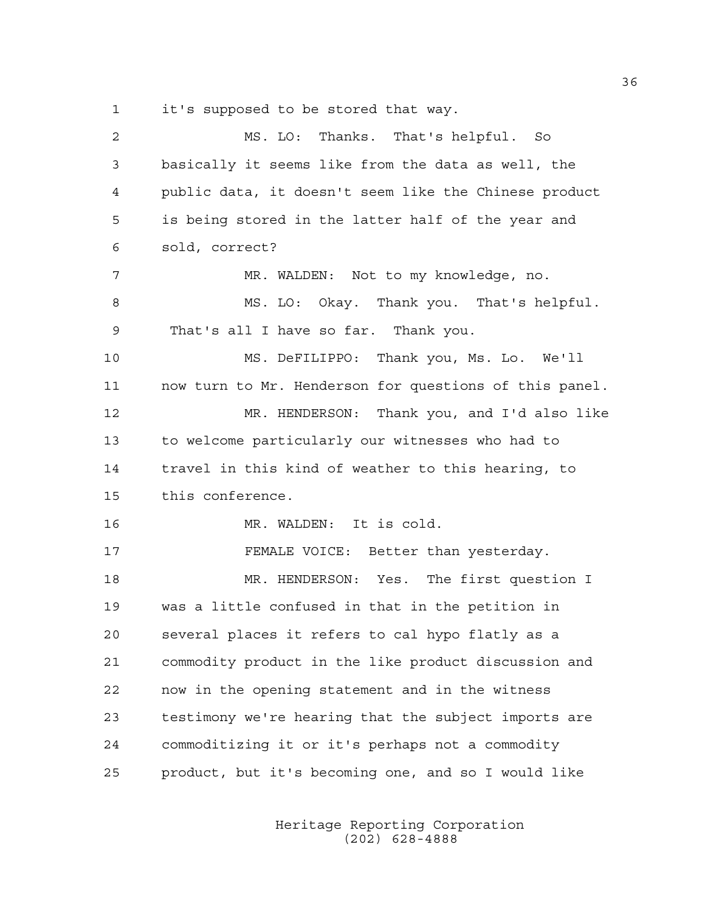1 it's supposed to be stored that way.

2 MS. LO: Thanks. That's helpful. So 3 basically it seems like from the data as well, the 4 public data, it doesn't seem like the Chinese product 5 is being stored in the latter half of the year and 6 sold, correct? 7 MR. WALDEN: Not to my knowledge, no. 8 MS. LO: Okay. Thank you. That's helpful. 9 That's all I have so far. Thank you. 10 MS. DeFILIPPO: Thank you, Ms. Lo. We'll 11 now turn to Mr. Henderson for questions of this panel. 12 MR. HENDERSON: Thank you, and I'd also like 13 to welcome particularly our witnesses who had to 14 travel in this kind of weather to this hearing, to 15 this conference. 16 MR. WALDEN: It is cold. 17 FEMALE VOICE: Better than yesterday. 18 MR. HENDERSON: Yes. The first question I 19 was a little confused in that in the petition in 20 several places it refers to cal hypo flatly as a 21 commodity product in the like product discussion and 22 now in the opening statement and in the witness 23 testimony we're hearing that the subject imports are 24 commoditizing it or it's perhaps not a commodity 25 product, but it's becoming one, and so I would like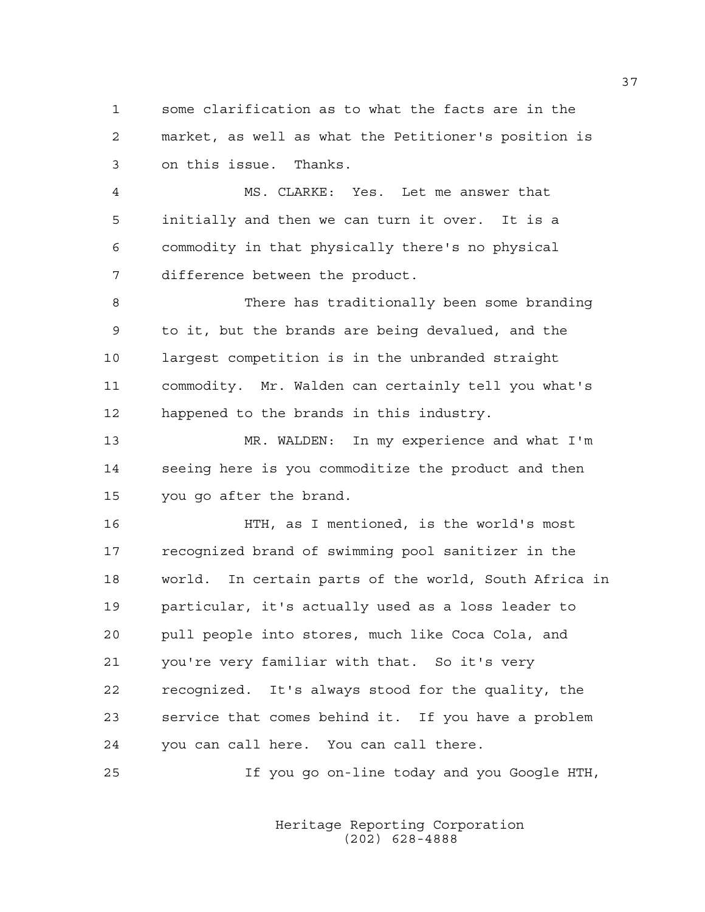1 some clarification as to what the facts are in the 2 market, as well as what the Petitioner's position is 3 on this issue. Thanks.

4 MS. CLARKE: Yes. Let me answer that 5 initially and then we can turn it over. It is a 6 commodity in that physically there's no physical 7 difference between the product.

8 There has traditionally been some branding 9 to it, but the brands are being devalued, and the 10 largest competition is in the unbranded straight 11 commodity. Mr. Walden can certainly tell you what's 12 happened to the brands in this industry.

13 MR. WALDEN: In my experience and what I'm 14 seeing here is you commoditize the product and then 15 you go after the brand.

16 HTH, as I mentioned, is the world's most 17 recognized brand of swimming pool sanitizer in the 18 world. In certain parts of the world, South Africa in 19 particular, it's actually used as a loss leader to 20 pull people into stores, much like Coca Cola, and 21 you're very familiar with that. So it's very 22 recognized. It's always stood for the quality, the 23 service that comes behind it. If you have a problem 24 you can call here. You can call there.

25 If you go on-line today and you Google HTH,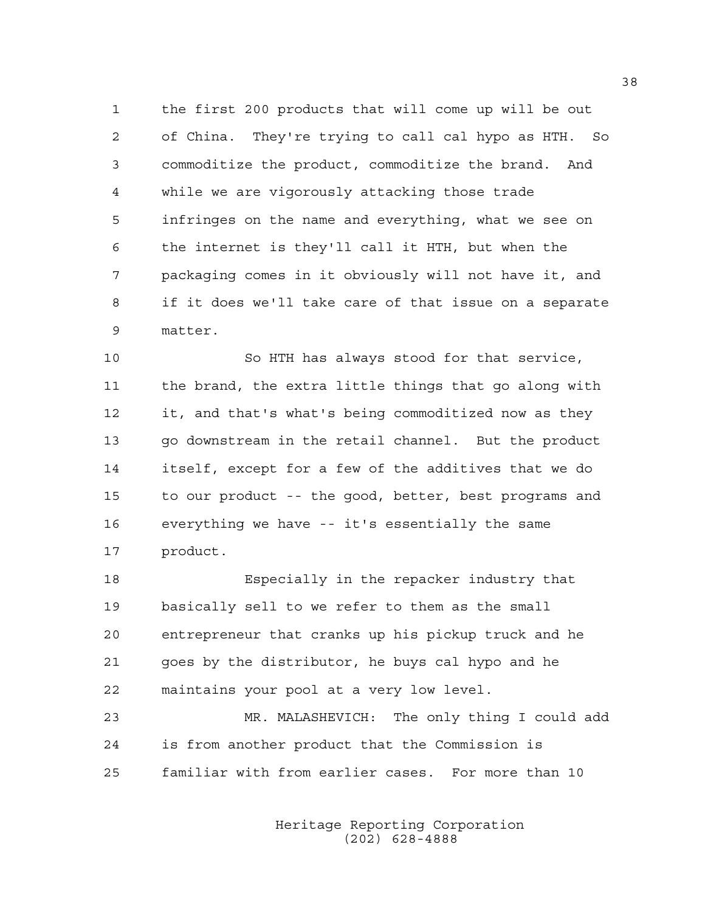1 the first 200 products that will come up will be out 2 of China. They're trying to call cal hypo as HTH. So 3 commoditize the product, commoditize the brand. And 4 while we are vigorously attacking those trade 5 infringes on the name and everything, what we see on 6 the internet is they'll call it HTH, but when the 7 packaging comes in it obviously will not have it, and 8 if it does we'll take care of that issue on a separate 9 matter.

10 So HTH has always stood for that service, 11 the brand, the extra little things that go along with 12 it, and that's what's being commoditized now as they 13 go downstream in the retail channel. But the product 14 itself, except for a few of the additives that we do 15 to our product -- the good, better, best programs and 16 everything we have -- it's essentially the same 17 product.

18 Especially in the repacker industry that 19 basically sell to we refer to them as the small 20 entrepreneur that cranks up his pickup truck and he 21 goes by the distributor, he buys cal hypo and he 22 maintains your pool at a very low level.

23 MR. MALASHEVICH: The only thing I could add 24 is from another product that the Commission is 25 familiar with from earlier cases. For more than 10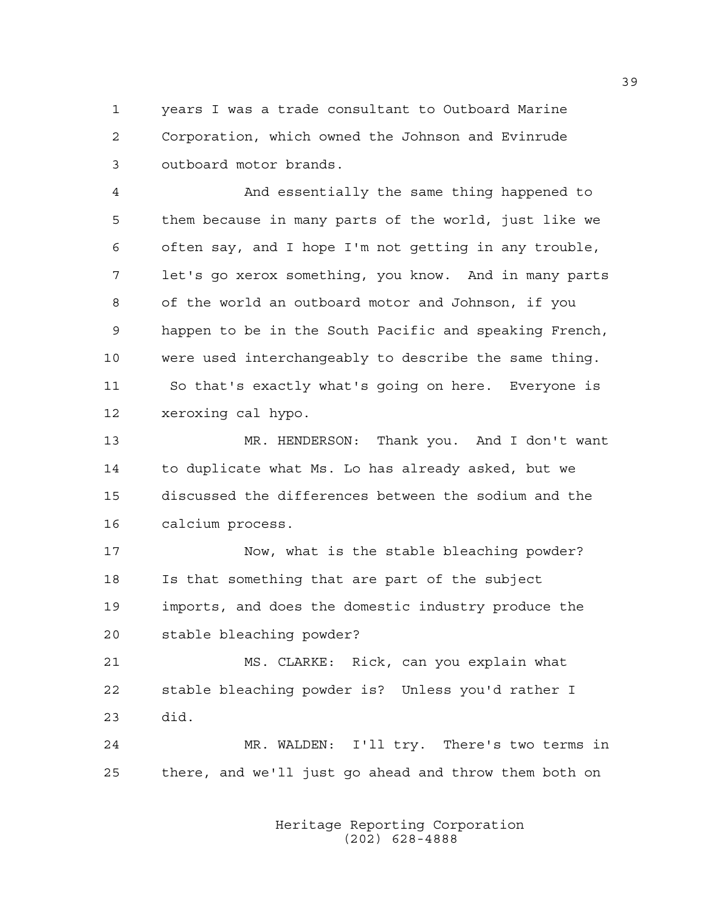1 years I was a trade consultant to Outboard Marine 2 Corporation, which owned the Johnson and Evinrude 3 outboard motor brands.

4 And essentially the same thing happened to 5 them because in many parts of the world, just like we 6 often say, and I hope I'm not getting in any trouble, 7 let's go xerox something, you know. And in many parts 8 of the world an outboard motor and Johnson, if you 9 happen to be in the South Pacific and speaking French, 10 were used interchangeably to describe the same thing. 11 So that's exactly what's going on here. Everyone is 12 xeroxing cal hypo.

13 MR. HENDERSON: Thank you. And I don't want 14 to duplicate what Ms. Lo has already asked, but we 15 discussed the differences between the sodium and the 16 calcium process.

17 Now, what is the stable bleaching powder? 18 Is that something that are part of the subject 19 imports, and does the domestic industry produce the 20 stable bleaching powder?

21 MS. CLARKE: Rick, can you explain what 22 stable bleaching powder is? Unless you'd rather I 23 did.

24 MR. WALDEN: I'll try. There's two terms in 25 there, and we'll just go ahead and throw them both on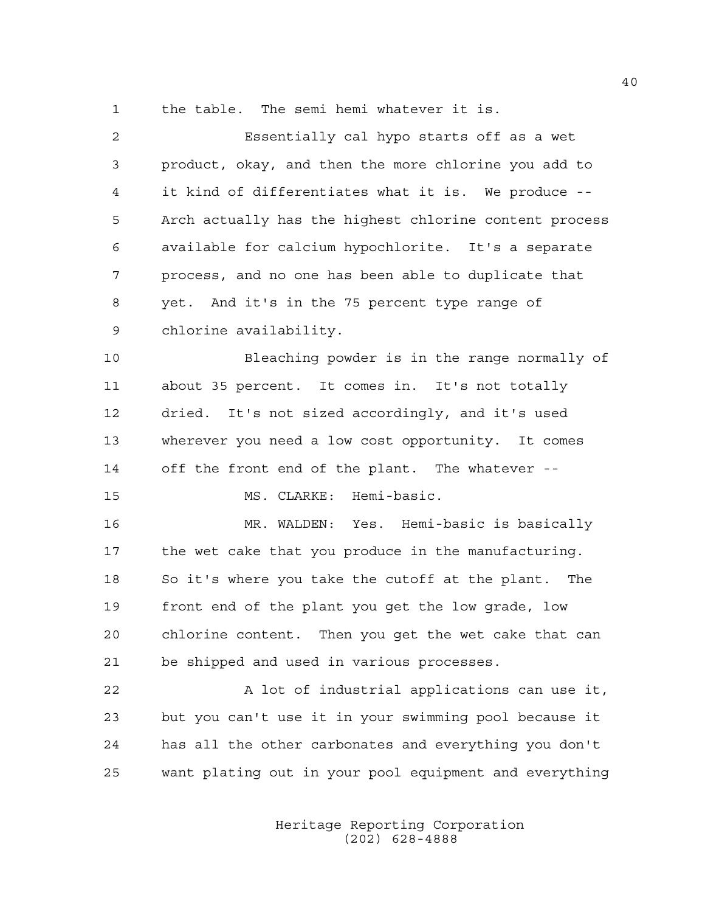1 the table. The semi hemi whatever it is.

| $\mathbf{2}$ | Essentially cal hypo starts off as a wet               |
|--------------|--------------------------------------------------------|
| 3            | product, okay, and then the more chlorine you add to   |
| 4            | it kind of differentiates what it is. We produce --    |
| 5            | Arch actually has the highest chlorine content process |
| 6            | available for calcium hypochlorite. It's a separate    |
| 7            | process, and no one has been able to duplicate that    |
| 8            | yet. And it's in the 75 percent type range of          |
| 9            | chlorine availability.                                 |
| 10           | Bleaching powder is in the range normally of           |
| 11           | about 35 percent. It comes in. It's not totally        |
| 12           | dried. It's not sized accordingly, and it's used       |
| 13           | wherever you need a low cost opportunity. It comes     |
| 14           | off the front end of the plant. The whatever --        |
| 15           | MS. CLARKE: Hemi-basic.                                |
| 16           | MR. WALDEN: Yes. Hemi-basic is basically               |
| 17           | the wet cake that you produce in the manufacturing.    |
| 18           | So it's where you take the cutoff at the plant. The    |
| 19           | front end of the plant you get the low grade, low      |
| 20           | chlorine content. Then you get the wet cake that can   |
| 21           | be shipped and used in various processes.              |
| 22           | A lot of industrial applications can use it,           |
| 23           | but you can't use it in your swimming pool because it  |
| 24           | has all the other carbonates and everything you don't  |
| 25           | want plating out in your pool equipment and everything |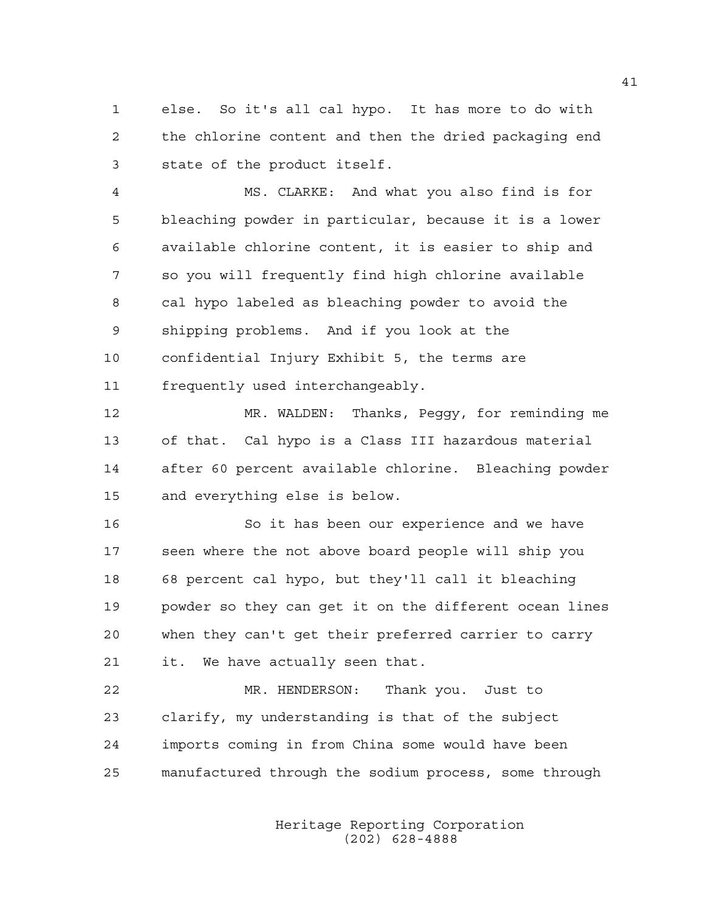1 else. So it's all cal hypo. It has more to do with 2 the chlorine content and then the dried packaging end 3 state of the product itself.

4 MS. CLARKE: And what you also find is for 5 bleaching powder in particular, because it is a lower 6 available chlorine content, it is easier to ship and 7 so you will frequently find high chlorine available 8 cal hypo labeled as bleaching powder to avoid the 9 shipping problems. And if you look at the 10 confidential Injury Exhibit 5, the terms are 11 frequently used interchangeably.

12 MR. WALDEN: Thanks, Peggy, for reminding me 13 of that. Cal hypo is a Class III hazardous material 14 after 60 percent available chlorine. Bleaching powder 15 and everything else is below.

16 So it has been our experience and we have 17 seen where the not above board people will ship you 18 68 percent cal hypo, but they'll call it bleaching 19 powder so they can get it on the different ocean lines 20 when they can't get their preferred carrier to carry 21 it. We have actually seen that.

22 MR. HENDERSON: Thank you. Just to 23 clarify, my understanding is that of the subject 24 imports coming in from China some would have been 25 manufactured through the sodium process, some through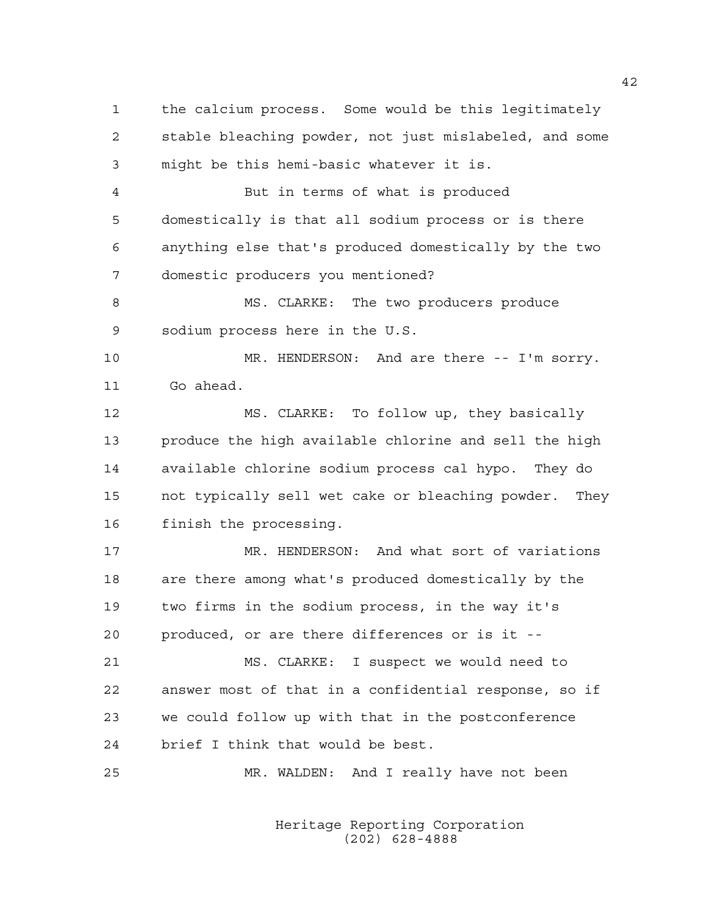1 the calcium process. Some would be this legitimately 2 stable bleaching powder, not just mislabeled, and some 3 might be this hemi-basic whatever it is.

4 But in terms of what is produced 5 domestically is that all sodium process or is there 6 anything else that's produced domestically by the two 7 domestic producers you mentioned?

8 MS. CLARKE: The two producers produce 9 sodium process here in the U.S.

10 MR. HENDERSON: And are there -- I'm sorry. 11 Go ahead.

12 MS. CLARKE: To follow up, they basically 13 produce the high available chlorine and sell the high 14 available chlorine sodium process cal hypo. They do 15 not typically sell wet cake or bleaching powder. They 16 finish the processing.

17 MR. HENDERSON: And what sort of variations 18 are there among what's produced domestically by the 19 two firms in the sodium process, in the way it's 20 produced, or are there differences or is it --

21 MS. CLARKE: I suspect we would need to 22 answer most of that in a confidential response, so if 23 we could follow up with that in the postconference 24 brief I think that would be best.

25 MR. WALDEN: And I really have not been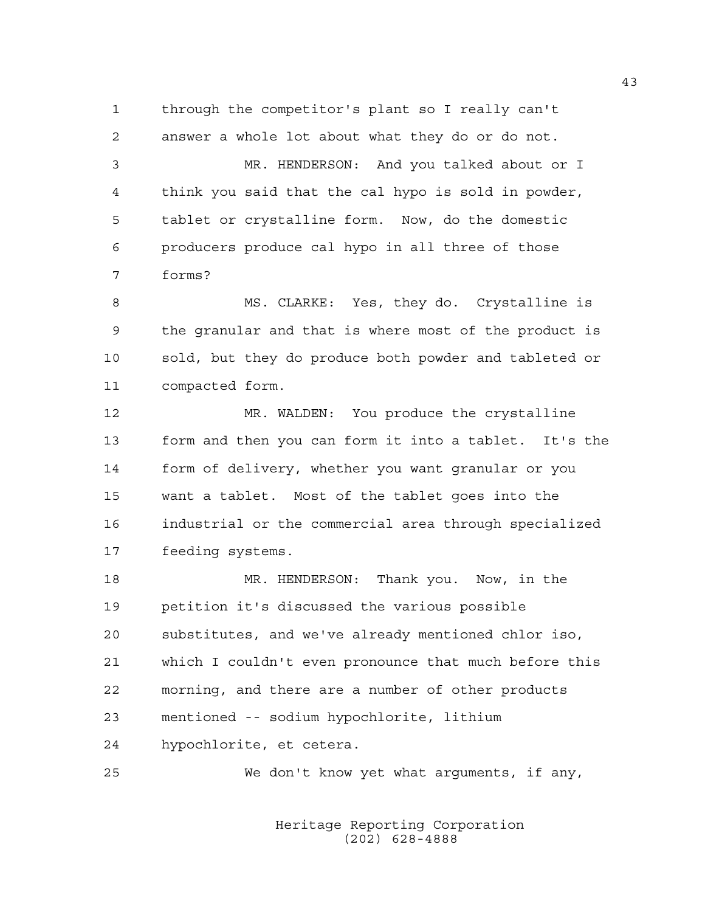1 through the competitor's plant so I really can't 2 answer a whole lot about what they do or do not.

3 MR. HENDERSON: And you talked about or I 4 think you said that the cal hypo is sold in powder, 5 tablet or crystalline form. Now, do the domestic 6 producers produce cal hypo in all three of those 7 forms?

8 MS. CLARKE: Yes, they do. Crystalline is 9 the granular and that is where most of the product is 10 sold, but they do produce both powder and tableted or 11 compacted form.

12 MR. WALDEN: You produce the crystalline 13 form and then you can form it into a tablet. It's the 14 form of delivery, whether you want granular or you 15 want a tablet. Most of the tablet goes into the 16 industrial or the commercial area through specialized 17 feeding systems.

18 MR. HENDERSON: Thank you. Now, in the 19 petition it's discussed the various possible 20 substitutes, and we've already mentioned chlor iso, 21 which I couldn't even pronounce that much before this 22 morning, and there are a number of other products 23 mentioned -- sodium hypochlorite, lithium 24 hypochlorite, et cetera.

25 We don't know yet what arguments, if any,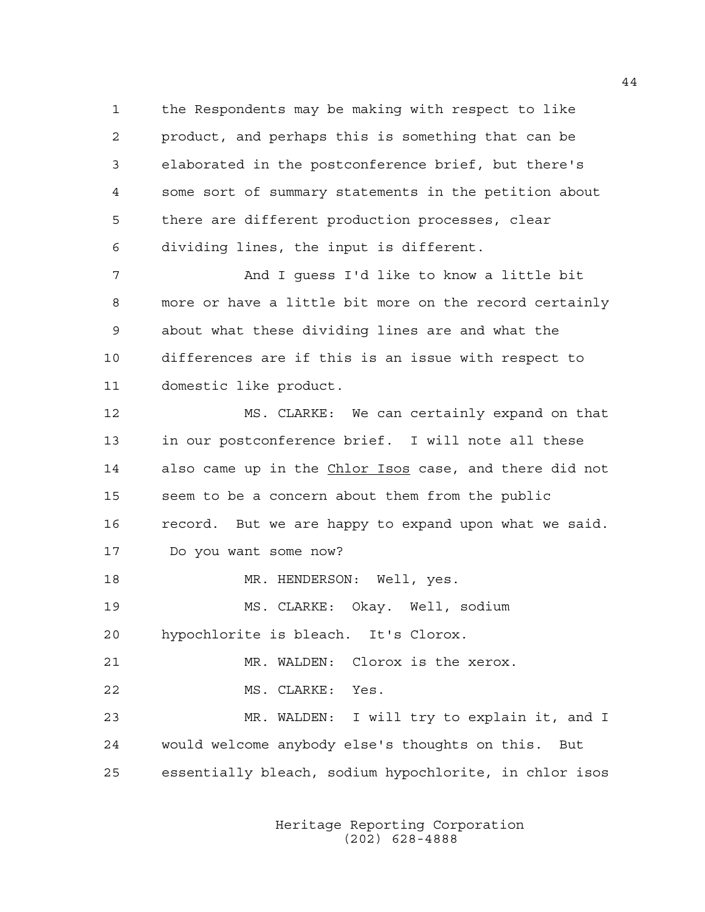1 the Respondents may be making with respect to like 2 product, and perhaps this is something that can be 3 elaborated in the postconference brief, but there's 4 some sort of summary statements in the petition about 5 there are different production processes, clear 6 dividing lines, the input is different.

7 And I guess I'd like to know a little bit 8 more or have a little bit more on the record certainly 9 about what these dividing lines are and what the 10 differences are if this is an issue with respect to 11 domestic like product.

12 MS. CLARKE: We can certainly expand on that 13 in our postconference brief. I will note all these 14 also came up in the Chlor Isos case, and there did not 15 seem to be a concern about them from the public 16 record. But we are happy to expand upon what we said. 17 Do you want some now?

18 MR. HENDERSON: Well, yes.

19 MS. CLARKE: Okay. Well, sodium 20 hypochlorite is bleach. It's Clorox.

21 MR. WALDEN: Clorox is the xerox.

22 MS. CLARKE: Yes.

23 MR. WALDEN: I will try to explain it, and I 24 would welcome anybody else's thoughts on this. But 25 essentially bleach, sodium hypochlorite, in chlor isos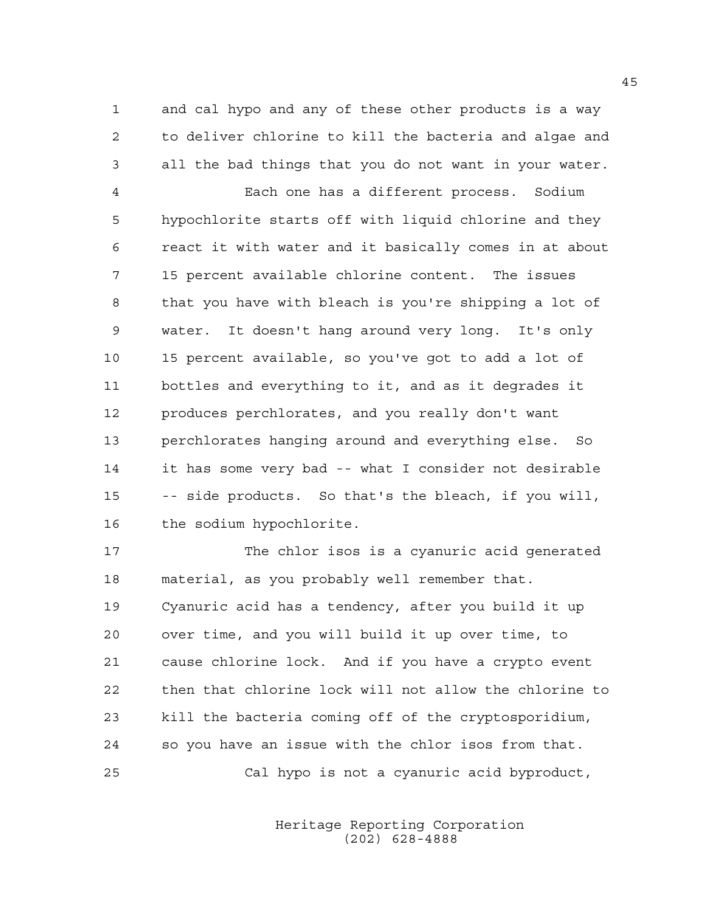1 and cal hypo and any of these other products is a way 2 to deliver chlorine to kill the bacteria and algae and 3 all the bad things that you do not want in your water.

4 Each one has a different process. Sodium 5 hypochlorite starts off with liquid chlorine and they 6 react it with water and it basically comes in at about 7 15 percent available chlorine content. The issues 8 that you have with bleach is you're shipping a lot of 9 water. It doesn't hang around very long. It's only 10 15 percent available, so you've got to add a lot of 11 bottles and everything to it, and as it degrades it 12 produces perchlorates, and you really don't want 13 perchlorates hanging around and everything else. So 14 it has some very bad -- what I consider not desirable 15 -- side products. So that's the bleach, if you will, 16 the sodium hypochlorite.

17 The chlor isos is a cyanuric acid generated 18 material, as you probably well remember that. 19 Cyanuric acid has a tendency, after you build it up 20 over time, and you will build it up over time, to 21 cause chlorine lock. And if you have a crypto event 22 then that chlorine lock will not allow the chlorine to 23 kill the bacteria coming off of the cryptosporidium, 24 so you have an issue with the chlor isos from that. 25 Cal hypo is not a cyanuric acid byproduct,

> Heritage Reporting Corporation (202) 628-4888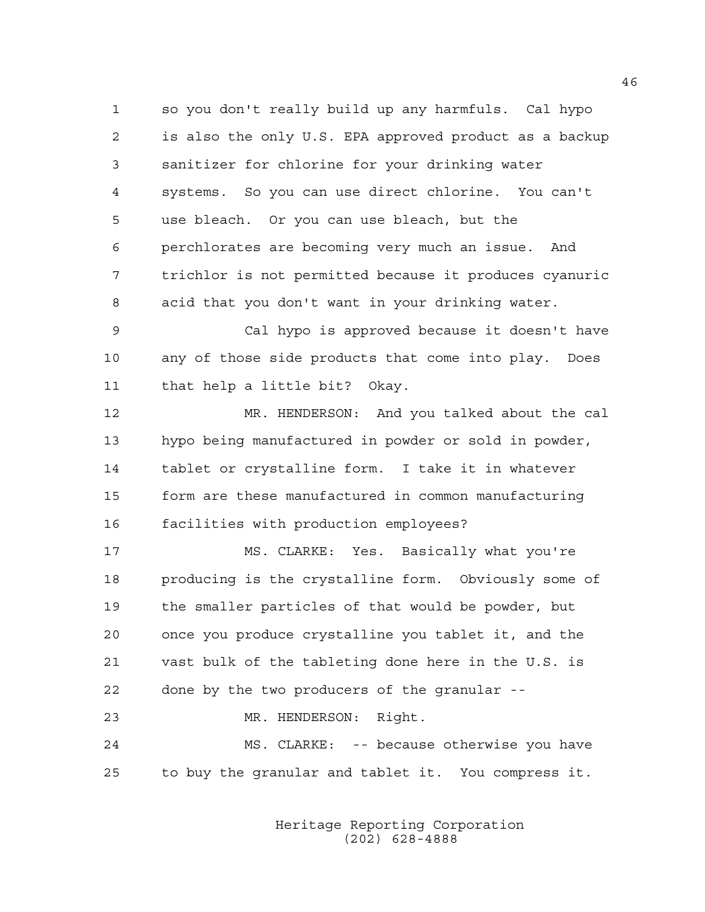1 so you don't really build up any harmfuls. Cal hypo 2 is also the only U.S. EPA approved product as a backup 3 sanitizer for chlorine for your drinking water 4 systems. So you can use direct chlorine. You can't 5 use bleach. Or you can use bleach, but the 6 perchlorates are becoming very much an issue. And 7 trichlor is not permitted because it produces cyanuric 8 acid that you don't want in your drinking water.

9 Cal hypo is approved because it doesn't have 10 any of those side products that come into play. Does 11 that help a little bit? Okay.

12 MR. HENDERSON: And you talked about the cal 13 hypo being manufactured in powder or sold in powder, 14 tablet or crystalline form. I take it in whatever 15 form are these manufactured in common manufacturing 16 facilities with production employees?

17 MS. CLARKE: Yes. Basically what you're 18 producing is the crystalline form. Obviously some of 19 the smaller particles of that would be powder, but 20 once you produce crystalline you tablet it, and the 21 vast bulk of the tableting done here in the U.S. is 22 done by the two producers of the granular --

23 MR. HENDERSON: Right. 24 MS. CLARKE: -- because otherwise you have

25 to buy the granular and tablet it. You compress it.

 Heritage Reporting Corporation (202) 628-4888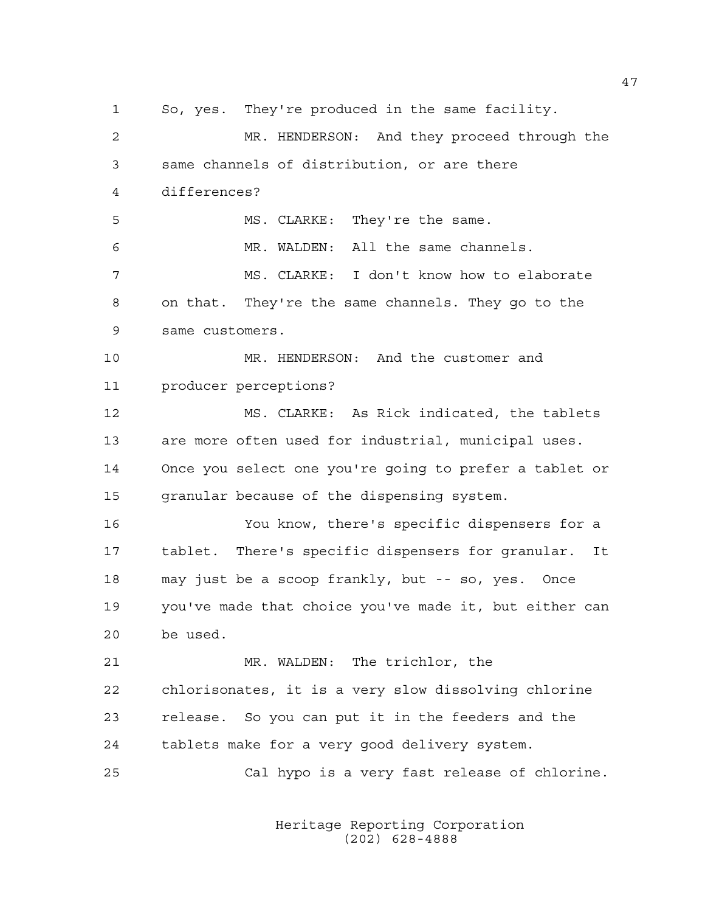1 So, yes. They're produced in the same facility. 2 MR. HENDERSON: And they proceed through the 3 same channels of distribution, or are there 4 differences? 5 MS. CLARKE: They're the same. 6 MR. WALDEN: All the same channels. 7 MS. CLARKE: I don't know how to elaborate 8 on that. They're the same channels. They go to the 9 same customers. 10 MR. HENDERSON: And the customer and 11 producer perceptions? 12 MS. CLARKE: As Rick indicated, the tablets 13 are more often used for industrial, municipal uses. 14 Once you select one you're going to prefer a tablet or 15 granular because of the dispensing system. 16 You know, there's specific dispensers for a 17 tablet. There's specific dispensers for granular. It 18 may just be a scoop frankly, but -- so, yes. Once 19 you've made that choice you've made it, but either can 20 be used. 21 MR. WALDEN: The trichlor, the 22 chlorisonates, it is a very slow dissolving chlorine 23 release. So you can put it in the feeders and the 24 tablets make for a very good delivery system. 25 Cal hypo is a very fast release of chlorine.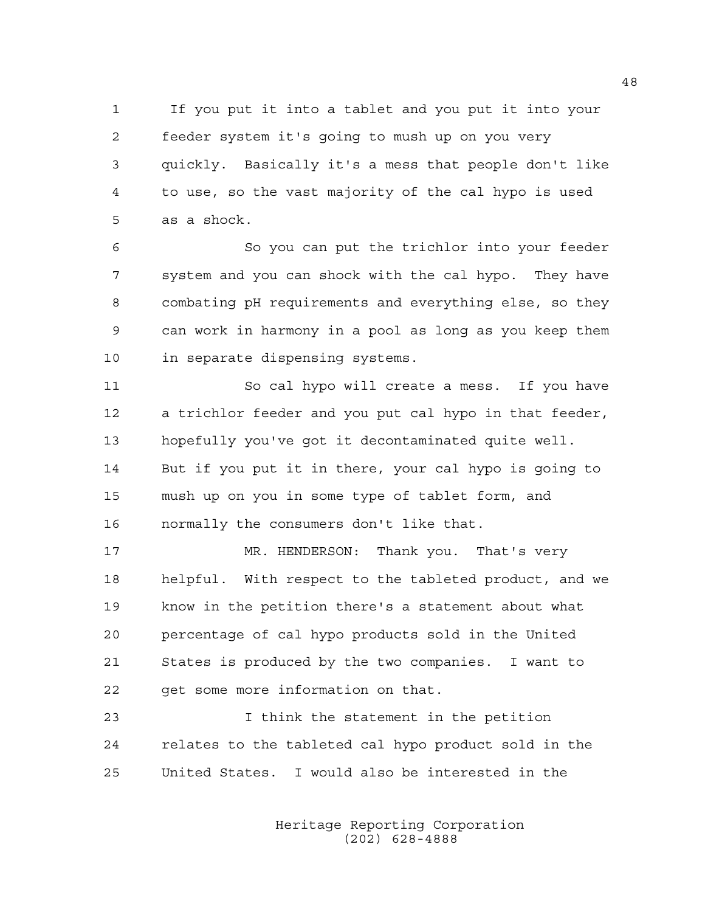1 If you put it into a tablet and you put it into your 2 feeder system it's going to mush up on you very 3 quickly. Basically it's a mess that people don't like 4 to use, so the vast majority of the cal hypo is used 5 as a shock.

6 So you can put the trichlor into your feeder 7 system and you can shock with the cal hypo. They have 8 combating pH requirements and everything else, so they 9 can work in harmony in a pool as long as you keep them 10 in separate dispensing systems.

11 So cal hypo will create a mess. If you have 12 a trichlor feeder and you put cal hypo in that feeder, 13 hopefully you've got it decontaminated quite well. 14 But if you put it in there, your cal hypo is going to 15 mush up on you in some type of tablet form, and 16 normally the consumers don't like that.

17 MR. HENDERSON: Thank you. That's very 18 helpful. With respect to the tableted product, and we 19 know in the petition there's a statement about what 20 percentage of cal hypo products sold in the United 21 States is produced by the two companies. I want to 22 get some more information on that.

23 I think the statement in the petition 24 relates to the tableted cal hypo product sold in the 25 United States. I would also be interested in the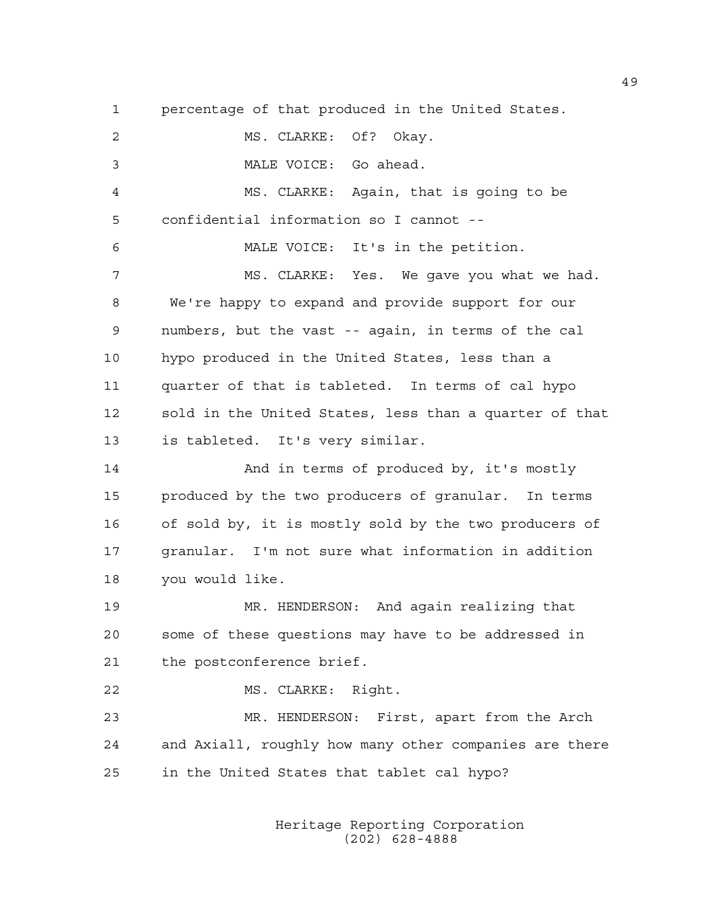1 percentage of that produced in the United States. 2 MS. CLARKE: Of? Okay. 3 MALE VOICE: Go ahead. 4 MS. CLARKE: Again, that is going to be 5 confidential information so I cannot -- 6 MALE VOICE: It's in the petition. 7 MS. CLARKE: Yes. We gave you what we had. 8 We're happy to expand and provide support for our 9 numbers, but the vast -- again, in terms of the cal 10 hypo produced in the United States, less than a 11 quarter of that is tableted. In terms of cal hypo 12 sold in the United States, less than a quarter of that 13 is tableted. It's very similar. 14 And in terms of produced by, it's mostly 15 produced by the two producers of granular. In terms 16 of sold by, it is mostly sold by the two producers of 17 granular. I'm not sure what information in addition 18 you would like. 19 MR. HENDERSON: And again realizing that 20 some of these questions may have to be addressed in 21 the postconference brief. 22 MS. CLARKE: Right. 23 MR. HENDERSON: First, apart from the Arch 24 and Axiall, roughly how many other companies are there 25 in the United States that tablet cal hypo?

> Heritage Reporting Corporation (202) 628-4888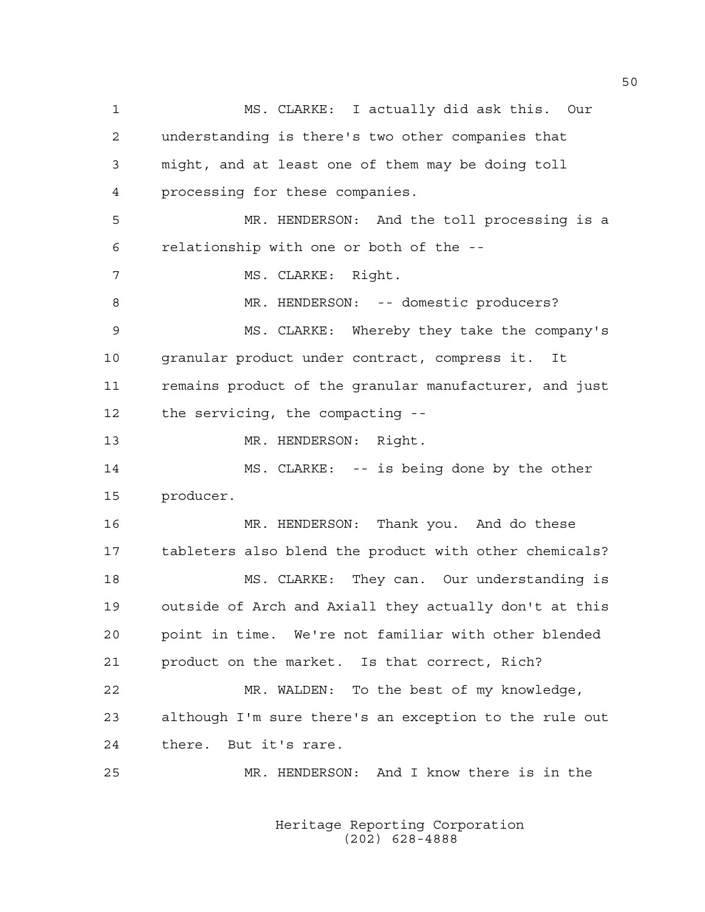1 MS. CLARKE: I actually did ask this. Our 2 understanding is there's two other companies that 3 might, and at least one of them may be doing toll 4 processing for these companies. 5 MR. HENDERSON: And the toll processing is a 6 relationship with one or both of the -- 7 MS. CLARKE: Right. 8 MR. HENDERSON: -- domestic producers? 9 MS. CLARKE: Whereby they take the company's 10 granular product under contract, compress it. It 11 remains product of the granular manufacturer, and just 12 the servicing, the compacting -- 13 MR. HENDERSON: Right. 14 MS. CLARKE: -- is being done by the other 15 producer. 16 MR. HENDERSON: Thank you. And do these 17 tableters also blend the product with other chemicals? 18 MS. CLARKE: They can. Our understanding is 19 outside of Arch and Axiall they actually don't at this 20 point in time. We're not familiar with other blended 21 product on the market. Is that correct, Rich? 22 MR. WALDEN: To the best of my knowledge, 23 although I'm sure there's an exception to the rule out 24 there. But it's rare. 25 MR. HENDERSON: And I know there is in the

> Heritage Reporting Corporation (202) 628-4888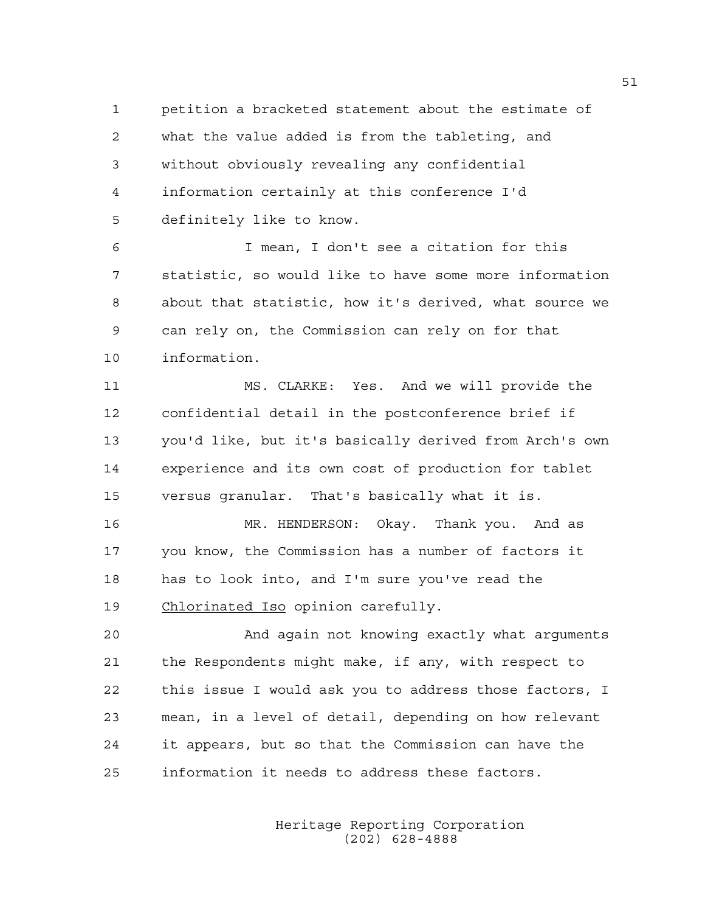1 petition a bracketed statement about the estimate of 2 what the value added is from the tableting, and 3 without obviously revealing any confidential 4 information certainly at this conference I'd 5 definitely like to know.

6 I mean, I don't see a citation for this 7 statistic, so would like to have some more information 8 about that statistic, how it's derived, what source we 9 can rely on, the Commission can rely on for that 10 information.

11 MS. CLARKE: Yes. And we will provide the 12 confidential detail in the postconference brief if 13 you'd like, but it's basically derived from Arch's own 14 experience and its own cost of production for tablet 15 versus granular. That's basically what it is.

16 MR. HENDERSON: Okay. Thank you. And as 17 you know, the Commission has a number of factors it 18 has to look into, and I'm sure you've read the 19 Chlorinated Iso opinion carefully.

20 And again not knowing exactly what arguments 21 the Respondents might make, if any, with respect to 22 this issue I would ask you to address those factors, I 23 mean, in a level of detail, depending on how relevant 24 it appears, but so that the Commission can have the 25 information it needs to address these factors.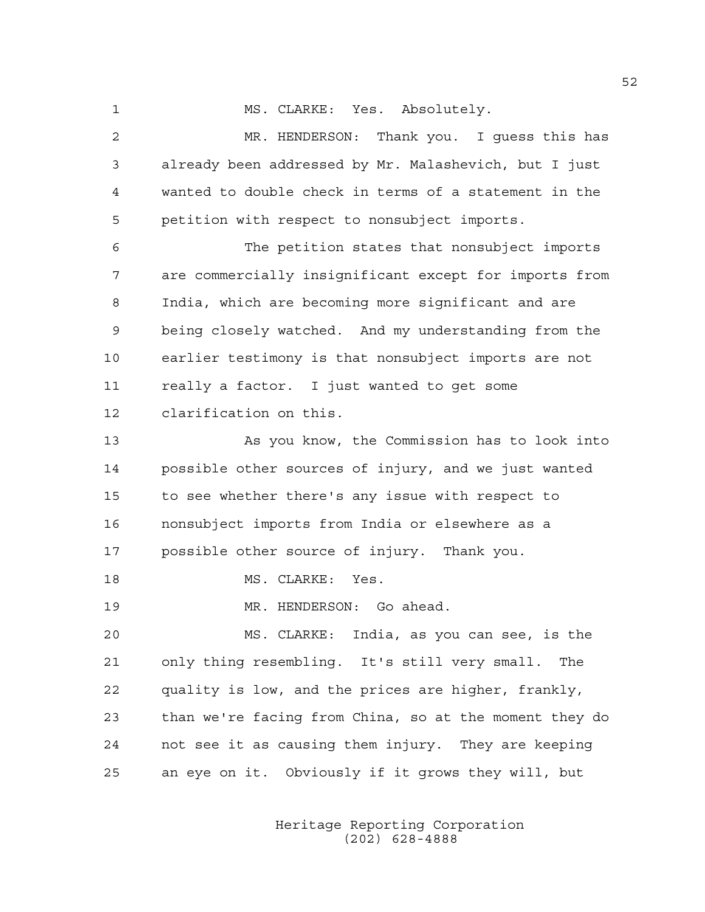1 MS. CLARKE: Yes. Absolutely.

2 MR. HENDERSON: Thank you. I guess this has 3 already been addressed by Mr. Malashevich, but I just 4 wanted to double check in terms of a statement in the 5 petition with respect to nonsubject imports. 6 The petition states that nonsubject imports 7 are commercially insignificant except for imports from 8 India, which are becoming more significant and are 9 being closely watched. And my understanding from the 10 earlier testimony is that nonsubject imports are not 11 really a factor. I just wanted to get some 12 clarification on this. 13 As you know, the Commission has to look into 14 possible other sources of injury, and we just wanted

15 to see whether there's any issue with respect to 16 nonsubject imports from India or elsewhere as a 17 possible other source of injury. Thank you.

18 MS. CLARKE: Yes.

19 MR. HENDERSON: Go ahead.

20 MS. CLARKE: India, as you can see, is the 21 only thing resembling. It's still very small. The 22 quality is low, and the prices are higher, frankly, 23 than we're facing from China, so at the moment they do 24 not see it as causing them injury. They are keeping 25 an eye on it. Obviously if it grows they will, but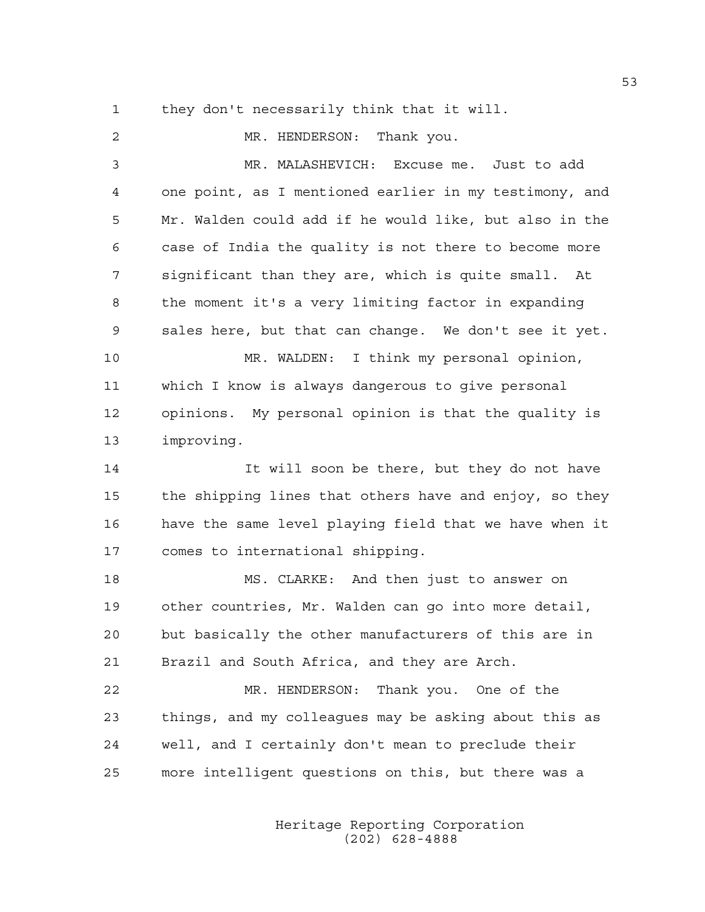1 they don't necessarily think that it will.

2 MR. HENDERSON: Thank you. 3 MR. MALASHEVICH: Excuse me. Just to add 4 one point, as I mentioned earlier in my testimony, and 5 Mr. Walden could add if he would like, but also in the 6 case of India the quality is not there to become more 7 significant than they are, which is quite small. At 8 the moment it's a very limiting factor in expanding 9 sales here, but that can change. We don't see it yet. 10 MR. WALDEN: I think my personal opinion, 11 which I know is always dangerous to give personal 12 opinions. My personal opinion is that the quality is 13 improving. 14 It will soon be there, but they do not have 15 the shipping lines that others have and enjoy, so they 16 have the same level playing field that we have when it 17 comes to international shipping. 18 MS. CLARKE: And then just to answer on 19 other countries, Mr. Walden can go into more detail, 20 but basically the other manufacturers of this are in 21 Brazil and South Africa, and they are Arch. 22 MR. HENDERSON: Thank you. One of the 23 things, and my colleagues may be asking about this as 24 well, and I certainly don't mean to preclude their 25 more intelligent questions on this, but there was a

> Heritage Reporting Corporation (202) 628-4888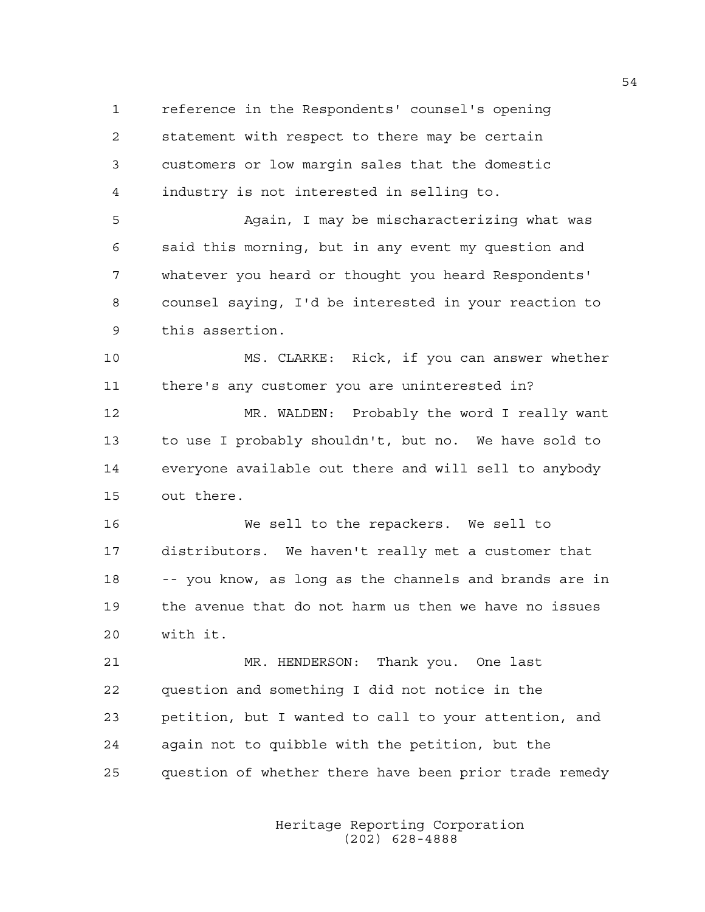1 reference in the Respondents' counsel's opening 2 statement with respect to there may be certain 3 customers or low margin sales that the domestic 4 industry is not interested in selling to.

5 Again, I may be mischaracterizing what was 6 said this morning, but in any event my question and 7 whatever you heard or thought you heard Respondents' 8 counsel saying, I'd be interested in your reaction to 9 this assertion.

10 MS. CLARKE: Rick, if you can answer whether 11 there's any customer you are uninterested in?

12 MR. WALDEN: Probably the word I really want 13 to use I probably shouldn't, but no. We have sold to 14 everyone available out there and will sell to anybody 15 out there.

16 We sell to the repackers. We sell to 17 distributors. We haven't really met a customer that 18 -- you know, as long as the channels and brands are in 19 the avenue that do not harm us then we have no issues 20 with it.

21 MR. HENDERSON: Thank you. One last 22 question and something I did not notice in the 23 petition, but I wanted to call to your attention, and 24 again not to quibble with the petition, but the 25 question of whether there have been prior trade remedy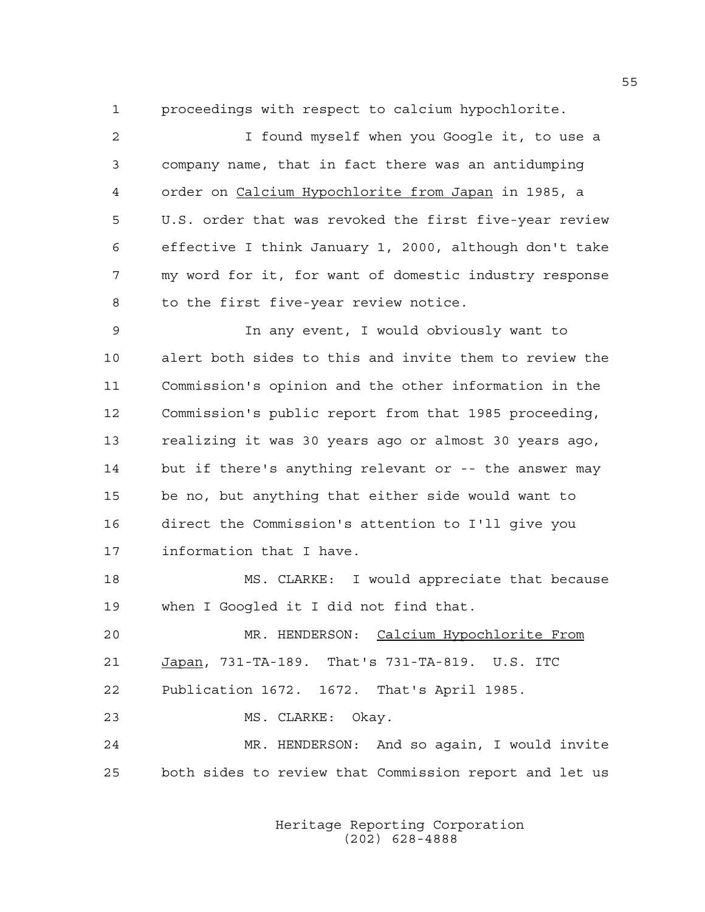1 proceedings with respect to calcium hypochlorite.

2 I found myself when you Google it, to use a 3 company name, that in fact there was an antidumping 4 order on Calcium Hypochlorite from Japan in 1985, a 5 U.S. order that was revoked the first five-year review 6 effective I think January 1, 2000, although don't take 7 my word for it, for want of domestic industry response 8 to the first five-year review notice.

9 In any event, I would obviously want to 10 alert both sides to this and invite them to review the 11 Commission's opinion and the other information in the 12 Commission's public report from that 1985 proceeding, 13 realizing it was 30 years ago or almost 30 years ago, 14 but if there's anything relevant or -- the answer may 15 be no, but anything that either side would want to 16 direct the Commission's attention to I'll give you 17 information that I have.

18 MS. CLARKE: I would appreciate that because 19 when I Googled it I did not find that.

20 MR. HENDERSON: Calcium Hypochlorite From 21 Japan, 731-TA-189. That's 731-TA-819. U.S. ITC 22 Publication 1672. 1672. That's April 1985.

23 MS. CLARKE: Okay.

24 MR. HENDERSON: And so again, I would invite 25 both sides to review that Commission report and let us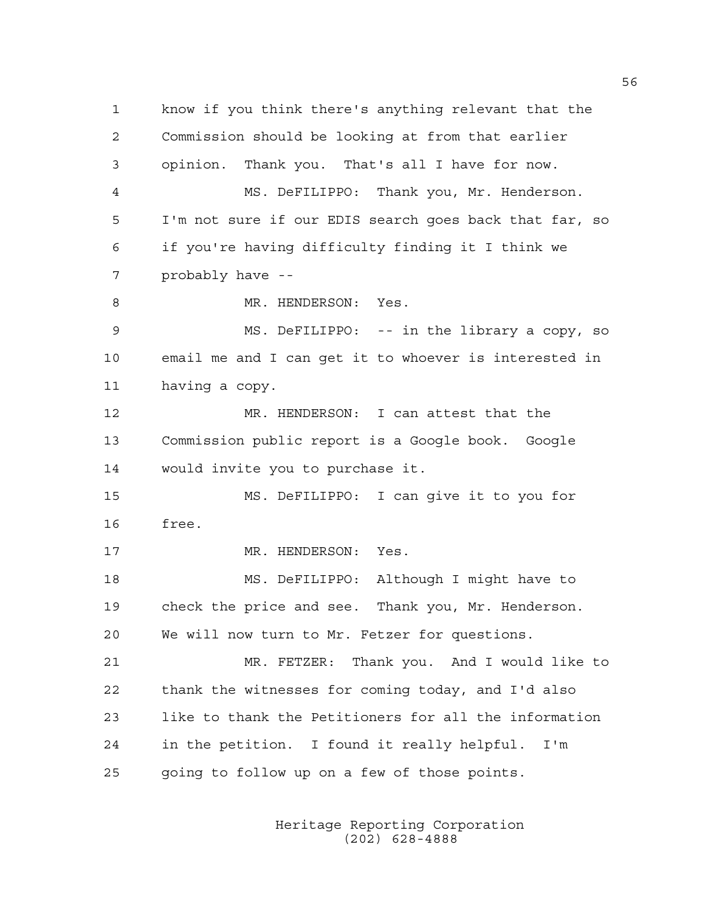1 know if you think there's anything relevant that the 2 Commission should be looking at from that earlier 3 opinion. Thank you. That's all I have for now. 4 MS. DeFILIPPO: Thank you, Mr. Henderson. 5 I'm not sure if our EDIS search goes back that far, so 6 if you're having difficulty finding it I think we 7 probably have -- 8 MR. HENDERSON: Yes. 9 MS. DeFILIPPO: -- in the library a copy, so 10 email me and I can get it to whoever is interested in 11 having a copy. 12 MR. HENDERSON: I can attest that the 13 Commission public report is a Google book. Google 14 would invite you to purchase it. 15 MS. DeFILIPPO: I can give it to you for 16 free. 17 MR. HENDERSON: Yes. 18 MS. DeFILIPPO: Although I might have to 19 check the price and see. Thank you, Mr. Henderson. 20 We will now turn to Mr. Fetzer for questions. 21 MR. FETZER: Thank you. And I would like to 22 thank the witnesses for coming today, and I'd also 23 like to thank the Petitioners for all the information 24 in the petition. I found it really helpful. I'm 25 going to follow up on a few of those points.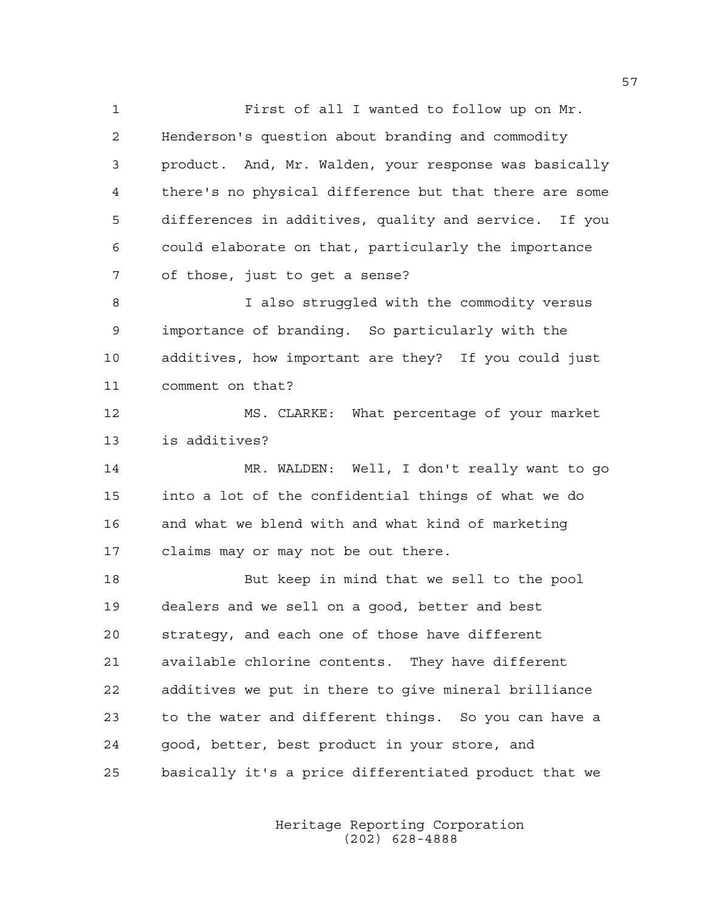1 First of all I wanted to follow up on Mr. 2 Henderson's question about branding and commodity 3 product. And, Mr. Walden, your response was basically 4 there's no physical difference but that there are some 5 differences in additives, quality and service. If you 6 could elaborate on that, particularly the importance 7 of those, just to get a sense? 8 I also struggled with the commodity versus 9 importance of branding. So particularly with the 10 additives, how important are they? If you could just 11 comment on that? 12 MS. CLARKE: What percentage of your market 13 is additives? 14 MR. WALDEN: Well, I don't really want to go 15 into a lot of the confidential things of what we do 16 and what we blend with and what kind of marketing 17 claims may or may not be out there. 18 But keep in mind that we sell to the pool 19 dealers and we sell on a good, better and best

20 strategy, and each one of those have different 21 available chlorine contents. They have different 22 additives we put in there to give mineral brilliance 23 to the water and different things. So you can have a 24 good, better, best product in your store, and 25 basically it's a price differentiated product that we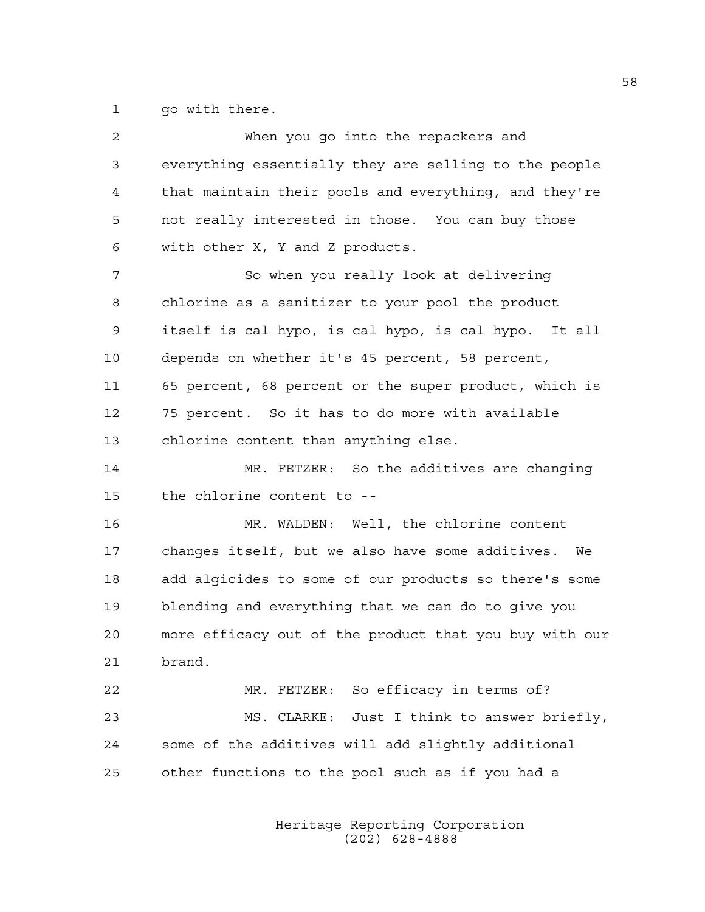1 go with there.

| $\overline{c}$ | When you go into the repackers and                     |
|----------------|--------------------------------------------------------|
| 3              | everything essentially they are selling to the people  |
| 4              | that maintain their pools and everything, and they're  |
| 5              | not really interested in those. You can buy those      |
| 6              | with other X, Y and Z products.                        |
| 7              | So when you really look at delivering                  |
| 8              | chlorine as a sanitizer to your pool the product       |
| 9              | itself is cal hypo, is cal hypo, is cal hypo. It all   |
| 10             | depends on whether it's 45 percent, 58 percent,        |
| 11             | 65 percent, 68 percent or the super product, which is  |
| 12             | 75 percent. So it has to do more with available        |
| 13             | chlorine content than anything else.                   |
| 14             | MR. FETZER: So the additives are changing              |
| 15             | the chlorine content to --                             |
| 16             | MR. WALDEN: Well, the chlorine content                 |
| 17             | changes itself, but we also have some additives. We    |
| 18             | add algicides to some of our products so there's some  |
| 19             | blending and everything that we can do to give you     |
| 20             | more efficacy out of the product that you buy with our |
| 21             | brand.                                                 |
| 22             | MR. FETZER: So efficacy in terms of?                   |
| 23             | MS. CLARKE:<br>Just I think to answer briefly,         |
| 24             | some of the additives will add slightly additional     |
| 25             | other functions to the pool such as if you had a       |
|                |                                                        |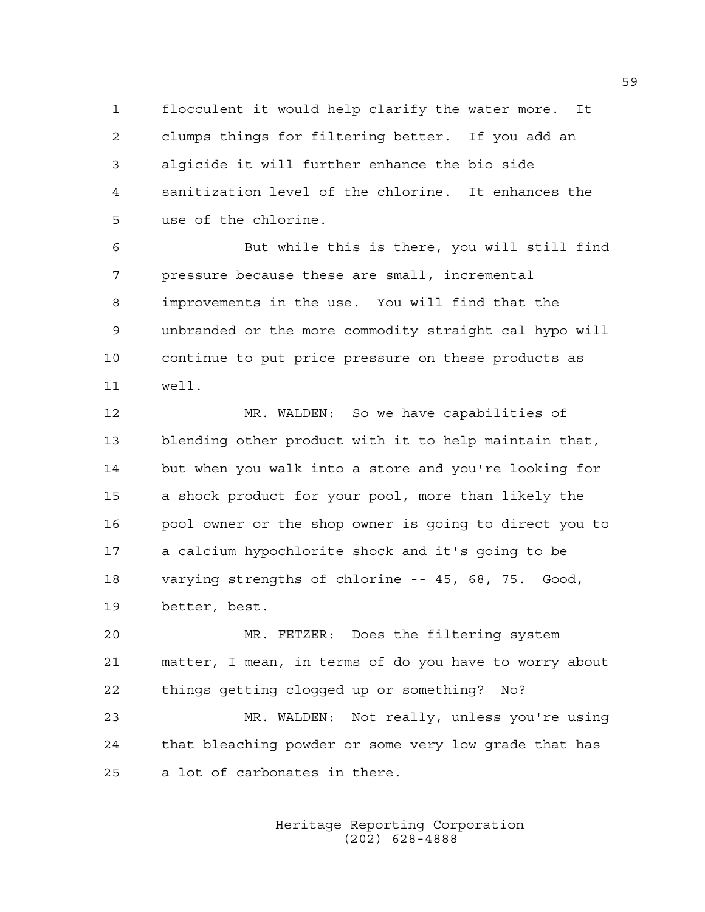1 flocculent it would help clarify the water more. It 2 clumps things for filtering better. If you add an 3 algicide it will further enhance the bio side 4 sanitization level of the chlorine. It enhances the 5 use of the chlorine.

6 But while this is there, you will still find 7 pressure because these are small, incremental 8 improvements in the use. You will find that the 9 unbranded or the more commodity straight cal hypo will 10 continue to put price pressure on these products as 11 well.

12 MR. WALDEN: So we have capabilities of 13 blending other product with it to help maintain that, 14 but when you walk into a store and you're looking for 15 a shock product for your pool, more than likely the 16 pool owner or the shop owner is going to direct you to 17 a calcium hypochlorite shock and it's going to be 18 varying strengths of chlorine -- 45, 68, 75. Good, 19 better, best.

20 MR. FETZER: Does the filtering system 21 matter, I mean, in terms of do you have to worry about 22 things getting clogged up or something? No?

23 MR. WALDEN: Not really, unless you're using 24 that bleaching powder or some very low grade that has 25 a lot of carbonates in there.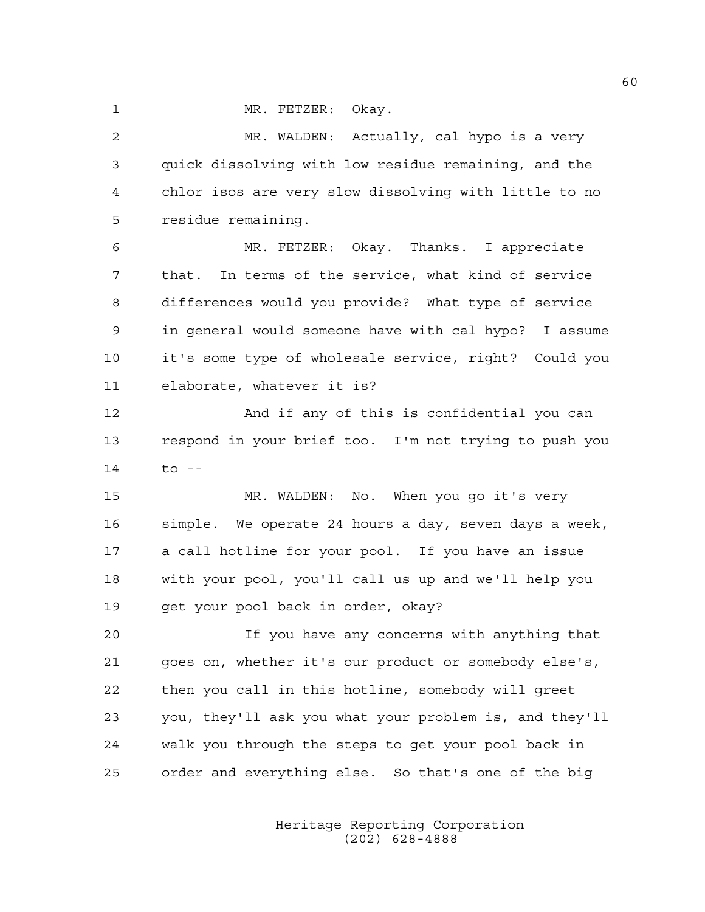1 MR. FETZER: Okay.

2 MR. WALDEN: Actually, cal hypo is a very 3 quick dissolving with low residue remaining, and the 4 chlor isos are very slow dissolving with little to no 5 residue remaining.

6 MR. FETZER: Okay. Thanks. I appreciate 7 that. In terms of the service, what kind of service 8 differences would you provide? What type of service 9 in general would someone have with cal hypo? I assume 10 it's some type of wholesale service, right? Could you 11 elaborate, whatever it is?

12 And if any of this is confidential you can 13 respond in your brief too. I'm not trying to push you 14 to --

15 MR. WALDEN: No. When you go it's very 16 simple. We operate 24 hours a day, seven days a week, 17 a call hotline for your pool. If you have an issue 18 with your pool, you'll call us up and we'll help you 19 get your pool back in order, okay?

20 If you have any concerns with anything that 21 goes on, whether it's our product or somebody else's, 22 then you call in this hotline, somebody will greet 23 you, they'll ask you what your problem is, and they'll 24 walk you through the steps to get your pool back in 25 order and everything else. So that's one of the big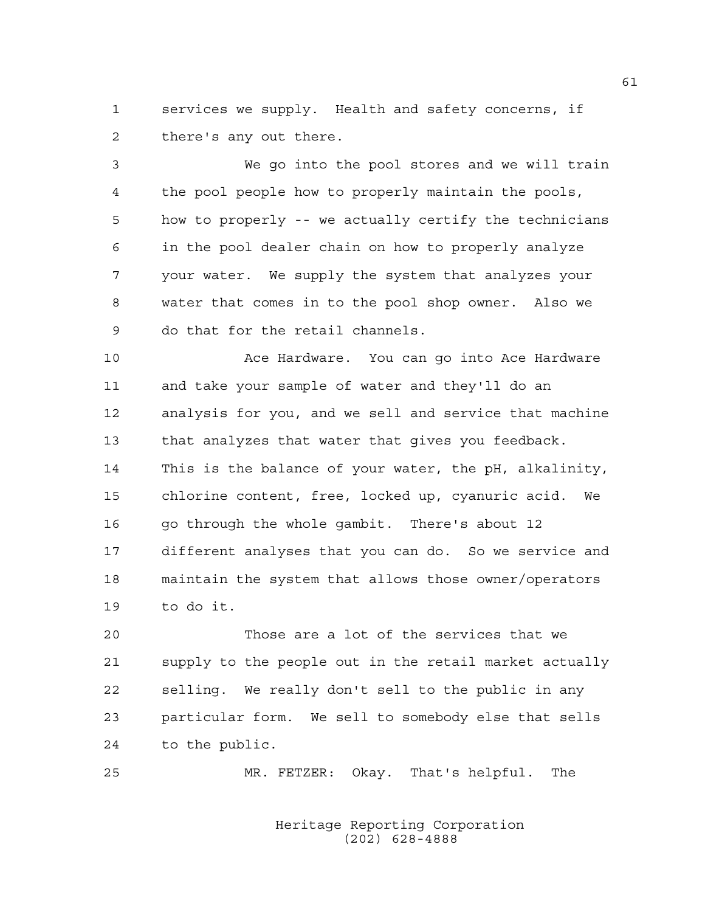1 services we supply. Health and safety concerns, if 2 there's any out there.

3 We go into the pool stores and we will train 4 the pool people how to properly maintain the pools, 5 how to properly -- we actually certify the technicians 6 in the pool dealer chain on how to properly analyze 7 your water. We supply the system that analyzes your 8 water that comes in to the pool shop owner. Also we 9 do that for the retail channels.

10 Ace Hardware. You can go into Ace Hardware 11 and take your sample of water and they'll do an 12 analysis for you, and we sell and service that machine 13 that analyzes that water that gives you feedback. 14 This is the balance of your water, the pH, alkalinity, 15 chlorine content, free, locked up, cyanuric acid. We 16 go through the whole gambit. There's about 12 17 different analyses that you can do. So we service and 18 maintain the system that allows those owner/operators 19 to do it.

20 Those are a lot of the services that we 21 supply to the people out in the retail market actually 22 selling. We really don't sell to the public in any 23 particular form. We sell to somebody else that sells 24 to the public.

25 MR. FETZER: Okay. That's helpful. The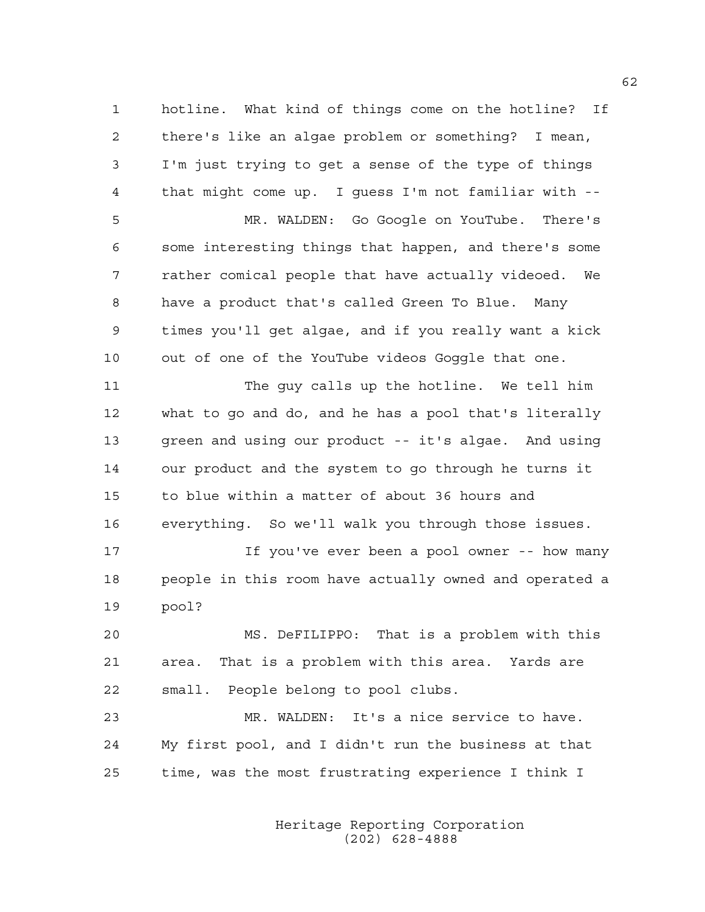1 hotline. What kind of things come on the hotline? If 2 there's like an algae problem or something? I mean, 3 I'm just trying to get a sense of the type of things 4 that might come up. I guess I'm not familiar with -- 5 MR. WALDEN: Go Google on YouTube. There's 6 some interesting things that happen, and there's some 7 rather comical people that have actually videoed. We 8 have a product that's called Green To Blue. Many 9 times you'll get algae, and if you really want a kick

11 The guy calls up the hotline. We tell him 12 what to go and do, and he has a pool that's literally 13 green and using our product -- it's algae. And using 14 our product and the system to go through he turns it 15 to blue within a matter of about 36 hours and 16 everything. So we'll walk you through those issues.

10 out of one of the YouTube videos Goggle that one.

17 If you've ever been a pool owner -- how many 18 people in this room have actually owned and operated a 19 pool?

20 MS. DeFILIPPO: That is a problem with this 21 area. That is a problem with this area. Yards are 22 small. People belong to pool clubs.

23 MR. WALDEN: It's a nice service to have. 24 My first pool, and I didn't run the business at that 25 time, was the most frustrating experience I think I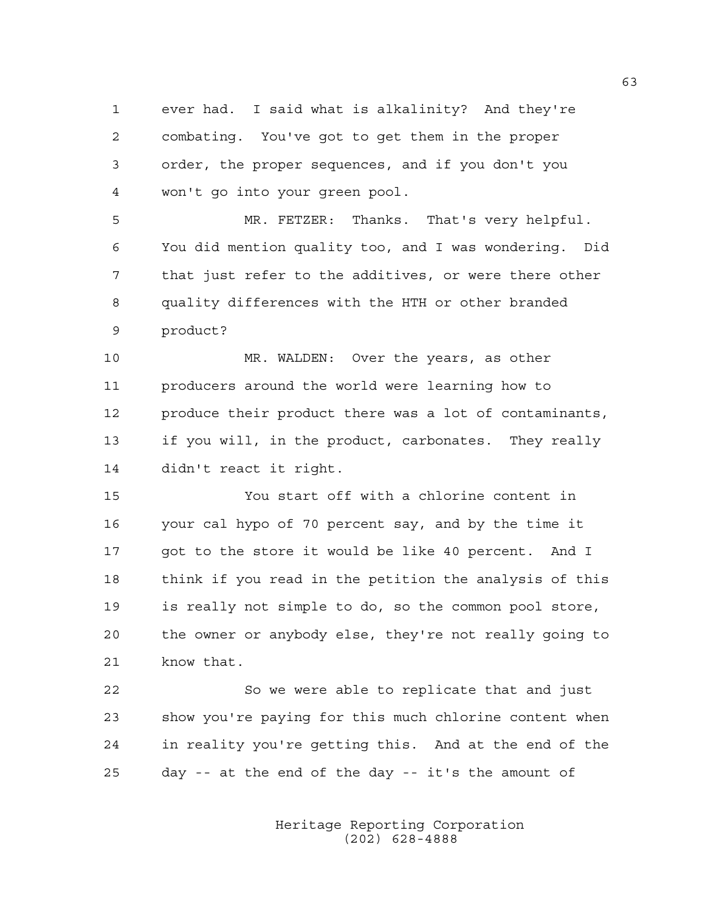1 ever had. I said what is alkalinity? And they're 2 combating. You've got to get them in the proper 3 order, the proper sequences, and if you don't you 4 won't go into your green pool.

5 MR. FETZER: Thanks. That's very helpful. 6 You did mention quality too, and I was wondering. Did 7 that just refer to the additives, or were there other 8 quality differences with the HTH or other branded 9 product?

10 MR. WALDEN: Over the years, as other 11 producers around the world were learning how to 12 produce their product there was a lot of contaminants, 13 if you will, in the product, carbonates. They really 14 didn't react it right.

15 You start off with a chlorine content in 16 your cal hypo of 70 percent say, and by the time it 17 got to the store it would be like 40 percent. And I 18 think if you read in the petition the analysis of this 19 is really not simple to do, so the common pool store, 20 the owner or anybody else, they're not really going to 21 know that.

22 So we were able to replicate that and just 23 show you're paying for this much chlorine content when 24 in reality you're getting this. And at the end of the 25 day -- at the end of the day -- it's the amount of

> Heritage Reporting Corporation (202) 628-4888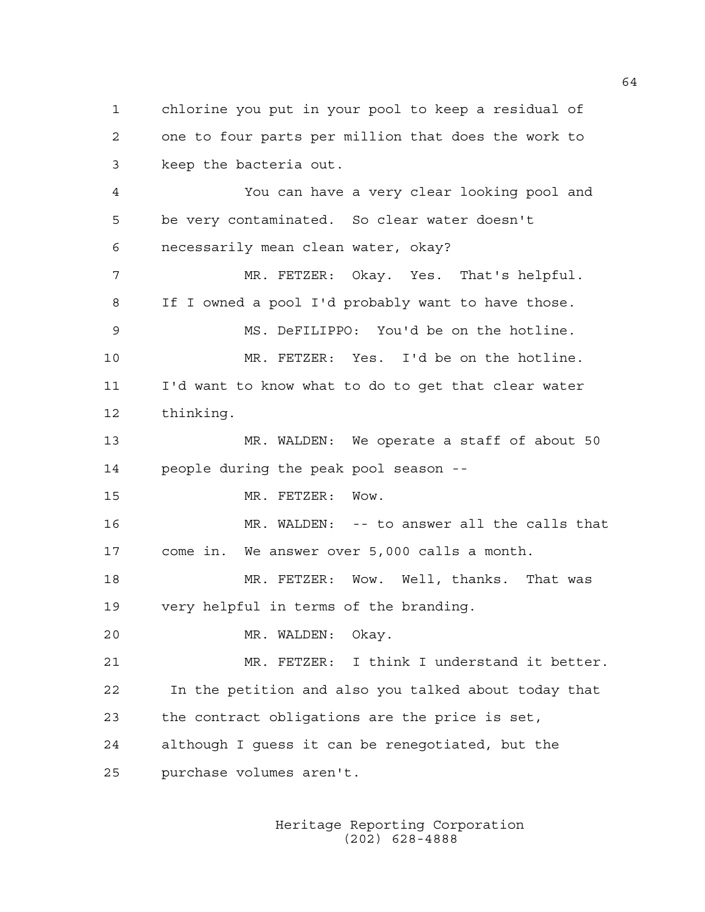1 chlorine you put in your pool to keep a residual of 2 one to four parts per million that does the work to 3 keep the bacteria out.

4 You can have a very clear looking pool and 5 be very contaminated. So clear water doesn't 6 necessarily mean clean water, okay?

7 MR. FETZER: Okay. Yes. That's helpful. 8 If I owned a pool I'd probably want to have those. 9 MS. DeFILIPPO: You'd be on the hotline. 10 MR. FETZER: Yes. I'd be on the hotline. 11 I'd want to know what to do to get that clear water 12 thinking. 13 MR. WALDEN: We operate a staff of about 50 14 people during the peak pool season -- 15 MR. FETZER: Wow. 16 MR. WALDEN: -- to answer all the calls that 17 come in. We answer over 5,000 calls a month. 18 MR. FETZER: Wow. Well, thanks. That was 19 very helpful in terms of the branding. 20 MR. WALDEN: Okay. 21 MR. FETZER: I think I understand it better. 22 In the petition and also you talked about today that 23 the contract obligations are the price is set,

24 although I guess it can be renegotiated, but the

25 purchase volumes aren't.

 Heritage Reporting Corporation (202) 628-4888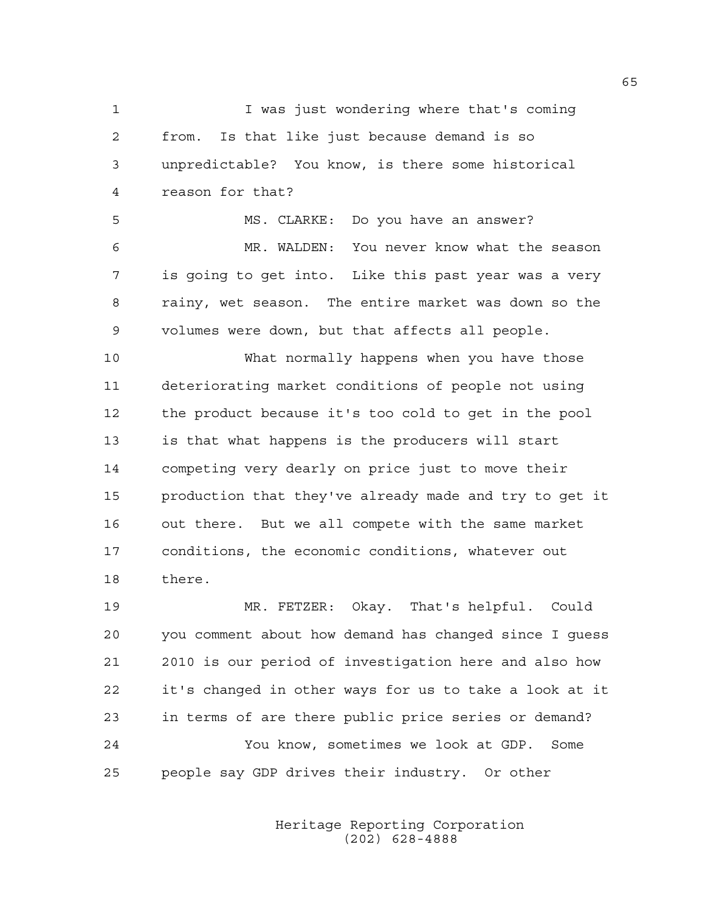1 I was just wondering where that's coming 2 from. Is that like just because demand is so 3 unpredictable? You know, is there some historical 4 reason for that? 5 MS. CLARKE: Do you have an answer? 6 MR. WALDEN: You never know what the season 7 is going to get into. Like this past year was a very 8 rainy, wet season. The entire market was down so the 9 volumes were down, but that affects all people. 10 What normally happens when you have those 11 deteriorating market conditions of people not using 12 the product because it's too cold to get in the pool

14 competing very dearly on price just to move their 15 production that they've already made and try to get it 16 out there. But we all compete with the same market 17 conditions, the economic conditions, whatever out 18 there. 19 MR. FETZER: Okay. That's helpful. Could

13 is that what happens is the producers will start

20 you comment about how demand has changed since I guess 21 2010 is our period of investigation here and also how 22 it's changed in other ways for us to take a look at it 23 in terms of are there public price series or demand? 24 You know, sometimes we look at GDP. Some 25 people say GDP drives their industry. Or other

> Heritage Reporting Corporation (202) 628-4888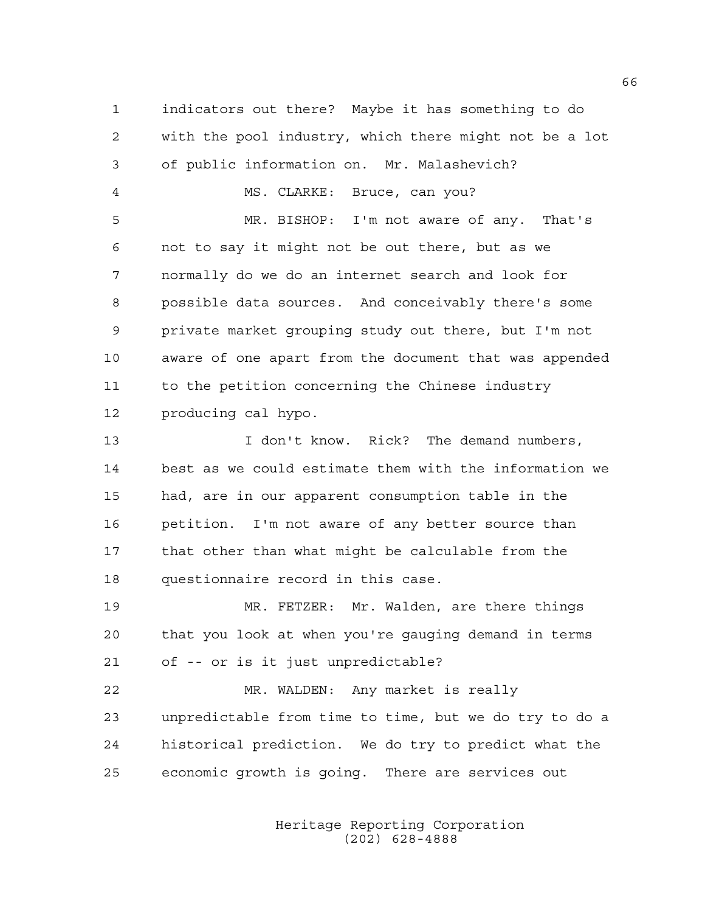1 indicators out there? Maybe it has something to do 2 with the pool industry, which there might not be a lot 3 of public information on. Mr. Malashevich? 4 MS. CLARKE: Bruce, can you? 5 MR. BISHOP: I'm not aware of any. That's 6 not to say it might not be out there, but as we 7 normally do we do an internet search and look for 8 possible data sources. And conceivably there's some 9 private market grouping study out there, but I'm not 10 aware of one apart from the document that was appended 11 to the petition concerning the Chinese industry 12 producing cal hypo. 13 I don't know. Rick? The demand numbers, 14 best as we could estimate them with the information we 15 had, are in our apparent consumption table in the 16 petition. I'm not aware of any better source than 17 that other than what might be calculable from the 18 questionnaire record in this case. 19 MR. FETZER: Mr. Walden, are there things 20 that you look at when you're gauging demand in terms 21 of -- or is it just unpredictable? 22 MR. WALDEN: Any market is really 23 unpredictable from time to time, but we do try to do a 24 historical prediction. We do try to predict what the 25 economic growth is going. There are services out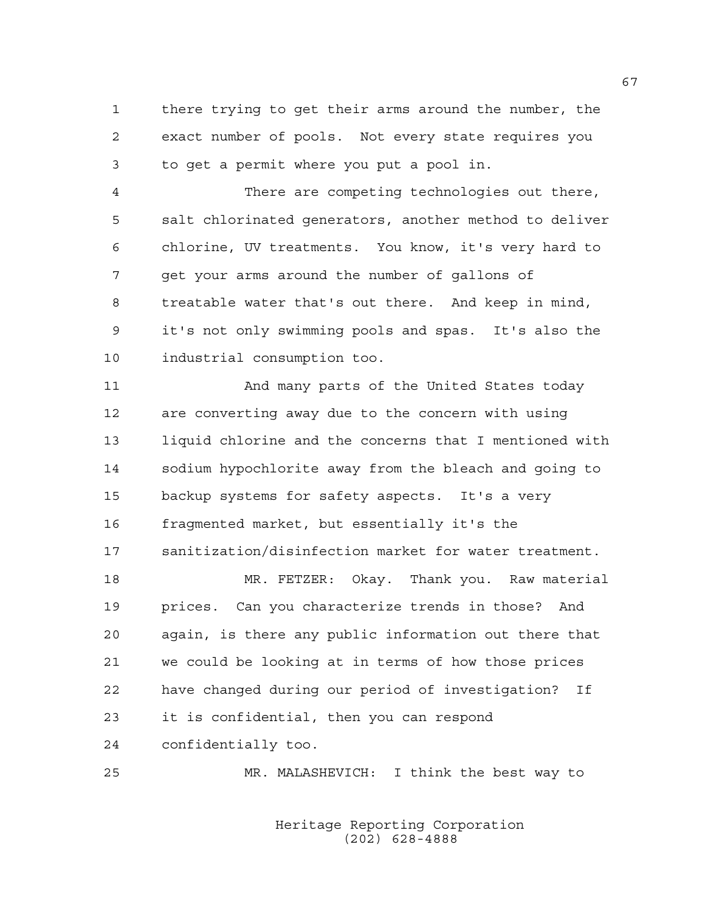1 there trying to get their arms around the number, the 2 exact number of pools. Not every state requires you 3 to get a permit where you put a pool in.

4 There are competing technologies out there, 5 salt chlorinated generators, another method to deliver 6 chlorine, UV treatments. You know, it's very hard to 7 get your arms around the number of gallons of 8 treatable water that's out there. And keep in mind, 9 it's not only swimming pools and spas. It's also the 10 industrial consumption too.

11 And many parts of the United States today 12 are converting away due to the concern with using 13 liquid chlorine and the concerns that I mentioned with 14 sodium hypochlorite away from the bleach and going to 15 backup systems for safety aspects. It's a very 16 fragmented market, but essentially it's the 17 sanitization/disinfection market for water treatment.

18 MR. FETZER: Okay. Thank you. Raw material 19 prices. Can you characterize trends in those? And 20 again, is there any public information out there that 21 we could be looking at in terms of how those prices 22 have changed during our period of investigation? If 23 it is confidential, then you can respond 24 confidentially too.

25 MR. MALASHEVICH: I think the best way to

 Heritage Reporting Corporation (202) 628-4888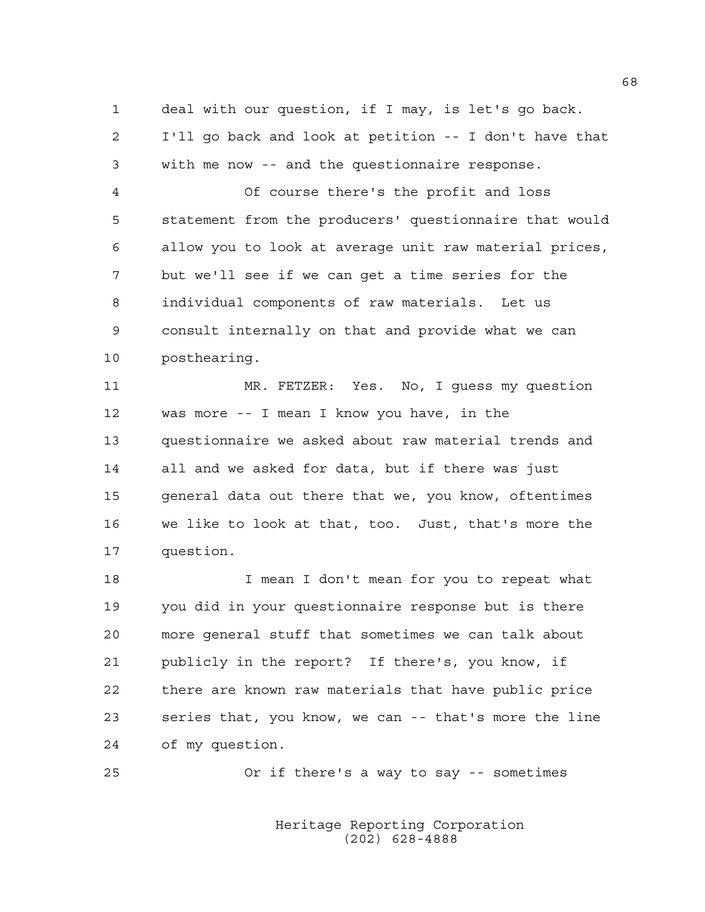1 deal with our question, if I may, is let's go back. 2 I'll go back and look at petition -- I don't have that 3 with me now -- and the questionnaire response.

4 Of course there's the profit and loss 5 statement from the producers' questionnaire that would 6 allow you to look at average unit raw material prices, 7 but we'll see if we can get a time series for the 8 individual components of raw materials. Let us 9 consult internally on that and provide what we can 10 posthearing.

11 MR. FETZER: Yes. No, I guess my question 12 was more -- I mean I know you have, in the 13 questionnaire we asked about raw material trends and 14 all and we asked for data, but if there was just 15 general data out there that we, you know, oftentimes 16 we like to look at that, too. Just, that's more the 17 question.

18 I mean I don't mean for you to repeat what 19 you did in your questionnaire response but is there 20 more general stuff that sometimes we can talk about 21 publicly in the report? If there's, you know, if 22 there are known raw materials that have public price 23 series that, you know, we can -- that's more the line 24 of my question.

25 Or if there's a way to say -- sometimes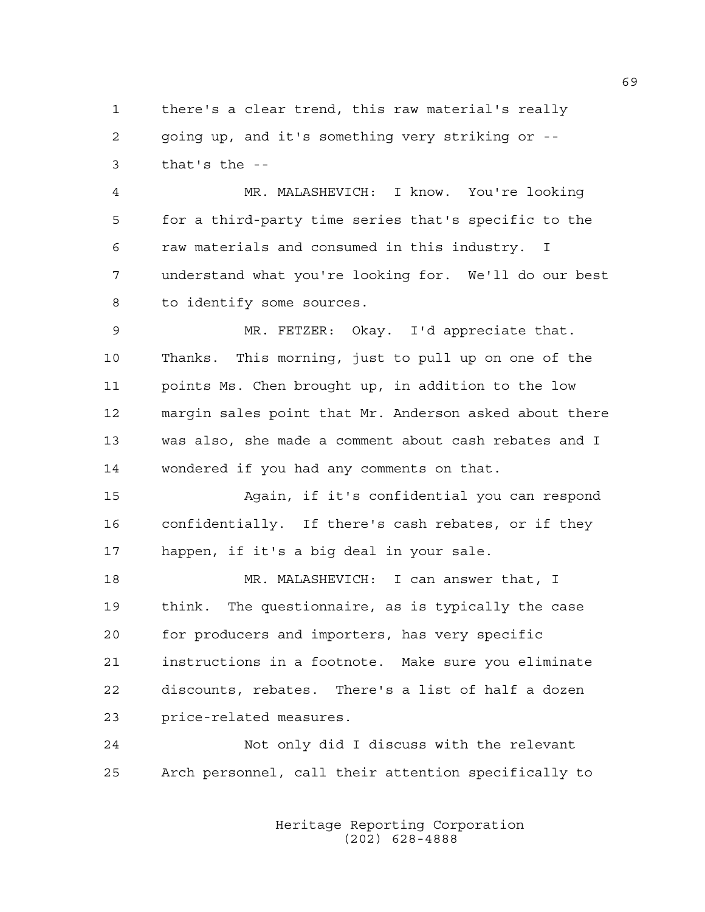1 there's a clear trend, this raw material's really 2 going up, and it's something very striking or -- 3 that's the --

4 MR. MALASHEVICH: I know. You're looking 5 for a third-party time series that's specific to the 6 raw materials and consumed in this industry. I 7 understand what you're looking for. We'll do our best 8 to identify some sources.

9 MR. FETZER: Okay. I'd appreciate that. 10 Thanks. This morning, just to pull up on one of the 11 points Ms. Chen brought up, in addition to the low 12 margin sales point that Mr. Anderson asked about there 13 was also, she made a comment about cash rebates and I 14 wondered if you had any comments on that.

15 Again, if it's confidential you can respond 16 confidentially. If there's cash rebates, or if they 17 happen, if it's a big deal in your sale.

18 MR. MALASHEVICH: I can answer that, I 19 think. The questionnaire, as is typically the case 20 for producers and importers, has very specific 21 instructions in a footnote. Make sure you eliminate 22 discounts, rebates. There's a list of half a dozen 23 price-related measures.

24 Not only did I discuss with the relevant 25 Arch personnel, call their attention specifically to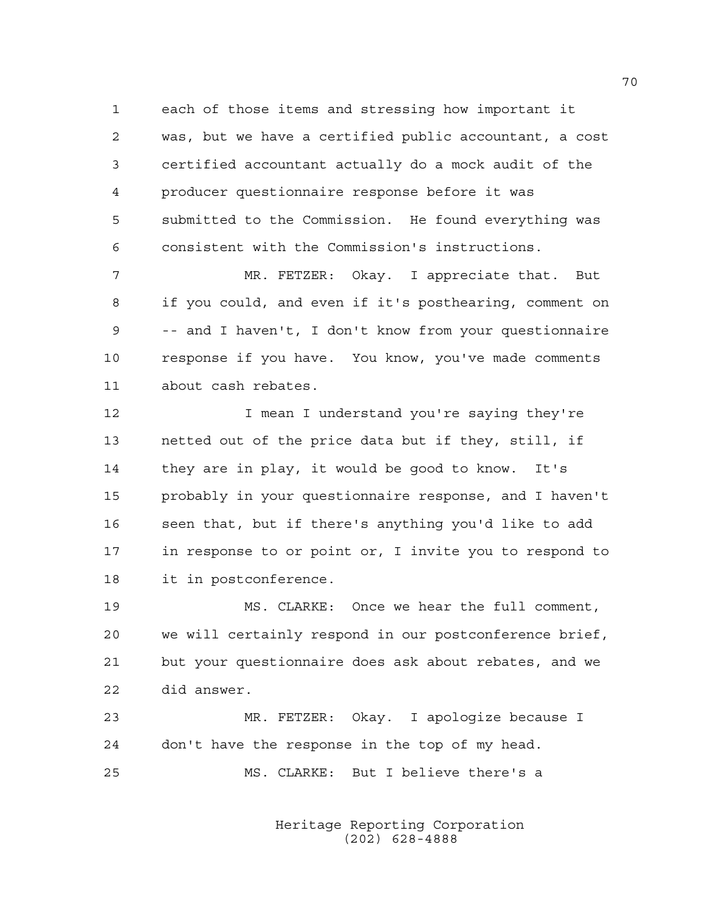1 each of those items and stressing how important it 2 was, but we have a certified public accountant, a cost 3 certified accountant actually do a mock audit of the 4 producer questionnaire response before it was 5 submitted to the Commission. He found everything was 6 consistent with the Commission's instructions.

7 MR. FETZER: Okay. I appreciate that. But 8 if you could, and even if it's posthearing, comment on 9 -- and I haven't, I don't know from your questionnaire 10 response if you have. You know, you've made comments 11 about cash rebates.

12 **I** mean I understand you're saying they're 13 netted out of the price data but if they, still, if 14 they are in play, it would be good to know. It's 15 probably in your questionnaire response, and I haven't 16 seen that, but if there's anything you'd like to add 17 in response to or point or, I invite you to respond to 18 it in postconference.

19 MS. CLARKE: Once we hear the full comment, 20 we will certainly respond in our postconference brief, 21 but your questionnaire does ask about rebates, and we 22 did answer.

23 MR. FETZER: Okay. I apologize because I 24 don't have the response in the top of my head. 25 MS. CLARKE: But I believe there's a

> Heritage Reporting Corporation (202) 628-4888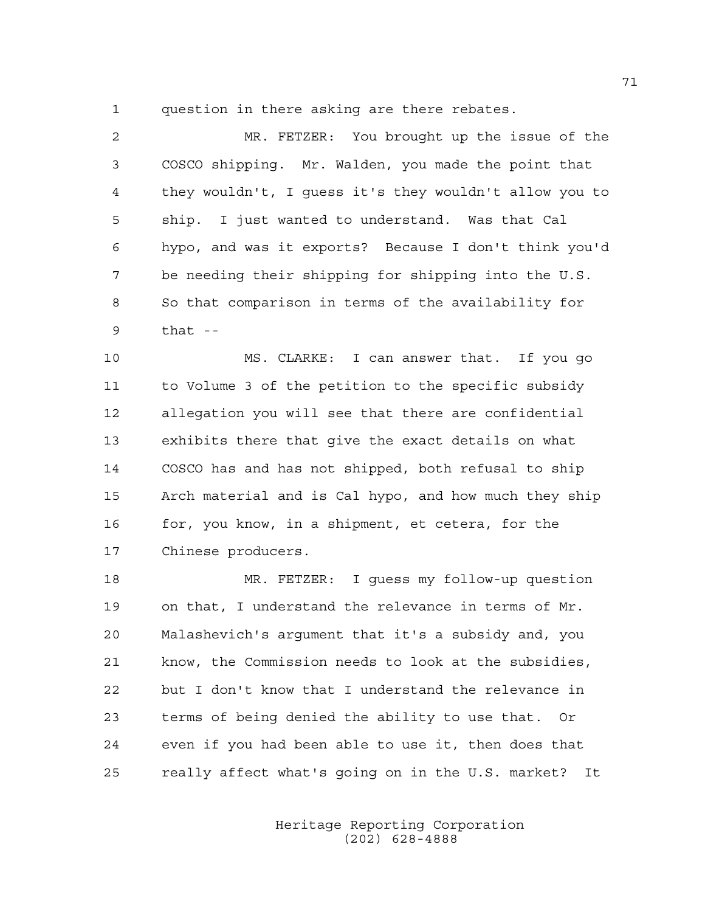1 question in there asking are there rebates.

2 MR. FETZER: You brought up the issue of the 3 COSCO shipping. Mr. Walden, you made the point that 4 they wouldn't, I guess it's they wouldn't allow you to 5 ship. I just wanted to understand. Was that Cal 6 hypo, and was it exports? Because I don't think you'd 7 be needing their shipping for shipping into the U.S. 8 So that comparison in terms of the availability for 9 that --

10 MS. CLARKE: I can answer that. If you go 11 to Volume 3 of the petition to the specific subsidy 12 allegation you will see that there are confidential 13 exhibits there that give the exact details on what 14 COSCO has and has not shipped, both refusal to ship 15 Arch material and is Cal hypo, and how much they ship 16 for, you know, in a shipment, et cetera, for the 17 Chinese producers.

18 MR. FETZER: I guess my follow-up question 19 on that, I understand the relevance in terms of Mr. 20 Malashevich's argument that it's a subsidy and, you 21 know, the Commission needs to look at the subsidies, 22 but I don't know that I understand the relevance in 23 terms of being denied the ability to use that. Or 24 even if you had been able to use it, then does that 25 really affect what's going on in the U.S. market? It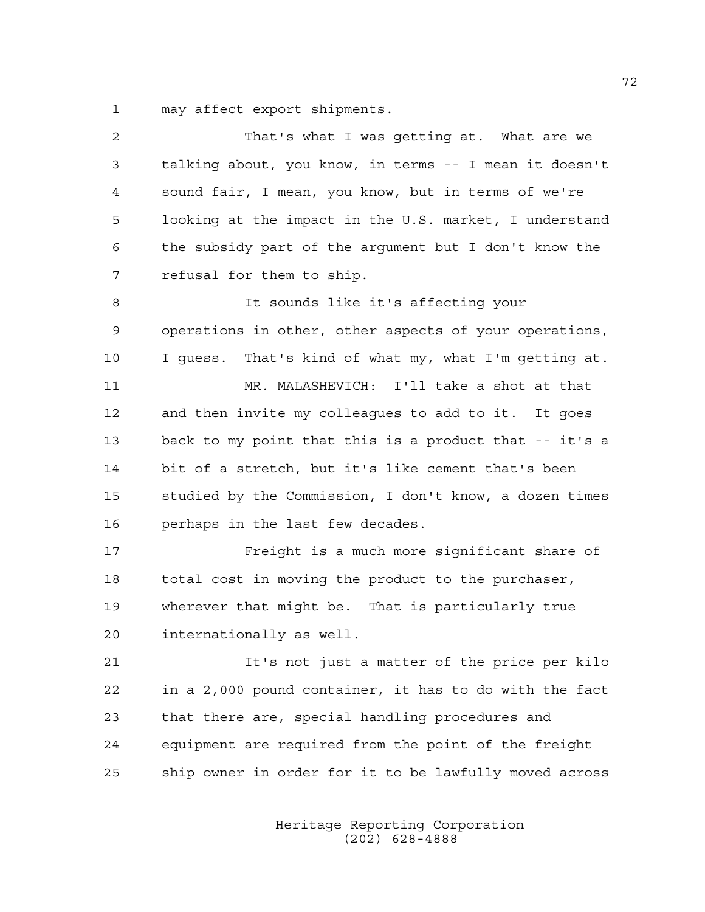1 may affect export shipments.

| 2  | That's what I was getting at. What are we              |
|----|--------------------------------------------------------|
| 3  | talking about, you know, in terms -- I mean it doesn't |
| 4  | sound fair, I mean, you know, but in terms of we're    |
| 5  | looking at the impact in the U.S. market, I understand |
| 6  | the subsidy part of the argument but I don't know the  |
| 7  | refusal for them to ship.                              |
| 8  | It sounds like it's affecting your                     |
| 9  | operations in other, other aspects of your operations, |
| 10 | I guess. That's kind of what my, what I'm getting at.  |
| 11 | MR. MALASHEVICH: I'll take a shot at that              |
| 12 | and then invite my colleagues to add to it. It goes    |
| 13 | back to my point that this is a product that -- it's a |
| 14 | bit of a stretch, but it's like cement that's been     |
| 15 | studied by the Commission, I don't know, a dozen times |
| 16 | perhaps in the last few decades.                       |
| 17 | Freight is a much more significant share of            |
| 18 | total cost in moving the product to the purchaser,     |
| 19 | wherever that might be. That is particularly true      |
| 20 | internationally as well.                               |
| 21 | It's not just a matter of the price per kilo           |
| 22 | in a 2,000 pound container, it has to do with the fact |
| 23 | that there are, special handling procedures and        |
| 24 | equipment are required from the point of the freight   |
| 25 | ship owner in order for it to be lawfully moved across |
|    |                                                        |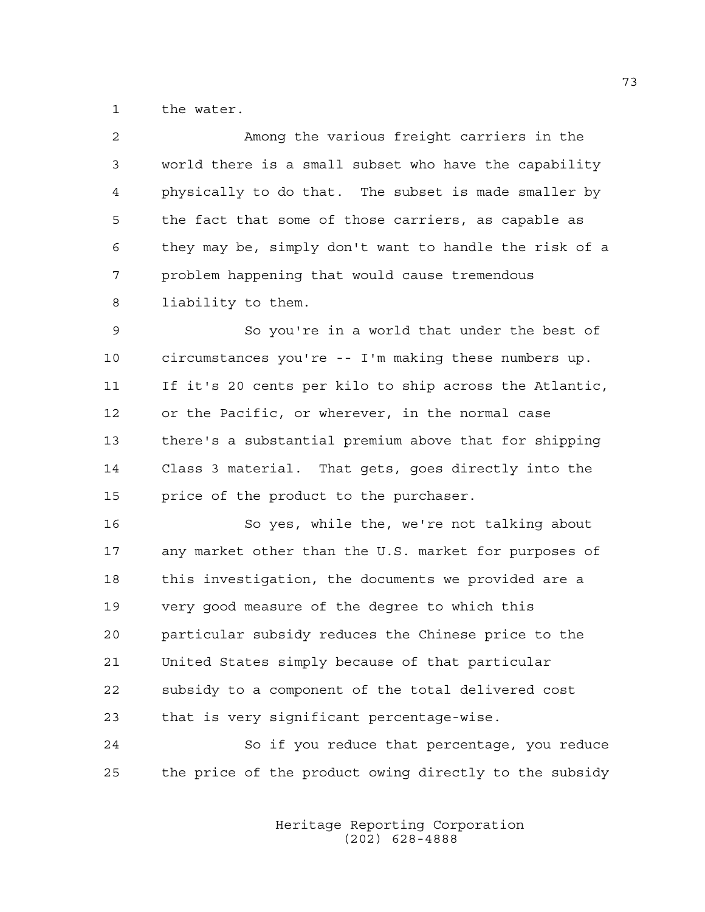1 the water.

| 2  | Among the various freight carriers in the              |
|----|--------------------------------------------------------|
| 3  | world there is a small subset who have the capability  |
| 4  | physically to do that. The subset is made smaller by   |
| 5  | the fact that some of those carriers, as capable as    |
| 6  | they may be, simply don't want to handle the risk of a |
| 7  | problem happening that would cause tremendous          |
| 8  | liability to them.                                     |
| 9  | So you're in a world that under the best of            |
| 10 | circumstances you're -- I'm making these numbers up.   |
| 11 | If it's 20 cents per kilo to ship across the Atlantic, |
| 12 | or the Pacific, or wherever, in the normal case        |
| 13 | there's a substantial premium above that for shipping  |
| 14 | Class 3 material. That gets, goes directly into the    |
| 15 | price of the product to the purchaser.                 |
| 16 | So yes, while the, we're not talking about             |
| 17 | any market other than the U.S. market for purposes of  |
| 18 | this investigation, the documents we provided are a    |
| 19 | very good measure of the degree to which this          |
| 20 | particular subsidy reduces the Chinese price to the    |
| 21 | United States simply because of that particular        |
| 22 | subsidy to a component of the total delivered cost     |
| 23 | that is very significant percentage-wise.              |
| 24 | So if you reduce that percentage, you reduce           |

 Heritage Reporting Corporation (202) 628-4888

25 the price of the product owing directly to the subsidy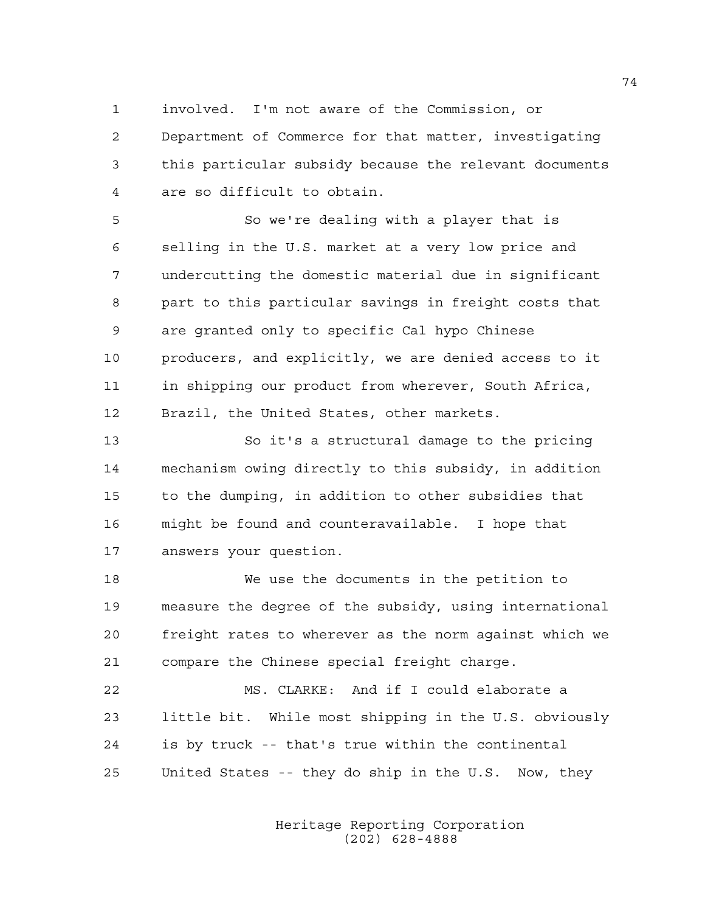1 involved. I'm not aware of the Commission, or

2 Department of Commerce for that matter, investigating 3 this particular subsidy because the relevant documents 4 are so difficult to obtain.

5 So we're dealing with a player that is 6 selling in the U.S. market at a very low price and 7 undercutting the domestic material due in significant 8 part to this particular savings in freight costs that 9 are granted only to specific Cal hypo Chinese 10 producers, and explicitly, we are denied access to it 11 in shipping our product from wherever, South Africa, 12 Brazil, the United States, other markets.

13 So it's a structural damage to the pricing 14 mechanism owing directly to this subsidy, in addition 15 to the dumping, in addition to other subsidies that 16 might be found and counteravailable. I hope that 17 answers your question.

18 We use the documents in the petition to 19 measure the degree of the subsidy, using international 20 freight rates to wherever as the norm against which we 21 compare the Chinese special freight charge.

22 MS. CLARKE: And if I could elaborate a 23 little bit. While most shipping in the U.S. obviously 24 is by truck -- that's true within the continental 25 United States -- they do ship in the U.S. Now, they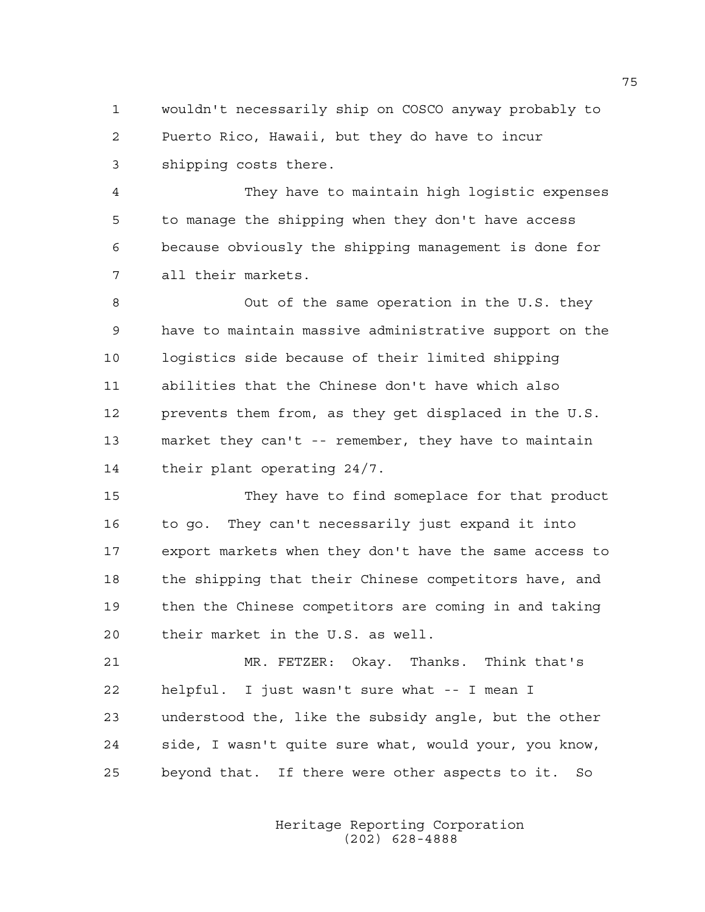1 wouldn't necessarily ship on COSCO anyway probably to 2 Puerto Rico, Hawaii, but they do have to incur 3 shipping costs there.

4 They have to maintain high logistic expenses 5 to manage the shipping when they don't have access 6 because obviously the shipping management is done for 7 all their markets.

8 Out of the same operation in the U.S. they 9 have to maintain massive administrative support on the 10 logistics side because of their limited shipping 11 abilities that the Chinese don't have which also 12 prevents them from, as they get displaced in the U.S. 13 market they can't -- remember, they have to maintain 14 their plant operating 24/7.

15 They have to find someplace for that product 16 to go. They can't necessarily just expand it into 17 export markets when they don't have the same access to 18 the shipping that their Chinese competitors have, and 19 then the Chinese competitors are coming in and taking 20 their market in the U.S. as well.

21 MR. FETZER: Okay. Thanks. Think that's 22 helpful. I just wasn't sure what -- I mean I 23 understood the, like the subsidy angle, but the other 24 side, I wasn't quite sure what, would your, you know, 25 beyond that. If there were other aspects to it. So

> Heritage Reporting Corporation (202) 628-4888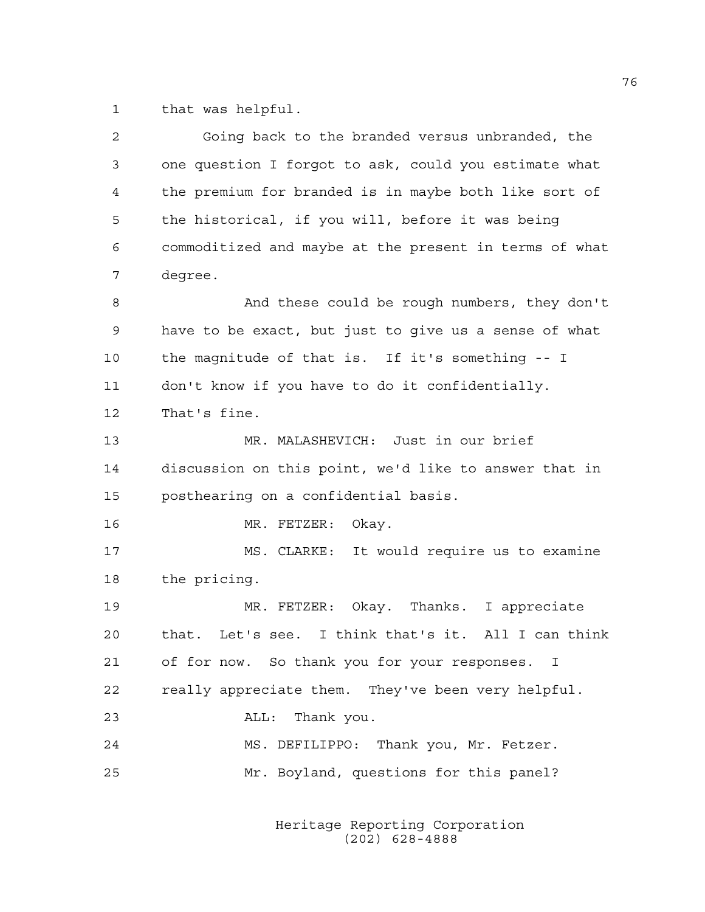1 that was helpful.

| $\overline{c}$ | Going back to the branded versus unbranded, the        |
|----------------|--------------------------------------------------------|
| 3              | one question I forgot to ask, could you estimate what  |
| 4              | the premium for branded is in maybe both like sort of  |
| 5              | the historical, if you will, before it was being       |
| 6              | commoditized and maybe at the present in terms of what |
| 7              | degree.                                                |
| 8              | And these could be rough numbers, they don't           |
| 9              | have to be exact, but just to give us a sense of what  |
| 10             | the magnitude of that is. If it's something -- I       |
| 11             | don't know if you have to do it confidentially.        |
| 12             | That's fine.                                           |
| 13             | MR. MALASHEVICH: Just in our brief                     |
| 14             | discussion on this point, we'd like to answer that in  |
| 15             | posthearing on a confidential basis.                   |
| 16             | MR. FETZER:<br>Okay.                                   |
| 17             | MS. CLARKE: It would require us to examine             |
| 18             | the pricing.                                           |
| 19             | MR. FETZER: Okay. Thanks. I appreciate                 |
| 20             | that. Let's see. I think that's it. All I can think    |
| 21             | of for now. So thank you for your responses. I         |
| 22             | really appreciate them. They've been very helpful.     |
| 23             | Thank you.<br>ALL:                                     |
| 24             | MS. DEFILIPPO: Thank you, Mr. Fetzer.                  |
| 25             | Mr. Boyland, questions for this panel?                 |
|                |                                                        |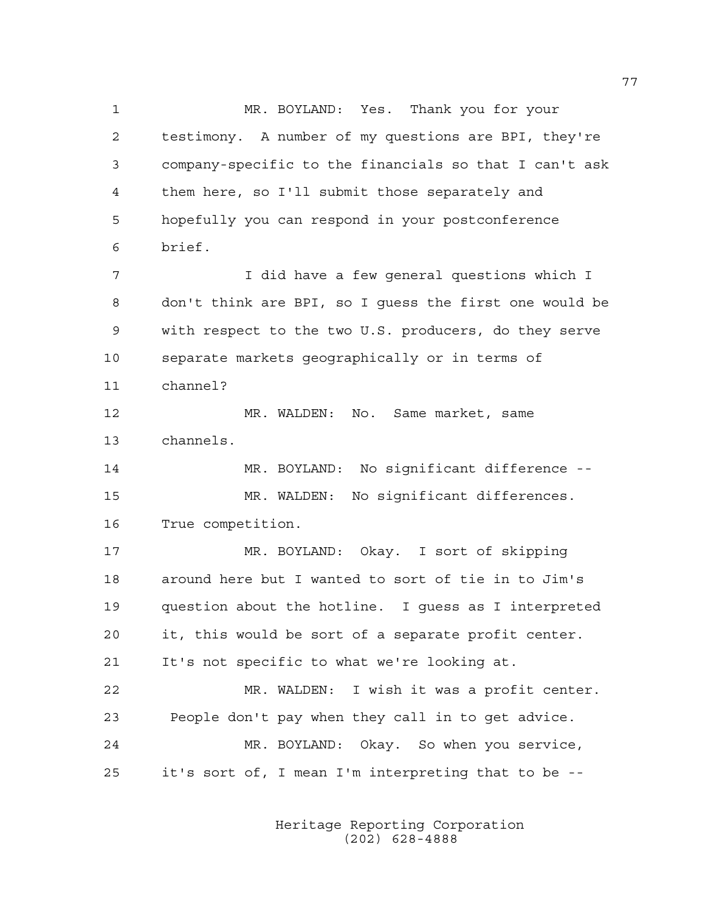1 MR. BOYLAND: Yes. Thank you for your 2 testimony. A number of my questions are BPI, they're 3 company-specific to the financials so that I can't ask 4 them here, so I'll submit those separately and 5 hopefully you can respond in your postconference 6 brief. 7 I did have a few general questions which I 8 don't think are BPI, so I guess the first one would be 9 with respect to the two U.S. producers, do they serve 10 separate markets geographically or in terms of 11 channel? 12 MR. WALDEN: No. Same market, same 13 channels. 14 MR. BOYLAND: No significant difference -- 15 MR. WALDEN: No significant differences. 16 True competition. 17 MR. BOYLAND: Okay. I sort of skipping 18 around here but I wanted to sort of tie in to Jim's 19 question about the hotline. I guess as I interpreted 20 it, this would be sort of a separate profit center. 21 It's not specific to what we're looking at. 22 MR. WALDEN: I wish it was a profit center. 23 People don't pay when they call in to get advice. 24 MR. BOYLAND: Okay. So when you service, 25 it's sort of, I mean I'm interpreting that to be --

> Heritage Reporting Corporation (202) 628-4888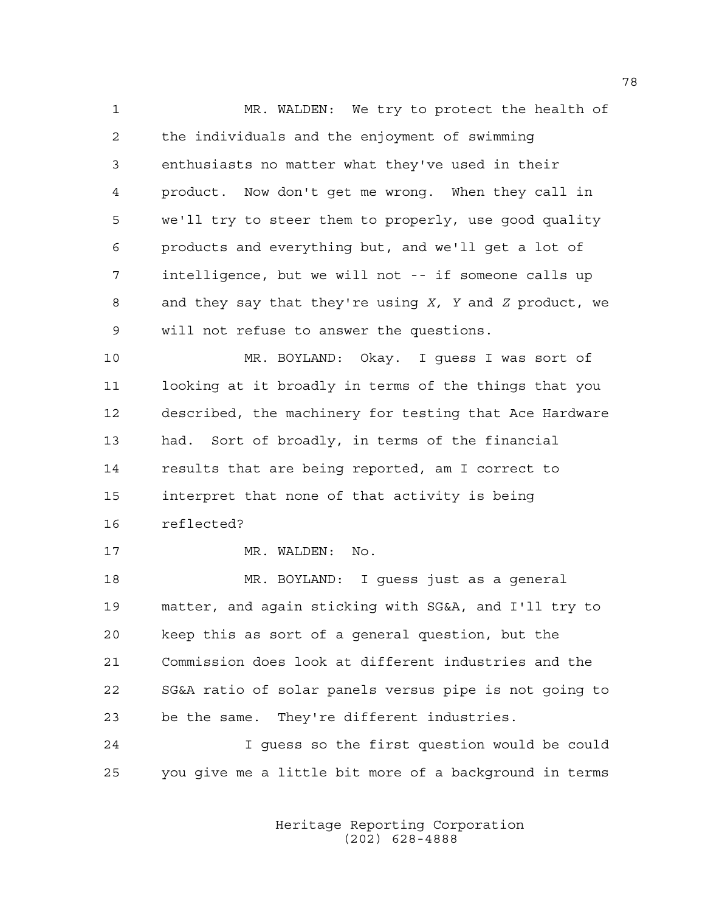1 MR. WALDEN: We try to protect the health of 2 the individuals and the enjoyment of swimming 3 enthusiasts no matter what they've used in their 4 product. Now don't get me wrong. When they call in 5 we'll try to steer them to properly, use good quality 6 products and everything but, and we'll get a lot of 7 intelligence, but we will not -- if someone calls up 8 and they say that they're using *X, Y* and *Z* product, we 9 will not refuse to answer the questions.

10 MR. BOYLAND: Okay. I guess I was sort of 11 looking at it broadly in terms of the things that you 12 described, the machinery for testing that Ace Hardware 13 had. Sort of broadly, in terms of the financial 14 results that are being reported, am I correct to 15 interpret that none of that activity is being 16 reflected?

17 MR. WALDEN: No.

18 MR. BOYLAND: I guess just as a general 19 matter, and again sticking with SG&A, and I'll try to 20 keep this as sort of a general question, but the 21 Commission does look at different industries and the 22 SG&A ratio of solar panels versus pipe is not going to 23 be the same. They're different industries.

24 I guess so the first question would be could 25 you give me a little bit more of a background in terms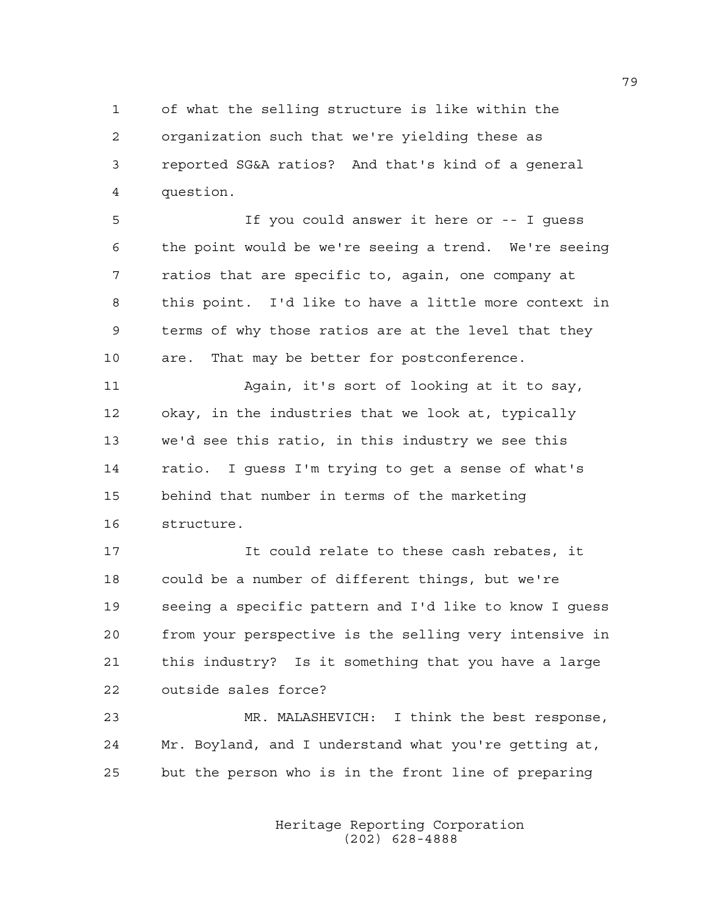1 of what the selling structure is like within the 2 organization such that we're yielding these as 3 reported SG&A ratios? And that's kind of a general 4 question.

5 If you could answer it here or -- I guess 6 the point would be we're seeing a trend. We're seeing 7 ratios that are specific to, again, one company at 8 this point. I'd like to have a little more context in 9 terms of why those ratios are at the level that they 10 are. That may be better for postconference.

11 Again, it's sort of looking at it to say, 12 okay, in the industries that we look at, typically 13 we'd see this ratio, in this industry we see this 14 ratio. I guess I'm trying to get a sense of what's 15 behind that number in terms of the marketing 16 structure.

17 It could relate to these cash rebates, it 18 could be a number of different things, but we're 19 seeing a specific pattern and I'd like to know I guess 20 from your perspective is the selling very intensive in 21 this industry? Is it something that you have a large 22 outside sales force?

23 MR. MALASHEVICH: I think the best response, 24 Mr. Boyland, and I understand what you're getting at, 25 but the person who is in the front line of preparing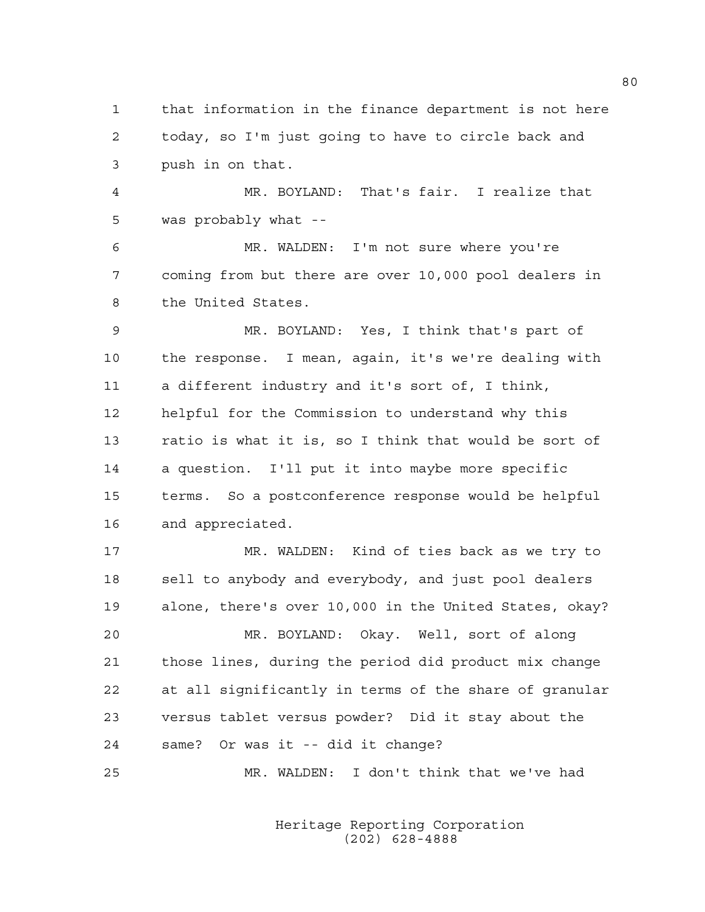1 that information in the finance department is not here 2 today, so I'm just going to have to circle back and 3 push in on that.

4 MR. BOYLAND: That's fair. I realize that 5 was probably what --

6 MR. WALDEN: I'm not sure where you're 7 coming from but there are over 10,000 pool dealers in 8 the United States.

9 MR. BOYLAND: Yes, I think that's part of 10 the response. I mean, again, it's we're dealing with 11 a different industry and it's sort of, I think, 12 helpful for the Commission to understand why this 13 ratio is what it is, so I think that would be sort of 14 a question. I'll put it into maybe more specific 15 terms. So a postconference response would be helpful 16 and appreciated.

17 MR. WALDEN: Kind of ties back as we try to 18 sell to anybody and everybody, and just pool dealers 19 alone, there's over 10,000 in the United States, okay?

20 MR. BOYLAND: Okay. Well, sort of along 21 those lines, during the period did product mix change 22 at all significantly in terms of the share of granular 23 versus tablet versus powder? Did it stay about the 24 same? Or was it -- did it change?

25 MR. WALDEN: I don't think that we've had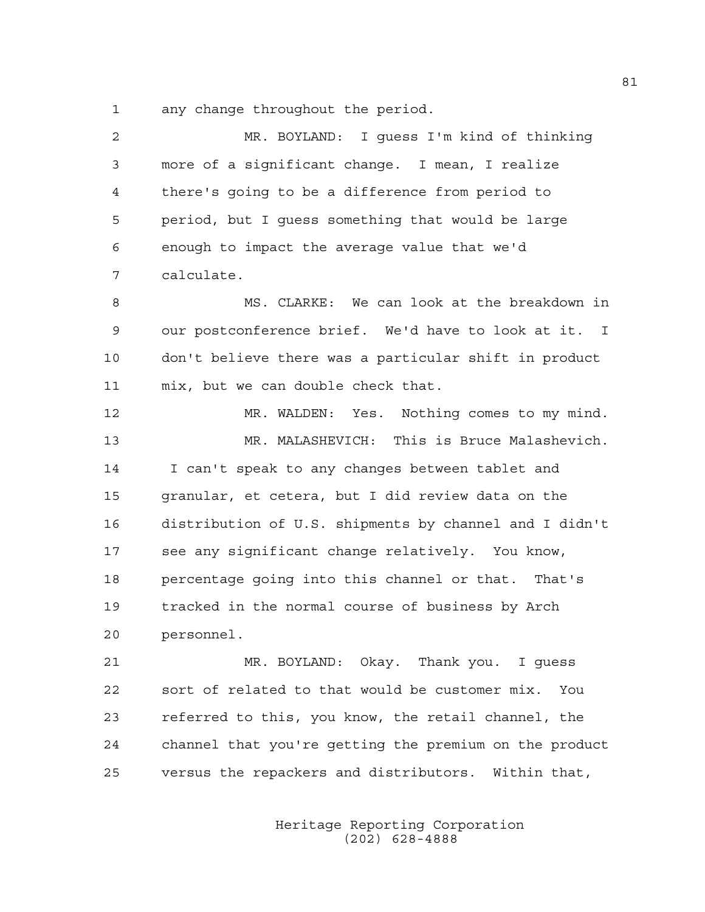1 any change throughout the period.

| 2  | MR. BOYLAND: I guess I'm kind of thinking              |
|----|--------------------------------------------------------|
| 3  | more of a significant change. I mean, I realize        |
| 4  | there's going to be a difference from period to        |
| 5  | period, but I guess something that would be large      |
| 6  | enough to impact the average value that we'd           |
| 7  | calculate.                                             |
| 8  | MS. CLARKE: We can look at the breakdown in            |
| 9  | our postconference brief. We'd have to look at it. I   |
| 10 | don't believe there was a particular shift in product  |
| 11 | mix, but we can double check that.                     |
| 12 | MR. WALDEN: Yes. Nothing comes to my mind.             |
| 13 | MR. MALASHEVICH: This is Bruce Malashevich.            |
| 14 | I can't speak to any changes between tablet and        |
| 15 | granular, et cetera, but I did review data on the      |
| 16 | distribution of U.S. shipments by channel and I didn't |
| 17 | see any significant change relatively. You know,       |
| 18 | percentage going into this channel or that. That's     |
| 19 | tracked in the normal course of business by Arch       |
| 20 | personnel.                                             |
| 21 | MR. BOYLAND: Okay. Thank you. I guess                  |
| 22 | sort of related to that would be customer mix.<br>You  |
| 23 | referred to this, you know, the retail channel, the    |
| 24 | channel that you're getting the premium on the product |
| 25 | versus the repackers and distributors. Within that,    |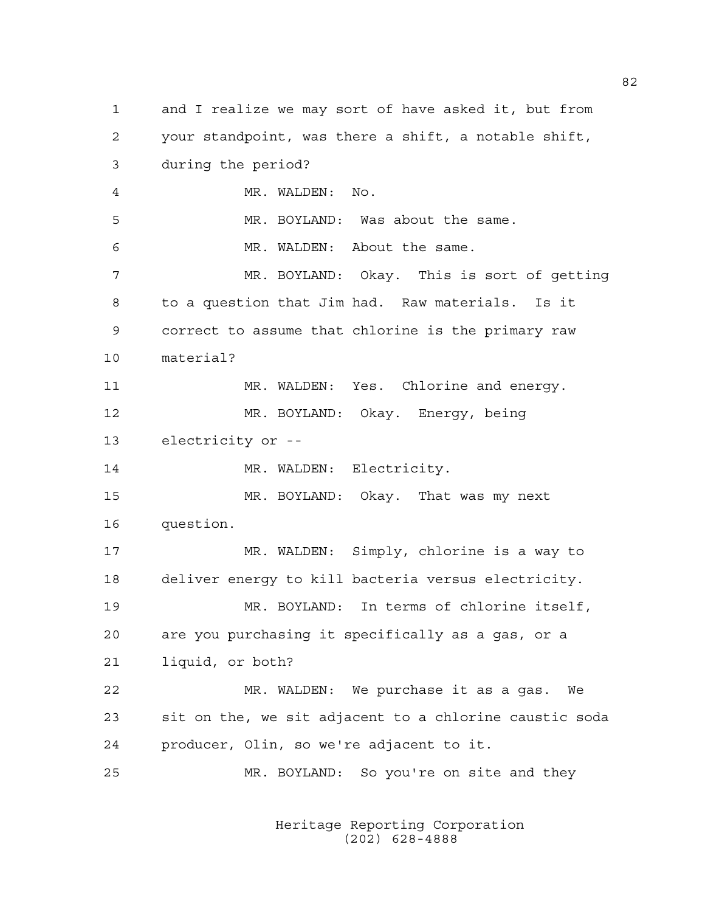1 and I realize we may sort of have asked it, but from 2 your standpoint, was there a shift, a notable shift, 3 during the period? 4 MR. WALDEN: No. 5 MR. BOYLAND: Was about the same. 6 MR. WALDEN: About the same. 7 MR. BOYLAND: Okay. This is sort of getting 8 to a question that Jim had. Raw materials. Is it 9 correct to assume that chlorine is the primary raw 10 material? 11 MR. WALDEN: Yes. Chlorine and energy. 12 MR. BOYLAND: Okay. Energy, being 13 electricity or -- 14 MR. WALDEN: Electricity. 15 MR. BOYLAND: Okay. That was my next 16 question. 17 MR. WALDEN: Simply, chlorine is a way to 18 deliver energy to kill bacteria versus electricity. 19 MR. BOYLAND: In terms of chlorine itself, 20 are you purchasing it specifically as a gas, or a 21 liquid, or both? 22 MR. WALDEN: We purchase it as a gas. We 23 sit on the, we sit adjacent to a chlorine caustic soda 24 producer, Olin, so we're adjacent to it. 25 MR. BOYLAND: So you're on site and they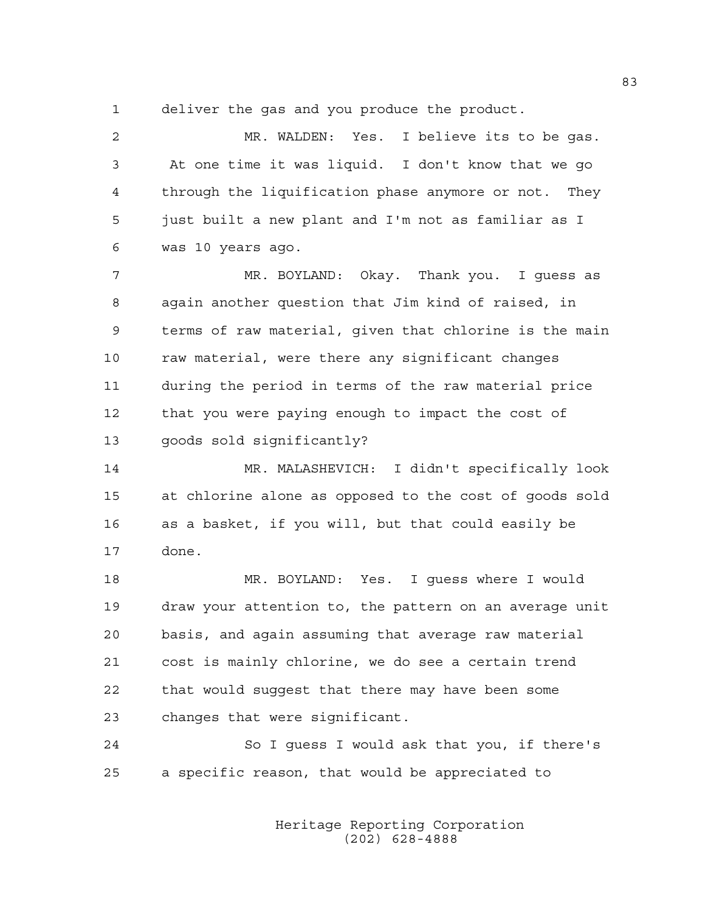1 deliver the gas and you produce the product.

2 MR. WALDEN: Yes. I believe its to be gas. 3 At one time it was liquid. I don't know that we go 4 through the liquification phase anymore or not. They 5 just built a new plant and I'm not as familiar as I 6 was 10 years ago.

7 MR. BOYLAND: Okay. Thank you. I guess as 8 again another question that Jim kind of raised, in 9 terms of raw material, given that chlorine is the main 10 raw material, were there any significant changes 11 during the period in terms of the raw material price 12 that you were paying enough to impact the cost of 13 goods sold significantly?

14 MR. MALASHEVICH: I didn't specifically look 15 at chlorine alone as opposed to the cost of goods sold 16 as a basket, if you will, but that could easily be 17 done.

18 MR. BOYLAND: Yes. I guess where I would 19 draw your attention to, the pattern on an average unit 20 basis, and again assuming that average raw material 21 cost is mainly chlorine, we do see a certain trend 22 that would suggest that there may have been some 23 changes that were significant.

24 So I guess I would ask that you, if there's 25 a specific reason, that would be appreciated to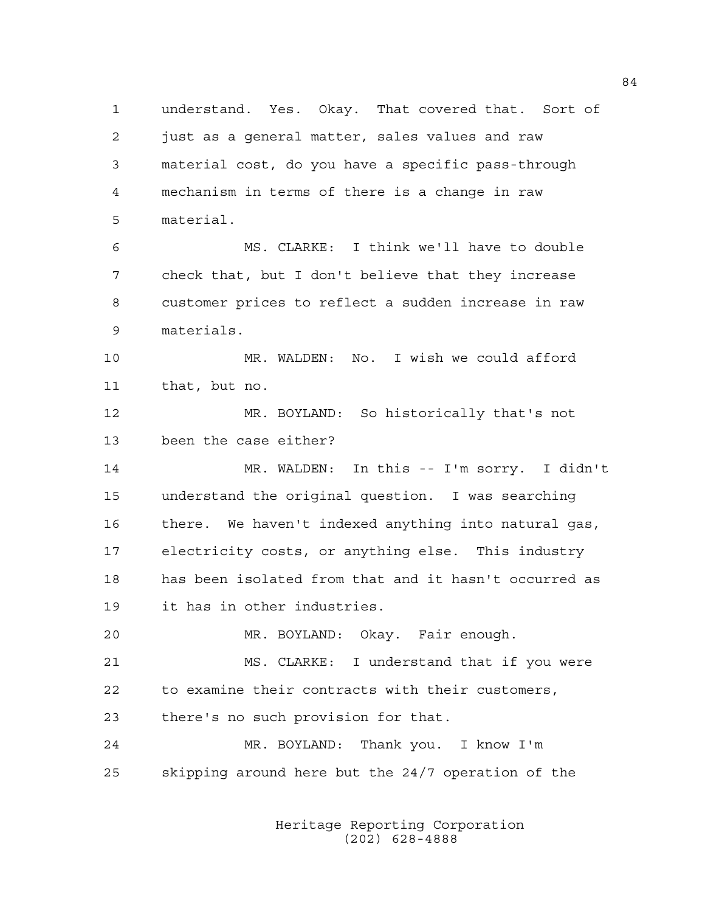1 understand. Yes. Okay. That covered that. Sort of 2 just as a general matter, sales values and raw 3 material cost, do you have a specific pass-through 4 mechanism in terms of there is a change in raw 5 material. 6 MS. CLARKE: I think we'll have to double 7 check that, but I don't believe that they increase 8 customer prices to reflect a sudden increase in raw 9 materials. 10 MR. WALDEN: No. I wish we could afford 11 that, but no.

12 MR. BOYLAND: So historically that's not 13 been the case either?

14 MR. WALDEN: In this -- I'm sorry. I didn't 15 understand the original question. I was searching 16 there. We haven't indexed anything into natural gas, 17 electricity costs, or anything else. This industry 18 has been isolated from that and it hasn't occurred as 19 it has in other industries.

20 MR. BOYLAND: Okay. Fair enough. 21 MS. CLARKE: I understand that if you were 22 to examine their contracts with their customers, 23 there's no such provision for that.

24 MR. BOYLAND: Thank you. I know I'm 25 skipping around here but the 24/7 operation of the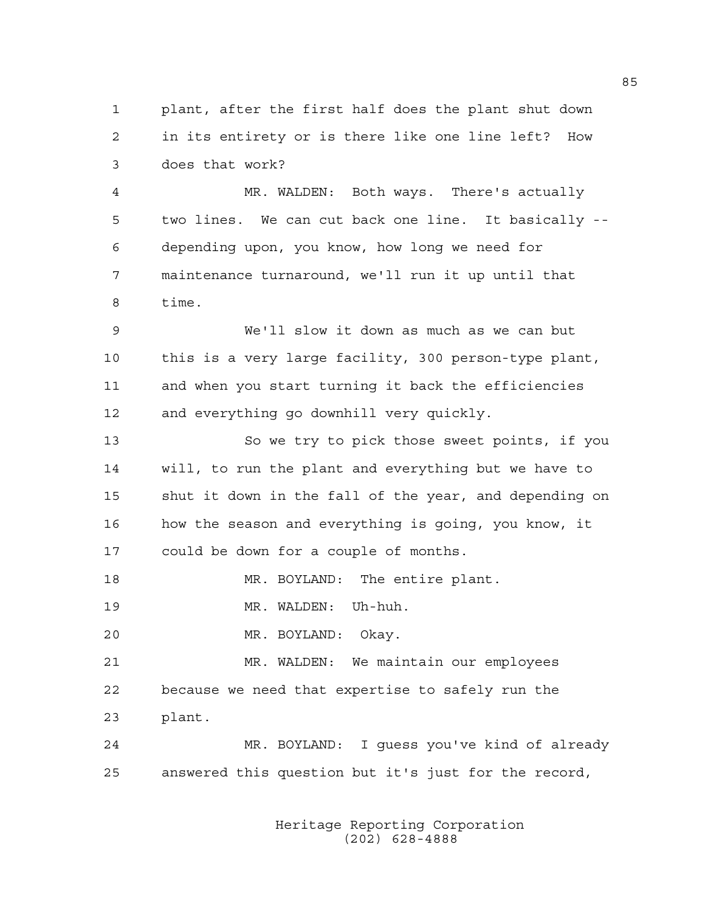1 plant, after the first half does the plant shut down 2 in its entirety or is there like one line left? How 3 does that work?

4 MR. WALDEN: Both ways. There's actually 5 two lines. We can cut back one line. It basically -- 6 depending upon, you know, how long we need for 7 maintenance turnaround, we'll run it up until that 8 time.

9 We'll slow it down as much as we can but 10 this is a very large facility, 300 person-type plant, 11 and when you start turning it back the efficiencies 12 and everything go downhill very quickly.

13 So we try to pick those sweet points, if you 14 will, to run the plant and everything but we have to 15 shut it down in the fall of the year, and depending on 16 how the season and everything is going, you know, it 17 could be down for a couple of months.

18 MR. BOYLAND: The entire plant.

19 MR. WALDEN: Uh-huh.

20 MR. BOYLAND: Okay.

21 MR. WALDEN: We maintain our employees 22 because we need that expertise to safely run the 23 plant.

24 MR. BOYLAND: I guess you've kind of already 25 answered this question but it's just for the record,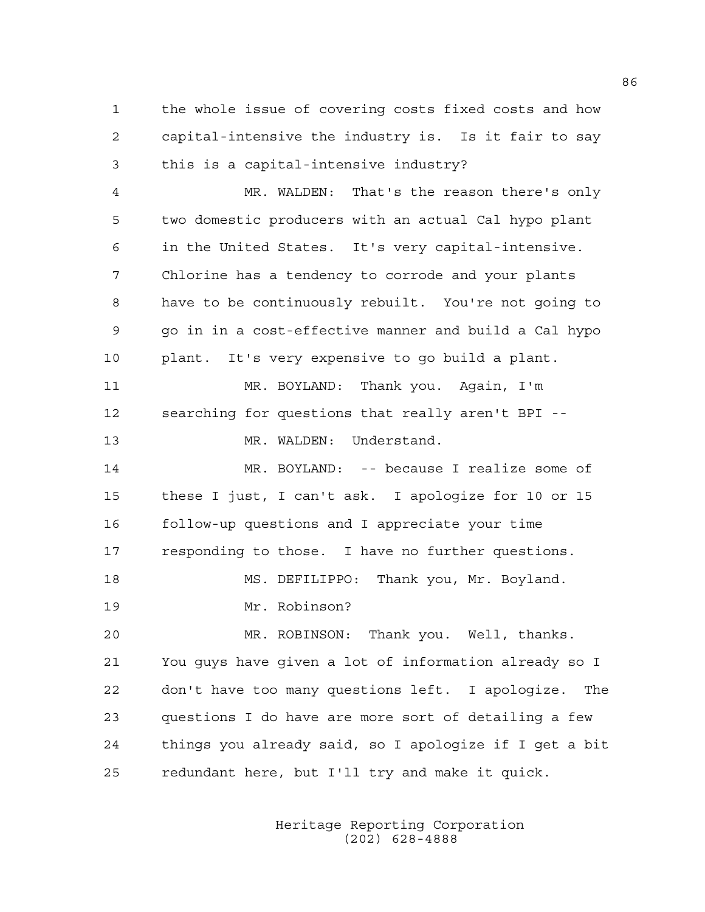1 the whole issue of covering costs fixed costs and how 2 capital-intensive the industry is. Is it fair to say 3 this is a capital-intensive industry?

4 MR. WALDEN: That's the reason there's only 5 two domestic producers with an actual Cal hypo plant 6 in the United States. It's very capital-intensive. 7 Chlorine has a tendency to corrode and your plants 8 have to be continuously rebuilt. You're not going to 9 go in in a cost-effective manner and build a Cal hypo 10 plant. It's very expensive to go build a plant. 11 MR. BOYLAND: Thank you. Again, I'm 12 searching for questions that really aren't BPI -- 13 MR. WALDEN: Understand. 14 MR. BOYLAND: -- because I realize some of 15 these I just, I can't ask. I apologize for 10 or 15 16 follow-up questions and I appreciate your time 17 responding to those. I have no further questions. 18 MS. DEFILIPPO: Thank you, Mr. Boyland. 19 Mr. Robinson? 20 MR. ROBINSON: Thank you. Well, thanks. 21 You guys have given a lot of information already so I 22 don't have too many questions left. I apologize. The 23 questions I do have are more sort of detailing a few 24 things you already said, so I apologize if I get a bit 25 redundant here, but I'll try and make it quick.

> Heritage Reporting Corporation (202) 628-4888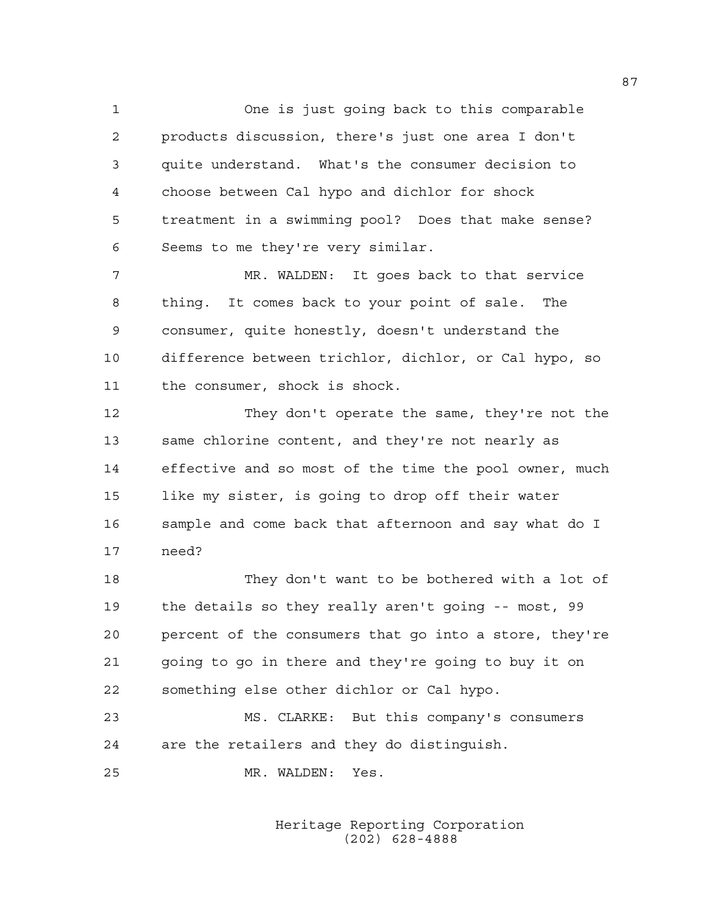1 One is just going back to this comparable 2 products discussion, there's just one area I don't 3 quite understand. What's the consumer decision to 4 choose between Cal hypo and dichlor for shock 5 treatment in a swimming pool? Does that make sense? 6 Seems to me they're very similar.

7 MR. WALDEN: It goes back to that service 8 thing. It comes back to your point of sale. The 9 consumer, quite honestly, doesn't understand the 10 difference between trichlor, dichlor, or Cal hypo, so 11 the consumer, shock is shock.

12 They don't operate the same, they're not the 13 same chlorine content, and they're not nearly as 14 effective and so most of the time the pool owner, much 15 like my sister, is going to drop off their water 16 sample and come back that afternoon and say what do I 17 need?

18 They don't want to be bothered with a lot of 19 the details so they really aren't going -- most, 99 20 percent of the consumers that go into a store, they're 21 going to go in there and they're going to buy it on 22 something else other dichlor or Cal hypo.

23 MS. CLARKE: But this company's consumers 24 are the retailers and they do distinguish.

25 MR. WALDEN: Yes.

 Heritage Reporting Corporation (202) 628-4888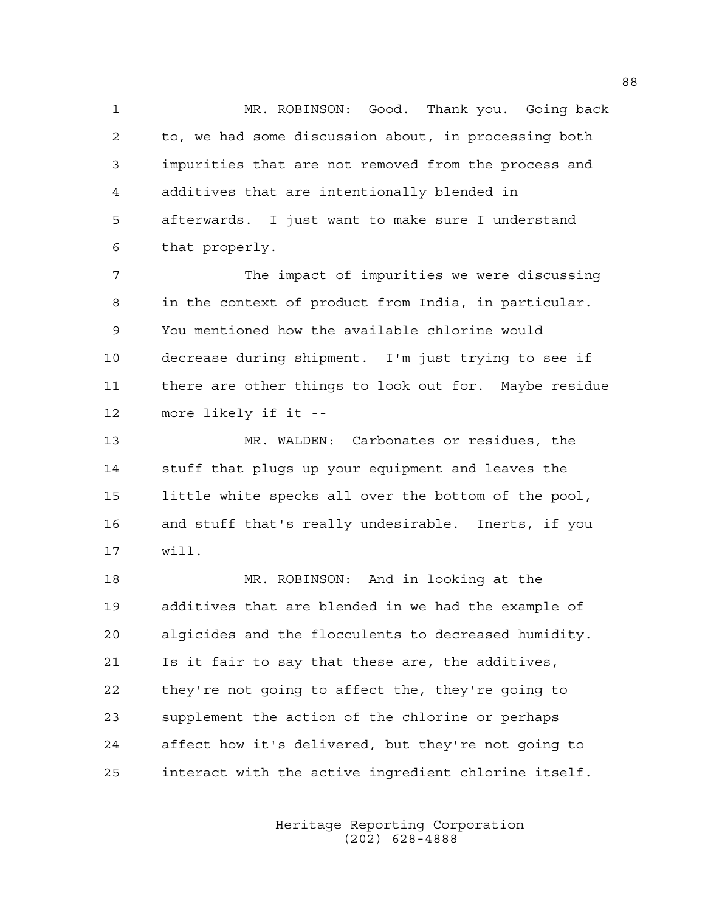1 MR. ROBINSON: Good. Thank you. Going back 2 to, we had some discussion about, in processing both 3 impurities that are not removed from the process and 4 additives that are intentionally blended in 5 afterwards. I just want to make sure I understand 6 that properly.

7 The impact of impurities we were discussing 8 in the context of product from India, in particular. 9 You mentioned how the available chlorine would 10 decrease during shipment. I'm just trying to see if 11 there are other things to look out for. Maybe residue 12 more likely if it --

13 MR. WALDEN: Carbonates or residues, the 14 stuff that plugs up your equipment and leaves the 15 little white specks all over the bottom of the pool, 16 and stuff that's really undesirable. Inerts, if you 17 will.

18 MR. ROBINSON: And in looking at the 19 additives that are blended in we had the example of 20 algicides and the flocculents to decreased humidity. 21 Is it fair to say that these are, the additives, 22 they're not going to affect the, they're going to 23 supplement the action of the chlorine or perhaps 24 affect how it's delivered, but they're not going to 25 interact with the active ingredient chlorine itself.

> Heritage Reporting Corporation (202) 628-4888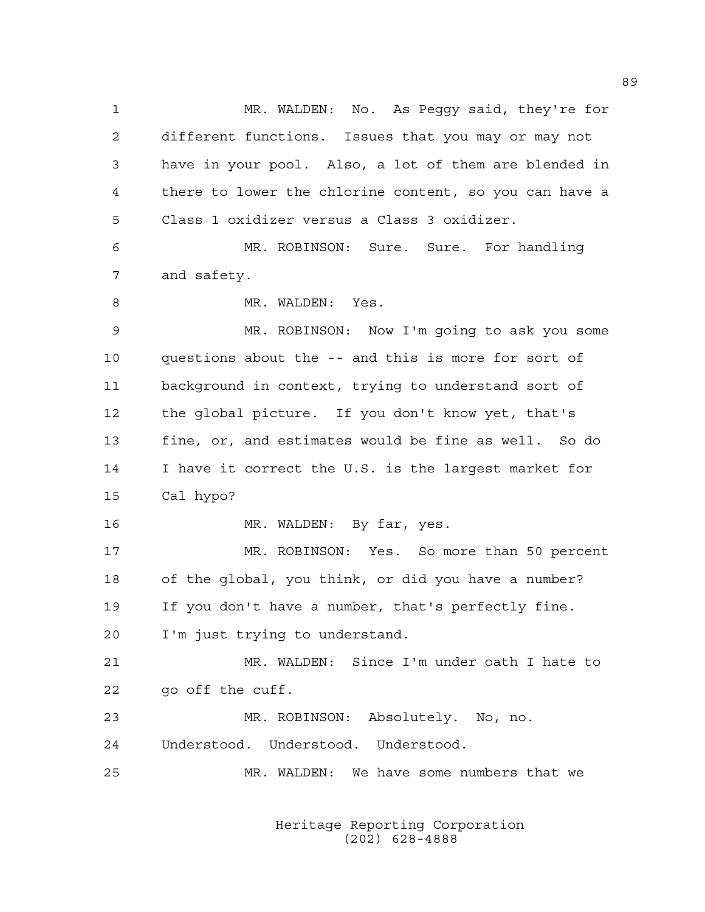1 MR. WALDEN: No. As Peggy said, they're for 2 different functions. Issues that you may or may not 3 have in your pool. Also, a lot of them are blended in 4 there to lower the chlorine content, so you can have a 5 Class 1 oxidizer versus a Class 3 oxidizer. 6 MR. ROBINSON: Sure. Sure. For handling 7 and safety. 8 MR. WALDEN: Yes. 9 MR. ROBINSON: Now I'm going to ask you some 10 questions about the -- and this is more for sort of 11 background in context, trying to understand sort of 12 the global picture. If you don't know yet, that's 13 fine, or, and estimates would be fine as well. So do 14 I have it correct the U.S. is the largest market for 15 Cal hypo? 16 MR. WALDEN: By far, yes. 17 MR. ROBINSON: Yes. So more than 50 percent 18 of the global, you think, or did you have a number? 19 If you don't have a number, that's perfectly fine. 20 I'm just trying to understand. 21 MR. WALDEN: Since I'm under oath I hate to 22 go off the cuff. 23 MR. ROBINSON: Absolutely. No, no. 24 Understood. Understood. Understood. 25 MR. WALDEN: We have some numbers that we

> Heritage Reporting Corporation (202) 628-4888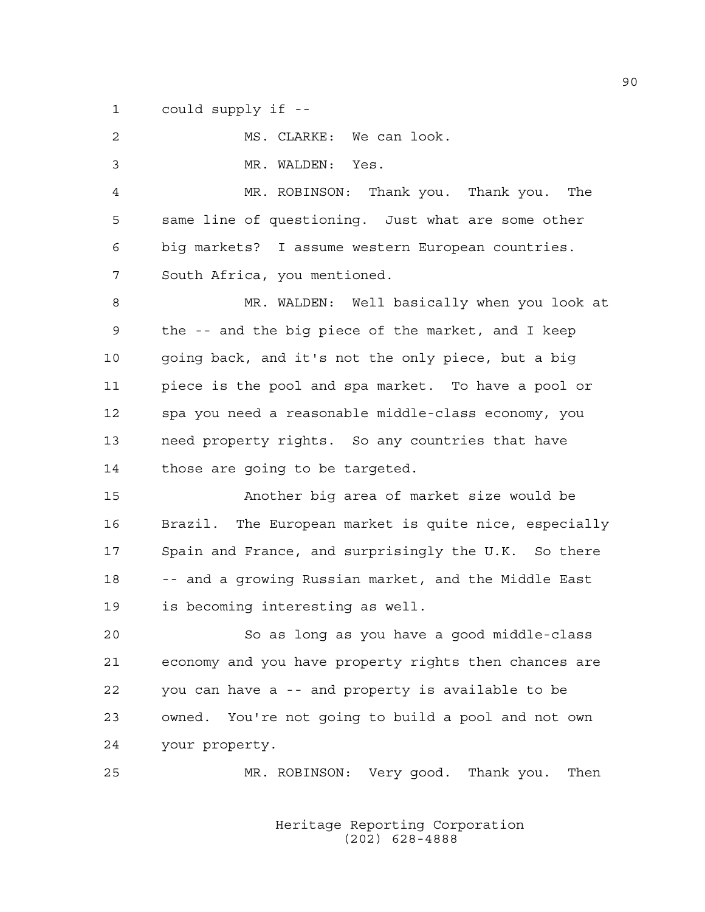1 could supply if --

2 MS. CLARKE: We can look. 3 MR. WALDEN: Yes. 4 MR. ROBINSON: Thank you. Thank you. The 5 same line of questioning. Just what are some other 6 big markets? I assume western European countries. 7 South Africa, you mentioned. 8 MR. WALDEN: Well basically when you look at 9 the -- and the big piece of the market, and I keep 10 going back, and it's not the only piece, but a big 11 piece is the pool and spa market. To have a pool or 12 spa you need a reasonable middle-class economy, you 13 need property rights. So any countries that have 14 those are going to be targeted. 15 Another big area of market size would be

16 Brazil. The European market is quite nice, especially 17 Spain and France, and surprisingly the U.K. So there 18 -- and a growing Russian market, and the Middle East 19 is becoming interesting as well.

20 So as long as you have a good middle-class 21 economy and you have property rights then chances are 22 you can have a -- and property is available to be 23 owned. You're not going to build a pool and not own 24 your property.

25 MR. ROBINSON: Very good. Thank you. Then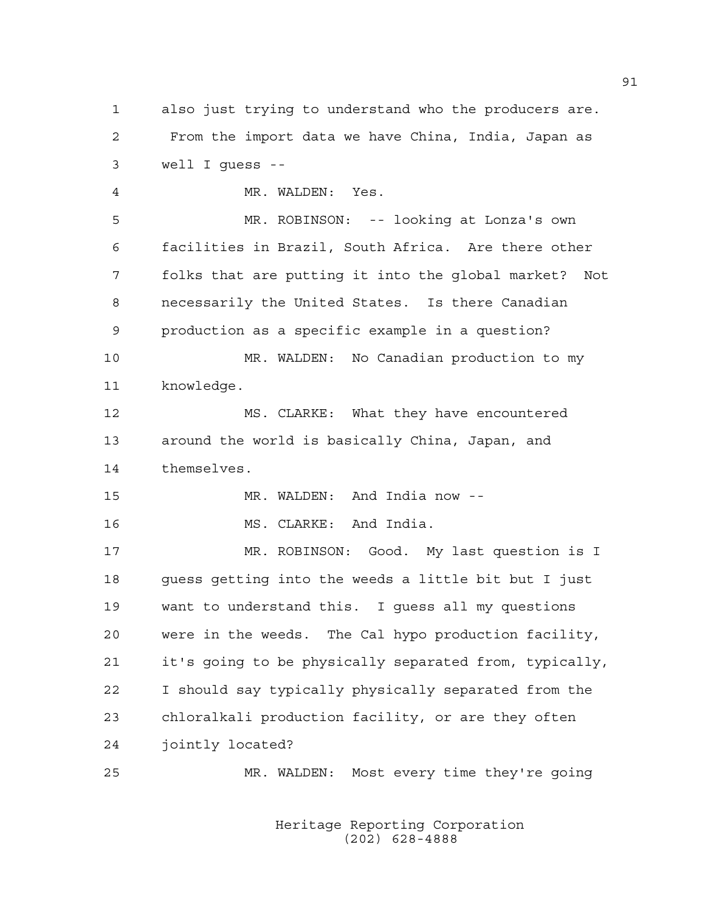1 also just trying to understand who the producers are. 2 From the import data we have China, India, Japan as 3 well I guess --

4 MR. WALDEN: Yes.

5 MR. ROBINSON: -- looking at Lonza's own 6 facilities in Brazil, South Africa. Are there other 7 folks that are putting it into the global market? Not 8 necessarily the United States. Is there Canadian 9 production as a specific example in a question?

10 MR. WALDEN: No Canadian production to my 11 knowledge.

12 MS. CLARKE: What they have encountered 13 around the world is basically China, Japan, and 14 themselves.

15 MR. WALDEN: And India now --

16 MS. CLARKE: And India.

17 MR. ROBINSON: Good. My last question is I 18 guess getting into the weeds a little bit but I just 19 want to understand this. I guess all my questions 20 were in the weeds. The Cal hypo production facility, 21 it's going to be physically separated from, typically, 22 I should say typically physically separated from the 23 chloralkali production facility, or are they often 24 jointly located?

25 MR. WALDEN: Most every time they're going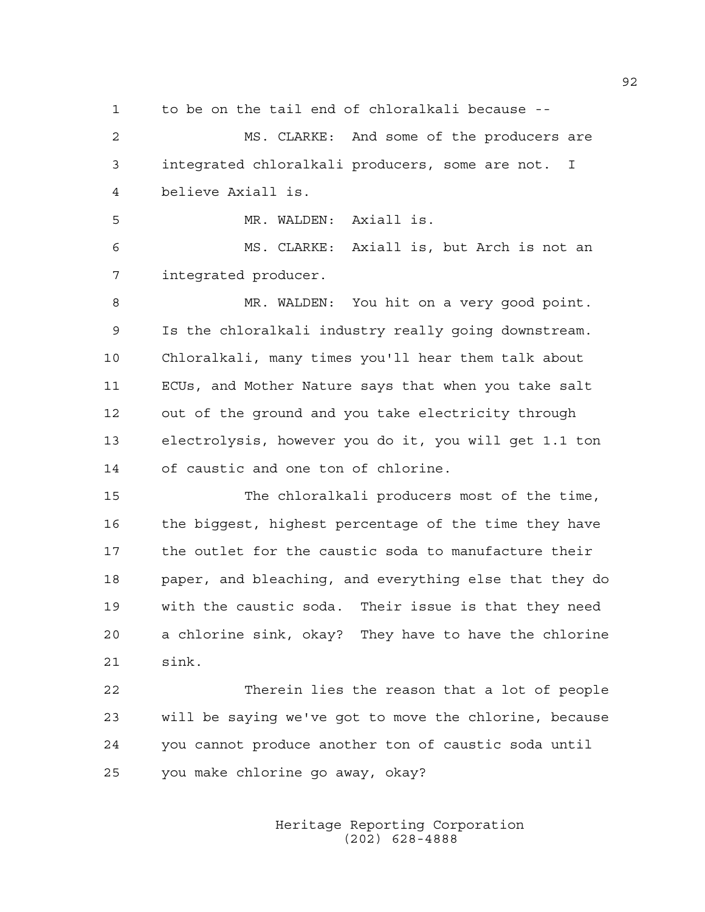1 to be on the tail end of chloralkali because --

2 MS. CLARKE: And some of the producers are 3 integrated chloralkali producers, some are not. I 4 believe Axiall is.

5 MR. WALDEN: Axiall is.

6 MS. CLARKE: Axiall is, but Arch is not an 7 integrated producer.

8 MR. WALDEN: You hit on a very good point. 9 Is the chloralkali industry really going downstream. 10 Chloralkali, many times you'll hear them talk about 11 ECUs, and Mother Nature says that when you take salt 12 out of the ground and you take electricity through 13 electrolysis, however you do it, you will get 1.1 ton 14 of caustic and one ton of chlorine.

15 The chloralkali producers most of the time, 16 the biggest, highest percentage of the time they have 17 the outlet for the caustic soda to manufacture their 18 paper, and bleaching, and everything else that they do 19 with the caustic soda. Their issue is that they need 20 a chlorine sink, okay? They have to have the chlorine 21 sink.

22 Therein lies the reason that a lot of people 23 will be saying we've got to move the chlorine, because 24 you cannot produce another ton of caustic soda until 25 you make chlorine go away, okay?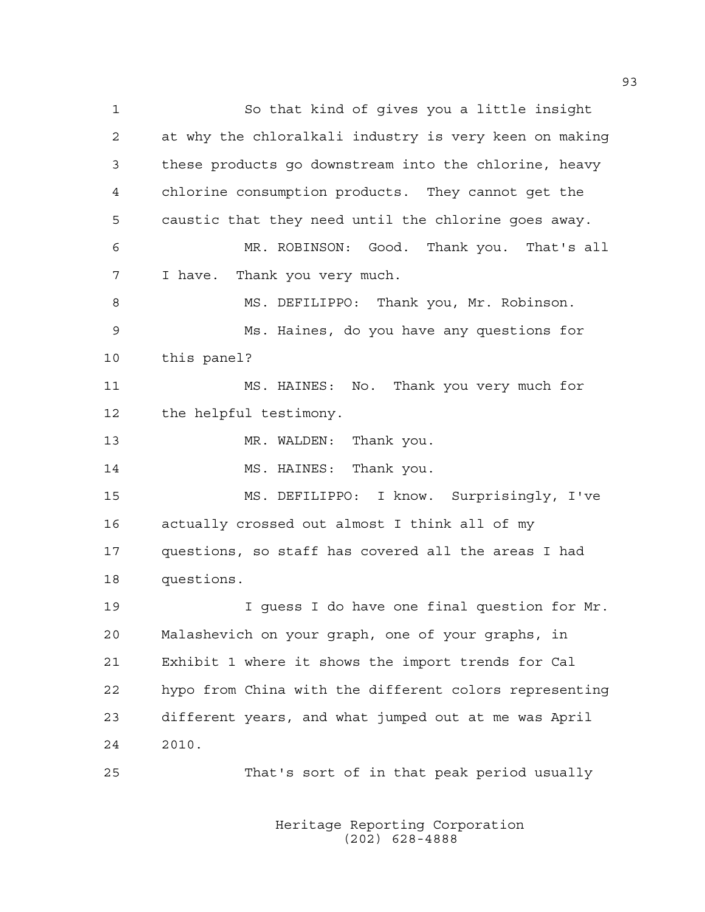1 So that kind of gives you a little insight 2 at why the chloralkali industry is very keen on making 3 these products go downstream into the chlorine, heavy 4 chlorine consumption products. They cannot get the 5 caustic that they need until the chlorine goes away. 6 MR. ROBINSON: Good. Thank you. That's all 7 I have. Thank you very much. 8 MS. DEFILIPPO: Thank you, Mr. Robinson. 9 Ms. Haines, do you have any questions for 10 this panel? 11 MS. HAINES: No. Thank you very much for 12 the helpful testimony. 13 MR. WALDEN: Thank you. 14 MS. HAINES: Thank you. 15 MS. DEFILIPPO: I know. Surprisingly, I've 16 actually crossed out almost I think all of my 17 questions, so staff has covered all the areas I had 18 questions. 19 I guess I do have one final question for Mr. 20 Malashevich on your graph, one of your graphs, in 21 Exhibit 1 where it shows the import trends for Cal 22 hypo from China with the different colors representing 23 different years, and what jumped out at me was April 24 2010. 25 That's sort of in that peak period usually

> Heritage Reporting Corporation (202) 628-4888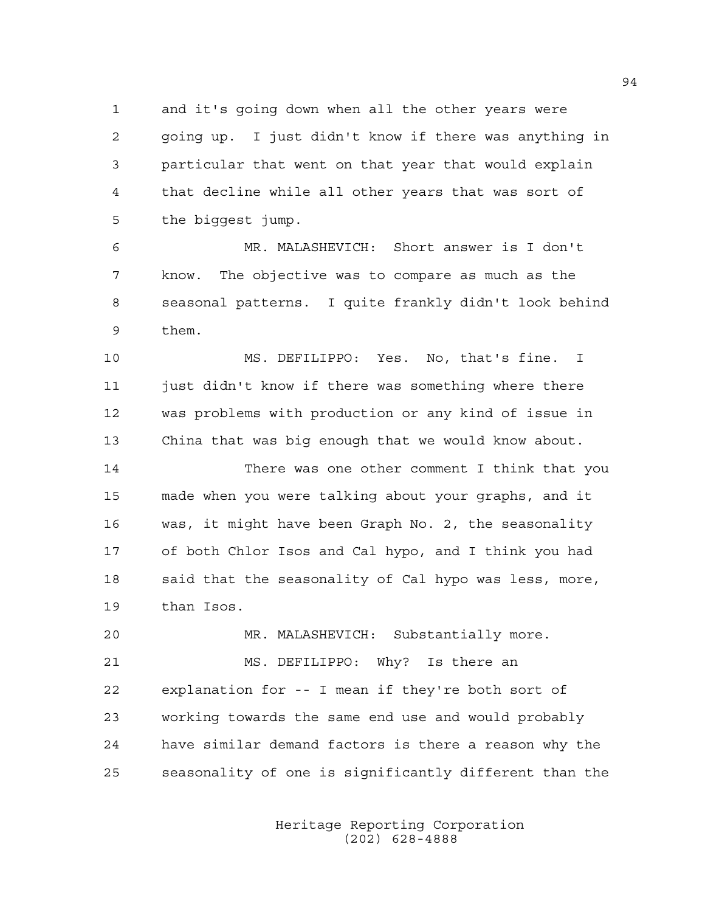1 and it's going down when all the other years were 2 going up. I just didn't know if there was anything in 3 particular that went on that year that would explain 4 that decline while all other years that was sort of 5 the biggest jump.

6 MR. MALASHEVICH: Short answer is I don't 7 know. The objective was to compare as much as the 8 seasonal patterns. I quite frankly didn't look behind 9 them.

10 MS. DEFILIPPO: Yes. No, that's fine. I 11 just didn't know if there was something where there 12 was problems with production or any kind of issue in 13 China that was big enough that we would know about.

14 There was one other comment I think that you 15 made when you were talking about your graphs, and it 16 was, it might have been Graph No. 2, the seasonality 17 of both Chlor Isos and Cal hypo, and I think you had 18 said that the seasonality of Cal hypo was less, more, 19 than Isos.

20 MR. MALASHEVICH: Substantially more. 21 MS. DEFILIPPO: Why? Is there an 22 explanation for -- I mean if they're both sort of 23 working towards the same end use and would probably 24 have similar demand factors is there a reason why the 25 seasonality of one is significantly different than the

> Heritage Reporting Corporation (202) 628-4888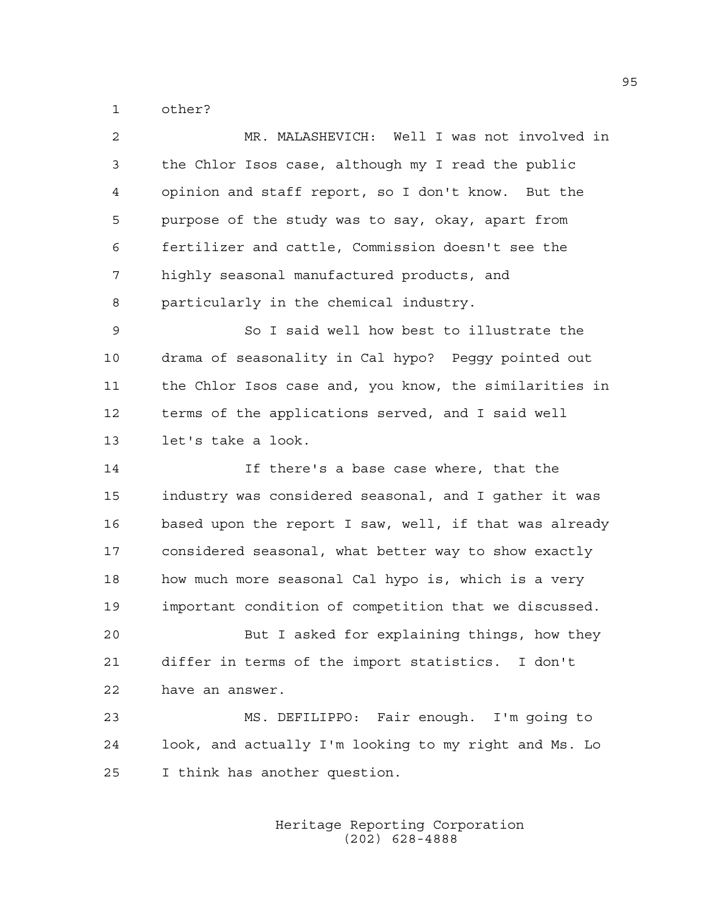1 other?

| MR. MALASHEVICH: Well I was not involved in            |
|--------------------------------------------------------|
| the Chlor Isos case, although my I read the public     |
| opinion and staff report, so I don't know. But the     |
| purpose of the study was to say, okay, apart from      |
| fertilizer and cattle, Commission doesn't see the      |
| highly seasonal manufactured products, and             |
| particularly in the chemical industry.                 |
| So I said well how best to illustrate the              |
| drama of seasonality in Cal hypo? Peggy pointed out    |
| the Chlor Isos case and, you know, the similarities in |
| terms of the applications served, and I said well      |
| let's take a look.                                     |
| If there's a base case where, that the                 |
| industry was considered seasonal, and I gather it was  |
| based upon the report I saw, well, if that was already |
| considered seasonal, what better way to show exactly   |
| how much more seasonal Cal hypo is, which is a very    |
| important condition of competition that we discussed.  |
| But I asked for explaining things, how they            |
| differ in terms of the import statistics. I don't      |
| have an answer.                                        |
| MS. DEFILIPPO: Fair enough. I'm going to               |
| look, and actually I'm looking to my right and Ms. Lo  |
| I think has another question.                          |
|                                                        |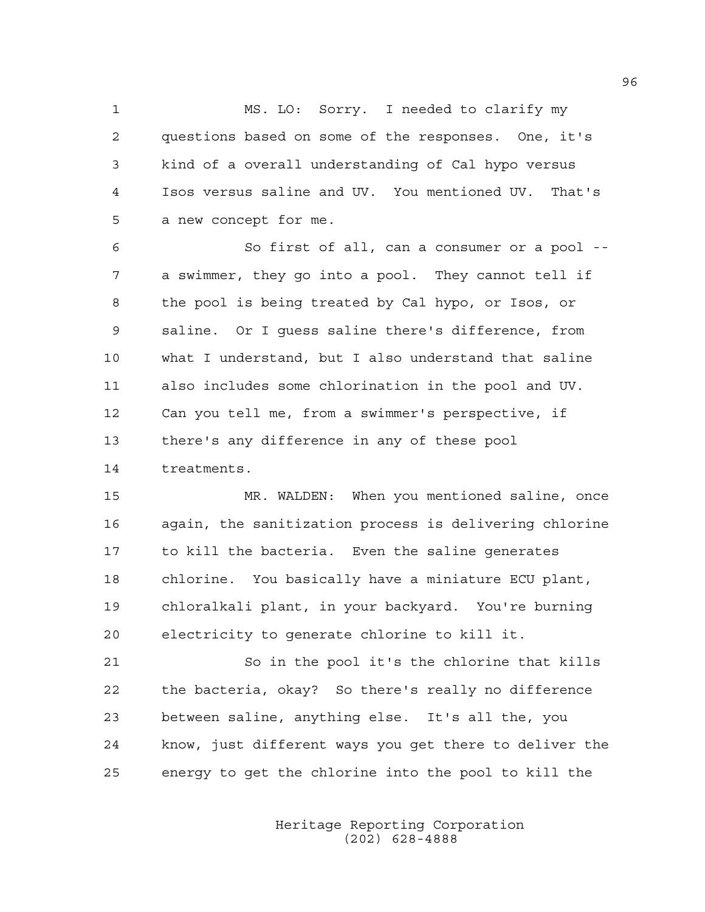1 MS. LO: Sorry. I needed to clarify my 2 questions based on some of the responses. One, it's 3 kind of a overall understanding of Cal hypo versus 4 Isos versus saline and UV. You mentioned UV. That's 5 a new concept for me.

6 So first of all, can a consumer or a pool -- 7 a swimmer, they go into a pool. They cannot tell if 8 the pool is being treated by Cal hypo, or Isos, or 9 saline. Or I guess saline there's difference, from 10 what I understand, but I also understand that saline 11 also includes some chlorination in the pool and UV. 12 Can you tell me, from a swimmer's perspective, if 13 there's any difference in any of these pool 14 treatments.

15 MR. WALDEN: When you mentioned saline, once 16 again, the sanitization process is delivering chlorine 17 to kill the bacteria. Even the saline generates 18 chlorine. You basically have a miniature ECU plant, 19 chloralkali plant, in your backyard. You're burning 20 electricity to generate chlorine to kill it.

21 So in the pool it's the chlorine that kills 22 the bacteria, okay? So there's really no difference 23 between saline, anything else. It's all the, you 24 know, just different ways you get there to deliver the 25 energy to get the chlorine into the pool to kill the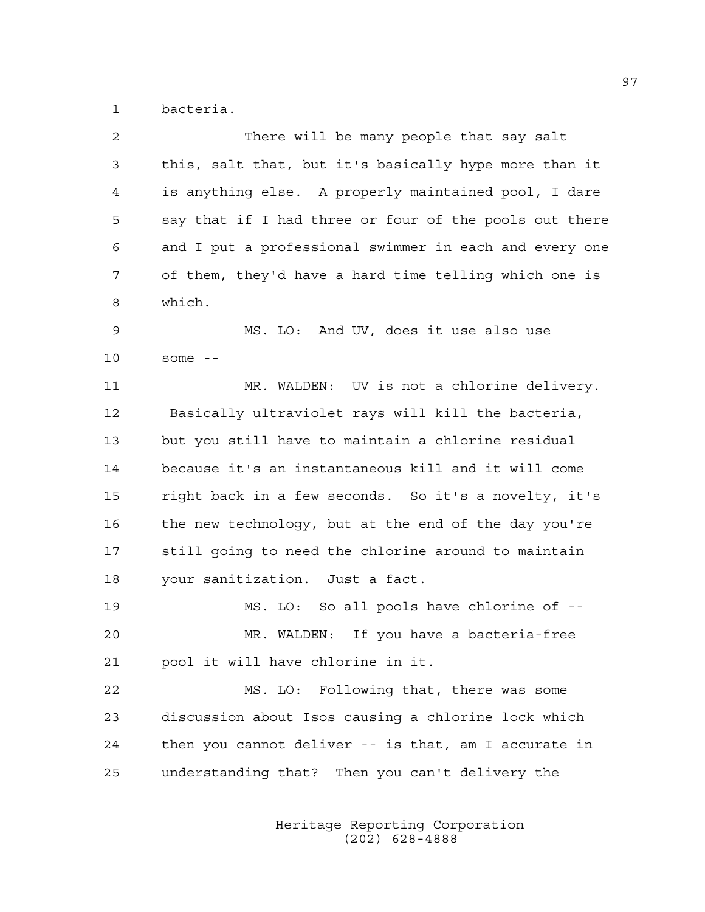1 bacteria.

| $\overline{c}$ | There will be many people that say salt                |
|----------------|--------------------------------------------------------|
| 3              | this, salt that, but it's basically hype more than it  |
| 4              | is anything else. A properly maintained pool, I dare   |
| 5              | say that if I had three or four of the pools out there |
| 6              | and I put a professional swimmer in each and every one |
| 7              | of them, they'd have a hard time telling which one is  |
| 8              | which.                                                 |
| 9              | MS. LO: And UV, does it use also use                   |
| 10             | some $--$                                              |
| 11             | MR. WALDEN: UV is not a chlorine delivery.             |
| 12             | Basically ultraviolet rays will kill the bacteria,     |
| 13             | but you still have to maintain a chlorine residual     |
| 14             | because it's an instantaneous kill and it will come    |
| 15             | right back in a few seconds. So it's a novelty, it's   |
| 16             | the new technology, but at the end of the day you're   |
| 17             | still going to need the chlorine around to maintain    |
| 18             | your sanitization. Just a fact.                        |
| 19             | MS. LO: So all pools have chlorine of --               |
| 20             | MR. WALDEN: If you have a bacteria-free                |
| 21             | pool it will have chlorine in it.                      |
| 22             | MS. LO: Following that, there was some                 |
| 23             | discussion about Isos causing a chlorine lock which    |
| 24             | then you cannot deliver -- is that, am I accurate in   |
| 25             | understanding that? Then you can't delivery the        |
|                |                                                        |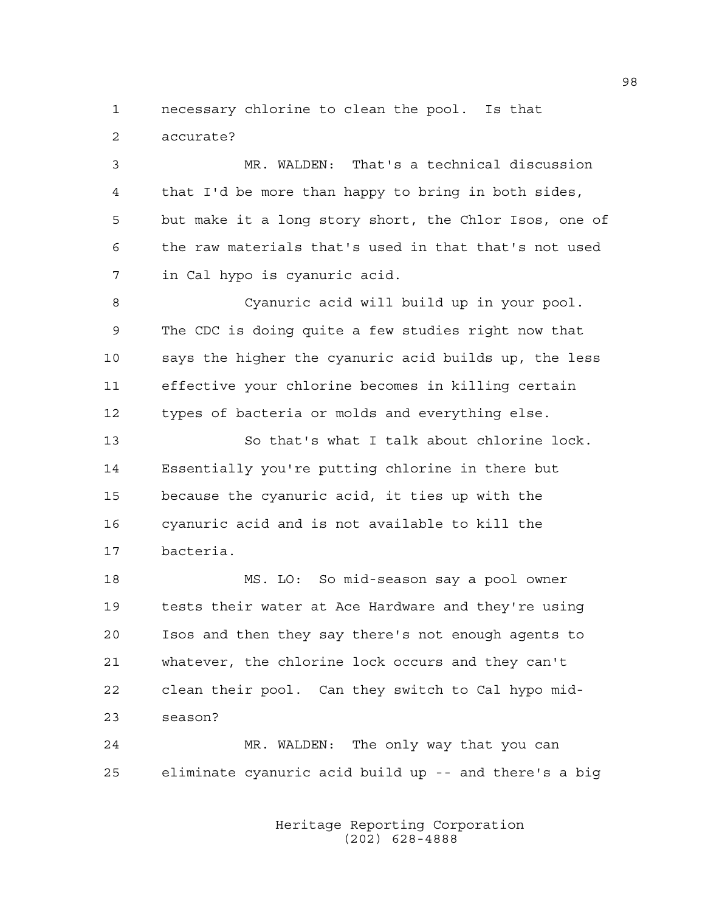1 necessary chlorine to clean the pool. Is that 2 accurate?

3 MR. WALDEN: That's a technical discussion 4 that I'd be more than happy to bring in both sides, 5 but make it a long story short, the Chlor Isos, one of 6 the raw materials that's used in that that's not used 7 in Cal hypo is cyanuric acid.

8 Cyanuric acid will build up in your pool. 9 The CDC is doing quite a few studies right now that 10 says the higher the cyanuric acid builds up, the less 11 effective your chlorine becomes in killing certain 12 types of bacteria or molds and everything else.

13 So that's what I talk about chlorine lock. 14 Essentially you're putting chlorine in there but 15 because the cyanuric acid, it ties up with the 16 cyanuric acid and is not available to kill the 17 bacteria.

18 MS. LO: So mid-season say a pool owner 19 tests their water at Ace Hardware and they're using 20 Isos and then they say there's not enough agents to 21 whatever, the chlorine lock occurs and they can't 22 clean their pool. Can they switch to Cal hypo mid-23 season?

24 MR. WALDEN: The only way that you can 25 eliminate cyanuric acid build up -- and there's a big

> Heritage Reporting Corporation (202) 628-4888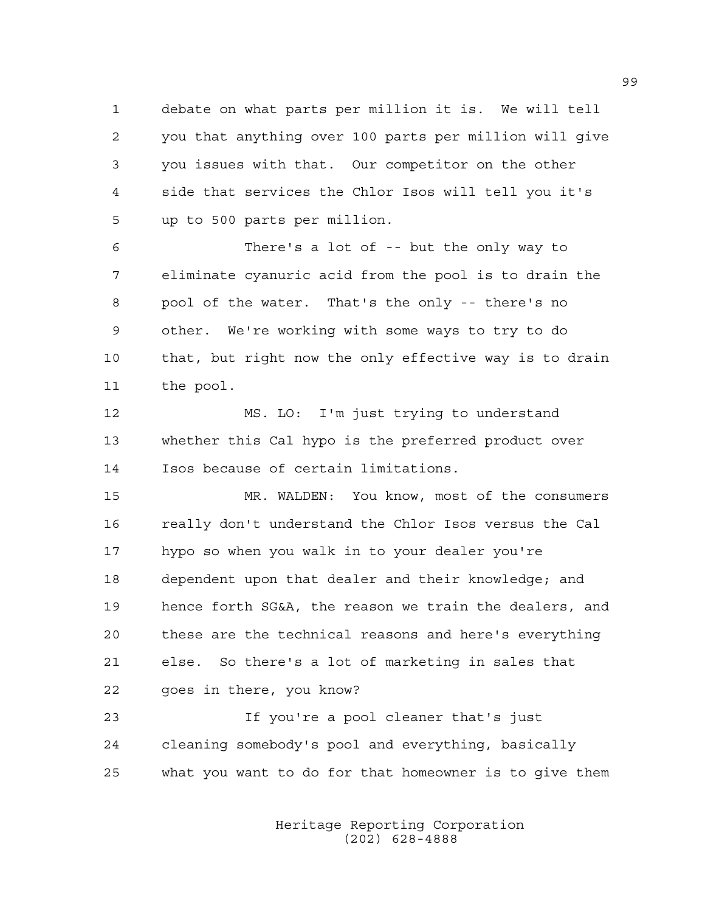1 debate on what parts per million it is. We will tell 2 you that anything over 100 parts per million will give 3 you issues with that. Our competitor on the other 4 side that services the Chlor Isos will tell you it's 5 up to 500 parts per million.

6 There's a lot of -- but the only way to 7 eliminate cyanuric acid from the pool is to drain the 8 pool of the water. That's the only -- there's no 9 other. We're working with some ways to try to do 10 that, but right now the only effective way is to drain 11 the pool.

12 MS. LO: I'm just trying to understand 13 whether this Cal hypo is the preferred product over 14 Isos because of certain limitations.

15 MR. WALDEN: You know, most of the consumers 16 really don't understand the Chlor Isos versus the Cal 17 hypo so when you walk in to your dealer you're 18 dependent upon that dealer and their knowledge; and 19 hence forth SG&A, the reason we train the dealers, and 20 these are the technical reasons and here's everything 21 else. So there's a lot of marketing in sales that 22 goes in there, you know?

23 If you're a pool cleaner that's just 24 cleaning somebody's pool and everything, basically 25 what you want to do for that homeowner is to give them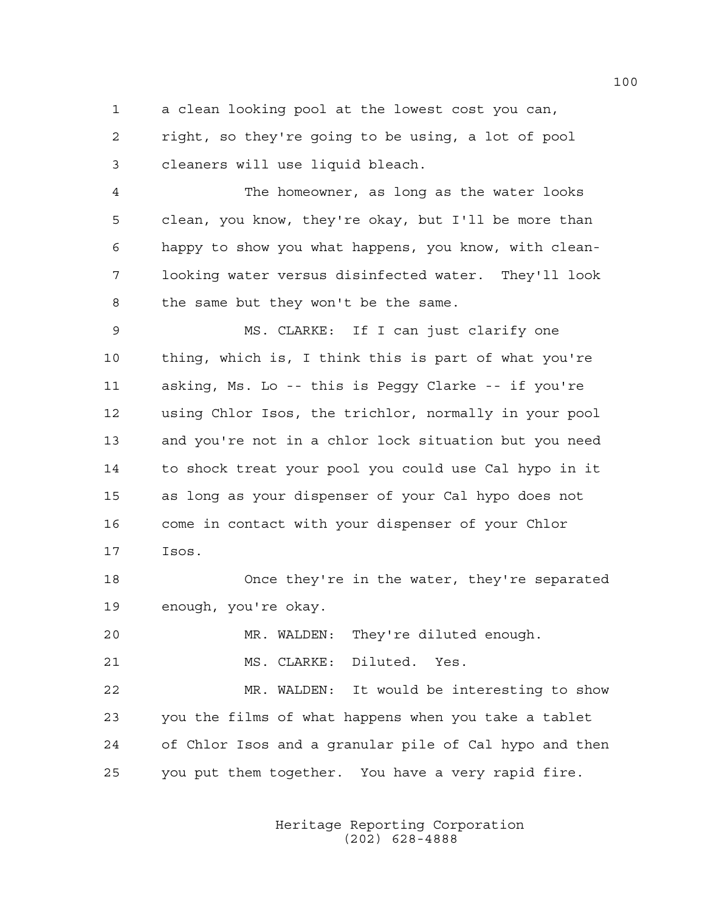1 a clean looking pool at the lowest cost you can, 2 right, so they're going to be using, a lot of pool 3 cleaners will use liquid bleach.

4 The homeowner, as long as the water looks 5 clean, you know, they're okay, but I'll be more than 6 happy to show you what happens, you know, with clean-7 looking water versus disinfected water. They'll look 8 the same but they won't be the same.

9 MS. CLARKE: If I can just clarify one 10 thing, which is, I think this is part of what you're 11 asking, Ms. Lo -- this is Peggy Clarke -- if you're 12 using Chlor Isos, the trichlor, normally in your pool 13 and you're not in a chlor lock situation but you need 14 to shock treat your pool you could use Cal hypo in it 15 as long as your dispenser of your Cal hypo does not 16 come in contact with your dispenser of your Chlor 17 Isos.

18 Once they're in the water, they're separated 19 enough, you're okay.

20 MR. WALDEN: They're diluted enough.

21 MS. CLARKE: Diluted. Yes.

22 MR. WALDEN: It would be interesting to show 23 you the films of what happens when you take a tablet 24 of Chlor Isos and a granular pile of Cal hypo and then 25 you put them together. You have a very rapid fire.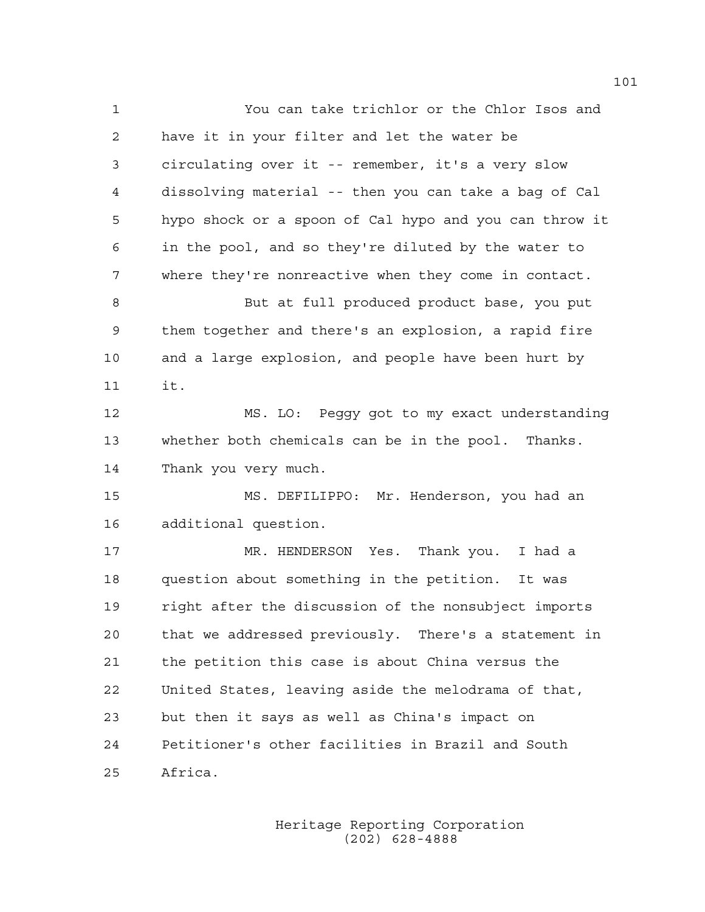1 You can take trichlor or the Chlor Isos and 2 have it in your filter and let the water be 3 circulating over it -- remember, it's a very slow 4 dissolving material -- then you can take a bag of Cal 5 hypo shock or a spoon of Cal hypo and you can throw it 6 in the pool, and so they're diluted by the water to 7 where they're nonreactive when they come in contact. 8 But at full produced product base, you put 9 them together and there's an explosion, a rapid fire 10 and a large explosion, and people have been hurt by 11 it. 12 MS. LO: Peggy got to my exact understanding 13 whether both chemicals can be in the pool. Thanks. 14 Thank you very much. 15 MS. DEFILIPPO: Mr. Henderson, you had an 16 additional question. 17 MR. HENDERSON Yes. Thank you. I had a 18 question about something in the petition. It was 19 right after the discussion of the nonsubject imports 20 that we addressed previously. There's a statement in 21 the petition this case is about China versus the 22 United States, leaving aside the melodrama of that, 23 but then it says as well as China's impact on 24 Petitioner's other facilities in Brazil and South 25 Africa.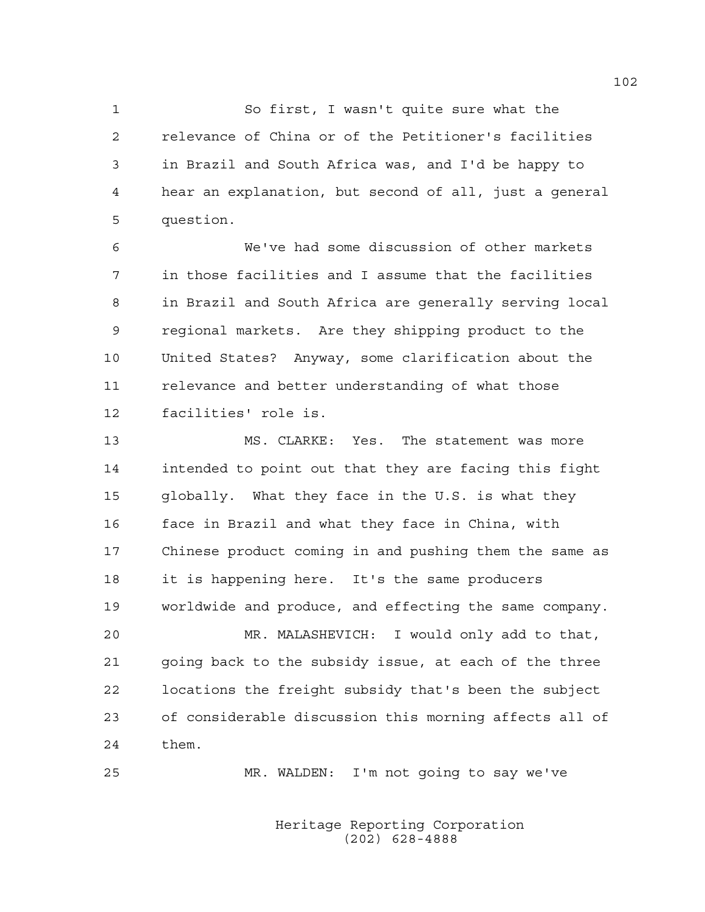1 So first, I wasn't quite sure what the 2 relevance of China or of the Petitioner's facilities 3 in Brazil and South Africa was, and I'd be happy to 4 hear an explanation, but second of all, just a general 5 question.

6 We've had some discussion of other markets 7 in those facilities and I assume that the facilities 8 in Brazil and South Africa are generally serving local 9 regional markets. Are they shipping product to the 10 United States? Anyway, some clarification about the 11 relevance and better understanding of what those 12 facilities' role is.

13 MS. CLARKE: Yes. The statement was more 14 intended to point out that they are facing this fight 15 globally. What they face in the U.S. is what they 16 face in Brazil and what they face in China, with 17 Chinese product coming in and pushing them the same as 18 it is happening here. It's the same producers 19 worldwide and produce, and effecting the same company.

20 MR. MALASHEVICH: I would only add to that, 21 going back to the subsidy issue, at each of the three 22 locations the freight subsidy that's been the subject 23 of considerable discussion this morning affects all of 24 them.

25 MR. WALDEN: I'm not going to say we've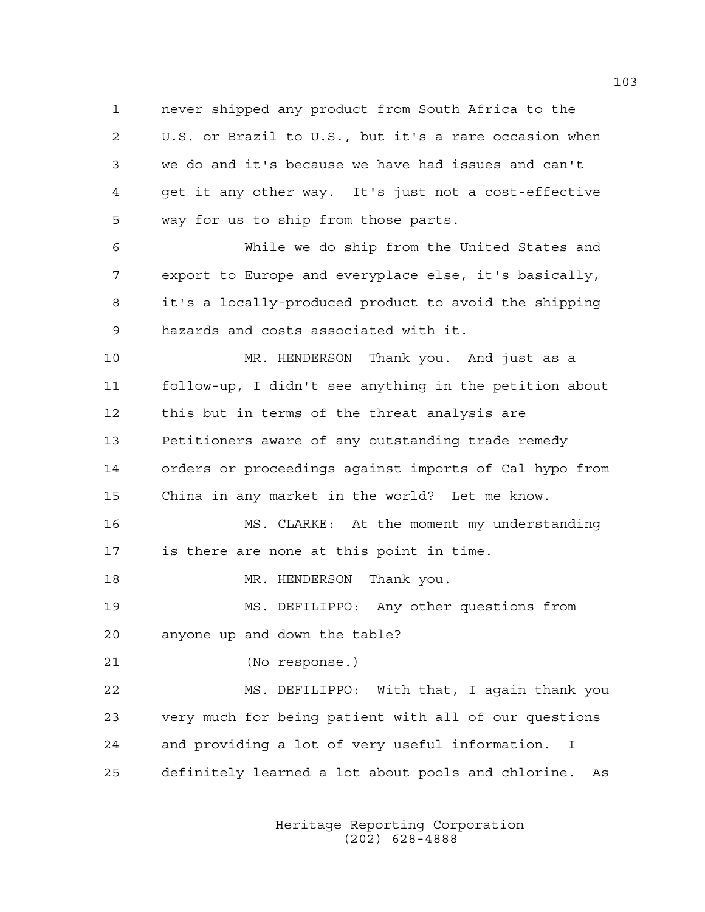1 never shipped any product from South Africa to the 2 U.S. or Brazil to U.S., but it's a rare occasion when 3 we do and it's because we have had issues and can't 4 get it any other way. It's just not a cost-effective 5 way for us to ship from those parts.

6 While we do ship from the United States and 7 export to Europe and everyplace else, it's basically, 8 it's a locally-produced product to avoid the shipping 9 hazards and costs associated with it.

10 MR. HENDERSON Thank you. And just as a 11 follow-up, I didn't see anything in the petition about 12 this but in terms of the threat analysis are 13 Petitioners aware of any outstanding trade remedy 14 orders or proceedings against imports of Cal hypo from 15 China in any market in the world? Let me know.

16 MS. CLARKE: At the moment my understanding 17 is there are none at this point in time.

18 MR. HENDERSON Thank you.

19 MS. DEFILIPPO: Any other questions from 20 anyone up and down the table?

21 (No response.)

22 MS. DEFILIPPO: With that, I again thank you 23 very much for being patient with all of our questions 24 and providing a lot of very useful information. I 25 definitely learned a lot about pools and chlorine. As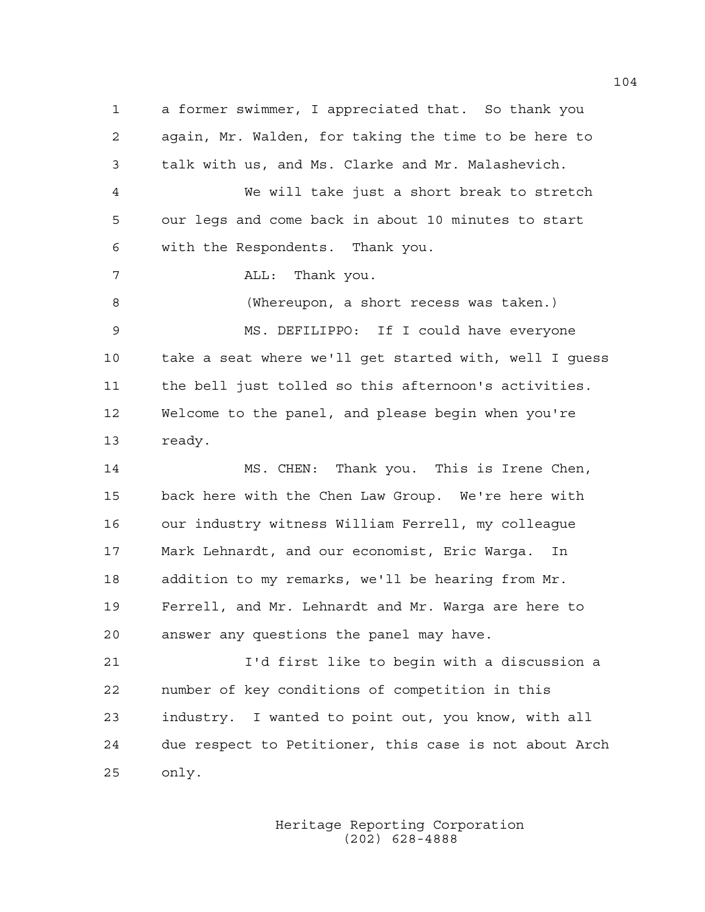1 a former swimmer, I appreciated that. So thank you 2 again, Mr. Walden, for taking the time to be here to 3 talk with us, and Ms. Clarke and Mr. Malashevich. 4 We will take just a short break to stretch 5 our legs and come back in about 10 minutes to start 6 with the Respondents. Thank you. 7 ALL: Thank you. 8 (Whereupon, a short recess was taken.) 9 MS. DEFILIPPO: If I could have everyone 10 take a seat where we'll get started with, well I guess 11 the bell just tolled so this afternoon's activities. 12 Welcome to the panel, and please begin when you're 13 ready. 14 MS. CHEN: Thank you. This is Irene Chen, 15 back here with the Chen Law Group. We're here with 16 our industry witness William Ferrell, my colleague 17 Mark Lehnardt, and our economist, Eric Warga. In 18 addition to my remarks, we'll be hearing from Mr. 19 Ferrell, and Mr. Lehnardt and Mr. Warga are here to 20 answer any questions the panel may have. 21 I'd first like to begin with a discussion a 22 number of key conditions of competition in this 23 industry. I wanted to point out, you know, with all 24 due respect to Petitioner, this case is not about Arch 25 only.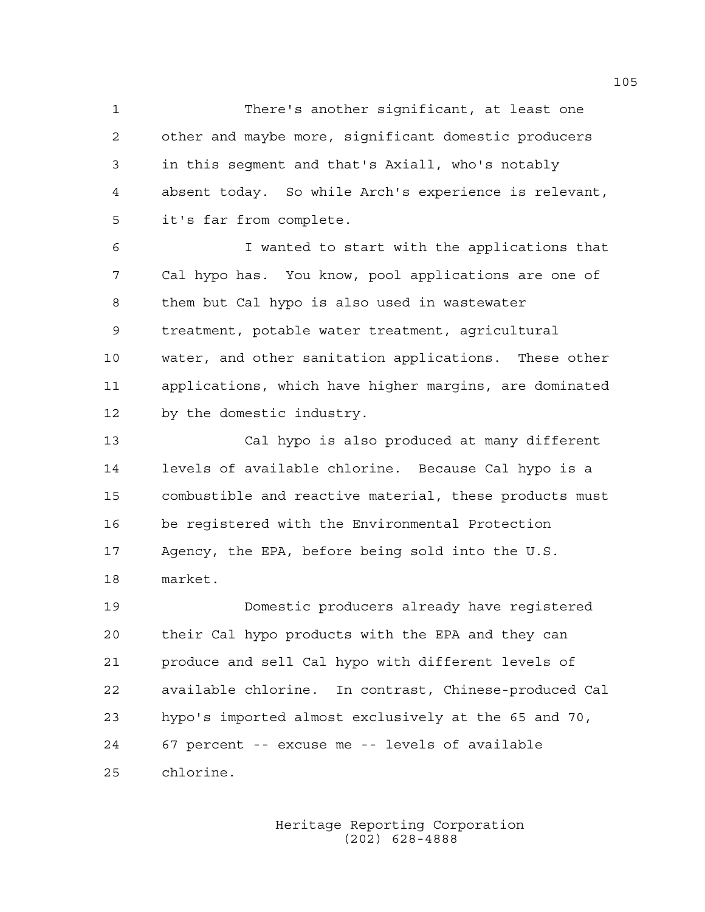1 There's another significant, at least one 2 other and maybe more, significant domestic producers 3 in this segment and that's Axiall, who's notably 4 absent today. So while Arch's experience is relevant, 5 it's far from complete.

6 I wanted to start with the applications that 7 Cal hypo has. You know, pool applications are one of 8 them but Cal hypo is also used in wastewater 9 treatment, potable water treatment, agricultural 10 water, and other sanitation applications. These other 11 applications, which have higher margins, are dominated 12 by the domestic industry.

13 Cal hypo is also produced at many different 14 levels of available chlorine. Because Cal hypo is a 15 combustible and reactive material, these products must 16 be registered with the Environmental Protection 17 Agency, the EPA, before being sold into the U.S. 18 market.

19 Domestic producers already have registered 20 their Cal hypo products with the EPA and they can 21 produce and sell Cal hypo with different levels of 22 available chlorine. In contrast, Chinese-produced Cal 23 hypo's imported almost exclusively at the 65 and 70, 24 67 percent -- excuse me -- levels of available 25 chlorine.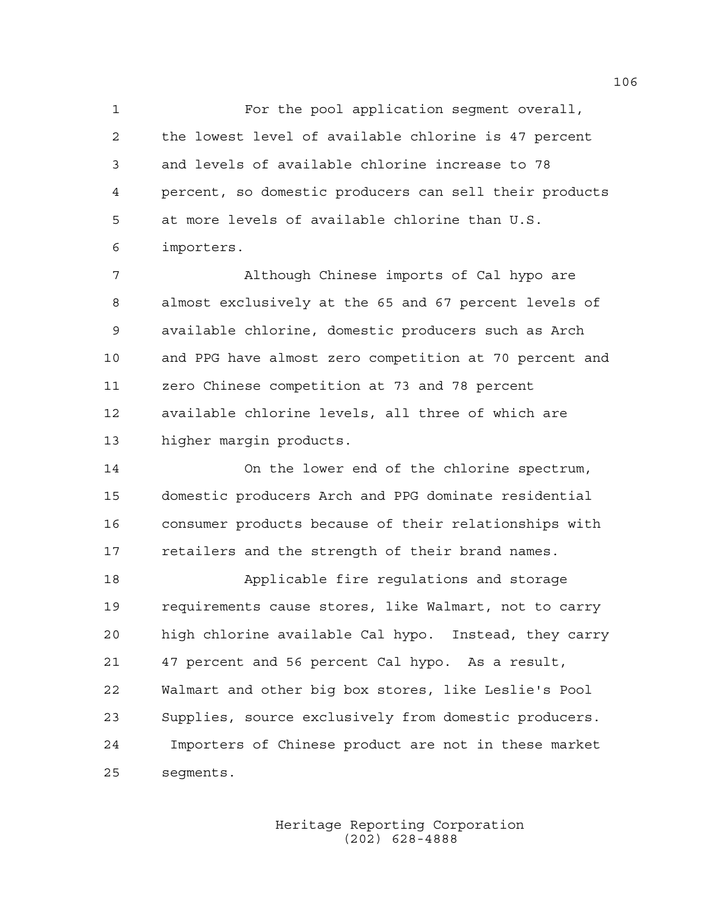1 For the pool application segment overall, 2 the lowest level of available chlorine is 47 percent 3 and levels of available chlorine increase to 78 4 percent, so domestic producers can sell their products 5 at more levels of available chlorine than U.S. 6 importers.

7 Although Chinese imports of Cal hypo are 8 almost exclusively at the 65 and 67 percent levels of 9 available chlorine, domestic producers such as Arch 10 and PPG have almost zero competition at 70 percent and 11 zero Chinese competition at 73 and 78 percent 12 available chlorine levels, all three of which are 13 higher margin products.

14 On the lower end of the chlorine spectrum, 15 domestic producers Arch and PPG dominate residential 16 consumer products because of their relationships with 17 retailers and the strength of their brand names.

18 Applicable fire regulations and storage 19 requirements cause stores, like Walmart, not to carry 20 high chlorine available Cal hypo. Instead, they carry 21 47 percent and 56 percent Cal hypo. As a result, 22 Walmart and other big box stores, like Leslie's Pool 23 Supplies, source exclusively from domestic producers. 24 Importers of Chinese product are not in these market 25 segments.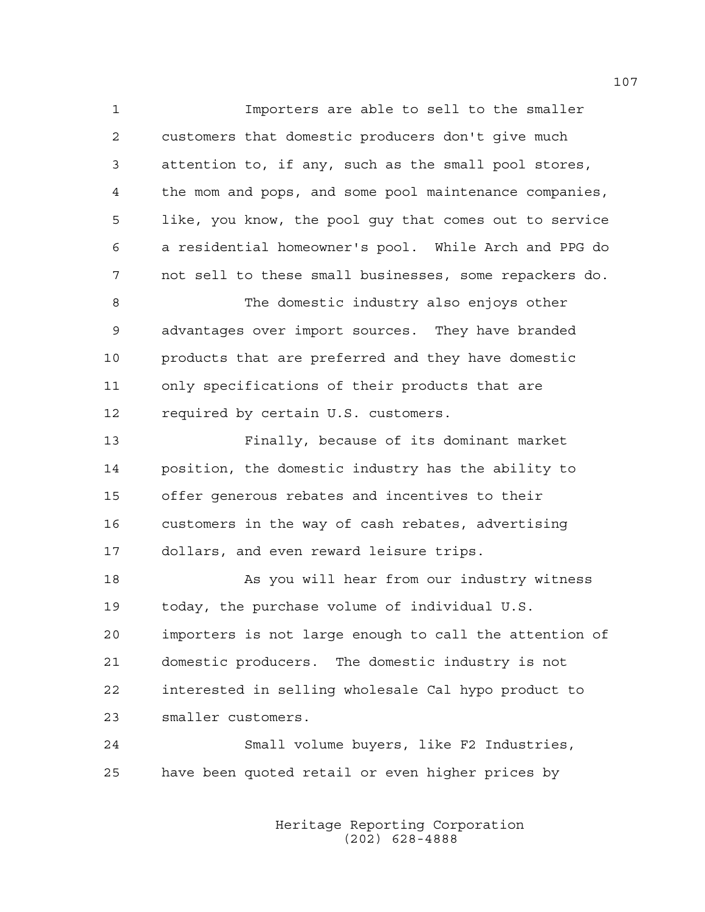1 Importers are able to sell to the smaller 2 customers that domestic producers don't give much 3 attention to, if any, such as the small pool stores, 4 the mom and pops, and some pool maintenance companies, 5 like, you know, the pool guy that comes out to service 6 a residential homeowner's pool. While Arch and PPG do 7 not sell to these small businesses, some repackers do. 8 The domestic industry also enjoys other 9 advantages over import sources. They have branded 10 products that are preferred and they have domestic 11 only specifications of their products that are 12 required by certain U.S. customers. 13 Finally, because of its dominant market 14 position, the domestic industry has the ability to 15 offer generous rebates and incentives to their 16 customers in the way of cash rebates, advertising 17 dollars, and even reward leisure trips. 18 As you will hear from our industry witness 19 today, the purchase volume of individual U.S. 20 importers is not large enough to call the attention of 21 domestic producers. The domestic industry is not 22 interested in selling wholesale Cal hypo product to 23 smaller customers. 24 Small volume buyers, like F2 Industries, 25 have been quoted retail or even higher prices by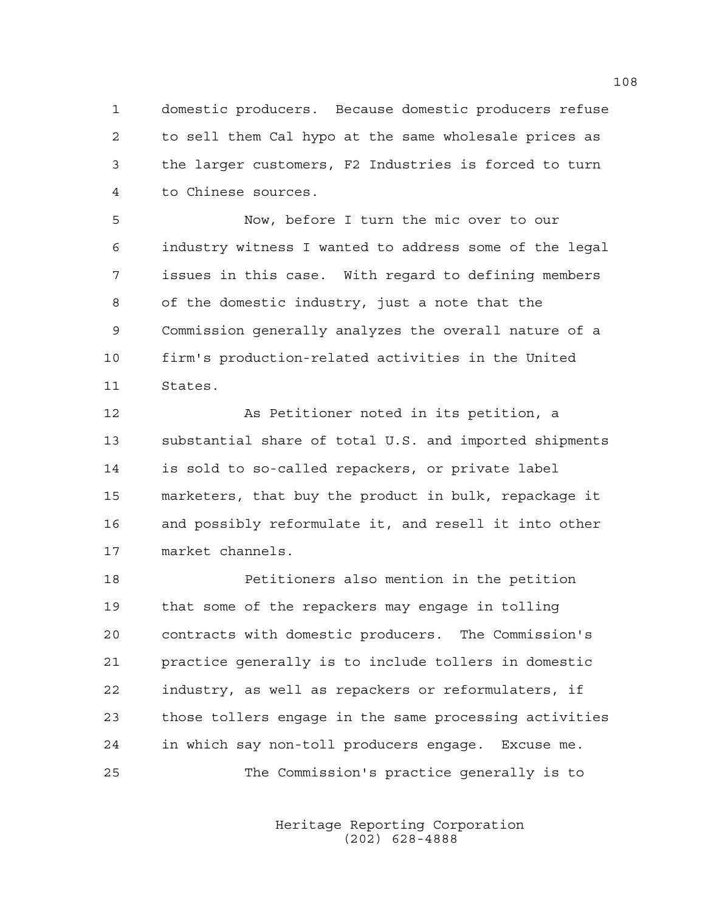1 domestic producers. Because domestic producers refuse 2 to sell them Cal hypo at the same wholesale prices as 3 the larger customers, F2 Industries is forced to turn 4 to Chinese sources.

5 Now, before I turn the mic over to our 6 industry witness I wanted to address some of the legal 7 issues in this case. With regard to defining members 8 of the domestic industry, just a note that the 9 Commission generally analyzes the overall nature of a 10 firm's production-related activities in the United 11 States.

12 As Petitioner noted in its petition, a 13 substantial share of total U.S. and imported shipments 14 is sold to so-called repackers, or private label 15 marketers, that buy the product in bulk, repackage it 16 and possibly reformulate it, and resell it into other 17 market channels.

18 Petitioners also mention in the petition 19 that some of the repackers may engage in tolling 20 contracts with domestic producers. The Commission's 21 practice generally is to include tollers in domestic 22 industry, as well as repackers or reformulaters, if 23 those tollers engage in the same processing activities 24 in which say non-toll producers engage. Excuse me. 25 The Commission's practice generally is to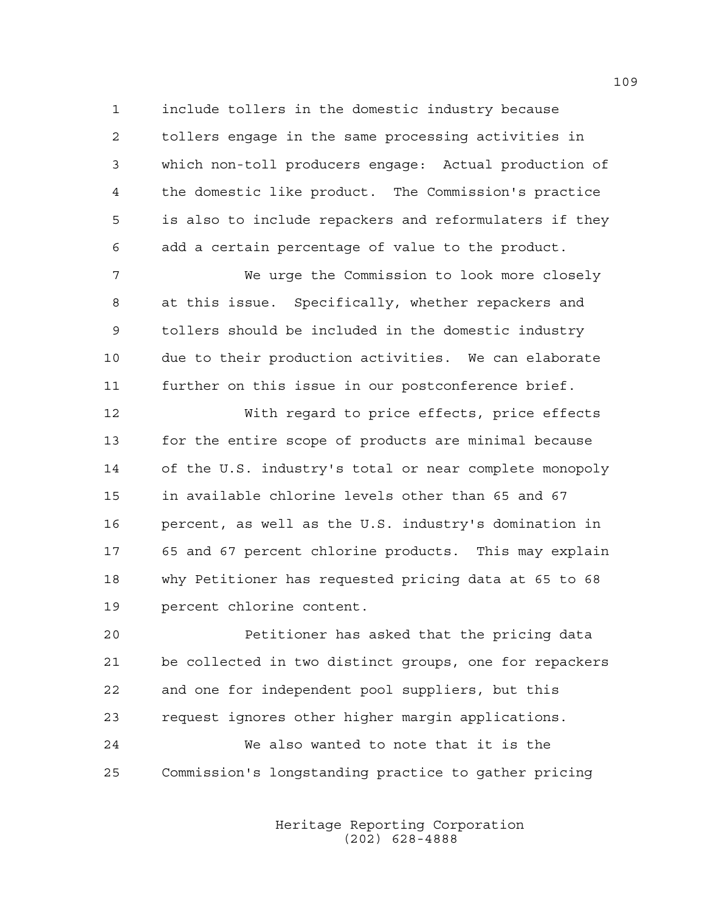1 include tollers in the domestic industry because 2 tollers engage in the same processing activities in 3 which non-toll producers engage: Actual production of 4 the domestic like product. The Commission's practice 5 is also to include repackers and reformulaters if they 6 add a certain percentage of value to the product.

7 We urge the Commission to look more closely 8 at this issue. Specifically, whether repackers and 9 tollers should be included in the domestic industry 10 due to their production activities. We can elaborate 11 further on this issue in our postconference brief.

12 With regard to price effects, price effects 13 for the entire scope of products are minimal because 14 of the U.S. industry's total or near complete monopoly 15 in available chlorine levels other than 65 and 67 16 percent, as well as the U.S. industry's domination in 17 65 and 67 percent chlorine products. This may explain 18 why Petitioner has requested pricing data at 65 to 68 19 percent chlorine content.

20 Petitioner has asked that the pricing data 21 be collected in two distinct groups, one for repackers 22 and one for independent pool suppliers, but this 23 request ignores other higher margin applications. 24 We also wanted to note that it is the

25 Commission's longstanding practice to gather pricing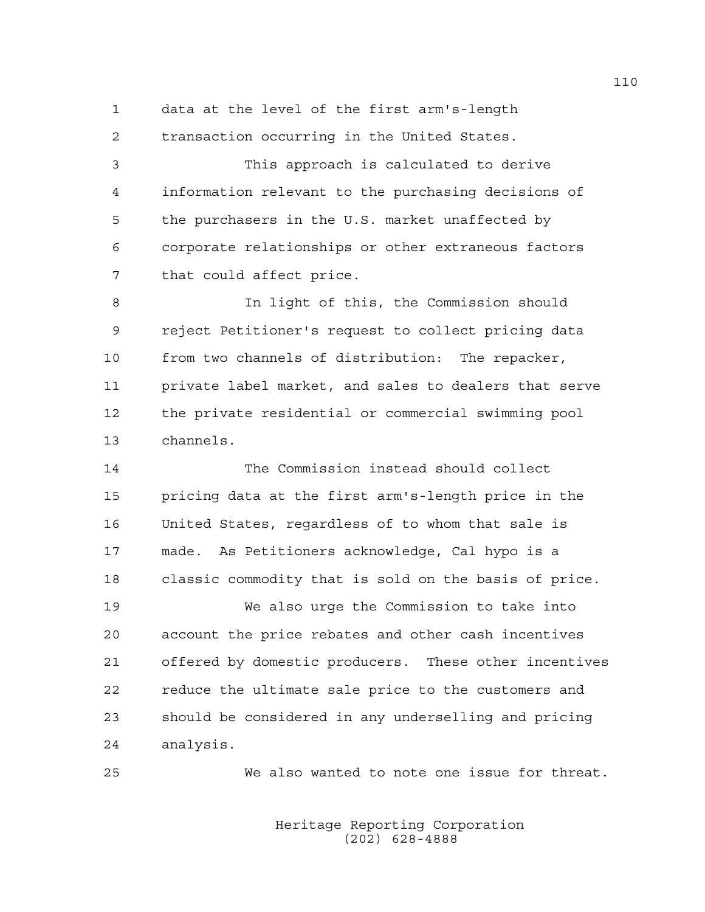1 data at the level of the first arm's-length 2 transaction occurring in the United States.

3 This approach is calculated to derive 4 information relevant to the purchasing decisions of 5 the purchasers in the U.S. market unaffected by 6 corporate relationships or other extraneous factors 7 that could affect price.

8 In light of this, the Commission should 9 reject Petitioner's request to collect pricing data 10 from two channels of distribution: The repacker, 11 private label market, and sales to dealers that serve 12 the private residential or commercial swimming pool 13 channels.

14 The Commission instead should collect 15 pricing data at the first arm's-length price in the 16 United States, regardless of to whom that sale is 17 made. As Petitioners acknowledge, Cal hypo is a 18 classic commodity that is sold on the basis of price. 19 We also urge the Commission to take into

20 account the price rebates and other cash incentives 21 offered by domestic producers. These other incentives 22 reduce the ultimate sale price to the customers and 23 should be considered in any underselling and pricing 24 analysis.

25 We also wanted to note one issue for threat.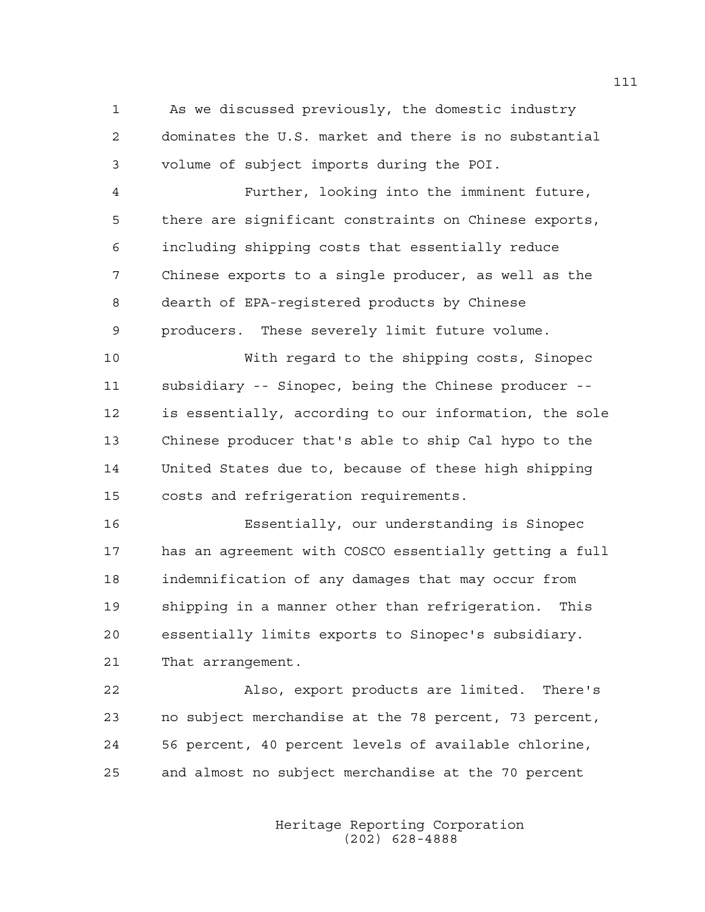1 As we discussed previously, the domestic industry 2 dominates the U.S. market and there is no substantial 3 volume of subject imports during the POI.

4 Further, looking into the imminent future, 5 there are significant constraints on Chinese exports, 6 including shipping costs that essentially reduce 7 Chinese exports to a single producer, as well as the 8 dearth of EPA-registered products by Chinese 9 producers. These severely limit future volume.

10 With regard to the shipping costs, Sinopec 11 subsidiary -- Sinopec, being the Chinese producer -- 12 is essentially, according to our information, the sole 13 Chinese producer that's able to ship Cal hypo to the 14 United States due to, because of these high shipping 15 costs and refrigeration requirements.

16 Essentially, our understanding is Sinopec 17 has an agreement with COSCO essentially getting a full 18 indemnification of any damages that may occur from 19 shipping in a manner other than refrigeration. This 20 essentially limits exports to Sinopec's subsidiary. 21 That arrangement.

22 Also, export products are limited. There's 23 no subject merchandise at the 78 percent, 73 percent, 24 56 percent, 40 percent levels of available chlorine, 25 and almost no subject merchandise at the 70 percent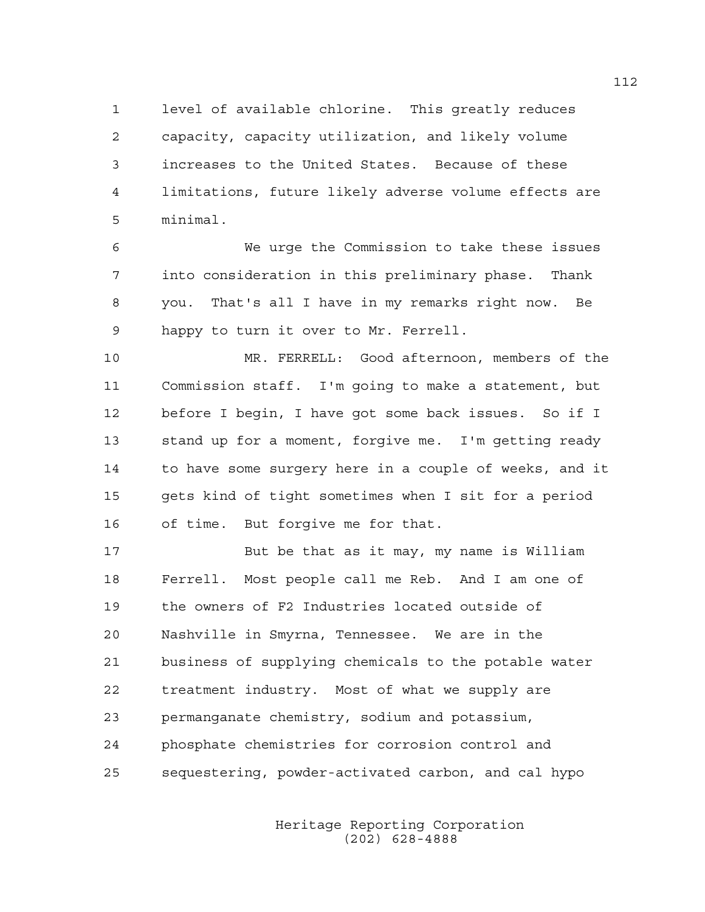1 level of available chlorine. This greatly reduces 2 capacity, capacity utilization, and likely volume 3 increases to the United States. Because of these 4 limitations, future likely adverse volume effects are 5 minimal.

6 We urge the Commission to take these issues 7 into consideration in this preliminary phase. Thank 8 you. That's all I have in my remarks right now. Be 9 happy to turn it over to Mr. Ferrell.

10 MR. FERRELL: Good afternoon, members of the 11 Commission staff. I'm going to make a statement, but 12 before I begin, I have got some back issues. So if I 13 stand up for a moment, forgive me. I'm getting ready 14 to have some surgery here in a couple of weeks, and it 15 gets kind of tight sometimes when I sit for a period 16 of time. But forgive me for that.

17 But be that as it may, my name is William 18 Ferrell. Most people call me Reb. And I am one of 19 the owners of F2 Industries located outside of 20 Nashville in Smyrna, Tennessee. We are in the 21 business of supplying chemicals to the potable water 22 treatment industry. Most of what we supply are 23 permanganate chemistry, sodium and potassium, 24 phosphate chemistries for corrosion control and 25 sequestering, powder-activated carbon, and cal hypo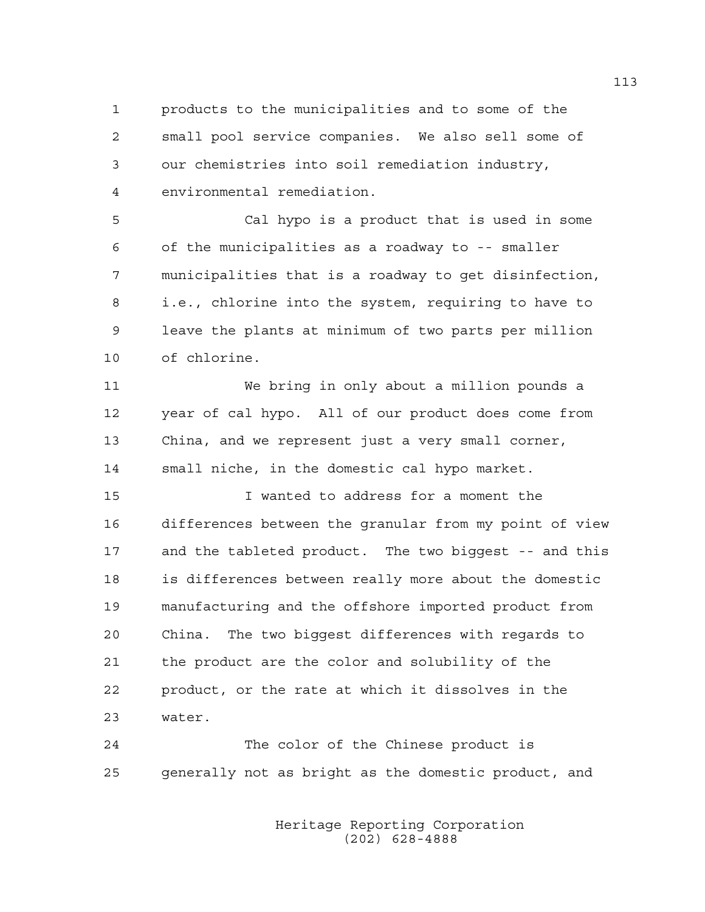1 products to the municipalities and to some of the 2 small pool service companies. We also sell some of 3 our chemistries into soil remediation industry, 4 environmental remediation.

5 Cal hypo is a product that is used in some 6 of the municipalities as a roadway to -- smaller 7 municipalities that is a roadway to get disinfection, 8 i.e., chlorine into the system, requiring to have to 9 leave the plants at minimum of two parts per million 10 of chlorine.

11 We bring in only about a million pounds a 12 year of cal hypo. All of our product does come from 13 China, and we represent just a very small corner, 14 small niche, in the domestic cal hypo market.

15 I wanted to address for a moment the 16 differences between the granular from my point of view 17 and the tableted product. The two biggest -- and this 18 is differences between really more about the domestic 19 manufacturing and the offshore imported product from 20 China. The two biggest differences with regards to 21 the product are the color and solubility of the 22 product, or the rate at which it dissolves in the 23 water.

24 The color of the Chinese product is 25 generally not as bright as the domestic product, and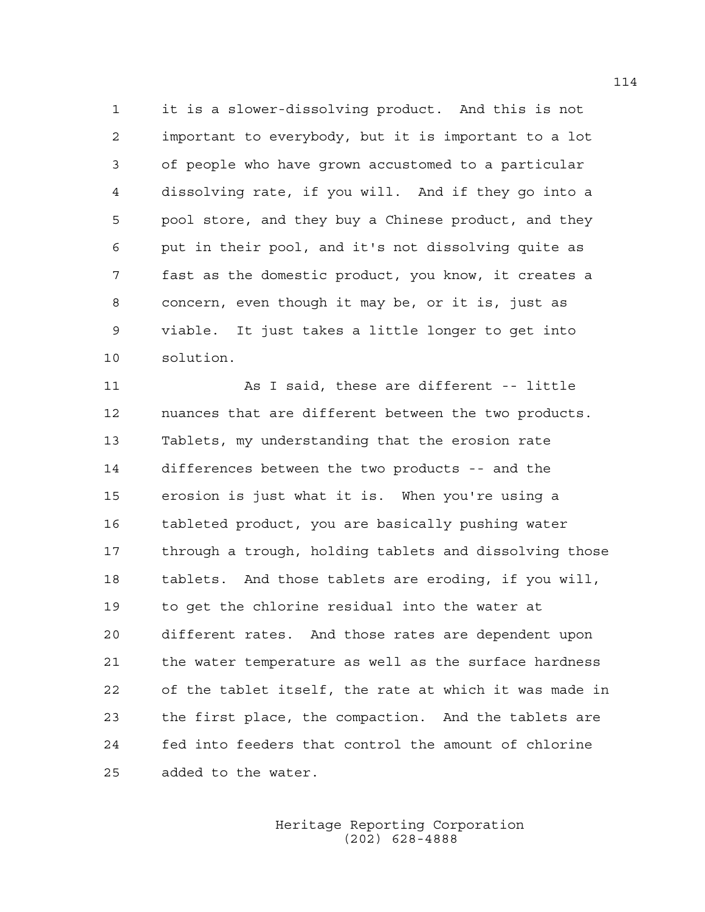1 it is a slower-dissolving product. And this is not 2 important to everybody, but it is important to a lot 3 of people who have grown accustomed to a particular 4 dissolving rate, if you will. And if they go into a 5 pool store, and they buy a Chinese product, and they 6 put in their pool, and it's not dissolving quite as 7 fast as the domestic product, you know, it creates a 8 concern, even though it may be, or it is, just as 9 viable. It just takes a little longer to get into 10 solution.

11 As I said, these are different -- little 12 nuances that are different between the two products. 13 Tablets, my understanding that the erosion rate 14 differences between the two products -- and the 15 erosion is just what it is. When you're using a 16 tableted product, you are basically pushing water 17 through a trough, holding tablets and dissolving those 18 tablets. And those tablets are eroding, if you will, 19 to get the chlorine residual into the water at 20 different rates. And those rates are dependent upon 21 the water temperature as well as the surface hardness 22 of the tablet itself, the rate at which it was made in 23 the first place, the compaction. And the tablets are 24 fed into feeders that control the amount of chlorine 25 added to the water.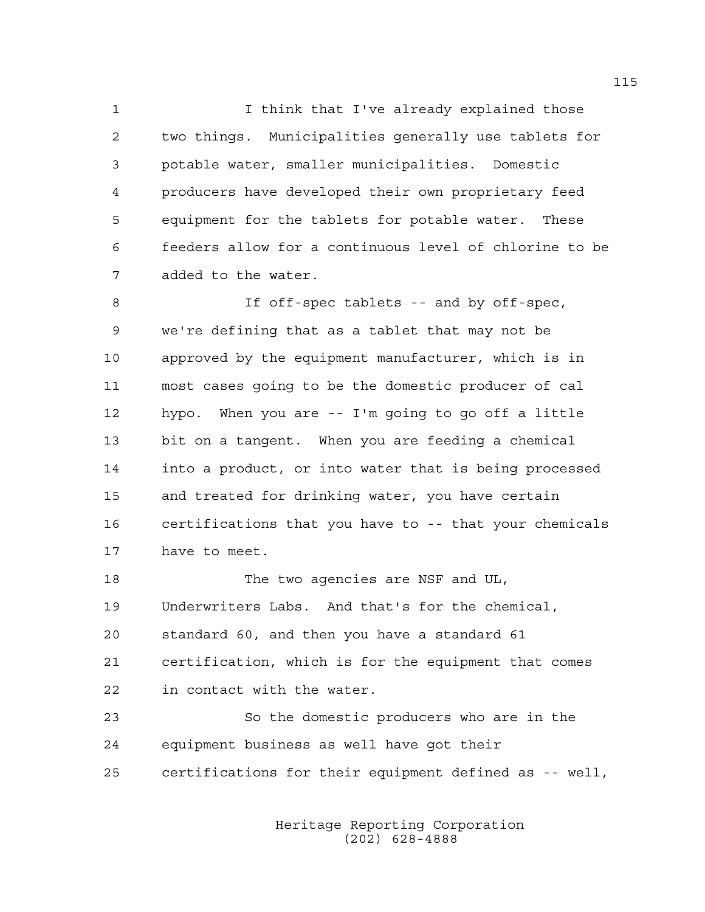1 I think that I've already explained those 2 two things. Municipalities generally use tablets for 3 potable water, smaller municipalities. Domestic 4 producers have developed their own proprietary feed 5 equipment for the tablets for potable water. These 6 feeders allow for a continuous level of chlorine to be 7 added to the water.

8 If off-spec tablets -- and by off-spec, 9 we're defining that as a tablet that may not be 10 approved by the equipment manufacturer, which is in 11 most cases going to be the domestic producer of cal 12 hypo. When you are -- I'm going to go off a little 13 bit on a tangent. When you are feeding a chemical 14 into a product, or into water that is being processed 15 and treated for drinking water, you have certain 16 certifications that you have to -- that your chemicals 17 have to meet.

18 The two agencies are NSF and UL, 19 Underwriters Labs. And that's for the chemical, 20 standard 60, and then you have a standard 61 21 certification, which is for the equipment that comes 22 in contact with the water.

23 So the domestic producers who are in the 24 equipment business as well have got their 25 certifications for their equipment defined as -- well,

> Heritage Reporting Corporation (202) 628-4888

115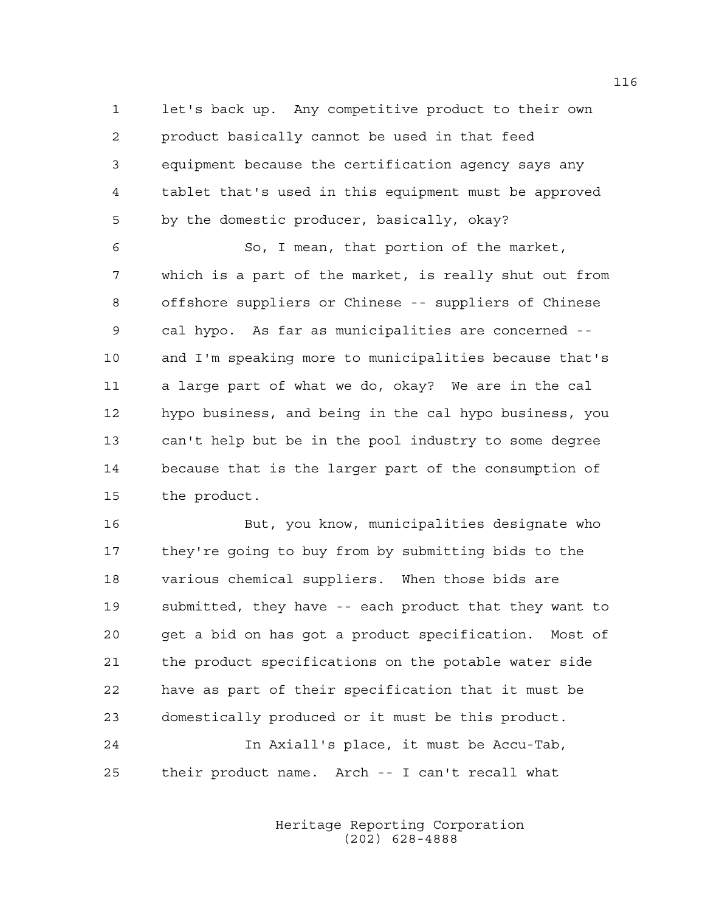1 let's back up. Any competitive product to their own 2 product basically cannot be used in that feed 3 equipment because the certification agency says any 4 tablet that's used in this equipment must be approved 5 by the domestic producer, basically, okay?

6 So, I mean, that portion of the market, 7 which is a part of the market, is really shut out from 8 offshore suppliers or Chinese -- suppliers of Chinese 9 cal hypo. As far as municipalities are concerned -- 10 and I'm speaking more to municipalities because that's 11 a large part of what we do, okay? We are in the cal 12 hypo business, and being in the cal hypo business, you 13 can't help but be in the pool industry to some degree 14 because that is the larger part of the consumption of 15 the product.

16 But, you know, municipalities designate who 17 they're going to buy from by submitting bids to the 18 various chemical suppliers. When those bids are 19 submitted, they have -- each product that they want to 20 get a bid on has got a product specification. Most of 21 the product specifications on the potable water side 22 have as part of their specification that it must be 23 domestically produced or it must be this product. 24 In Axiall's place, it must be Accu-Tab,

25 their product name. Arch -- I can't recall what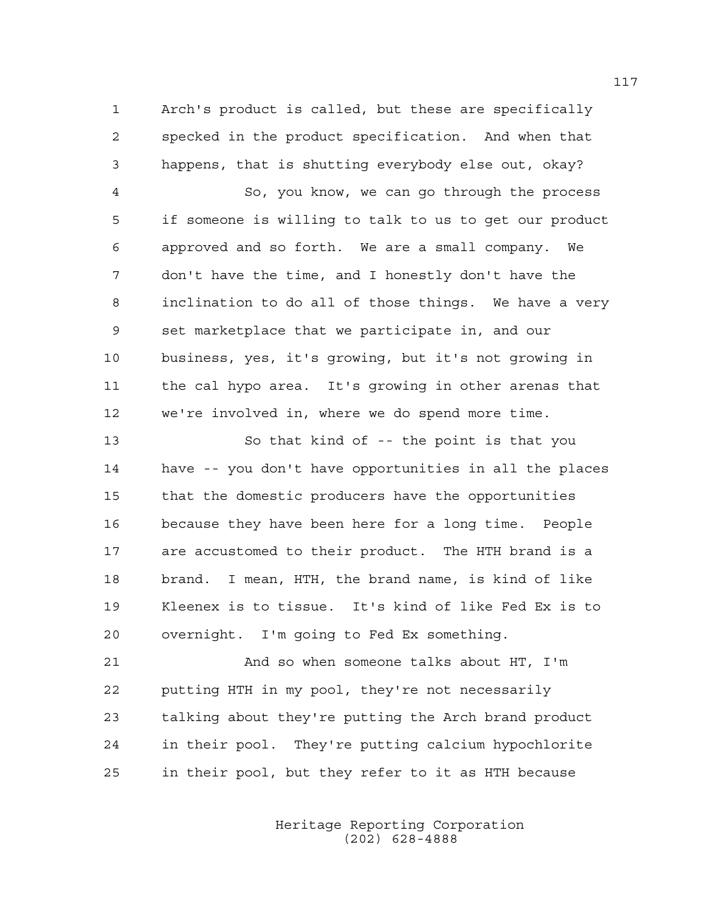1 Arch's product is called, but these are specifically 2 specked in the product specification. And when that 3 happens, that is shutting everybody else out, okay?

4 So, you know, we can go through the process 5 if someone is willing to talk to us to get our product 6 approved and so forth. We are a small company. We 7 don't have the time, and I honestly don't have the 8 inclination to do all of those things. We have a very 9 set marketplace that we participate in, and our 10 business, yes, it's growing, but it's not growing in 11 the cal hypo area. It's growing in other arenas that 12 we're involved in, where we do spend more time.

13 So that kind of -- the point is that you 14 have -- you don't have opportunities in all the places 15 that the domestic producers have the opportunities 16 because they have been here for a long time. People 17 are accustomed to their product. The HTH brand is a 18 brand. I mean, HTH, the brand name, is kind of like 19 Kleenex is to tissue. It's kind of like Fed Ex is to 20 overnight. I'm going to Fed Ex something.

21 And so when someone talks about HT, I'm 22 putting HTH in my pool, they're not necessarily 23 talking about they're putting the Arch brand product 24 in their pool. They're putting calcium hypochlorite 25 in their pool, but they refer to it as HTH because

> Heritage Reporting Corporation (202) 628-4888

117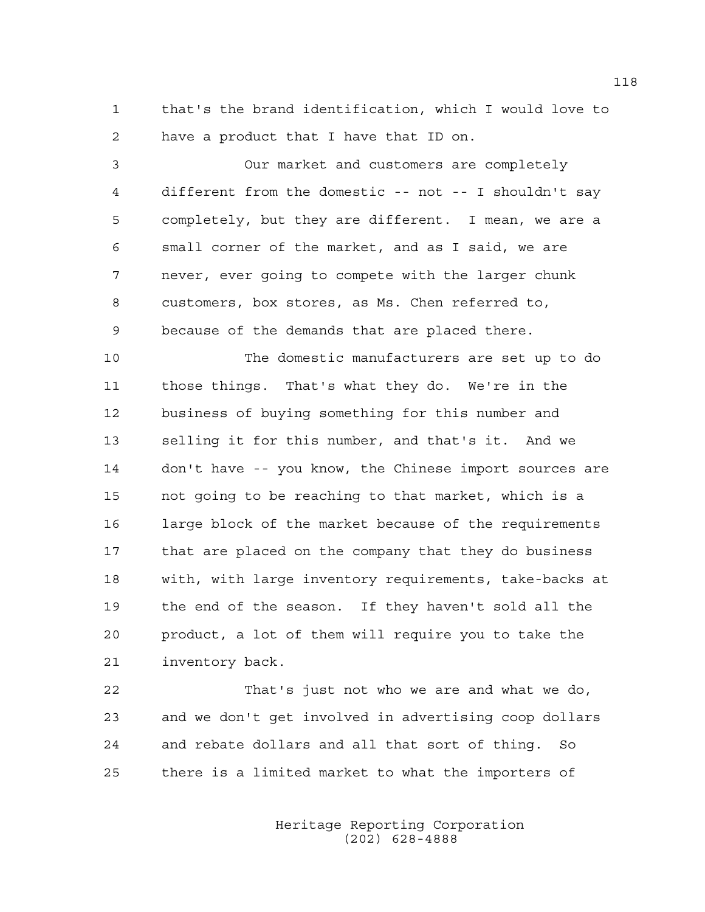1 that's the brand identification, which I would love to 2 have a product that I have that ID on.

3 Our market and customers are completely 4 different from the domestic -- not -- I shouldn't say 5 completely, but they are different. I mean, we are a 6 small corner of the market, and as I said, we are 7 never, ever going to compete with the larger chunk 8 customers, box stores, as Ms. Chen referred to, 9 because of the demands that are placed there.

10 The domestic manufacturers are set up to do 11 those things. That's what they do. We're in the 12 business of buying something for this number and 13 selling it for this number, and that's it. And we 14 don't have -- you know, the Chinese import sources are 15 not going to be reaching to that market, which is a 16 large block of the market because of the requirements 17 that are placed on the company that they do business 18 with, with large inventory requirements, take-backs at 19 the end of the season. If they haven't sold all the 20 product, a lot of them will require you to take the 21 inventory back.

22 That's just not who we are and what we do, 23 and we don't get involved in advertising coop dollars 24 and rebate dollars and all that sort of thing. So 25 there is a limited market to what the importers of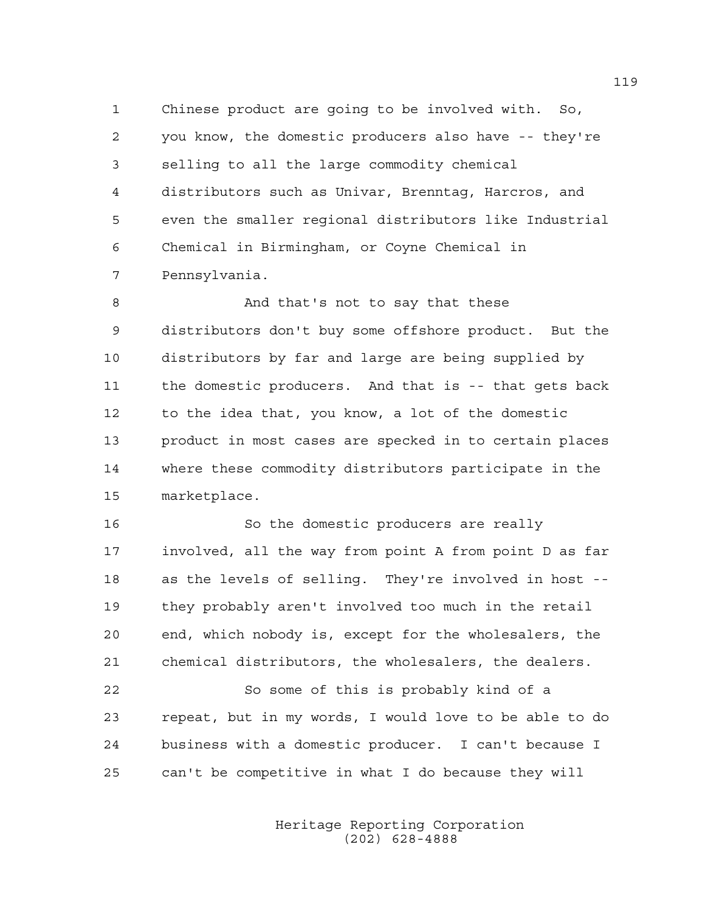1 Chinese product are going to be involved with. So, 2 you know, the domestic producers also have -- they're 3 selling to all the large commodity chemical 4 distributors such as Univar, Brenntag, Harcros, and 5 even the smaller regional distributors like Industrial 6 Chemical in Birmingham, or Coyne Chemical in 7 Pennsylvania.

8 And that's not to say that these 9 distributors don't buy some offshore product. But the 10 distributors by far and large are being supplied by 11 the domestic producers. And that is -- that gets back 12 to the idea that, you know, a lot of the domestic 13 product in most cases are specked in to certain places 14 where these commodity distributors participate in the 15 marketplace.

16 So the domestic producers are really 17 involved, all the way from point A from point D as far 18 as the levels of selling. They're involved in host -- 19 they probably aren't involved too much in the retail 20 end, which nobody is, except for the wholesalers, the 21 chemical distributors, the wholesalers, the dealers.

22 So some of this is probably kind of a 23 repeat, but in my words, I would love to be able to do 24 business with a domestic producer. I can't because I 25 can't be competitive in what I do because they will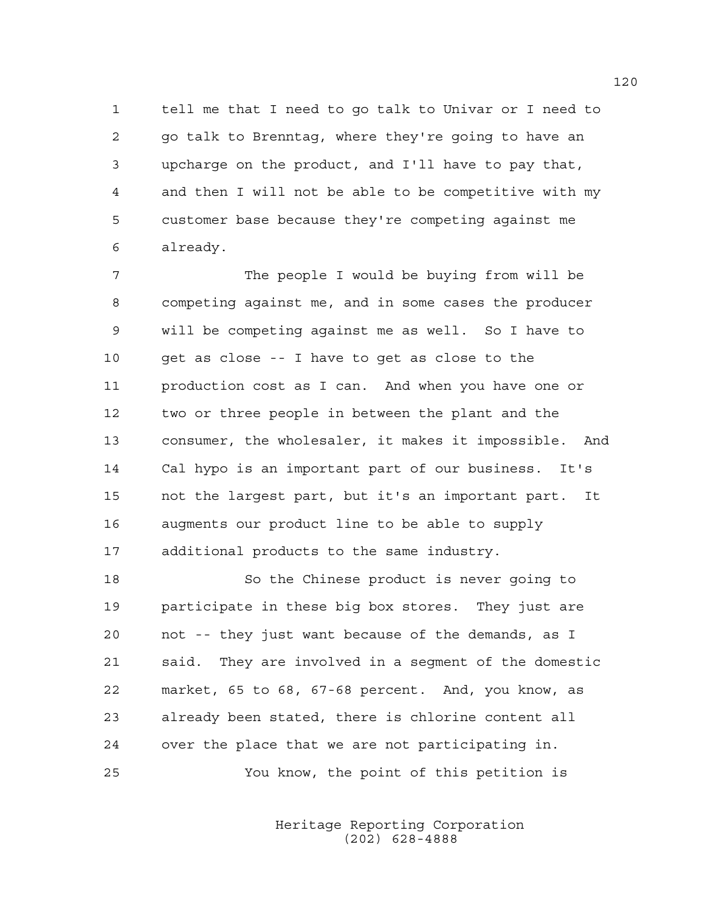1 tell me that I need to go talk to Univar or I need to 2 go talk to Brenntag, where they're going to have an 3 upcharge on the product, and I'll have to pay that, 4 and then I will not be able to be competitive with my 5 customer base because they're competing against me 6 already.

7 The people I would be buying from will be 8 competing against me, and in some cases the producer 9 will be competing against me as well. So I have to 10 get as close -- I have to get as close to the 11 production cost as I can. And when you have one or 12 two or three people in between the plant and the 13 consumer, the wholesaler, it makes it impossible. And 14 Cal hypo is an important part of our business. It's 15 not the largest part, but it's an important part. It 16 augments our product line to be able to supply 17 additional products to the same industry.

18 So the Chinese product is never going to 19 participate in these big box stores. They just are 20 not -- they just want because of the demands, as I 21 said. They are involved in a segment of the domestic 22 market, 65 to 68, 67-68 percent. And, you know, as 23 already been stated, there is chlorine content all 24 over the place that we are not participating in. 25 You know, the point of this petition is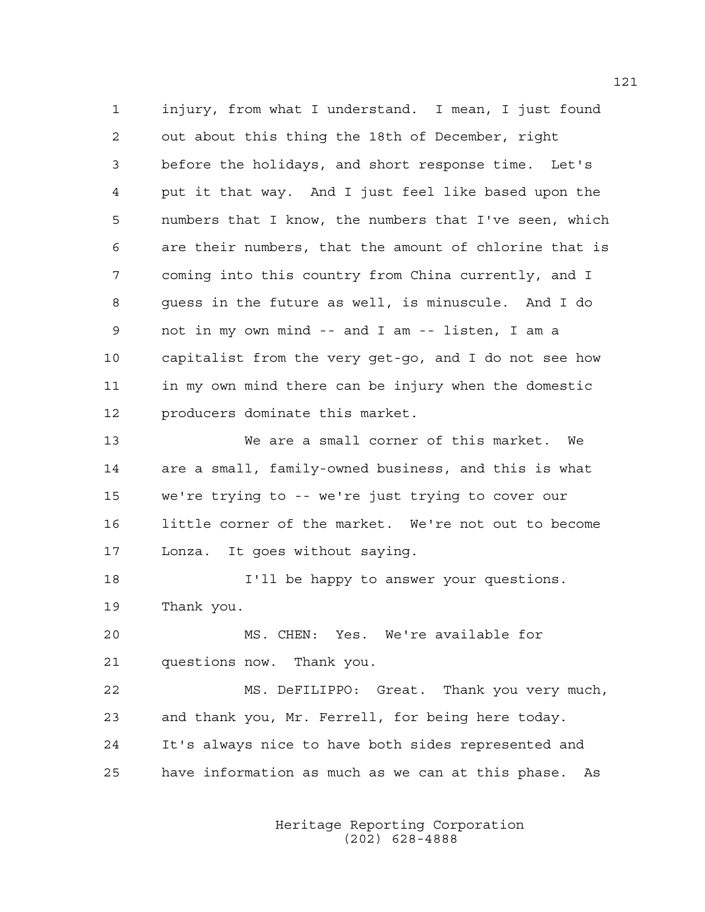1 injury, from what I understand. I mean, I just found 2 out about this thing the 18th of December, right 3 before the holidays, and short response time. Let's 4 put it that way. And I just feel like based upon the 5 numbers that I know, the numbers that I've seen, which 6 are their numbers, that the amount of chlorine that is 7 coming into this country from China currently, and I 8 guess in the future as well, is minuscule. And I do 9 not in my own mind -- and I am -- listen, I am a 10 capitalist from the very get-go, and I do not see how 11 in my own mind there can be injury when the domestic 12 producers dominate this market.

13 We are a small corner of this market. We 14 are a small, family-owned business, and this is what 15 we're trying to -- we're just trying to cover our 16 little corner of the market. We're not out to become 17 Lonza. It goes without saying.

18 I'll be happy to answer your questions. 19 Thank you.

20 MS. CHEN: Yes. We're available for 21 questions now. Thank you.

22 MS. DeFILIPPO: Great. Thank you very much, 23 and thank you, Mr. Ferrell, for being here today. 24 It's always nice to have both sides represented and 25 have information as much as we can at this phase. As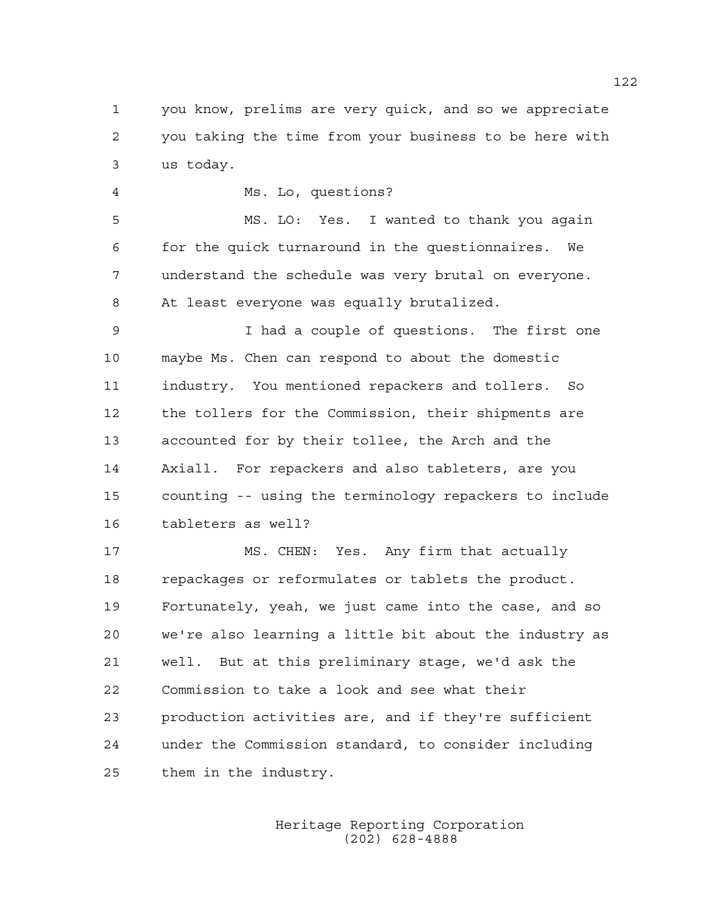1 you know, prelims are very quick, and so we appreciate 2 you taking the time from your business to be here with 3 us today.

4 Ms. Lo, questions?

5 MS. LO: Yes. I wanted to thank you again 6 for the quick turnaround in the questionnaires. We 7 understand the schedule was very brutal on everyone. 8 At least everyone was equally brutalized.

9 I had a couple of questions. The first one 10 maybe Ms. Chen can respond to about the domestic 11 industry. You mentioned repackers and tollers. So 12 the tollers for the Commission, their shipments are 13 accounted for by their tollee, the Arch and the 14 Axiall. For repackers and also tableters, are you 15 counting -- using the terminology repackers to include 16 tableters as well?

17 MS. CHEN: Yes. Any firm that actually 18 repackages or reformulates or tablets the product. 19 Fortunately, yeah, we just came into the case, and so 20 we're also learning a little bit about the industry as 21 well. But at this preliminary stage, we'd ask the 22 Commission to take a look and see what their 23 production activities are, and if they're sufficient 24 under the Commission standard, to consider including 25 them in the industry.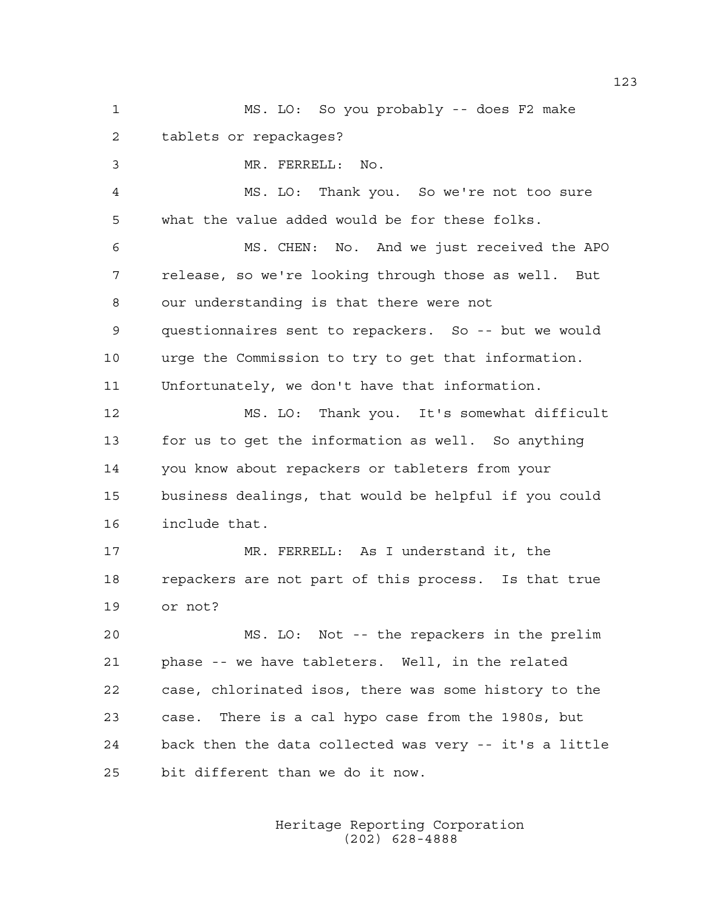1 MS. LO: So you probably -- does F2 make 2 tablets or repackages? 3 MR. FERRELL: No. 4 MS. LO: Thank you. So we're not too sure 5 what the value added would be for these folks. 6 MS. CHEN: No. And we just received the APO 7 release, so we're looking through those as well. But 8 our understanding is that there were not 9 questionnaires sent to repackers. So -- but we would 10 urge the Commission to try to get that information. 11 Unfortunately, we don't have that information. 12 MS. LO: Thank you. It's somewhat difficult

13 for us to get the information as well. So anything 14 you know about repackers or tableters from your 15 business dealings, that would be helpful if you could 16 include that.

17 MR. FERRELL: As I understand it, the 18 repackers are not part of this process. Is that true 19 or not?

20 MS. LO: Not -- the repackers in the prelim 21 phase -- we have tableters. Well, in the related 22 case, chlorinated isos, there was some history to the 23 case. There is a cal hypo case from the 1980s, but 24 back then the data collected was very -- it's a little 25 bit different than we do it now.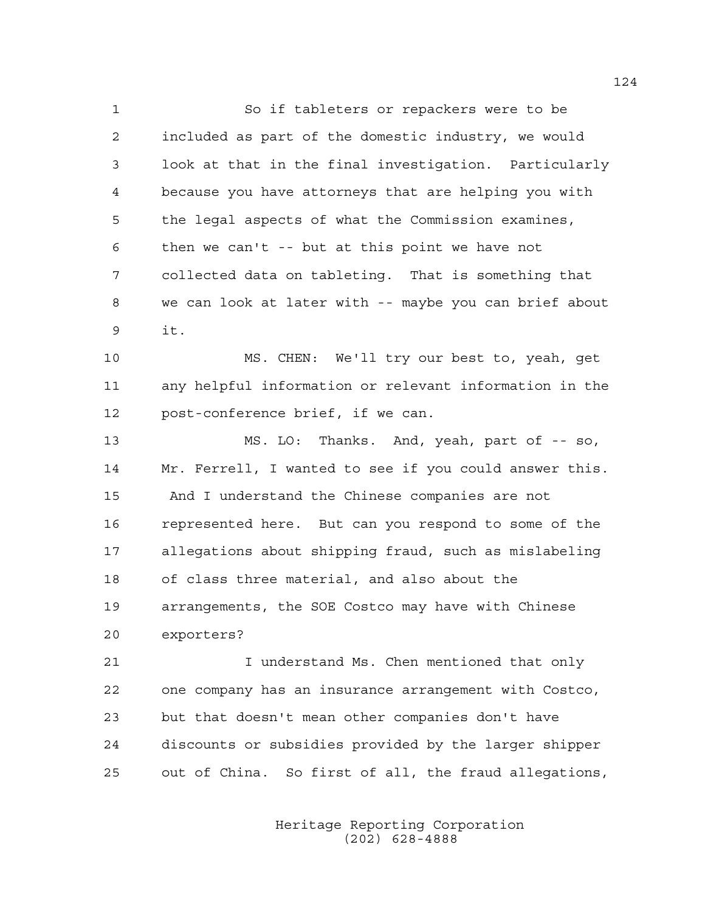1 So if tableters or repackers were to be 2 included as part of the domestic industry, we would 3 look at that in the final investigation. Particularly 4 because you have attorneys that are helping you with 5 the legal aspects of what the Commission examines, 6 then we can't -- but at this point we have not 7 collected data on tableting. That is something that 8 we can look at later with -- maybe you can brief about 9 it.

10 MS. CHEN: We'll try our best to, yeah, get 11 any helpful information or relevant information in the 12 post-conference brief, if we can.

13 MS. LO: Thanks. And, yeah, part of -- so, 14 Mr. Ferrell, I wanted to see if you could answer this. 15 And I understand the Chinese companies are not 16 represented here. But can you respond to some of the 17 allegations about shipping fraud, such as mislabeling 18 of class three material, and also about the 19 arrangements, the SOE Costco may have with Chinese 20 exporters?

21 I understand Ms. Chen mentioned that only 22 one company has an insurance arrangement with Costco, 23 but that doesn't mean other companies don't have 24 discounts or subsidies provided by the larger shipper 25 out of China. So first of all, the fraud allegations,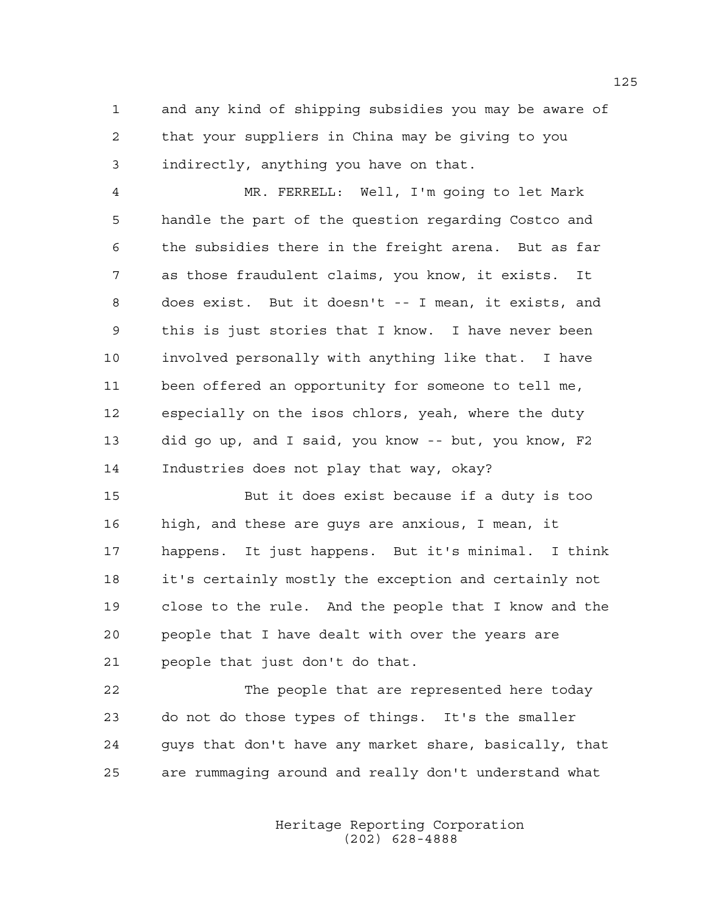1 and any kind of shipping subsidies you may be aware of 2 that your suppliers in China may be giving to you 3 indirectly, anything you have on that.

4 MR. FERRELL: Well, I'm going to let Mark 5 handle the part of the question regarding Costco and 6 the subsidies there in the freight arena. But as far 7 as those fraudulent claims, you know, it exists. It 8 does exist. But it doesn't -- I mean, it exists, and 9 this is just stories that I know. I have never been 10 involved personally with anything like that. I have 11 been offered an opportunity for someone to tell me, 12 especially on the isos chlors, yeah, where the duty 13 did go up, and I said, you know -- but, you know, F2 14 Industries does not play that way, okay?

15 But it does exist because if a duty is too 16 high, and these are guys are anxious, I mean, it 17 happens. It just happens. But it's minimal. I think 18 it's certainly mostly the exception and certainly not 19 close to the rule. And the people that I know and the 20 people that I have dealt with over the years are 21 people that just don't do that.

22 The people that are represented here today 23 do not do those types of things. It's the smaller 24 guys that don't have any market share, basically, that 25 are rummaging around and really don't understand what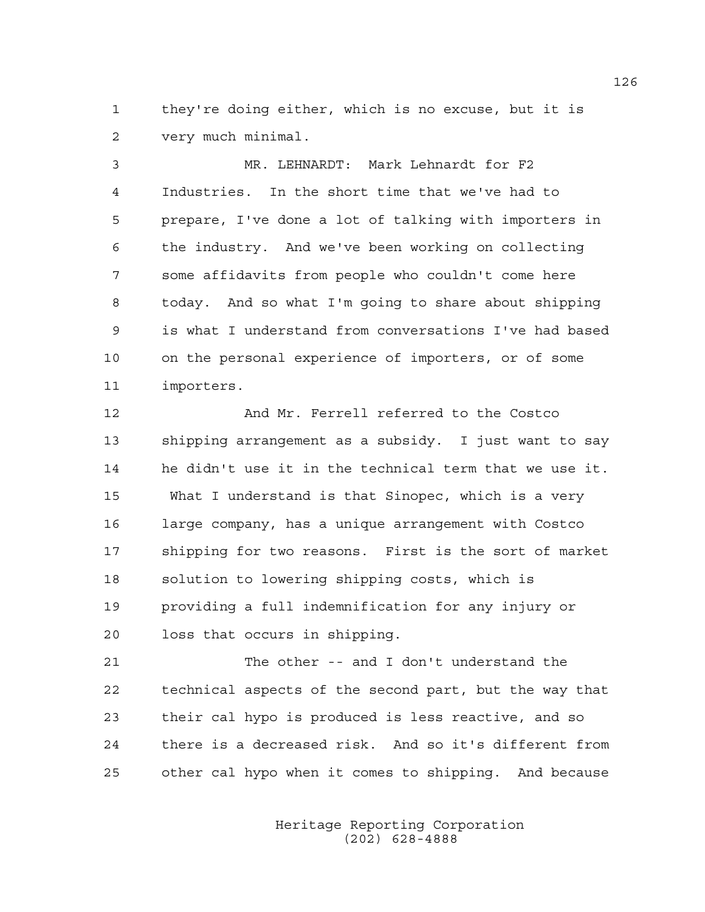1 they're doing either, which is no excuse, but it is 2 very much minimal.

3 MR. LEHNARDT: Mark Lehnardt for F2 4 Industries. In the short time that we've had to 5 prepare, I've done a lot of talking with importers in 6 the industry. And we've been working on collecting 7 some affidavits from people who couldn't come here 8 today. And so what I'm going to share about shipping 9 is what I understand from conversations I've had based 10 on the personal experience of importers, or of some 11 importers.

12 And Mr. Ferrell referred to the Costco 13 shipping arrangement as a subsidy. I just want to say 14 he didn't use it in the technical term that we use it. 15 What I understand is that Sinopec, which is a very 16 large company, has a unique arrangement with Costco 17 shipping for two reasons. First is the sort of market 18 solution to lowering shipping costs, which is 19 providing a full indemnification for any injury or 20 loss that occurs in shipping.

21 The other -- and I don't understand the 22 technical aspects of the second part, but the way that 23 their cal hypo is produced is less reactive, and so 24 there is a decreased risk. And so it's different from 25 other cal hypo when it comes to shipping. And because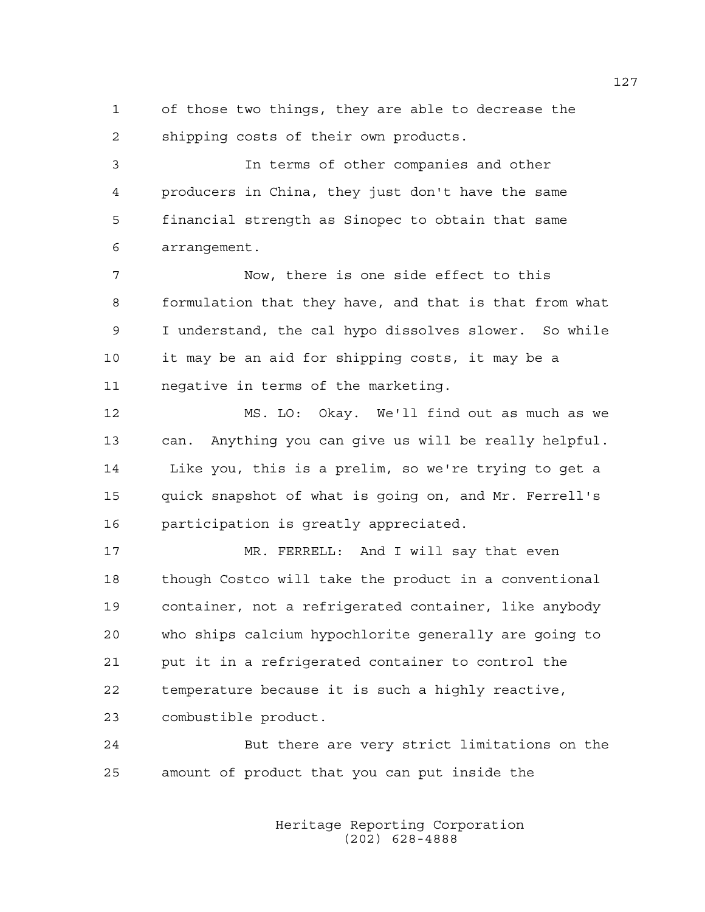1 of those two things, they are able to decrease the 2 shipping costs of their own products.

3 In terms of other companies and other 4 producers in China, they just don't have the same 5 financial strength as Sinopec to obtain that same 6 arrangement.

7 Now, there is one side effect to this 8 formulation that they have, and that is that from what 9 I understand, the cal hypo dissolves slower. So while 10 it may be an aid for shipping costs, it may be a 11 negative in terms of the marketing.

12 MS. LO: Okay. We'll find out as much as we 13 can. Anything you can give us will be really helpful. 14 Like you, this is a prelim, so we're trying to get a 15 quick snapshot of what is going on, and Mr. Ferrell's 16 participation is greatly appreciated.

17 MR. FERRELL: And I will say that even 18 though Costco will take the product in a conventional 19 container, not a refrigerated container, like anybody 20 who ships calcium hypochlorite generally are going to 21 put it in a refrigerated container to control the 22 temperature because it is such a highly reactive, 23 combustible product.

24 But there are very strict limitations on the 25 amount of product that you can put inside the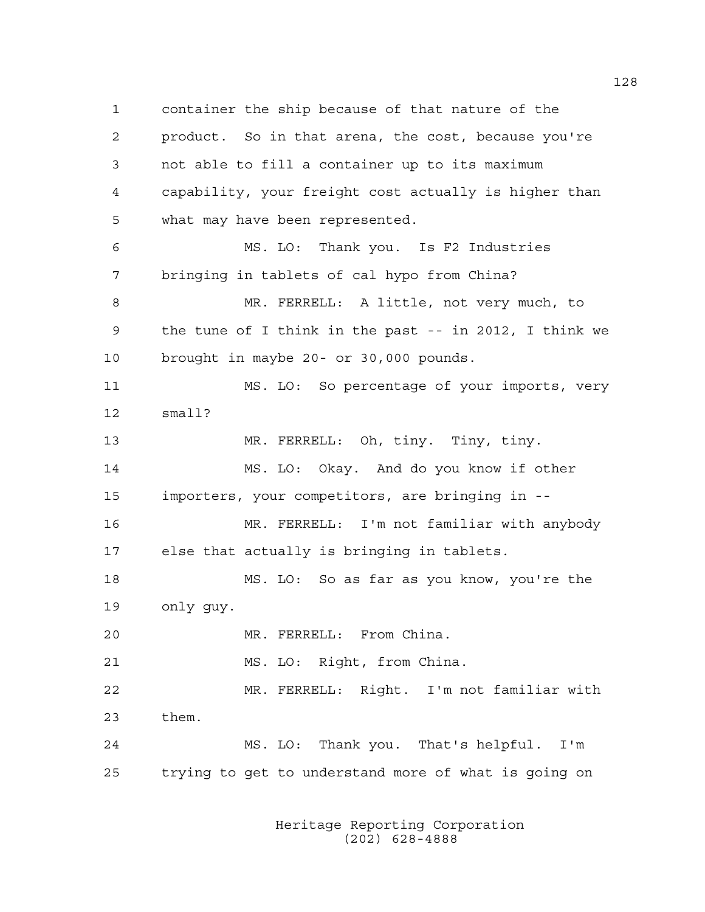1 container the ship because of that nature of the 2 product. So in that arena, the cost, because you're 3 not able to fill a container up to its maximum 4 capability, your freight cost actually is higher than 5 what may have been represented. 6 MS. LO: Thank you. Is F2 Industries 7 bringing in tablets of cal hypo from China? 8 MR. FERRELL: A little, not very much, to 9 the tune of I think in the past -- in 2012, I think we 10 brought in maybe 20- or 30,000 pounds. 11 MS. LO: So percentage of your imports, very 12 small? 13 MR. FERRELL: Oh, tiny. Tiny, tiny. 14 MS. LO: Okay. And do you know if other 15 importers, your competitors, are bringing in -- 16 MR. FERRELL: I'm not familiar with anybody 17 else that actually is bringing in tablets. 18 MS. LO: So as far as you know, you're the 19 only guy. 20 MR. FERRELL: From China. 21 MS. LO: Right, from China. 22 MR. FERRELL: Right. I'm not familiar with 23 them. 24 MS. LO: Thank you. That's helpful. I'm 25 trying to get to understand more of what is going on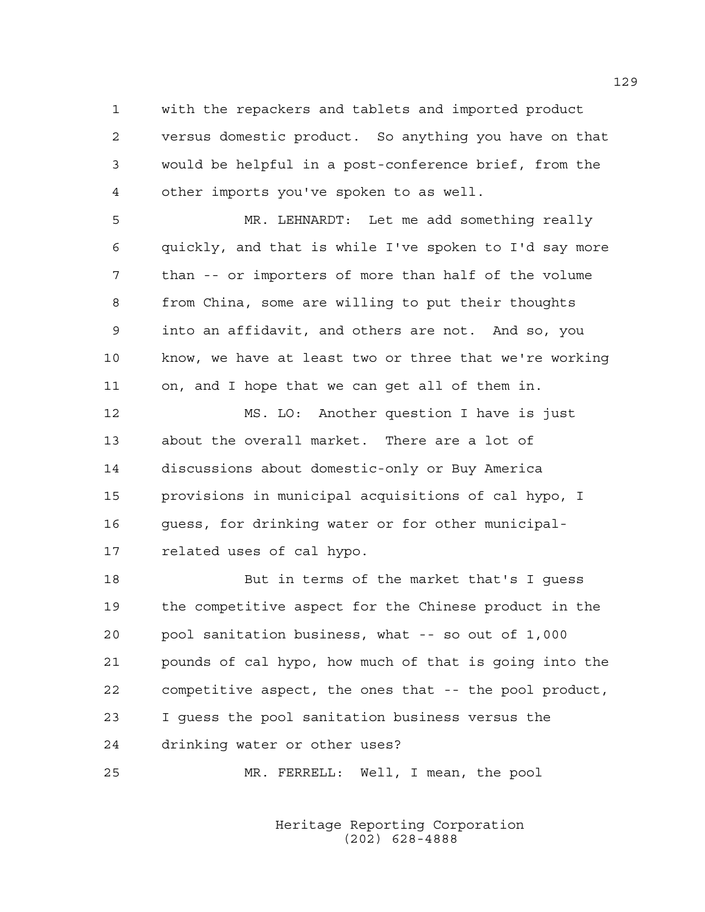1 with the repackers and tablets and imported product 2 versus domestic product. So anything you have on that 3 would be helpful in a post-conference brief, from the 4 other imports you've spoken to as well.

5 MR. LEHNARDT: Let me add something really 6 quickly, and that is while I've spoken to I'd say more 7 than -- or importers of more than half of the volume 8 from China, some are willing to put their thoughts 9 into an affidavit, and others are not. And so, you 10 know, we have at least two or three that we're working 11 on, and I hope that we can get all of them in.

12 MS. LO: Another question I have is just 13 about the overall market. There are a lot of 14 discussions about domestic-only or Buy America 15 provisions in municipal acquisitions of cal hypo, I 16 guess, for drinking water or for other municipal-17 related uses of cal hypo.

18 But in terms of the market that's I guess 19 the competitive aspect for the Chinese product in the 20 pool sanitation business, what -- so out of 1,000 21 pounds of cal hypo, how much of that is going into the 22 competitive aspect, the ones that -- the pool product, 23 I guess the pool sanitation business versus the 24 drinking water or other uses?

25 MR. FERRELL: Well, I mean, the pool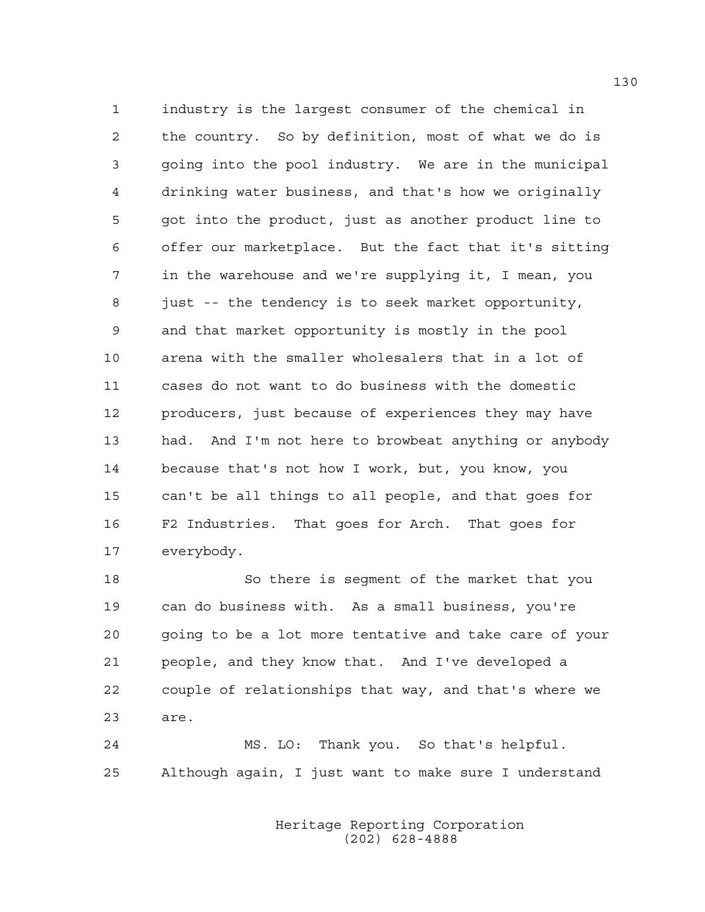1 industry is the largest consumer of the chemical in 2 the country. So by definition, most of what we do is 3 going into the pool industry. We are in the municipal 4 drinking water business, and that's how we originally 5 got into the product, just as another product line to 6 offer our marketplace. But the fact that it's sitting 7 in the warehouse and we're supplying it, I mean, you 8 just -- the tendency is to seek market opportunity, 9 and that market opportunity is mostly in the pool 10 arena with the smaller wholesalers that in a lot of 11 cases do not want to do business with the domestic 12 producers, just because of experiences they may have 13 had. And I'm not here to browbeat anything or anybody 14 because that's not how I work, but, you know, you 15 can't be all things to all people, and that goes for 16 F2 Industries. That goes for Arch. That goes for 17 everybody.

18 So there is segment of the market that you 19 can do business with. As a small business, you're 20 going to be a lot more tentative and take care of your 21 people, and they know that. And I've developed a 22 couple of relationships that way, and that's where we 23 are.

24 MS. LO: Thank you. So that's helpful. 25 Although again, I just want to make sure I understand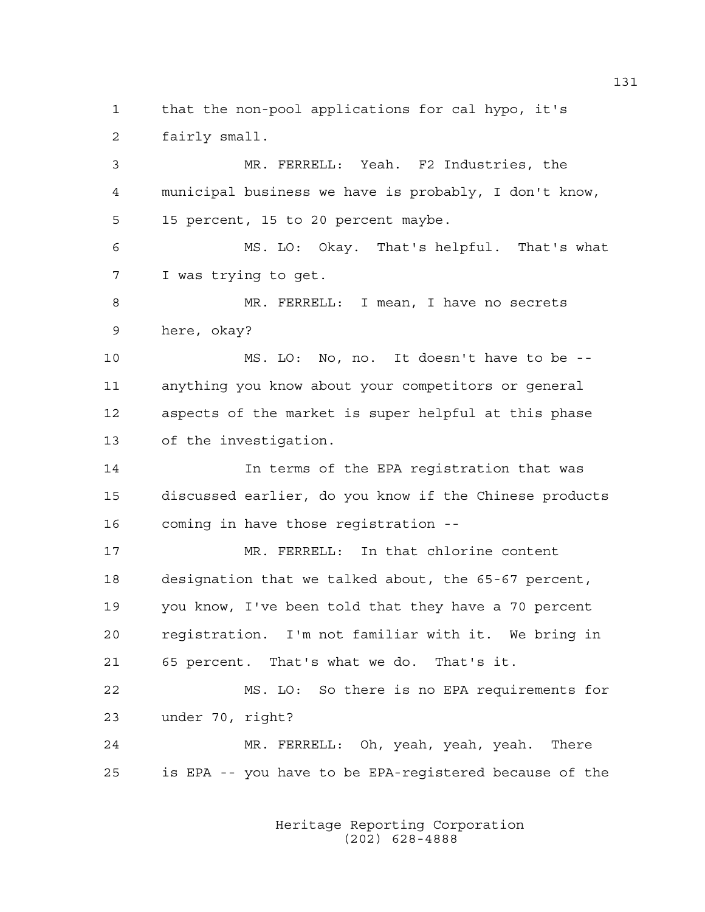1 that the non-pool applications for cal hypo, it's 2 fairly small.

3 MR. FERRELL: Yeah. F2 Industries, the 4 municipal business we have is probably, I don't know, 5 15 percent, 15 to 20 percent maybe. 6 MS. LO: Okay. That's helpful. That's what 7 I was trying to get.

8 MR. FERRELL: I mean, I have no secrets 9 here, okay?

10 MS. LO: No, no. It doesn't have to be -- 11 anything you know about your competitors or general 12 aspects of the market is super helpful at this phase 13 of the investigation.

14 In terms of the EPA registration that was 15 discussed earlier, do you know if the Chinese products 16 coming in have those registration --

17 MR. FERRELL: In that chlorine content 18 designation that we talked about, the 65-67 percent, 19 you know, I've been told that they have a 70 percent 20 registration. I'm not familiar with it. We bring in 21 65 percent. That's what we do. That's it.

22 MS. LO: So there is no EPA requirements for 23 under 70, right?

24 MR. FERRELL: Oh, yeah, yeah, yeah. There 25 is EPA -- you have to be EPA-registered because of the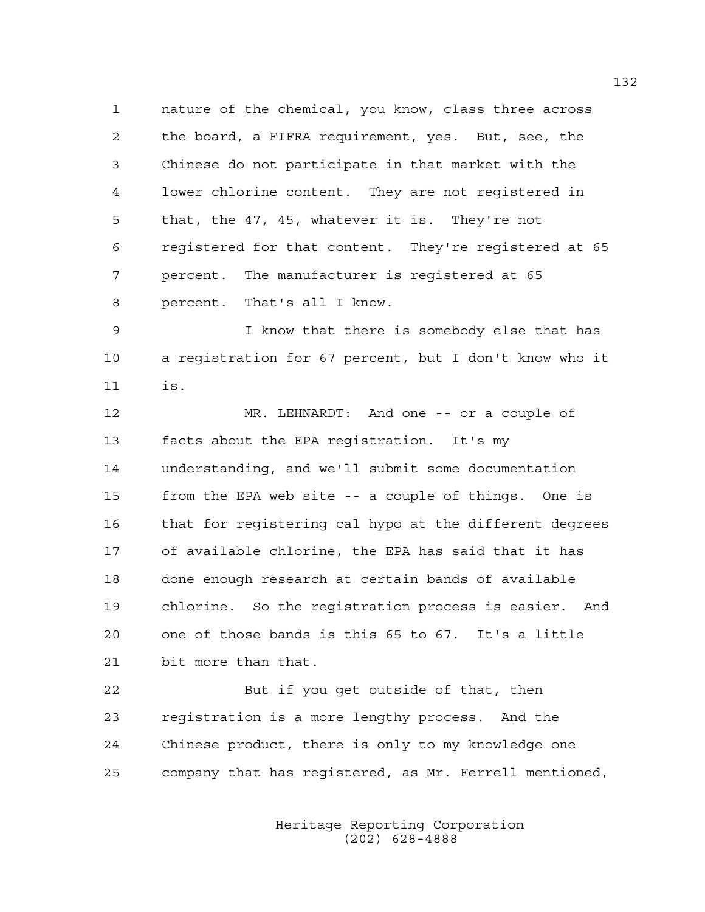1 nature of the chemical, you know, class three across 2 the board, a FIFRA requirement, yes. But, see, the 3 Chinese do not participate in that market with the 4 lower chlorine content. They are not registered in 5 that, the 47, 45, whatever it is. They're not 6 registered for that content. They're registered at 65 7 percent. The manufacturer is registered at 65 8 percent. That's all I know.

9 I know that there is somebody else that has 10 a registration for 67 percent, but I don't know who it 11 is.

12 MR. LEHNARDT: And one -- or a couple of 13 facts about the EPA registration. It's my 14 understanding, and we'll submit some documentation 15 from the EPA web site -- a couple of things. One is 16 that for registering cal hypo at the different degrees 17 of available chlorine, the EPA has said that it has 18 done enough research at certain bands of available 19 chlorine. So the registration process is easier. And 20 one of those bands is this 65 to 67. It's a little 21 bit more than that.

22 But if you get outside of that, then 23 registration is a more lengthy process. And the 24 Chinese product, there is only to my knowledge one 25 company that has registered, as Mr. Ferrell mentioned,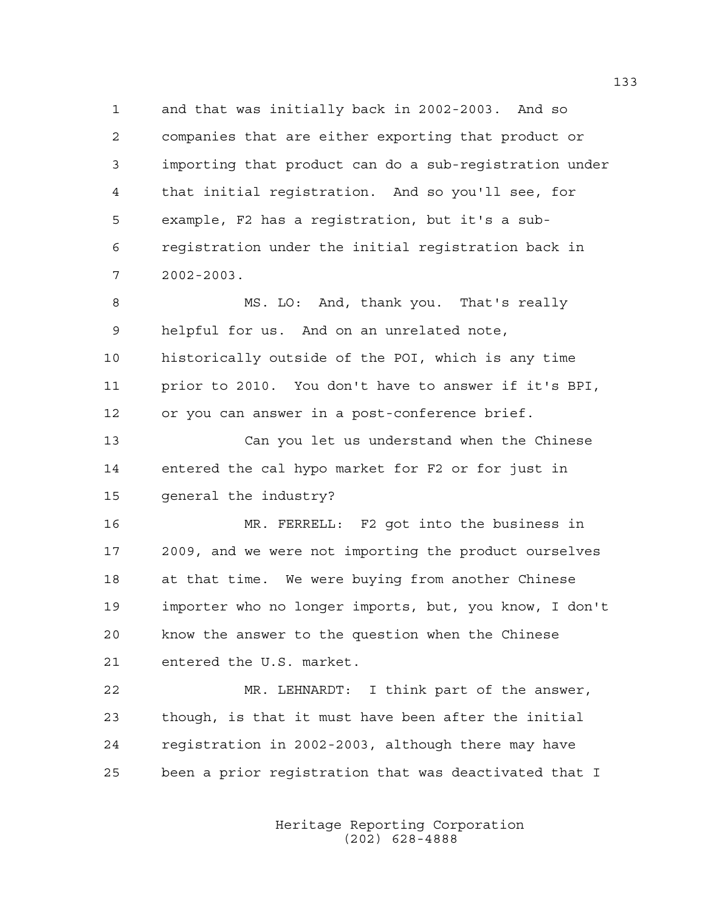1 and that was initially back in 2002-2003. And so 2 companies that are either exporting that product or 3 importing that product can do a sub-registration under 4 that initial registration. And so you'll see, for 5 example, F2 has a registration, but it's a sub-6 registration under the initial registration back in 7 2002-2003.

8 MS. LO: And, thank you. That's really 9 helpful for us. And on an unrelated note, 10 historically outside of the POI, which is any time 11 prior to 2010. You don't have to answer if it's BPI, 12 or you can answer in a post-conference brief.

13 Can you let us understand when the Chinese 14 entered the cal hypo market for F2 or for just in 15 general the industry?

16 MR. FERRELL: F2 got into the business in 17 2009, and we were not importing the product ourselves 18 at that time. We were buying from another Chinese 19 importer who no longer imports, but, you know, I don't 20 know the answer to the question when the Chinese 21 entered the U.S. market.

22 MR. LEHNARDT: I think part of the answer, 23 though, is that it must have been after the initial 24 registration in 2002-2003, although there may have 25 been a prior registration that was deactivated that I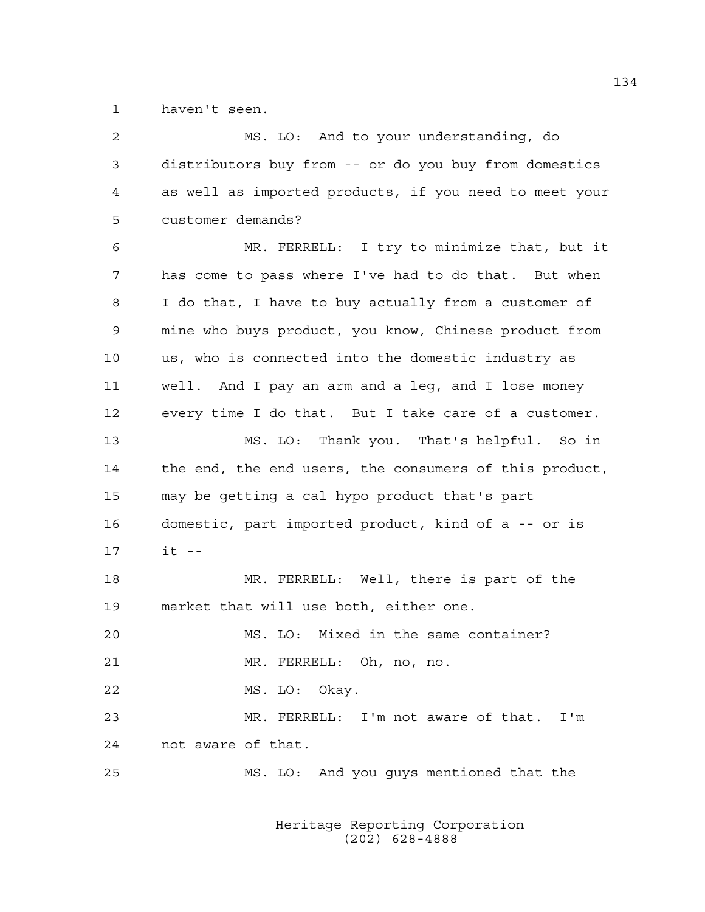1 haven't seen.

| 2  | MS. LO: And to your understanding, do                  |
|----|--------------------------------------------------------|
| 3  | distributors buy from -- or do you buy from domestics  |
| 4  | as well as imported products, if you need to meet your |
| 5  | customer demands?                                      |
| 6  | MR. FERRELL: I try to minimize that, but it            |
| 7  | has come to pass where I've had to do that. But when   |
| 8  | I do that, I have to buy actually from a customer of   |
| 9  | mine who buys product, you know, Chinese product from  |
| 10 | us, who is connected into the domestic industry as     |
| 11 | well. And I pay an arm and a leq, and I lose money     |
| 12 | every time I do that. But I take care of a customer.   |
| 13 | MS. LO: Thank you. That's helpful. So in               |
| 14 | the end, the end users, the consumers of this product, |
| 15 | may be getting a cal hypo product that's part          |
| 16 | domestic, part imported product, kind of a -- or is    |
| 17 | $it$ --                                                |
| 18 | MR. FERRELL: Well, there is part of the                |
| 19 | market that will use both, either one.                 |
| 20 | MS. LO: Mixed in the same container?                   |
| 21 | MR. FERRELL: Oh, no, no.                               |
| 22 | MS. LO: Okay.                                          |
| 23 | MR. FERRELL: I'm not aware of that. I'm                |
| 24 | not aware of that.                                     |
| 25 | MS. LO: And you guys mentioned that the                |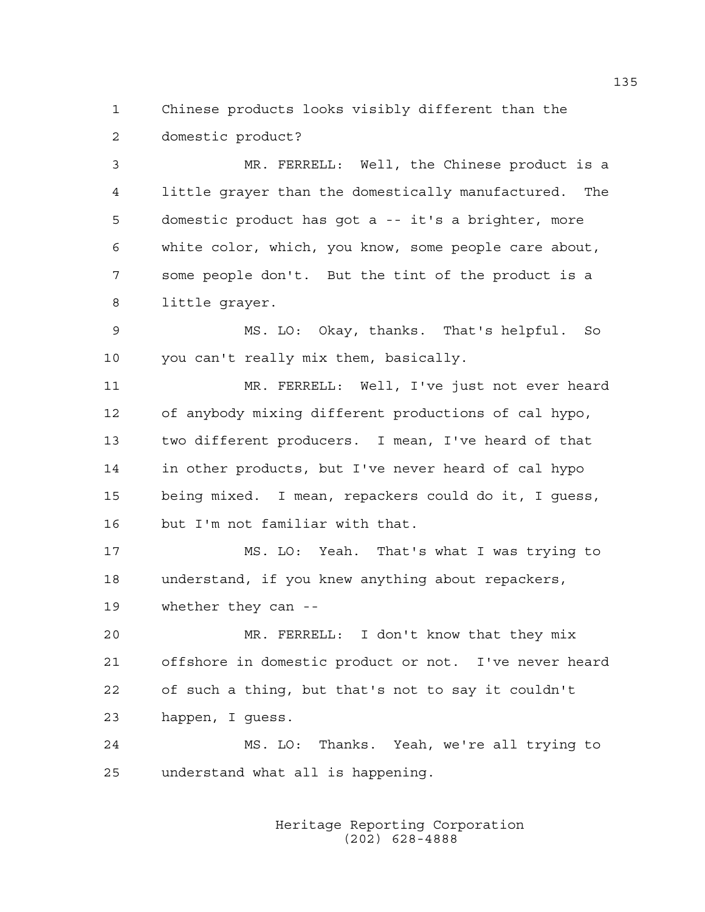1 Chinese products looks visibly different than the 2 domestic product?

3 MR. FERRELL: Well, the Chinese product is a 4 little grayer than the domestically manufactured. The 5 domestic product has got a -- it's a brighter, more 6 white color, which, you know, some people care about, 7 some people don't. But the tint of the product is a 8 little grayer.

9 MS. LO: Okay, thanks. That's helpful. So 10 you can't really mix them, basically.

11 MR. FERRELL: Well, I've just not ever heard 12 of anybody mixing different productions of cal hypo, 13 two different producers. I mean, I've heard of that 14 in other products, but I've never heard of cal hypo 15 being mixed. I mean, repackers could do it, I guess, 16 but I'm not familiar with that.

17 MS. LO: Yeah. That's what I was trying to 18 understand, if you knew anything about repackers, 19 whether they can --

20 MR. FERRELL: I don't know that they mix 21 offshore in domestic product or not. I've never heard 22 of such a thing, but that's not to say it couldn't 23 happen, I guess.

24 MS. LO: Thanks. Yeah, we're all trying to 25 understand what all is happening.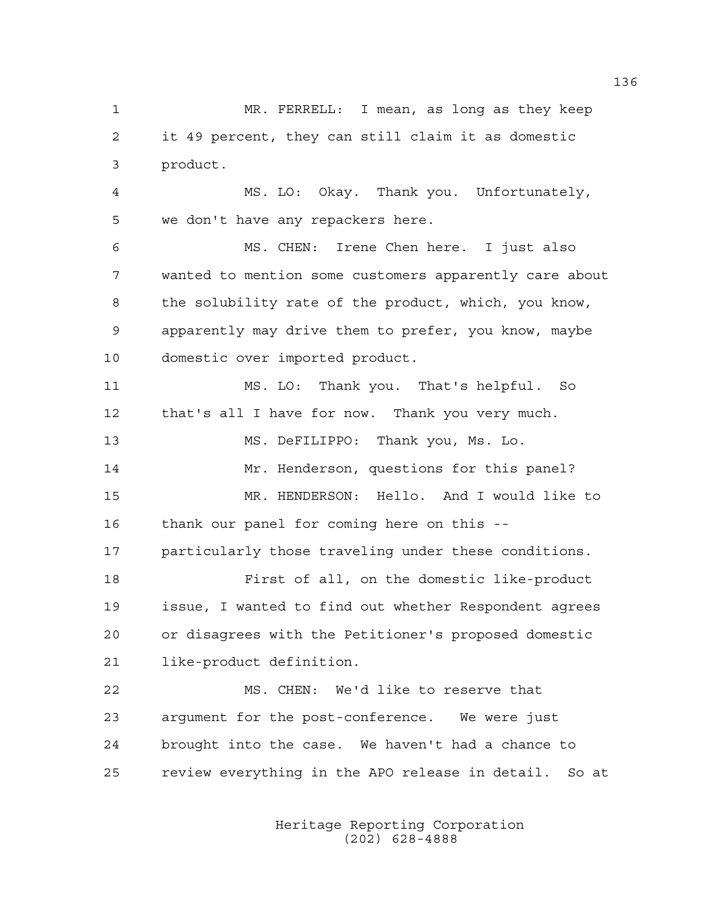1 MR. FERRELL: I mean, as long as they keep 2 it 49 percent, they can still claim it as domestic 3 product.

4 MS. LO: Okay. Thank you. Unfortunately, 5 we don't have any repackers here.

6 MS. CHEN: Irene Chen here. I just also 7 wanted to mention some customers apparently care about 8 the solubility rate of the product, which, you know, 9 apparently may drive them to prefer, you know, maybe 10 domestic over imported product.

11 MS. LO: Thank you. That's helpful. So 12 that's all I have for now. Thank you very much. 13 MS. DeFILIPPO: Thank you, Ms. Lo. 14 Mr. Henderson, questions for this panel? 15 MR. HENDERSON: Hello. And I would like to 16 thank our panel for coming here on this -- 17 particularly those traveling under these conditions. 18 First of all, on the domestic like-product 19 issue, I wanted to find out whether Respondent agrees 20 or disagrees with the Petitioner's proposed domestic 21 like-product definition.

22 MS. CHEN: We'd like to reserve that 23 argument for the post-conference. We were just 24 brought into the case. We haven't had a chance to 25 review everything in the APO release in detail. So at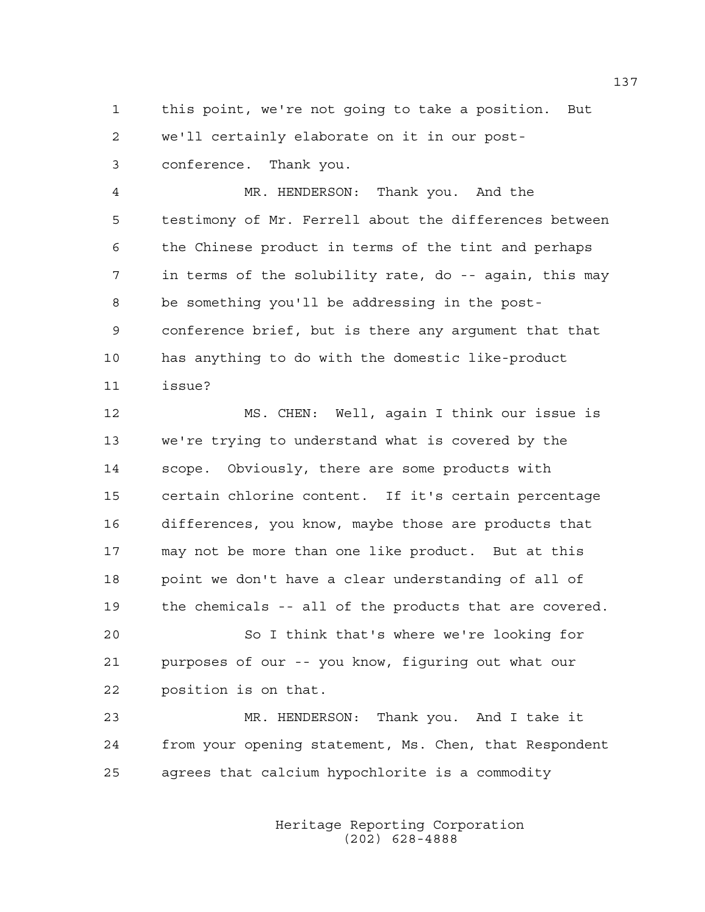1 this point, we're not going to take a position. But 2 we'll certainly elaborate on it in our post-3 conference. Thank you.

4 MR. HENDERSON: Thank you. And the 5 testimony of Mr. Ferrell about the differences between 6 the Chinese product in terms of the tint and perhaps 7 in terms of the solubility rate, do -- again, this may 8 be something you'll be addressing in the post-9 conference brief, but is there any argument that that 10 has anything to do with the domestic like-product 11 issue?

12 MS. CHEN: Well, again I think our issue is 13 we're trying to understand what is covered by the 14 scope. Obviously, there are some products with 15 certain chlorine content. If it's certain percentage 16 differences, you know, maybe those are products that 17 may not be more than one like product. But at this 18 point we don't have a clear understanding of all of 19 the chemicals -- all of the products that are covered.

20 So I think that's where we're looking for 21 purposes of our -- you know, figuring out what our 22 position is on that.

23 MR. HENDERSON: Thank you. And I take it 24 from your opening statement, Ms. Chen, that Respondent 25 agrees that calcium hypochlorite is a commodity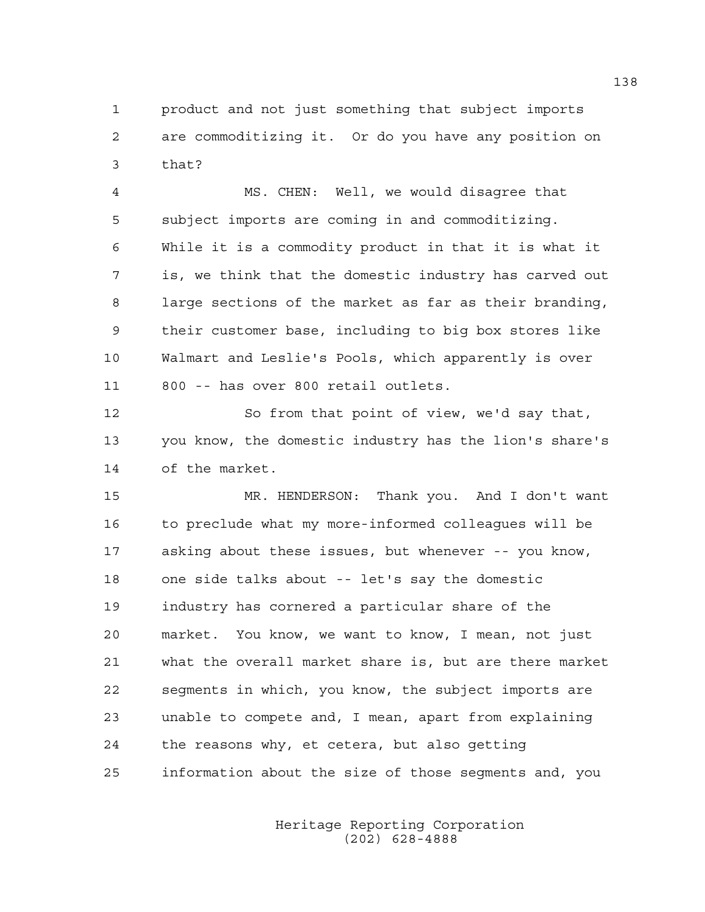1 product and not just something that subject imports 2 are commoditizing it. Or do you have any position on 3 that?

4 MS. CHEN: Well, we would disagree that 5 subject imports are coming in and commoditizing. 6 While it is a commodity product in that it is what it 7 is, we think that the domestic industry has carved out 8 large sections of the market as far as their branding, 9 their customer base, including to big box stores like 10 Walmart and Leslie's Pools, which apparently is over 11 800 -- has over 800 retail outlets.

12 So from that point of view, we'd say that, 13 you know, the domestic industry has the lion's share's 14 of the market.

15 MR. HENDERSON: Thank you. And I don't want 16 to preclude what my more-informed colleagues will be 17 asking about these issues, but whenever -- you know, 18 one side talks about -- let's say the domestic 19 industry has cornered a particular share of the 20 market. You know, we want to know, I mean, not just 21 what the overall market share is, but are there market 22 segments in which, you know, the subject imports are 23 unable to compete and, I mean, apart from explaining 24 the reasons why, et cetera, but also getting 25 information about the size of those segments and, you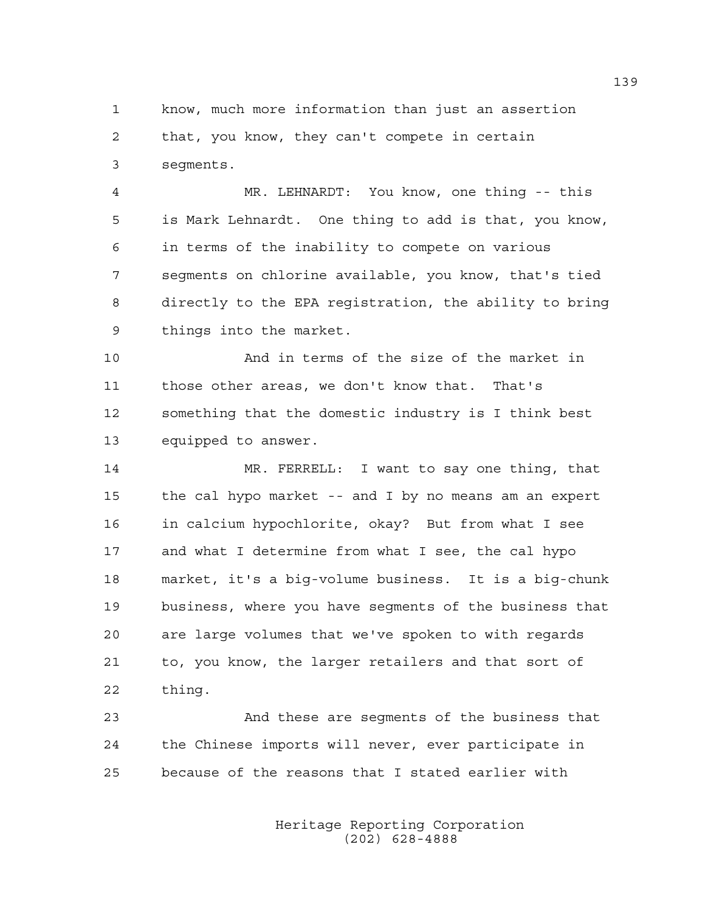1 know, much more information than just an assertion 2 that, you know, they can't compete in certain 3 segments.

4 MR. LEHNARDT: You know, one thing -- this 5 is Mark Lehnardt. One thing to add is that, you know, 6 in terms of the inability to compete on various 7 segments on chlorine available, you know, that's tied 8 directly to the EPA registration, the ability to bring 9 things into the market.

10 And in terms of the size of the market in 11 those other areas, we don't know that. That's 12 something that the domestic industry is I think best 13 equipped to answer.

14 MR. FERRELL: I want to say one thing, that 15 the cal hypo market -- and I by no means am an expert 16 in calcium hypochlorite, okay? But from what I see 17 and what I determine from what I see, the cal hypo 18 market, it's a big-volume business. It is a big-chunk 19 business, where you have segments of the business that 20 are large volumes that we've spoken to with regards 21 to, you know, the larger retailers and that sort of 22 thing.

23 And these are segments of the business that 24 the Chinese imports will never, ever participate in 25 because of the reasons that I stated earlier with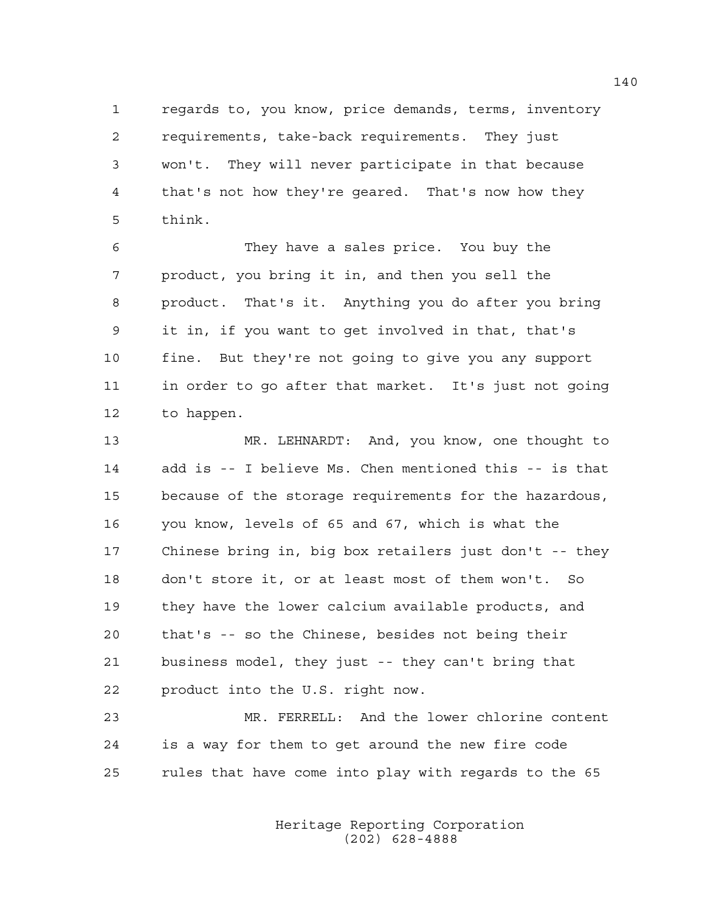1 regards to, you know, price demands, terms, inventory 2 requirements, take-back requirements. They just 3 won't. They will never participate in that because 4 that's not how they're geared. That's now how they 5 think.

6 They have a sales price. You buy the 7 product, you bring it in, and then you sell the 8 product. That's it. Anything you do after you bring 9 it in, if you want to get involved in that, that's 10 fine. But they're not going to give you any support 11 in order to go after that market. It's just not going 12 to happen.

13 MR. LEHNARDT: And, you know, one thought to 14 add is -- I believe Ms. Chen mentioned this -- is that 15 because of the storage requirements for the hazardous, 16 you know, levels of 65 and 67, which is what the 17 Chinese bring in, big box retailers just don't -- they 18 don't store it, or at least most of them won't. So 19 they have the lower calcium available products, and 20 that's -- so the Chinese, besides not being their 21 business model, they just -- they can't bring that 22 product into the U.S. right now.

23 MR. FERRELL: And the lower chlorine content 24 is a way for them to get around the new fire code 25 rules that have come into play with regards to the 65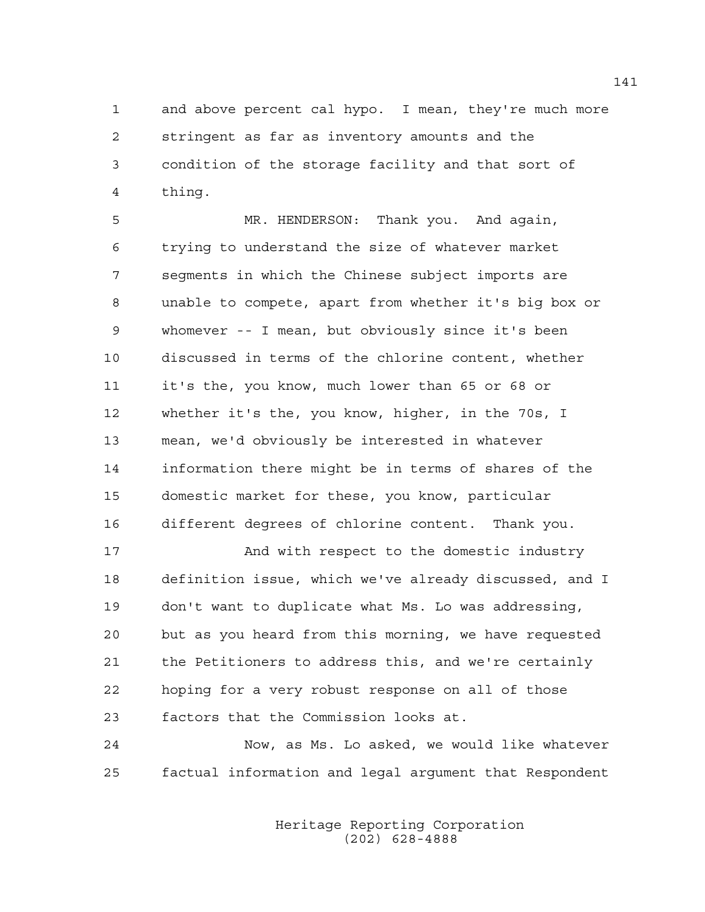1 and above percent cal hypo. I mean, they're much more 2 stringent as far as inventory amounts and the 3 condition of the storage facility and that sort of 4 thing.

5 MR. HENDERSON: Thank you. And again, 6 trying to understand the size of whatever market 7 segments in which the Chinese subject imports are 8 unable to compete, apart from whether it's big box or 9 whomever -- I mean, but obviously since it's been 10 discussed in terms of the chlorine content, whether 11 it's the, you know, much lower than 65 or 68 or 12 whether it's the, you know, higher, in the 70s, I 13 mean, we'd obviously be interested in whatever 14 information there might be in terms of shares of the 15 domestic market for these, you know, particular 16 different degrees of chlorine content. Thank you.

17 And with respect to the domestic industry 18 definition issue, which we've already discussed, and I 19 don't want to duplicate what Ms. Lo was addressing, 20 but as you heard from this morning, we have requested 21 the Petitioners to address this, and we're certainly 22 hoping for a very robust response on all of those 23 factors that the Commission looks at.

24 Now, as Ms. Lo asked, we would like whatever 25 factual information and legal argument that Respondent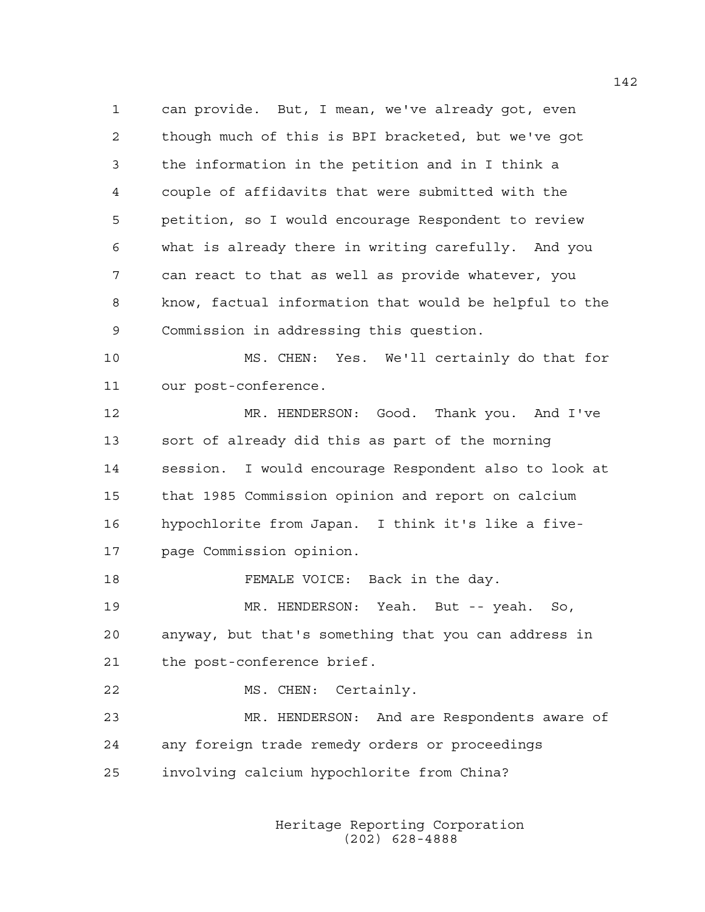1 can provide. But, I mean, we've already got, even 2 though much of this is BPI bracketed, but we've got 3 the information in the petition and in I think a 4 couple of affidavits that were submitted with the 5 petition, so I would encourage Respondent to review 6 what is already there in writing carefully. And you 7 can react to that as well as provide whatever, you 8 know, factual information that would be helpful to the 9 Commission in addressing this question.

10 MS. CHEN: Yes. We'll certainly do that for 11 our post-conference.

12 MR. HENDERSON: Good. Thank you. And I've 13 sort of already did this as part of the morning 14 session. I would encourage Respondent also to look at 15 that 1985 Commission opinion and report on calcium 16 hypochlorite from Japan. I think it's like a five-17 page Commission opinion.

18 FEMALE VOICE: Back in the day.

19 MR. HENDERSON: Yeah. But -- yeah. So, 20 anyway, but that's something that you can address in 21 the post-conference brief.

22 MS. CHEN: Certainly.

23 MR. HENDERSON: And are Respondents aware of 24 any foreign trade remedy orders or proceedings 25 involving calcium hypochlorite from China?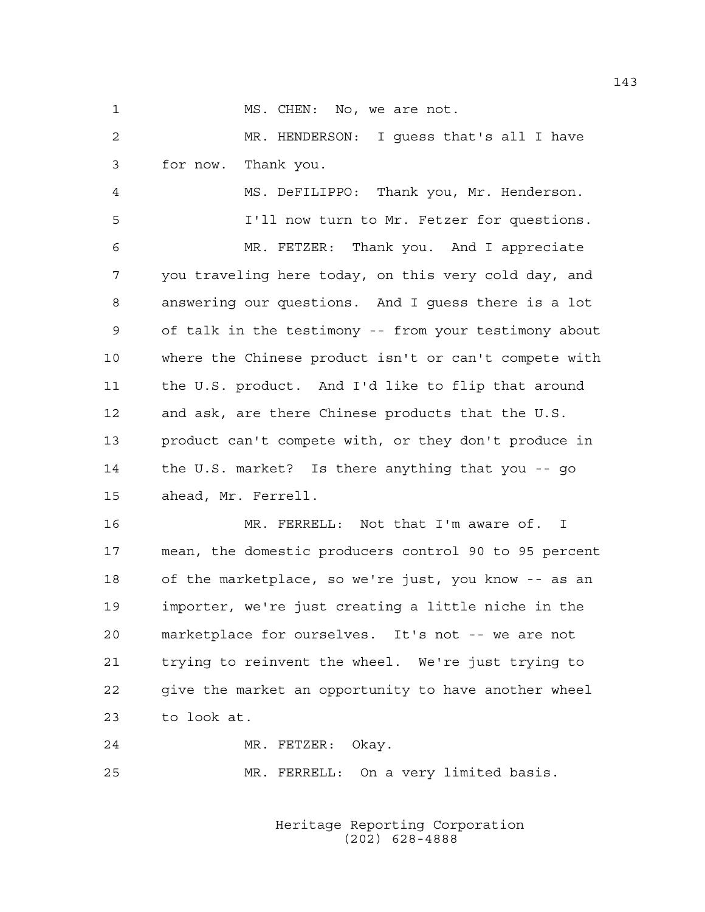1 MS. CHEN: No, we are not.

2 MR. HENDERSON: I guess that's all I have 3 for now. Thank you.

4 MS. DeFILIPPO: Thank you, Mr. Henderson. 5 I'll now turn to Mr. Fetzer for questions.

6 MR. FETZER: Thank you. And I appreciate 7 you traveling here today, on this very cold day, and 8 answering our questions. And I guess there is a lot 9 of talk in the testimony -- from your testimony about 10 where the Chinese product isn't or can't compete with 11 the U.S. product. And I'd like to flip that around 12 and ask, are there Chinese products that the U.S. 13 product can't compete with, or they don't produce in 14 the U.S. market? Is there anything that you -- go 15 ahead, Mr. Ferrell.

16 MR. FERRELL: Not that I'm aware of. I 17 mean, the domestic producers control 90 to 95 percent 18 of the marketplace, so we're just, you know -- as an 19 importer, we're just creating a little niche in the 20 marketplace for ourselves. It's not -- we are not 21 trying to reinvent the wheel. We're just trying to 22 give the market an opportunity to have another wheel 23 to look at.

24 MR. FETZER: Okay.

25 MR. FERRELL: On a very limited basis.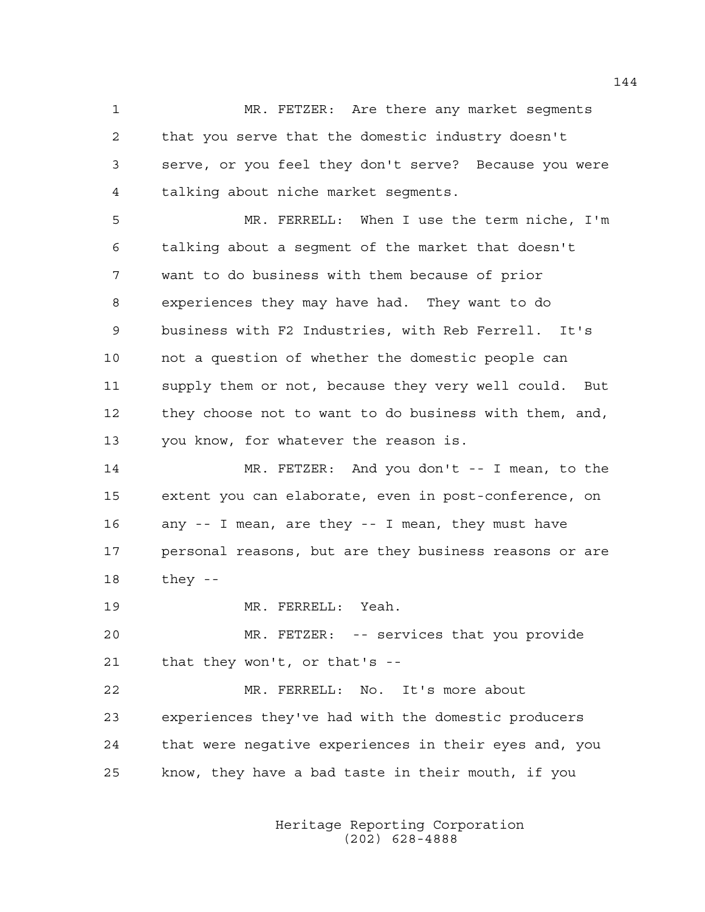1 MR. FETZER: Are there any market segments 2 that you serve that the domestic industry doesn't 3 serve, or you feel they don't serve? Because you were 4 talking about niche market segments.

5 MR. FERRELL: When I use the term niche, I'm 6 talking about a segment of the market that doesn't 7 want to do business with them because of prior 8 experiences they may have had. They want to do 9 business with F2 Industries, with Reb Ferrell. It's 10 not a question of whether the domestic people can 11 supply them or not, because they very well could. But 12 they choose not to want to do business with them, and, 13 you know, for whatever the reason is.

14 MR. FETZER: And you don't -- I mean, to the 15 extent you can elaborate, even in post-conference, on 16 any -- I mean, are they -- I mean, they must have 17 personal reasons, but are they business reasons or are 18 they --

19 MR. FERRELL: Yeah.

20 MR. FETZER: -- services that you provide 21 that they won't, or that's --

22 MR. FERRELL: No. It's more about 23 experiences they've had with the domestic producers 24 that were negative experiences in their eyes and, you 25 know, they have a bad taste in their mouth, if you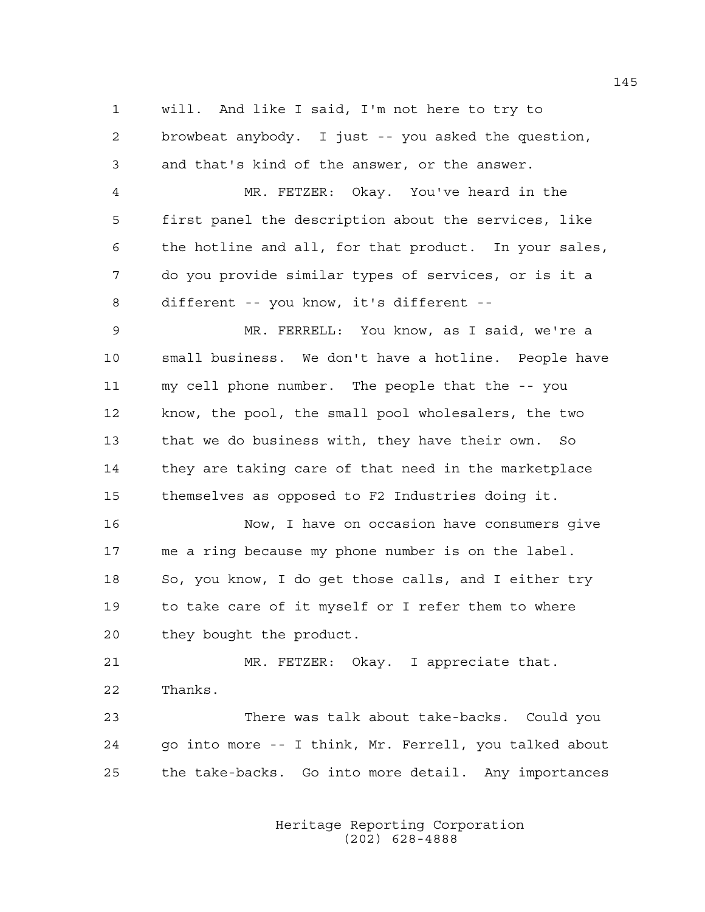1 will. And like I said, I'm not here to try to 2 browbeat anybody. I just -- you asked the question, 3 and that's kind of the answer, or the answer.

4 MR. FETZER: Okay. You've heard in the 5 first panel the description about the services, like 6 the hotline and all, for that product. In your sales, 7 do you provide similar types of services, or is it a 8 different -- you know, it's different --

9 MR. FERRELL: You know, as I said, we're a 10 small business. We don't have a hotline. People have 11 my cell phone number. The people that the -- you 12 know, the pool, the small pool wholesalers, the two 13 that we do business with, they have their own. So 14 they are taking care of that need in the marketplace 15 themselves as opposed to F2 Industries doing it.

16 Now, I have on occasion have consumers give 17 me a ring because my phone number is on the label. 18 So, you know, I do get those calls, and I either try 19 to take care of it myself or I refer them to where 20 they bought the product.

21 MR. FETZER: Okay. I appreciate that. 22 Thanks.

23 There was talk about take-backs. Could you 24 go into more -- I think, Mr. Ferrell, you talked about 25 the take-backs. Go into more detail. Any importances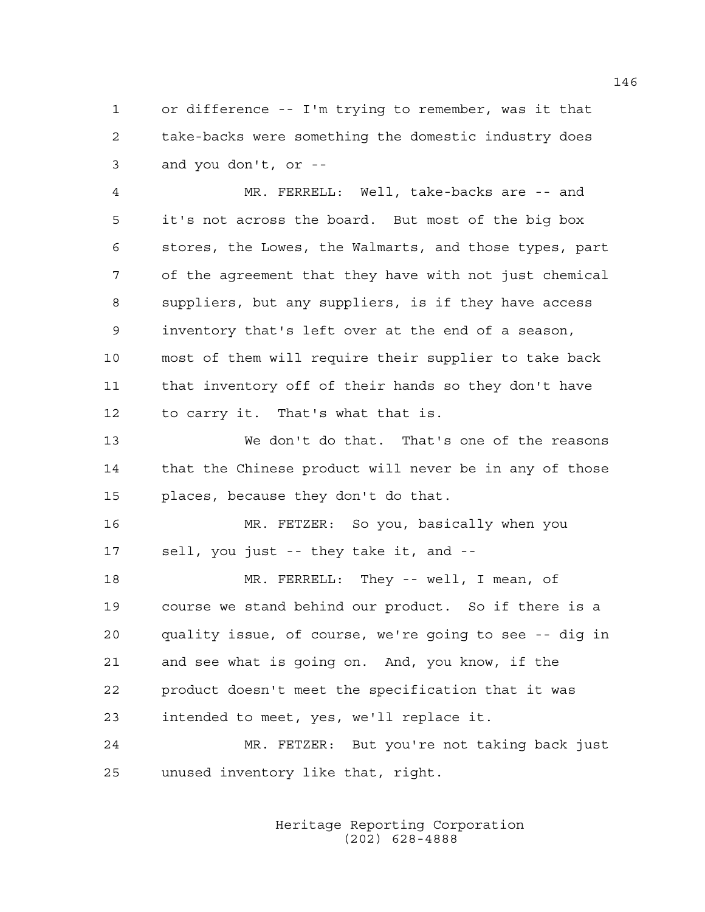1 or difference -- I'm trying to remember, was it that 2 take-backs were something the domestic industry does 3 and you don't, or --

4 MR. FERRELL: Well, take-backs are -- and 5 it's not across the board. But most of the big box 6 stores, the Lowes, the Walmarts, and those types, part 7 of the agreement that they have with not just chemical 8 suppliers, but any suppliers, is if they have access 9 inventory that's left over at the end of a season, 10 most of them will require their supplier to take back 11 that inventory off of their hands so they don't have 12 to carry it. That's what that is.

13 We don't do that. That's one of the reasons 14 that the Chinese product will never be in any of those 15 places, because they don't do that.

16 MR. FETZER: So you, basically when you 17 sell, you just -- they take it, and --

18 MR. FERRELL: They -- well, I mean, of 19 course we stand behind our product. So if there is a 20 quality issue, of course, we're going to see -- dig in 21 and see what is going on. And, you know, if the 22 product doesn't meet the specification that it was 23 intended to meet, yes, we'll replace it.

24 MR. FETZER: But you're not taking back just 25 unused inventory like that, right.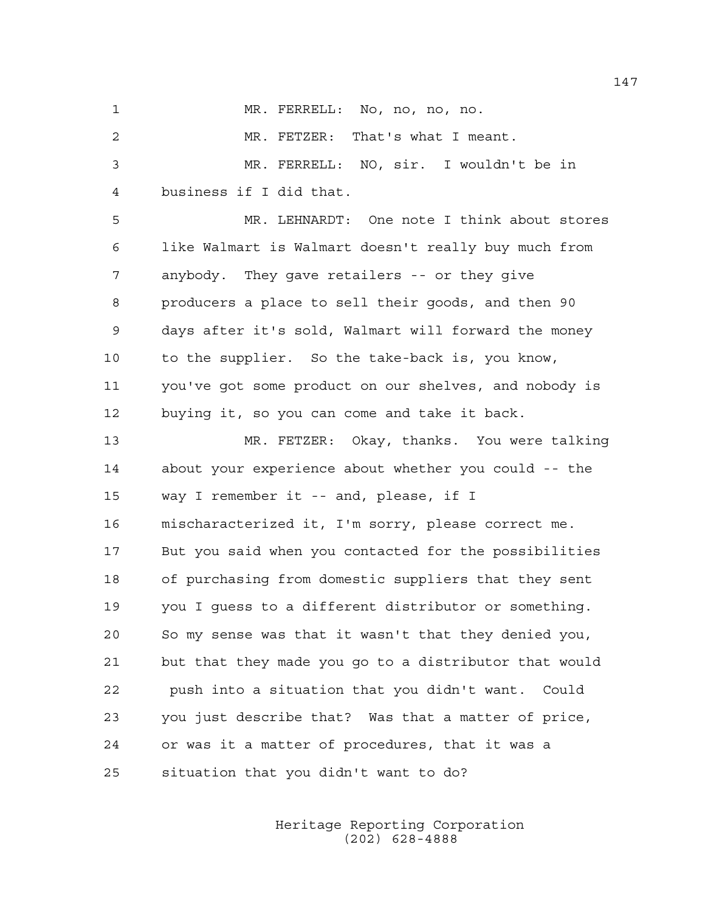1 MR. FERRELL: No, no, no, no.

2 MR. FETZER: That's what I meant. 3 MR. FERRELL: NO, sir. I wouldn't be in 4 business if I did that. 5 MR. LEHNARDT: One note I think about stores 6 like Walmart is Walmart doesn't really buy much from

7 anybody. They gave retailers -- or they give 8 producers a place to sell their goods, and then 90 9 days after it's sold, Walmart will forward the money 10 to the supplier. So the take-back is, you know, 11 you've got some product on our shelves, and nobody is 12 buying it, so you can come and take it back.

13 MR. FETZER: Okay, thanks. You were talking 14 about your experience about whether you could -- the 15 way I remember it -- and, please, if I 16 mischaracterized it, I'm sorry, please correct me. 17 But you said when you contacted for the possibilities 18 of purchasing from domestic suppliers that they sent 19 you I guess to a different distributor or something. 20 So my sense was that it wasn't that they denied you, 21 but that they made you go to a distributor that would 22 push into a situation that you didn't want. Could 23 you just describe that? Was that a matter of price, 24 or was it a matter of procedures, that it was a 25 situation that you didn't want to do?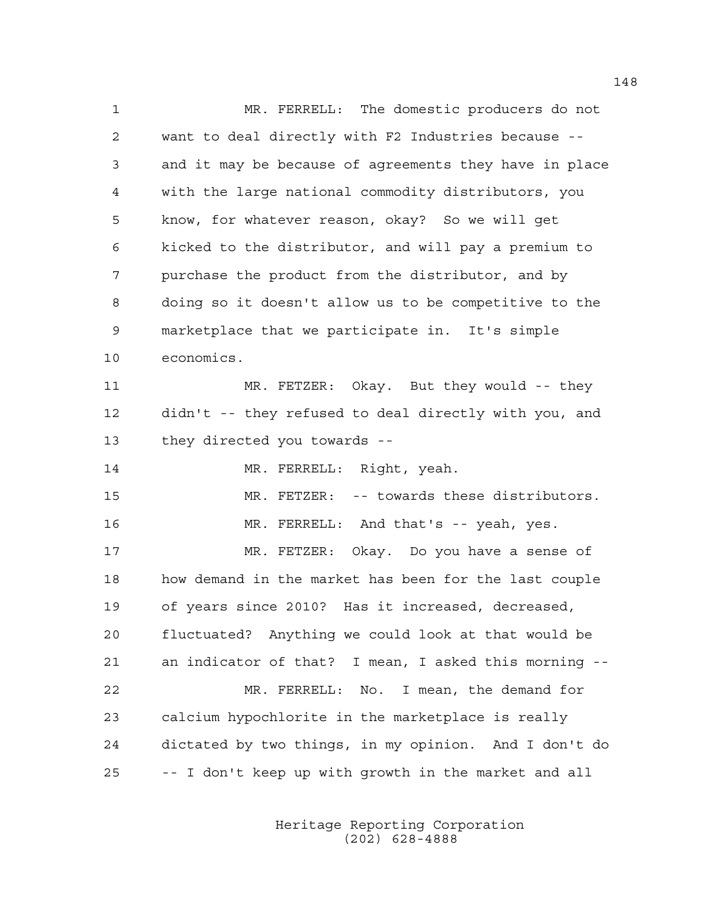1 MR. FERRELL: The domestic producers do not 2 want to deal directly with F2 Industries because -- 3 and it may be because of agreements they have in place 4 with the large national commodity distributors, you 5 know, for whatever reason, okay? So we will get 6 kicked to the distributor, and will pay a premium to 7 purchase the product from the distributor, and by 8 doing so it doesn't allow us to be competitive to the 9 marketplace that we participate in. It's simple 10 economics. 11 MR. FETZER: Okay. But they would -- they 12 didn't -- they refused to deal directly with you, and 13 they directed you towards -- 14 MR. FERRELL: Right, yeah. 15 MR. FETZER: -- towards these distributors. 16 MR. FERRELL: And that's -- yeah, yes. 17 MR. FETZER: Okay. Do you have a sense of 18 how demand in the market has been for the last couple 19 of years since 2010? Has it increased, decreased, 20 fluctuated? Anything we could look at that would be 21 an indicator of that? I mean, I asked this morning -- 22 MR. FERRELL: No. I mean, the demand for 23 calcium hypochlorite in the marketplace is really 24 dictated by two things, in my opinion. And I don't do 25 -- I don't keep up with growth in the market and all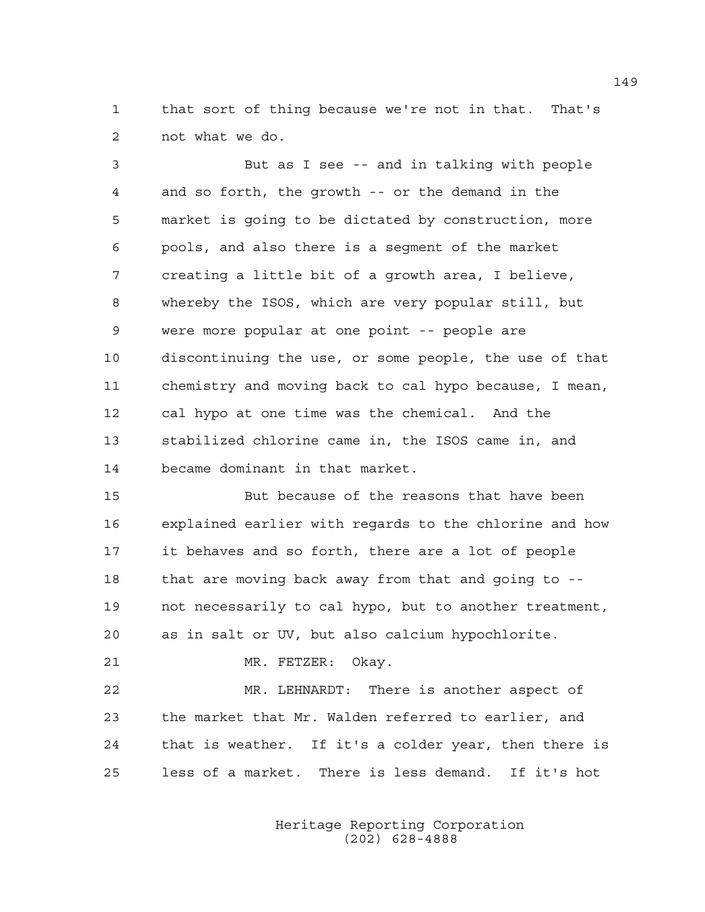1 that sort of thing because we're not in that. That's 2 not what we do.

3 But as I see -- and in talking with people 4 and so forth, the growth -- or the demand in the 5 market is going to be dictated by construction, more 6 pools, and also there is a segment of the market 7 creating a little bit of a growth area, I believe, 8 whereby the ISOS, which are very popular still, but 9 were more popular at one point -- people are 10 discontinuing the use, or some people, the use of that 11 chemistry and moving back to cal hypo because, I mean, 12 cal hypo at one time was the chemical. And the 13 stabilized chlorine came in, the ISOS came in, and 14 became dominant in that market.

15 But because of the reasons that have been 16 explained earlier with regards to the chlorine and how 17 it behaves and so forth, there are a lot of people 18 that are moving back away from that and going to -- 19 not necessarily to cal hypo, but to another treatment, 20 as in salt or UV, but also calcium hypochlorite.

```
21 MR. FETZER: Okay.
```
22 MR. LEHNARDT: There is another aspect of 23 the market that Mr. Walden referred to earlier, and 24 that is weather. If it's a colder year, then there is 25 less of a market. There is less demand. If it's hot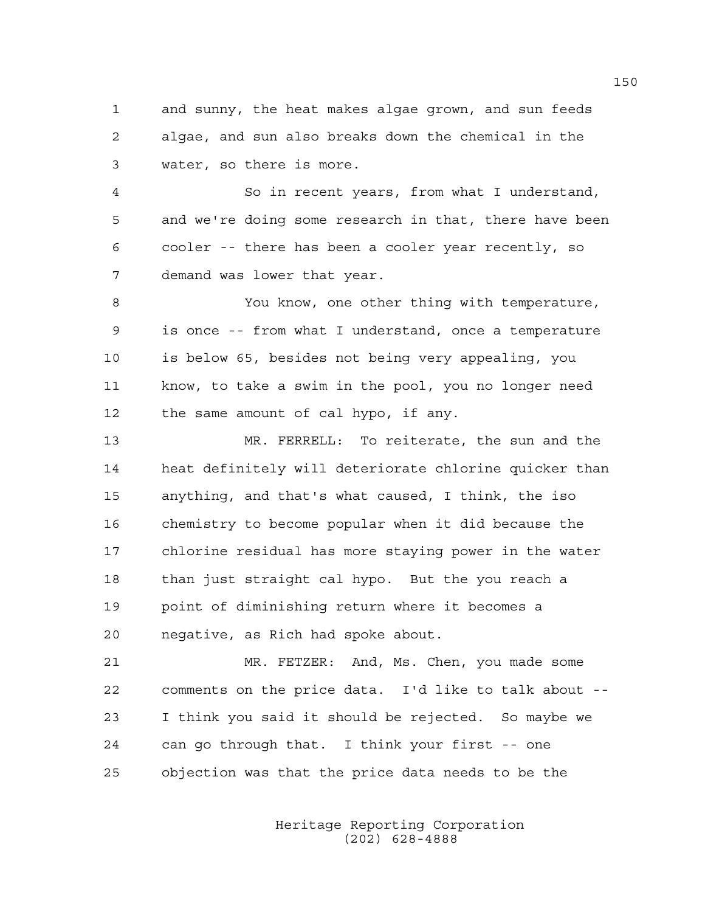1 and sunny, the heat makes algae grown, and sun feeds 2 algae, and sun also breaks down the chemical in the 3 water, so there is more.

4 So in recent years, from what I understand, 5 and we're doing some research in that, there have been 6 cooler -- there has been a cooler year recently, so 7 demand was lower that year.

8 You know, one other thing with temperature, 9 is once -- from what I understand, once a temperature 10 is below 65, besides not being very appealing, you 11 know, to take a swim in the pool, you no longer need 12 the same amount of cal hypo, if any.

13 MR. FERRELL: To reiterate, the sun and the 14 heat definitely will deteriorate chlorine quicker than 15 anything, and that's what caused, I think, the iso 16 chemistry to become popular when it did because the 17 chlorine residual has more staying power in the water 18 than just straight cal hypo. But the you reach a 19 point of diminishing return where it becomes a 20 negative, as Rich had spoke about.

21 MR. FETZER: And, Ms. Chen, you made some 22 comments on the price data. I'd like to talk about -- 23 I think you said it should be rejected. So maybe we 24 can go through that. I think your first -- one 25 objection was that the price data needs to be the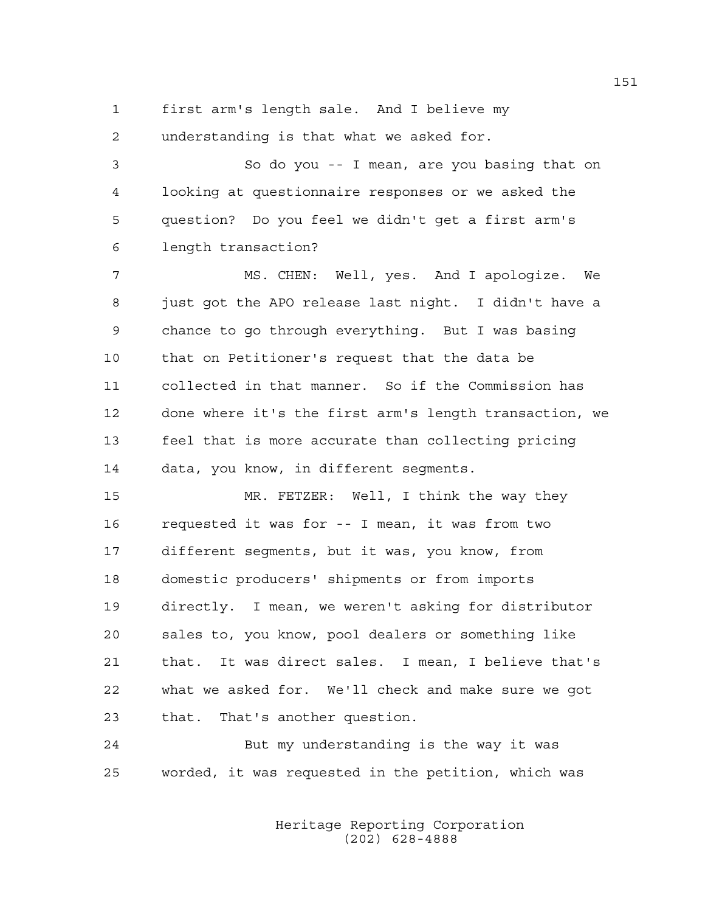1 first arm's length sale. And I believe my 2 understanding is that what we asked for.

3 So do you -- I mean, are you basing that on 4 looking at questionnaire responses or we asked the 5 question? Do you feel we didn't get a first arm's 6 length transaction?

7 MS. CHEN: Well, yes. And I apologize. We 8 just got the APO release last night. I didn't have a 9 chance to go through everything. But I was basing 10 that on Petitioner's request that the data be 11 collected in that manner. So if the Commission has 12 done where it's the first arm's length transaction, we 13 feel that is more accurate than collecting pricing 14 data, you know, in different segments.

15 MR. FETZER: Well, I think the way they 16 requested it was for -- I mean, it was from two 17 different segments, but it was, you know, from 18 domestic producers' shipments or from imports 19 directly. I mean, we weren't asking for distributor 20 sales to, you know, pool dealers or something like 21 that. It was direct sales. I mean, I believe that's 22 what we asked for. We'll check and make sure we got 23 that. That's another question.

24 But my understanding is the way it was 25 worded, it was requested in the petition, which was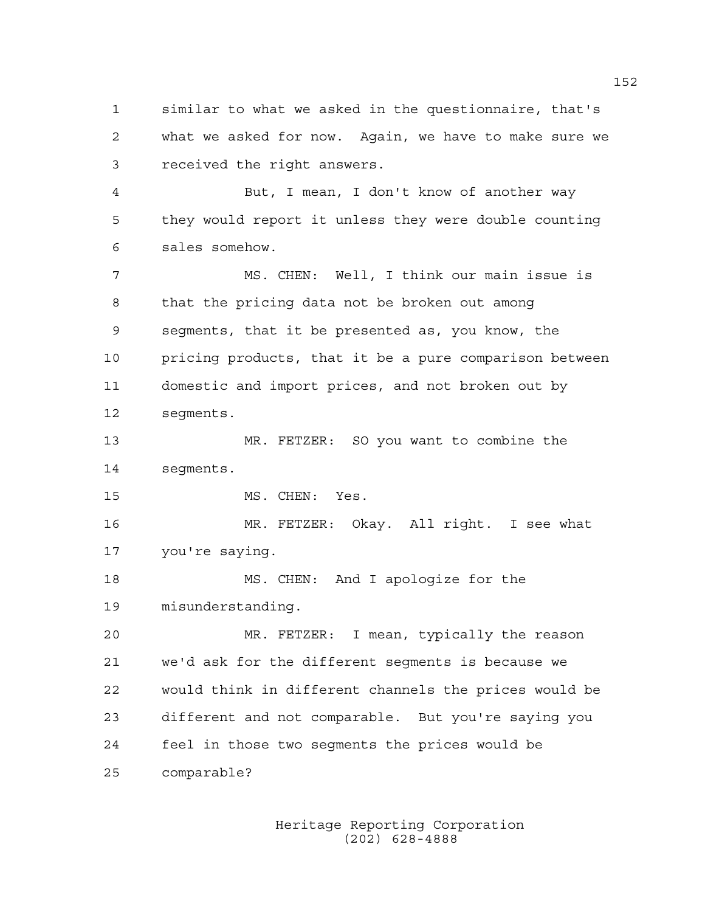1 similar to what we asked in the questionnaire, that's 2 what we asked for now. Again, we have to make sure we 3 received the right answers. 4 But, I mean, I don't know of another way 5 they would report it unless they were double counting 6 sales somehow. 7 MS. CHEN: Well, I think our main issue is 8 that the pricing data not be broken out among 9 segments, that it be presented as, you know, the 10 pricing products, that it be a pure comparison between 11 domestic and import prices, and not broken out by 12 segments. 13 MR. FETZER: SO you want to combine the 14 segments. 15 MS. CHEN: Yes. 16 MR. FETZER: Okay. All right. I see what 17 you're saying. 18 MS. CHEN: And I apologize for the 19 misunderstanding. 20 MR. FETZER: I mean, typically the reason 21 we'd ask for the different segments is because we 22 would think in different channels the prices would be 23 different and not comparable. But you're saying you 24 feel in those two segments the prices would be 25 comparable?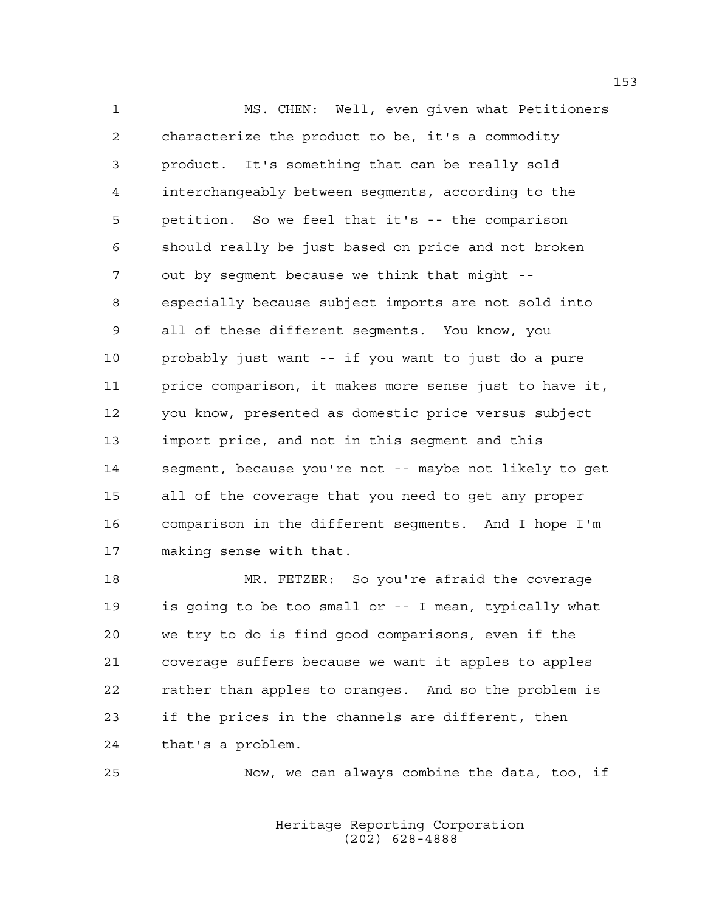1 MS. CHEN: Well, even given what Petitioners 2 characterize the product to be, it's a commodity 3 product. It's something that can be really sold 4 interchangeably between segments, according to the 5 petition. So we feel that it's -- the comparison 6 should really be just based on price and not broken 7 out by segment because we think that might -- 8 especially because subject imports are not sold into 9 all of these different segments. You know, you 10 probably just want -- if you want to just do a pure 11 price comparison, it makes more sense just to have it, 12 you know, presented as domestic price versus subject 13 import price, and not in this segment and this 14 segment, because you're not -- maybe not likely to get 15 all of the coverage that you need to get any proper 16 comparison in the different segments. And I hope I'm 17 making sense with that.

18 MR. FETZER: So you're afraid the coverage 19 is going to be too small or -- I mean, typically what 20 we try to do is find good comparisons, even if the 21 coverage suffers because we want it apples to apples 22 rather than apples to oranges. And so the problem is 23 if the prices in the channels are different, then 24 that's a problem.

25 Now, we can always combine the data, too, if

 Heritage Reporting Corporation (202) 628-4888

153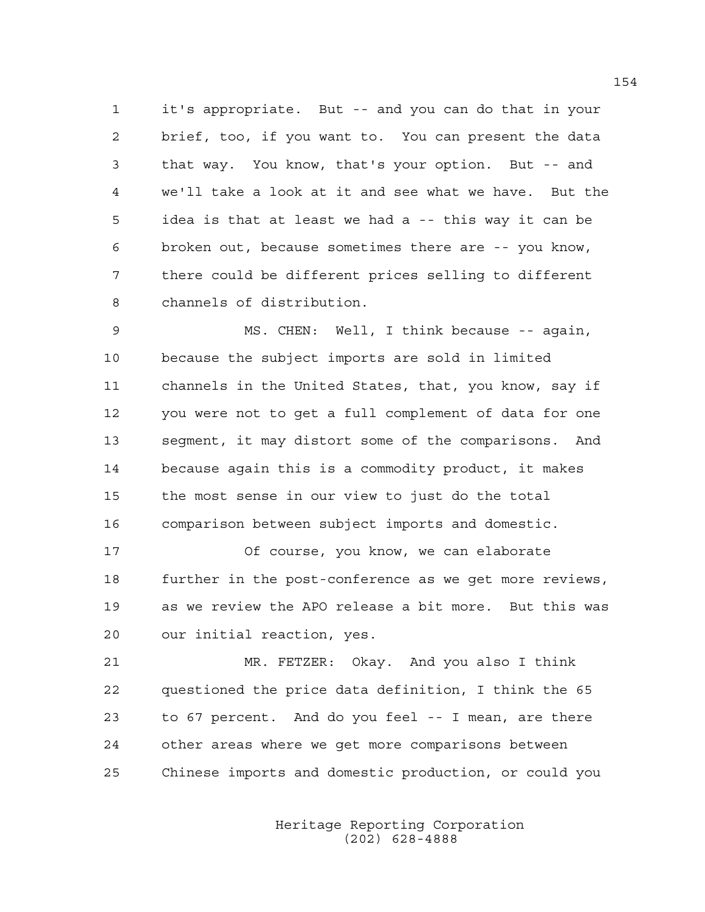1 it's appropriate. But -- and you can do that in your 2 brief, too, if you want to. You can present the data 3 that way. You know, that's your option. But -- and 4 we'll take a look at it and see what we have. But the 5 idea is that at least we had a -- this way it can be 6 broken out, because sometimes there are -- you know, 7 there could be different prices selling to different 8 channels of distribution.

9 MS. CHEN: Well, I think because -- again, 10 because the subject imports are sold in limited 11 channels in the United States, that, you know, say if 12 you were not to get a full complement of data for one 13 segment, it may distort some of the comparisons. And 14 because again this is a commodity product, it makes 15 the most sense in our view to just do the total 16 comparison between subject imports and domestic.

17 Of course, you know, we can elaborate 18 further in the post-conference as we get more reviews, 19 as we review the APO release a bit more. But this was 20 our initial reaction, yes.

21 MR. FETZER: Okay. And you also I think 22 questioned the price data definition, I think the 65 23 to 67 percent. And do you feel -- I mean, are there 24 other areas where we get more comparisons between 25 Chinese imports and domestic production, or could you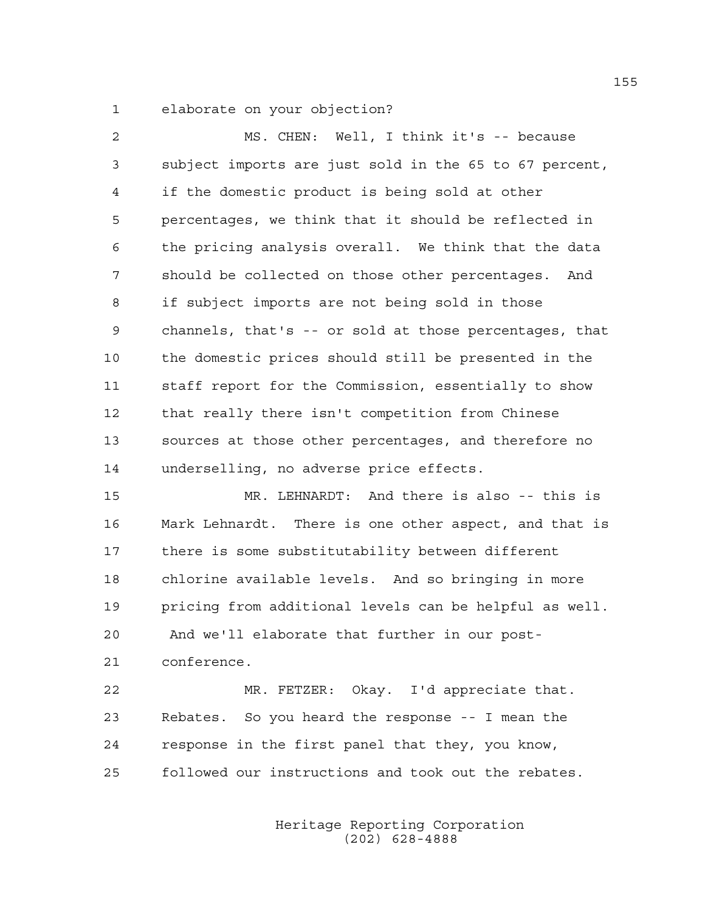1 elaborate on your objection?

| 2               | MS. CHEN: Well, I think it's -- because                |
|-----------------|--------------------------------------------------------|
| 3               | subject imports are just sold in the 65 to 67 percent, |
| 4               | if the domestic product is being sold at other         |
| 5               | percentages, we think that it should be reflected in   |
| 6               | the pricing analysis overall. We think that the data   |
| 7               | should be collected on those other percentages. And    |
| 8               | if subject imports are not being sold in those         |
| 9               | channels, that's -- or sold at those percentages, that |
| 10 <sub>o</sub> | the domestic prices should still be presented in the   |
| 11              | staff report for the Commission, essentially to show   |
| 12 <sub>1</sub> | that really there isn't competition from Chinese       |
| 13              | sources at those other percentages, and therefore no   |
| 14              | underselling, no adverse price effects.                |

15 MR. LEHNARDT: And there is also -- this is 16 Mark Lehnardt. There is one other aspect, and that is 17 there is some substitutability between different 18 chlorine available levels. And so bringing in more 19 pricing from additional levels can be helpful as well. 20 And we'll elaborate that further in our post-21 conference.

22 MR. FETZER: Okay. I'd appreciate that. 23 Rebates. So you heard the response -- I mean the 24 response in the first panel that they, you know, 25 followed our instructions and took out the rebates.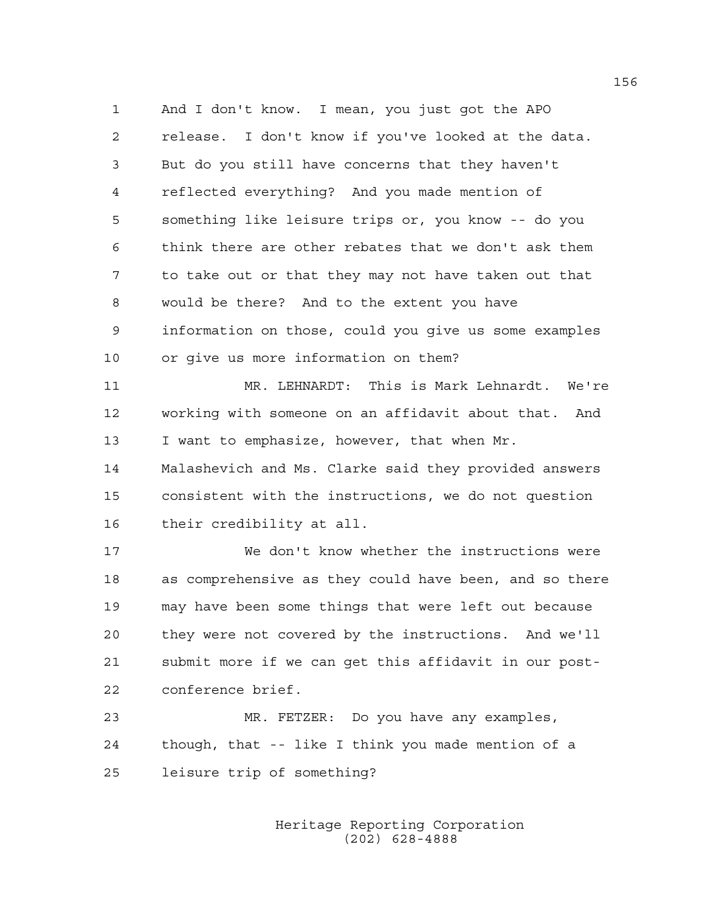1 And I don't know. I mean, you just got the APO 2 release. I don't know if you've looked at the data. 3 But do you still have concerns that they haven't 4 reflected everything? And you made mention of 5 something like leisure trips or, you know -- do you 6 think there are other rebates that we don't ask them 7 to take out or that they may not have taken out that 8 would be there? And to the extent you have 9 information on those, could you give us some examples 10 or give us more information on them?

11 MR. LEHNARDT: This is Mark Lehnardt. We're 12 working with someone on an affidavit about that. And 13 I want to emphasize, however, that when Mr.

14 Malashevich and Ms. Clarke said they provided answers 15 consistent with the instructions, we do not question 16 their credibility at all.

17 We don't know whether the instructions were 18 as comprehensive as they could have been, and so there 19 may have been some things that were left out because 20 they were not covered by the instructions. And we'll 21 submit more if we can get this affidavit in our post-22 conference brief.

23 MR. FETZER: Do you have any examples, 24 though, that -- like I think you made mention of a 25 leisure trip of something?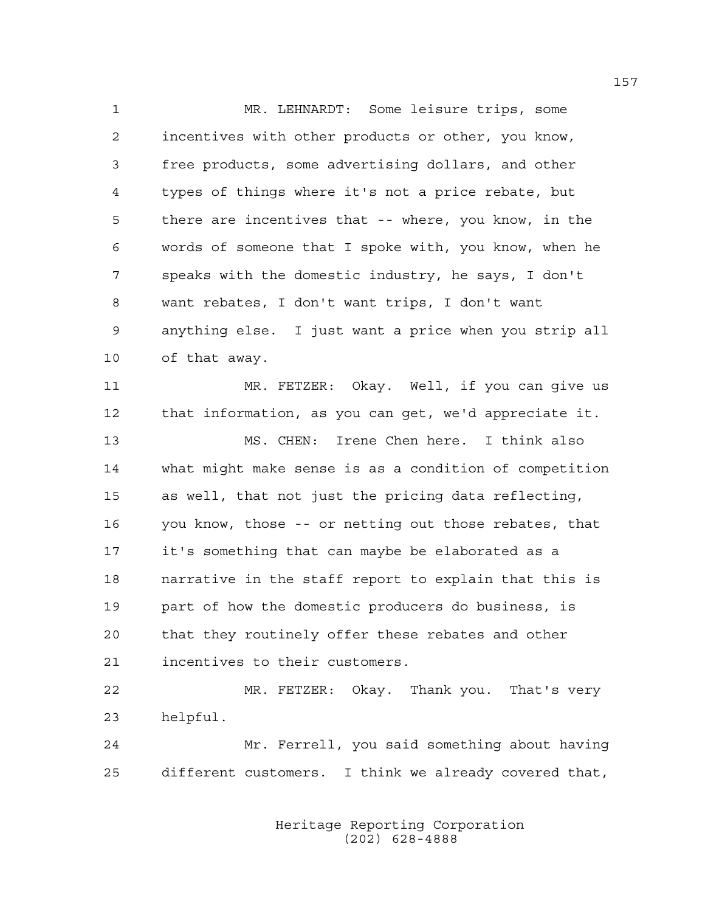1 MR. LEHNARDT: Some leisure trips, some 2 incentives with other products or other, you know, 3 free products, some advertising dollars, and other 4 types of things where it's not a price rebate, but 5 there are incentives that -- where, you know, in the 6 words of someone that I spoke with, you know, when he 7 speaks with the domestic industry, he says, I don't 8 want rebates, I don't want trips, I don't want 9 anything else. I just want a price when you strip all 10 of that away. 11 MR. FETZER: Okay. Well, if you can give us 12 that information, as you can get, we'd appreciate it. 13 MS. CHEN: Irene Chen here. I think also 14 what might make sense is as a condition of competition 15 as well, that not just the pricing data reflecting, 16 you know, those -- or netting out those rebates, that 17 it's something that can maybe be elaborated as a 18 narrative in the staff report to explain that this is 19 part of how the domestic producers do business, is 20 that they routinely offer these rebates and other 21 incentives to their customers. 22 MR. FETZER: Okay. Thank you. That's very

23 helpful.

24 Mr. Ferrell, you said something about having 25 different customers. I think we already covered that,

> Heritage Reporting Corporation (202) 628-4888

157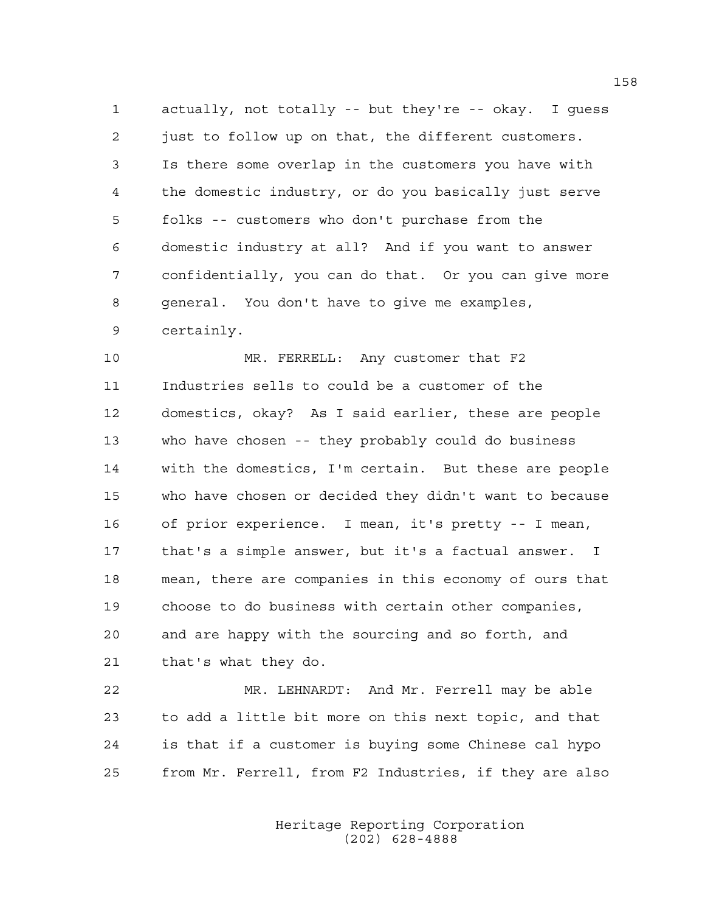1 actually, not totally -- but they're -- okay. I guess 2 just to follow up on that, the different customers. 3 Is there some overlap in the customers you have with 4 the domestic industry, or do you basically just serve 5 folks -- customers who don't purchase from the 6 domestic industry at all? And if you want to answer 7 confidentially, you can do that. Or you can give more 8 general. You don't have to give me examples, 9 certainly.

10 MR. FERRELL: Any customer that F2 11 Industries sells to could be a customer of the 12 domestics, okay? As I said earlier, these are people 13 who have chosen -- they probably could do business 14 with the domestics, I'm certain. But these are people 15 who have chosen or decided they didn't want to because 16 of prior experience. I mean, it's pretty -- I mean, 17 that's a simple answer, but it's a factual answer. I 18 mean, there are companies in this economy of ours that 19 choose to do business with certain other companies, 20 and are happy with the sourcing and so forth, and 21 that's what they do.

22 MR. LEHNARDT: And Mr. Ferrell may be able 23 to add a little bit more on this next topic, and that 24 is that if a customer is buying some Chinese cal hypo 25 from Mr. Ferrell, from F2 Industries, if they are also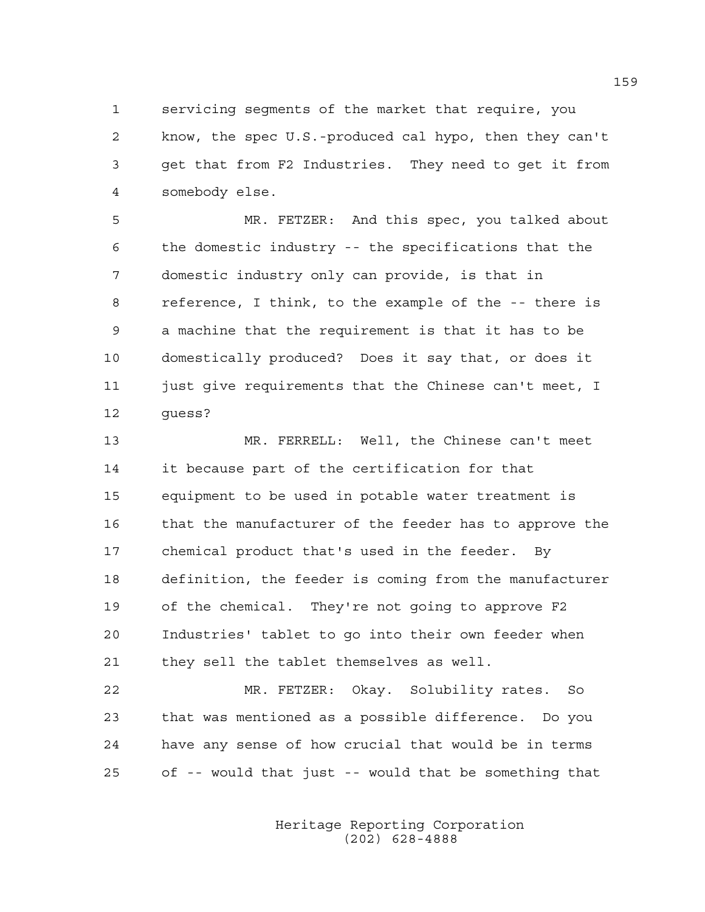1 servicing segments of the market that require, you 2 know, the spec U.S.-produced cal hypo, then they can't 3 get that from F2 Industries. They need to get it from 4 somebody else.

5 MR. FETZER: And this spec, you talked about 6 the domestic industry -- the specifications that the 7 domestic industry only can provide, is that in 8 reference, I think, to the example of the -- there is 9 a machine that the requirement is that it has to be 10 domestically produced? Does it say that, or does it 11 just give requirements that the Chinese can't meet, I 12 guess?

13 MR. FERRELL: Well, the Chinese can't meet 14 it because part of the certification for that 15 equipment to be used in potable water treatment is 16 that the manufacturer of the feeder has to approve the 17 chemical product that's used in the feeder. By 18 definition, the feeder is coming from the manufacturer 19 of the chemical. They're not going to approve F2 20 Industries' tablet to go into their own feeder when 21 they sell the tablet themselves as well.

22 MR. FETZER: Okay. Solubility rates. So 23 that was mentioned as a possible difference. Do you 24 have any sense of how crucial that would be in terms 25 of -- would that just -- would that be something that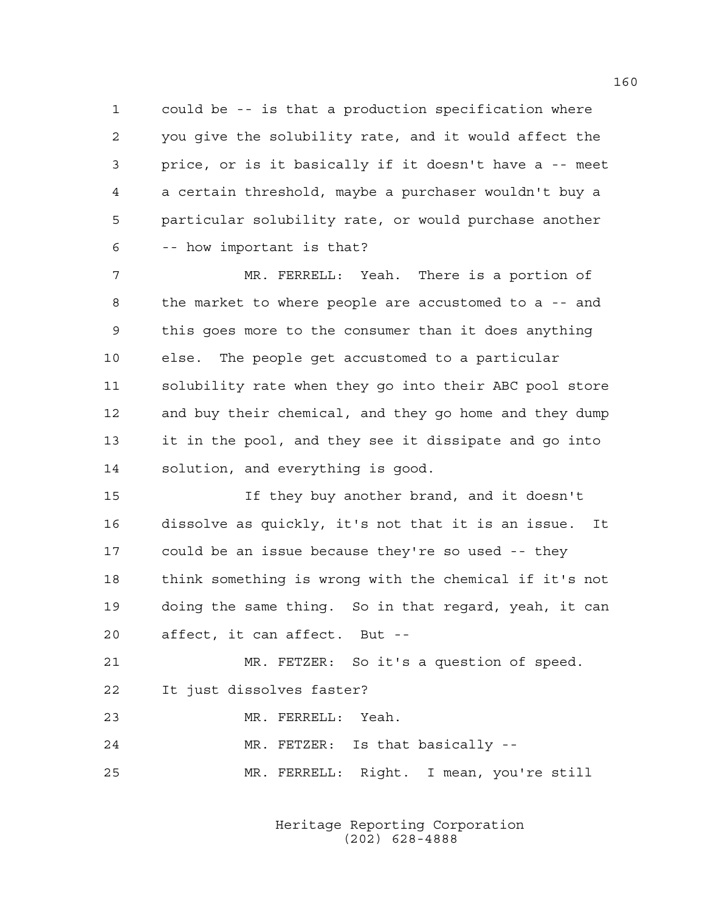1 could be -- is that a production specification where 2 you give the solubility rate, and it would affect the 3 price, or is it basically if it doesn't have a -- meet 4 a certain threshold, maybe a purchaser wouldn't buy a 5 particular solubility rate, or would purchase another 6 -- how important is that?

7 MR. FERRELL: Yeah. There is a portion of 8 the market to where people are accustomed to a -- and 9 this goes more to the consumer than it does anything 10 else. The people get accustomed to a particular 11 solubility rate when they go into their ABC pool store 12 and buy their chemical, and they go home and they dump 13 it in the pool, and they see it dissipate and go into 14 solution, and everything is good.

15 If they buy another brand, and it doesn't 16 dissolve as quickly, it's not that it is an issue. It 17 could be an issue because they're so used -- they 18 think something is wrong with the chemical if it's not 19 doing the same thing. So in that regard, yeah, it can 20 affect, it can affect. But --

21 MR. FETZER: So it's a question of speed. 22 It just dissolves faster? 23 MR. FERRELL: Yeah.

24 MR. FETZER: Is that basically --

25 MR. FERRELL: Right. I mean, you're still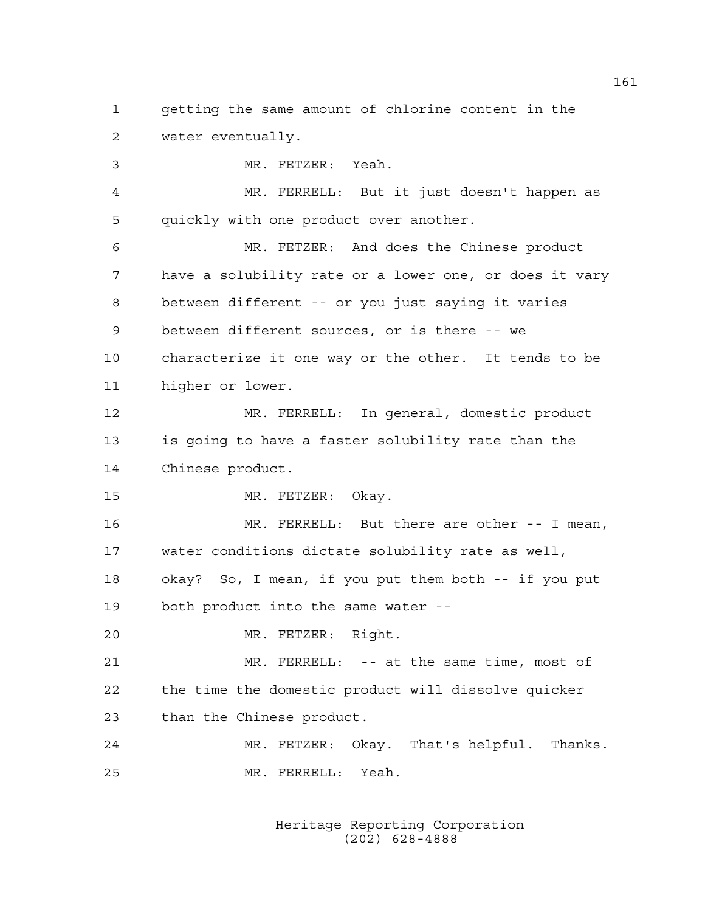1 getting the same amount of chlorine content in the 2 water eventually.

3 MR. FETZER: Yeah. 4 MR. FERRELL: But it just doesn't happen as 5 quickly with one product over another. 6 MR. FETZER: And does the Chinese product 7 have a solubility rate or a lower one, or does it vary 8 between different -- or you just saying it varies 9 between different sources, or is there -- we 10 characterize it one way or the other. It tends to be 11 higher or lower. 12 MR. FERRELL: In general, domestic product 13 is going to have a faster solubility rate than the 14 Chinese product. 15 MR. FETZER: Okay. 16 MR. FERRELL: But there are other -- I mean, 17 water conditions dictate solubility rate as well, 18 okay? So, I mean, if you put them both -- if you put 19 both product into the same water -- 20 MR. FETZER: Right. 21 MR. FERRELL: -- at the same time, most of 22 the time the domestic product will dissolve quicker 23 than the Chinese product. 24 MR. FETZER: Okay. That's helpful. Thanks. 25 MR. FERRELL: Yeah.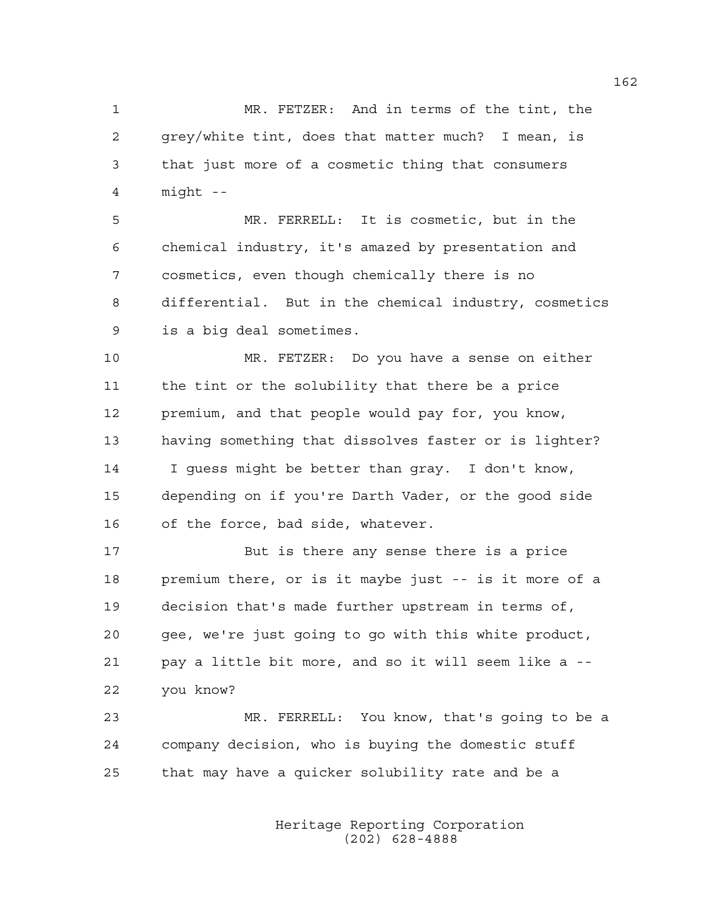1 MR. FETZER: And in terms of the tint, the 2 grey/white tint, does that matter much? I mean, is 3 that just more of a cosmetic thing that consumers 4 might --

5 MR. FERRELL: It is cosmetic, but in the 6 chemical industry, it's amazed by presentation and 7 cosmetics, even though chemically there is no 8 differential. But in the chemical industry, cosmetics 9 is a big deal sometimes.

10 MR. FETZER: Do you have a sense on either 11 the tint or the solubility that there be a price 12 premium, and that people would pay for, you know, 13 having something that dissolves faster or is lighter? 14 I guess might be better than gray. I don't know, 15 depending on if you're Darth Vader, or the good side 16 of the force, bad side, whatever.

17 But is there any sense there is a price 18 premium there, or is it maybe just -- is it more of a 19 decision that's made further upstream in terms of, 20 gee, we're just going to go with this white product, 21 pay a little bit more, and so it will seem like a -- 22 you know?

23 MR. FERRELL: You know, that's going to be a 24 company decision, who is buying the domestic stuff 25 that may have a quicker solubility rate and be a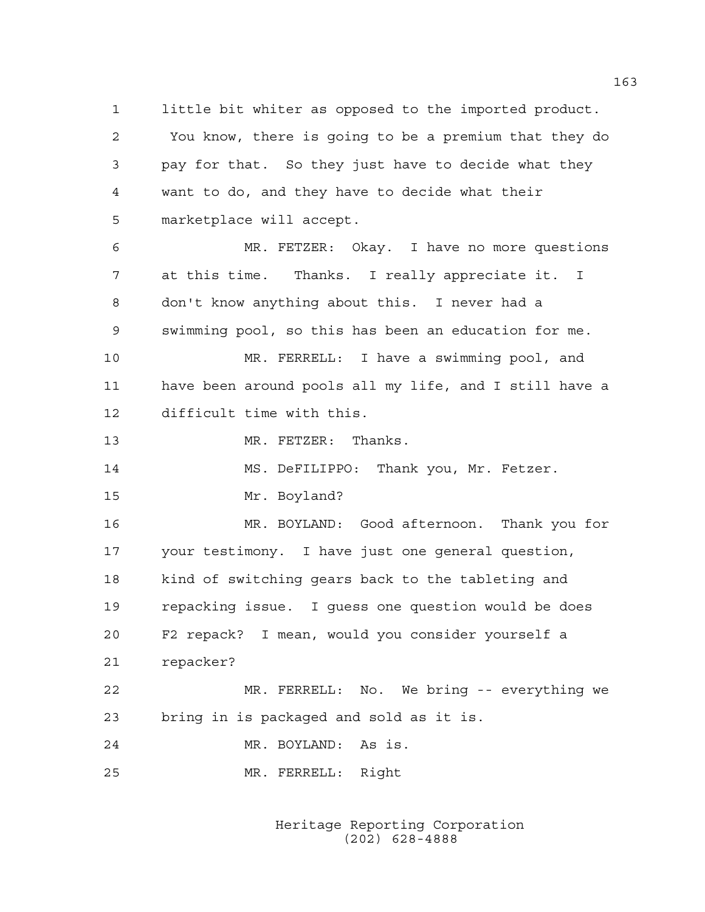1 little bit whiter as opposed to the imported product. 2 You know, there is going to be a premium that they do 3 pay for that. So they just have to decide what they 4 want to do, and they have to decide what their 5 marketplace will accept.

6 MR. FETZER: Okay. I have no more questions 7 at this time. Thanks. I really appreciate it. I 8 don't know anything about this. I never had a 9 swimming pool, so this has been an education for me. 10 MR. FERRELL: I have a swimming pool, and

11 have been around pools all my life, and I still have a 12 difficult time with this.

13 MR. FETZER: Thanks.

14 MS. DeFILIPPO: Thank you, Mr. Fetzer.

15 Mr. Boyland?

16 MR. BOYLAND: Good afternoon. Thank you for 17 your testimony. I have just one general question, 18 kind of switching gears back to the tableting and 19 repacking issue. I guess one question would be does 20 F2 repack? I mean, would you consider yourself a 21 repacker?

22 MR. FERRELL: No. We bring -- everything we 23 bring in is packaged and sold as it is.

24 MR. BOYLAND: As is.

25 MR. FERRELL: Right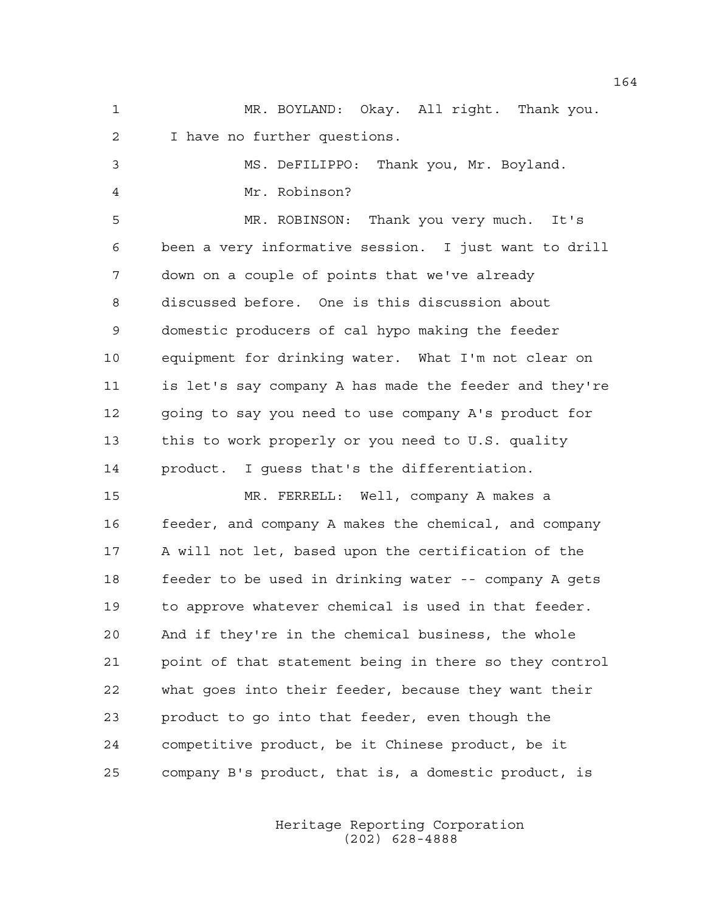1 MR. BOYLAND: Okay. All right. Thank you. 2 I have no further questions.

|                | MS. DeFILIPPO: Thank you, Mr. Boyland. |  |  |
|----------------|----------------------------------------|--|--|
| $\overline{4}$ | Mr. Robinson?                          |  |  |

5 MR. ROBINSON: Thank you very much. It's 6 been a very informative session. I just want to drill 7 down on a couple of points that we've already 8 discussed before. One is this discussion about 9 domestic producers of cal hypo making the feeder 10 equipment for drinking water. What I'm not clear on 11 is let's say company A has made the feeder and they're 12 going to say you need to use company A's product for 13 this to work properly or you need to U.S. quality 14 product. I guess that's the differentiation.

15 MR. FERRELL: Well, company A makes a 16 feeder, and company A makes the chemical, and company 17 A will not let, based upon the certification of the 18 feeder to be used in drinking water -- company A gets 19 to approve whatever chemical is used in that feeder. 20 And if they're in the chemical business, the whole 21 point of that statement being in there so they control 22 what goes into their feeder, because they want their 23 product to go into that feeder, even though the 24 competitive product, be it Chinese product, be it 25 company B's product, that is, a domestic product, is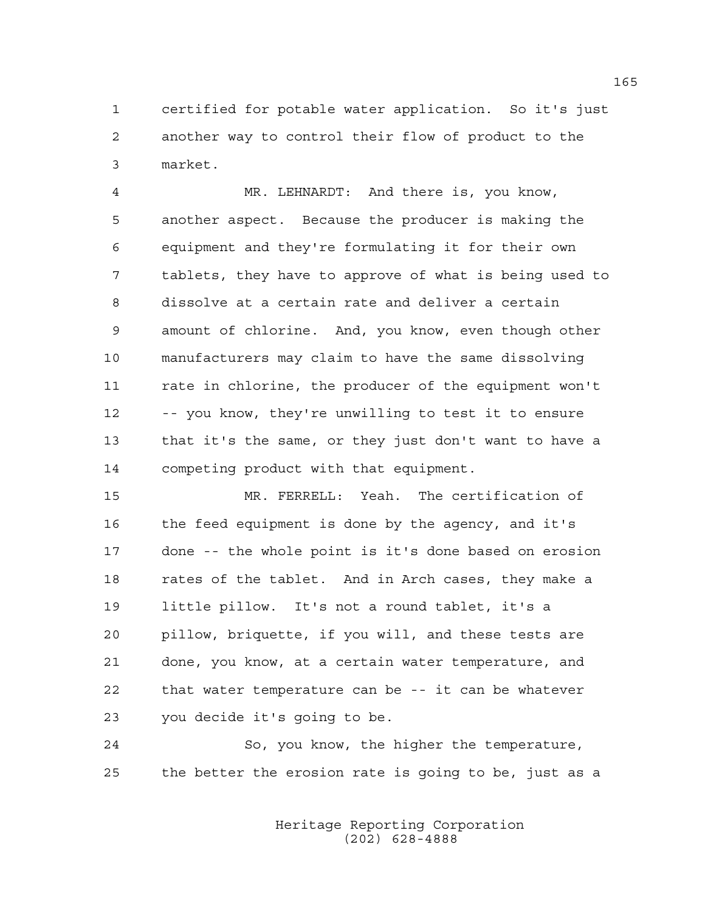1 certified for potable water application. So it's just 2 another way to control their flow of product to the 3 market.

4 MR. LEHNARDT: And there is, you know, 5 another aspect. Because the producer is making the 6 equipment and they're formulating it for their own 7 tablets, they have to approve of what is being used to 8 dissolve at a certain rate and deliver a certain 9 amount of chlorine. And, you know, even though other 10 manufacturers may claim to have the same dissolving 11 rate in chlorine, the producer of the equipment won't 12 -- you know, they're unwilling to test it to ensure 13 that it's the same, or they just don't want to have a 14 competing product with that equipment.

15 MR. FERRELL: Yeah. The certification of 16 the feed equipment is done by the agency, and it's 17 done -- the whole point is it's done based on erosion 18 rates of the tablet. And in Arch cases, they make a 19 little pillow. It's not a round tablet, it's a 20 pillow, briquette, if you will, and these tests are 21 done, you know, at a certain water temperature, and 22 that water temperature can be -- it can be whatever 23 you decide it's going to be.

24 So, you know, the higher the temperature, 25 the better the erosion rate is going to be, just as a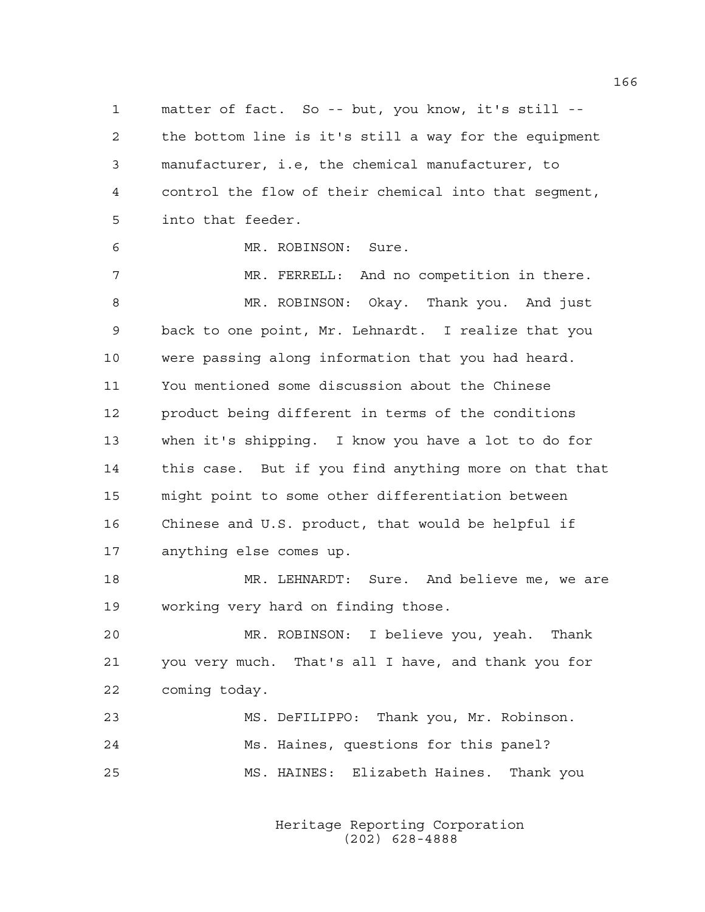1 matter of fact. So -- but, you know, it's still -- 2 the bottom line is it's still a way for the equipment 3 manufacturer, i.e, the chemical manufacturer, to 4 control the flow of their chemical into that segment, 5 into that feeder.

6 MR. ROBINSON: Sure.

7 MR. FERRELL: And no competition in there. 8 MR. ROBINSON: Okay. Thank you. And just 9 back to one point, Mr. Lehnardt. I realize that you 10 were passing along information that you had heard. 11 You mentioned some discussion about the Chinese 12 product being different in terms of the conditions 13 when it's shipping. I know you have a lot to do for 14 this case. But if you find anything more on that that 15 might point to some other differentiation between 16 Chinese and U.S. product, that would be helpful if 17 anything else comes up.

18 MR. LEHNARDT: Sure. And believe me, we are 19 working very hard on finding those.

20 MR. ROBINSON: I believe you, yeah. Thank 21 you very much. That's all I have, and thank you for 22 coming today.

| 23 | MS. DeFILIPPO: Thank you, Mr. Robinson. |  |  |
|----|-----------------------------------------|--|--|
| 24 | Ms. Haines, questions for this panel?   |  |  |
| 25 | MS. HAINES: Elizabeth Haines. Thank you |  |  |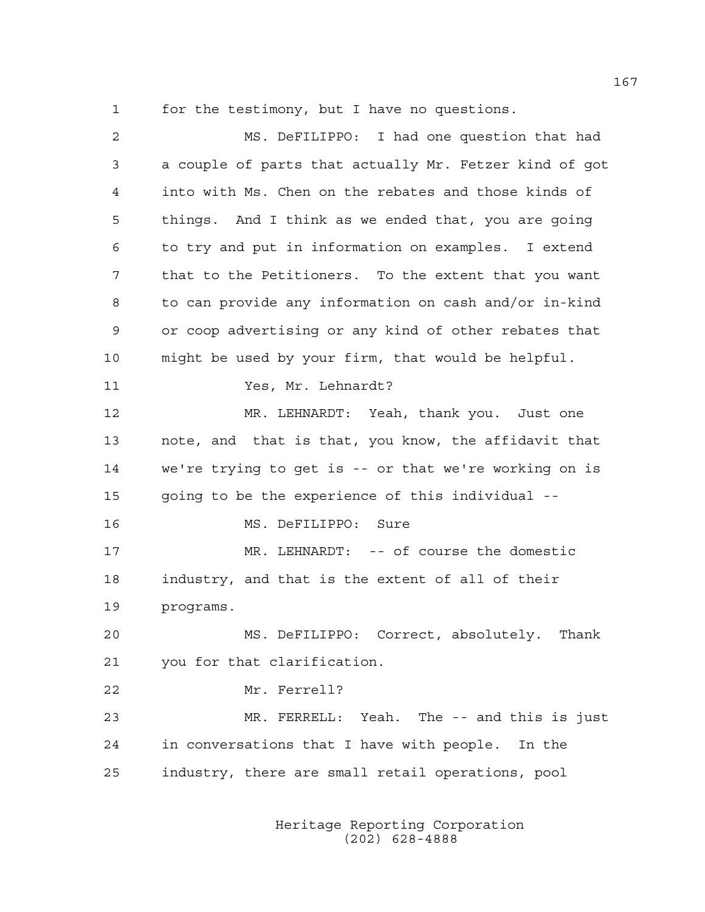1 for the testimony, but I have no questions.

| 2  | MS. DeFILIPPO: I had one question that had             |
|----|--------------------------------------------------------|
| 3  | a couple of parts that actually Mr. Fetzer kind of got |
| 4  | into with Ms. Chen on the rebates and those kinds of   |
| 5  | things. And I think as we ended that, you are going    |
| 6  | to try and put in information on examples. I extend    |
| 7  | that to the Petitioners. To the extent that you want   |
| 8  | to can provide any information on cash and/or in-kind  |
| 9  | or coop advertising or any kind of other rebates that  |
| 10 | might be used by your firm, that would be helpful.     |
| 11 | Yes, Mr. Lehnardt?                                     |
| 12 | MR. LEHNARDT: Yeah, thank you. Just one                |
| 13 | note, and that is that, you know, the affidavit that   |
| 14 | we're trying to get is -- or that we're working on is  |
| 15 | going to be the experience of this individual --       |
| 16 | MS. DeFILIPPO: Sure                                    |
| 17 | MR. LEHNARDT: -- of course the domestic                |
| 18 | industry, and that is the extent of all of their       |
| 19 | programs.                                              |
| 20 | MS. DeFILIPPO: Correct, absolutely.<br>Thank           |
| 21 | you for that clarification.                            |
| 22 | Mr. Ferrell?                                           |
| 23 | MR. FERRELL: Yeah. The -- and this is just             |
| 24 | in conversations that I have with people. In the       |
| 25 | industry, there are small retail operations, pool      |
|    |                                                        |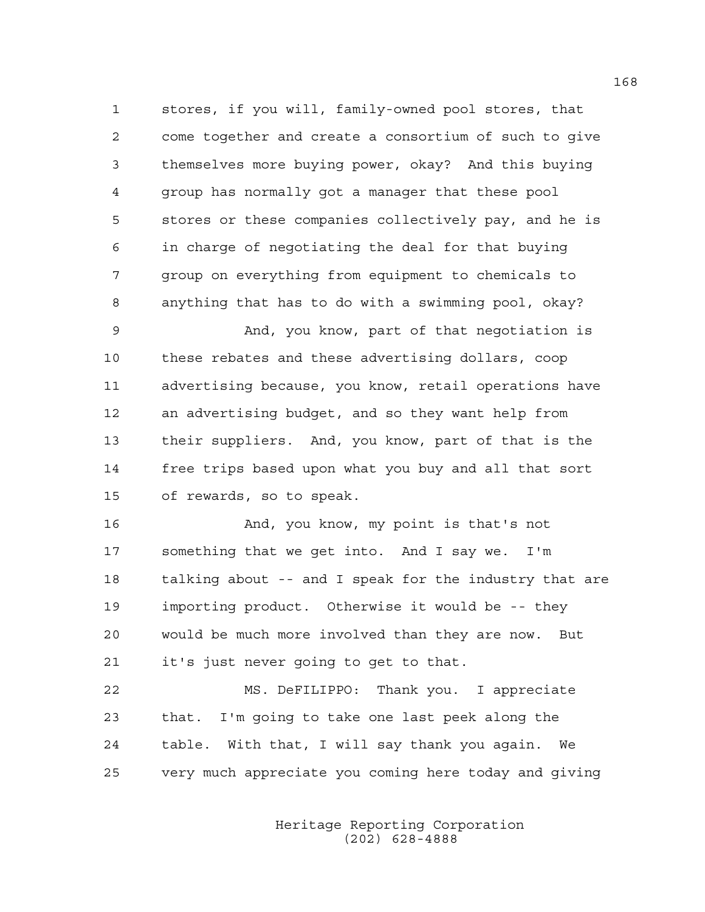1 stores, if you will, family-owned pool stores, that 2 come together and create a consortium of such to give 3 themselves more buying power, okay? And this buying 4 group has normally got a manager that these pool 5 stores or these companies collectively pay, and he is 6 in charge of negotiating the deal for that buying 7 group on everything from equipment to chemicals to 8 anything that has to do with a swimming pool, okay?

9 And, you know, part of that negotiation is 10 these rebates and these advertising dollars, coop 11 advertising because, you know, retail operations have 12 an advertising budget, and so they want help from 13 their suppliers. And, you know, part of that is the 14 free trips based upon what you buy and all that sort 15 of rewards, so to speak.

16 And, you know, my point is that's not 17 something that we get into. And I say we. I'm 18 talking about -- and I speak for the industry that are 19 importing product. Otherwise it would be -- they 20 would be much more involved than they are now. But 21 it's just never going to get to that.

22 MS. DeFILIPPO: Thank you. I appreciate 23 that. I'm going to take one last peek along the 24 table. With that, I will say thank you again. We 25 very much appreciate you coming here today and giving

> Heritage Reporting Corporation (202) 628-4888

168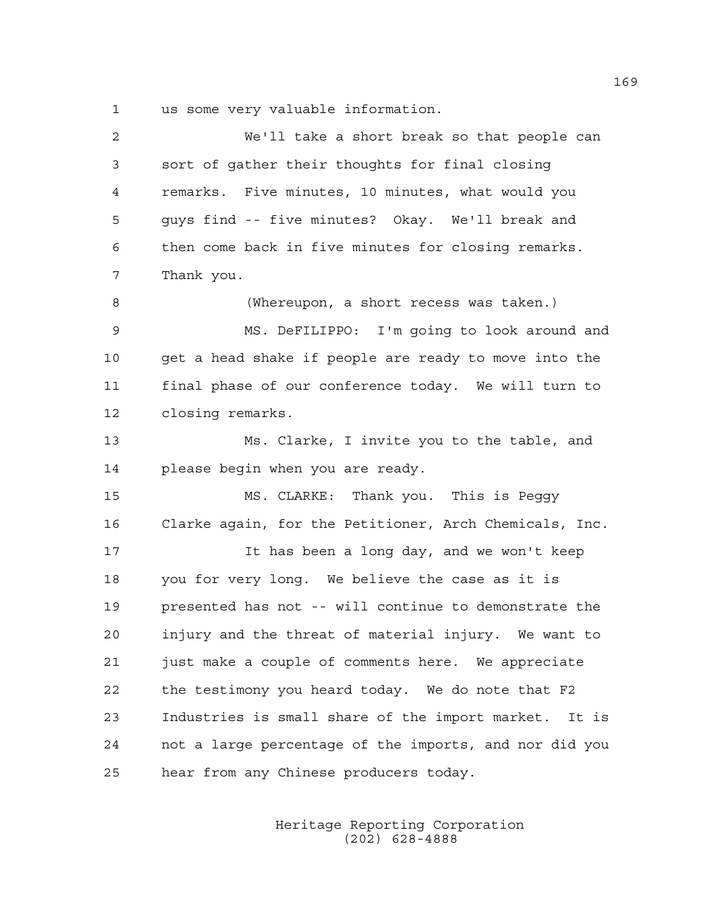1 us some very valuable information.

| 2  | We'll take a short break so that people can            |
|----|--------------------------------------------------------|
| 3  | sort of gather their thoughts for final closing        |
| 4  | remarks. Five minutes, 10 minutes, what would you      |
| 5  | guys find -- five minutes? Okay. We'll break and       |
| 6  | then come back in five minutes for closing remarks.    |
| 7  | Thank you.                                             |
| 8  | (Whereupon, a short recess was taken.)                 |
| 9  | MS. DeFILIPPO: I'm going to look around and            |
| 10 | get a head shake if people are ready to move into the  |
| 11 | final phase of our conference today. We will turn to   |
| 12 | closing remarks.                                       |
| 13 | Ms. Clarke, I invite you to the table, and             |
| 14 | please begin when you are ready.                       |
| 15 | MS. CLARKE: Thank you. This is Peggy                   |
| 16 | Clarke again, for the Petitioner, Arch Chemicals, Inc. |
| 17 | It has been a long day, and we won't keep              |
| 18 | you for very long. We believe the case as it is        |
| 19 | presented has not -- will continue to demonstrate the  |
| 20 | injury and the threat of material injury. We want to   |
| 21 | just make a couple of comments here. We appreciate     |
| 22 | the testimony you heard today. We do note that F2      |
| 23 | Industries is small share of the import market. It is  |
| 24 | not a large percentage of the imports, and nor did you |
| 25 | hear from any Chinese producers today.                 |
|    |                                                        |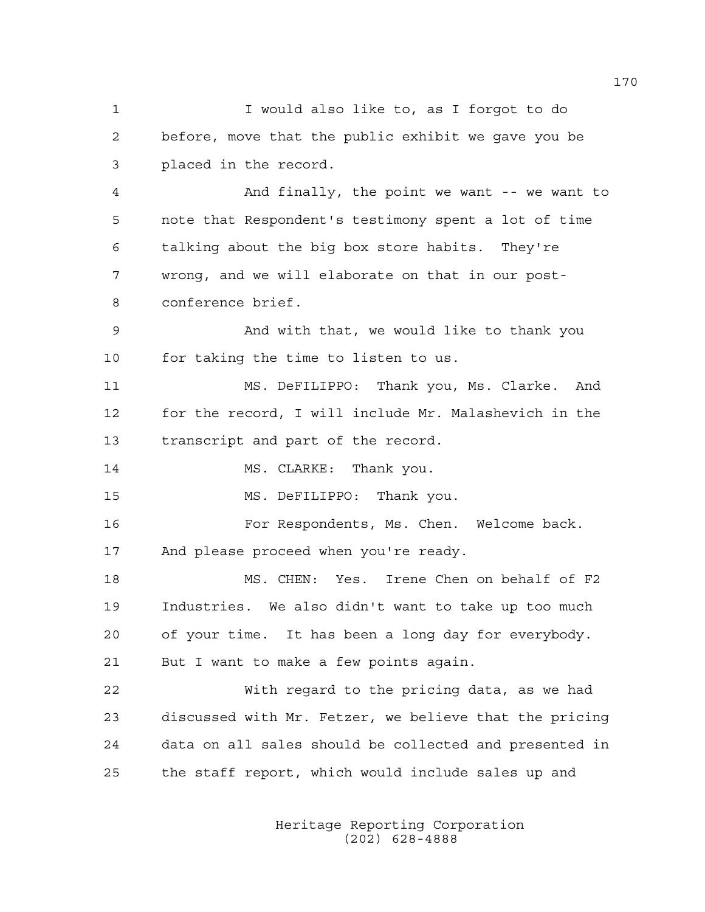1 I would also like to, as I forgot to do 2 before, move that the public exhibit we gave you be 3 placed in the record. 4 And finally, the point we want -- we want to 5 note that Respondent's testimony spent a lot of time 6 talking about the big box store habits. They're 7 wrong, and we will elaborate on that in our post-8 conference brief. 9 And with that, we would like to thank you 10 for taking the time to listen to us. 11 MS. DeFILIPPO: Thank you, Ms. Clarke. And 12 for the record, I will include Mr. Malashevich in the 13 transcript and part of the record. 14 MS. CLARKE: Thank you. 15 MS. DeFILIPPO: Thank you. 16 For Respondents, Ms. Chen. Welcome back. 17 And please proceed when you're ready. 18 MS. CHEN: Yes. Irene Chen on behalf of F2 19 Industries. We also didn't want to take up too much 20 of your time. It has been a long day for everybody. 21 But I want to make a few points again. 22 With regard to the pricing data, as we had 23 discussed with Mr. Fetzer, we believe that the pricing 24 data on all sales should be collected and presented in 25 the staff report, which would include sales up and

> Heritage Reporting Corporation (202) 628-4888

170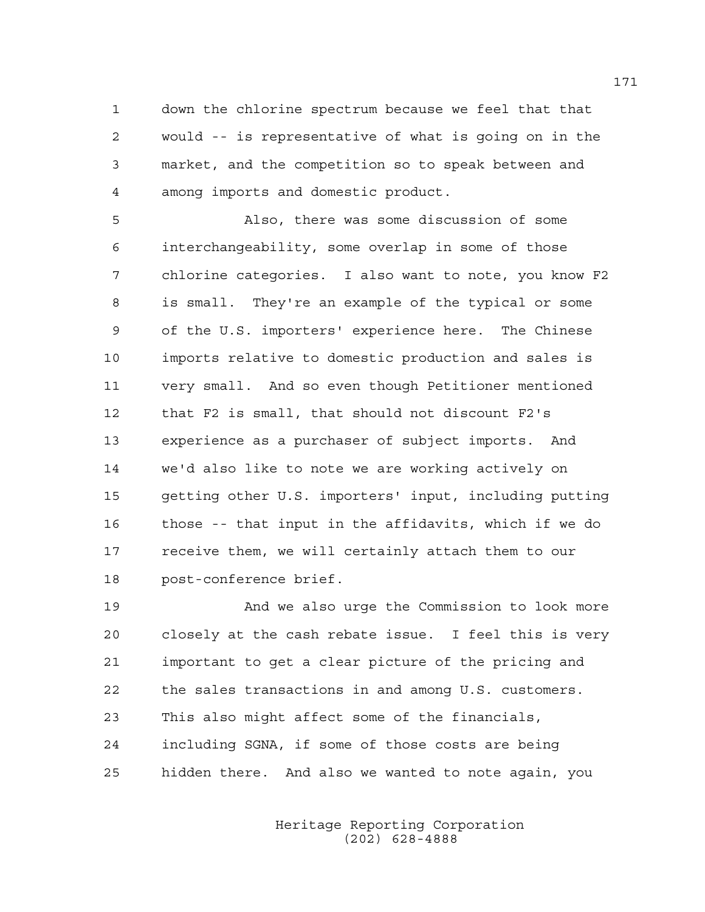1 down the chlorine spectrum because we feel that that 2 would -- is representative of what is going on in the 3 market, and the competition so to speak between and 4 among imports and domestic product.

5 Also, there was some discussion of some 6 interchangeability, some overlap in some of those 7 chlorine categories. I also want to note, you know F2 8 is small. They're an example of the typical or some 9 of the U.S. importers' experience here. The Chinese 10 imports relative to domestic production and sales is 11 very small. And so even though Petitioner mentioned 12 that F2 is small, that should not discount F2's 13 experience as a purchaser of subject imports. And 14 we'd also like to note we are working actively on 15 getting other U.S. importers' input, including putting 16 those -- that input in the affidavits, which if we do 17 receive them, we will certainly attach them to our 18 post-conference brief.

19 And we also urge the Commission to look more 20 closely at the cash rebate issue. I feel this is very 21 important to get a clear picture of the pricing and 22 the sales transactions in and among U.S. customers. 23 This also might affect some of the financials, 24 including SGNA, if some of those costs are being 25 hidden there. And also we wanted to note again, you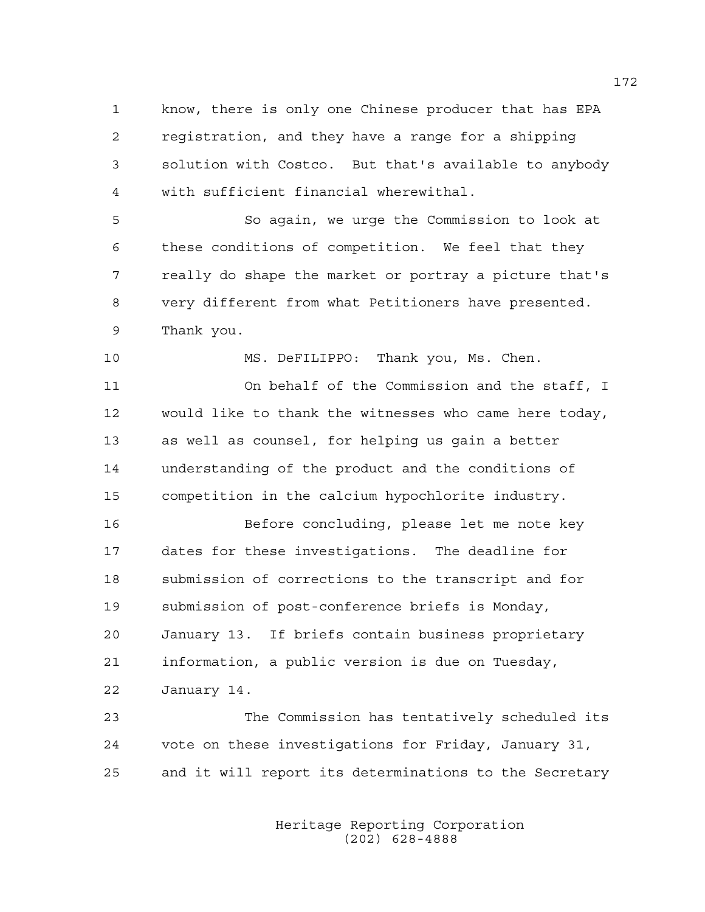1 know, there is only one Chinese producer that has EPA 2 registration, and they have a range for a shipping 3 solution with Costco. But that's available to anybody 4 with sufficient financial wherewithal.

5 So again, we urge the Commission to look at 6 these conditions of competition. We feel that they 7 really do shape the market or portray a picture that's 8 very different from what Petitioners have presented. 9 Thank you.

10 MS. DeFILIPPO: Thank you, Ms. Chen.

11 On behalf of the Commission and the staff, I 12 would like to thank the witnesses who came here today, 13 as well as counsel, for helping us gain a better 14 understanding of the product and the conditions of 15 competition in the calcium hypochlorite industry.

16 Before concluding, please let me note key 17 dates for these investigations. The deadline for 18 submission of corrections to the transcript and for 19 submission of post-conference briefs is Monday, 20 January 13. If briefs contain business proprietary 21 information, a public version is due on Tuesday, 22 January 14.

23 The Commission has tentatively scheduled its 24 vote on these investigations for Friday, January 31, 25 and it will report its determinations to the Secretary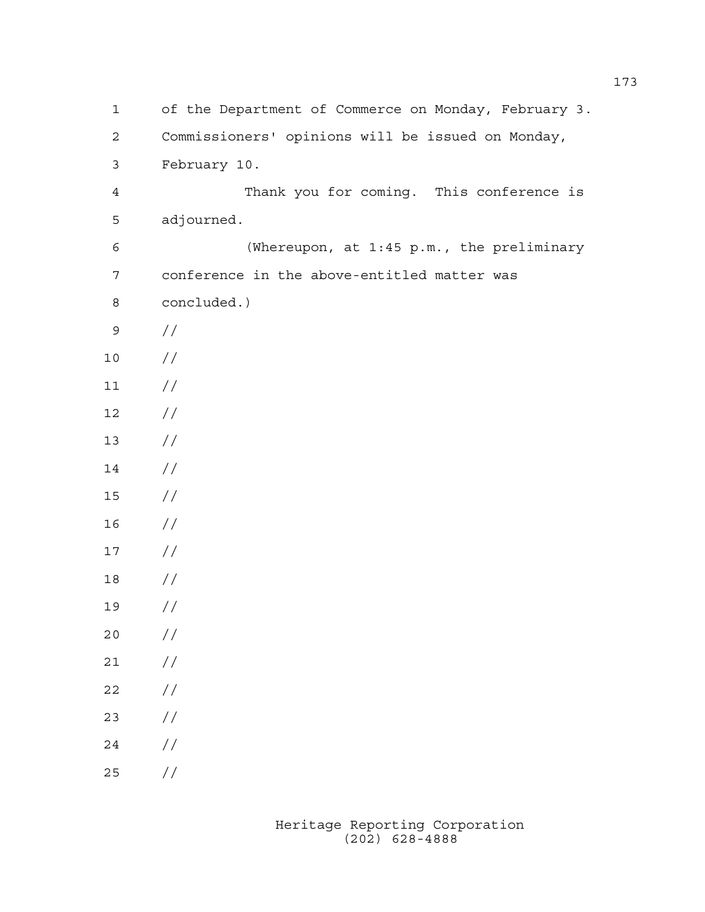1 of the Department of Commerce on Monday, February 3. 2 Commissioners' opinions will be issued on Monday, 3 February 10. 4 Thank you for coming. This conference is 5 adjourned. 6 (Whereupon, at 1:45 p.m., the preliminary 7 conference in the above-entitled matter was 8 concluded.) 9 // 10 //  $11 /$ 12 // 13 // 14 // 15 // 16 // 17 // 18 // 19 // 20 // 21 //  $22 / /$ 23 // 24 // 25 //